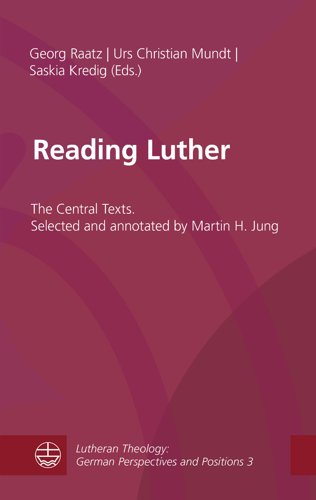Georg Raatz | Urs Christian Mundt | Saskia Kredig (Eds.)

# **Reading Luther**

The Central Texts. Selected and annotated by Martin H. Jung



Lutheran Theology: German Perspectives and Positions 3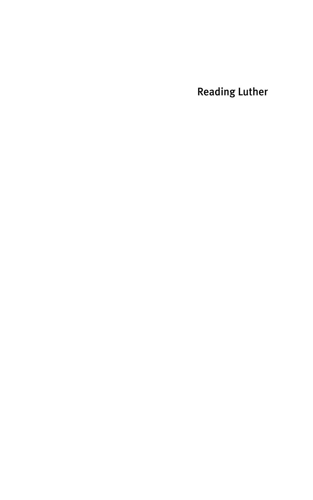Reading Luther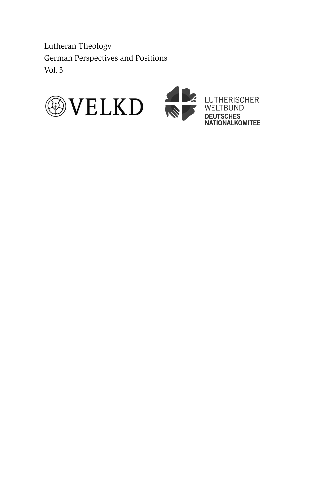Lutheran Theology German Perspectives and Positions Vol. 3

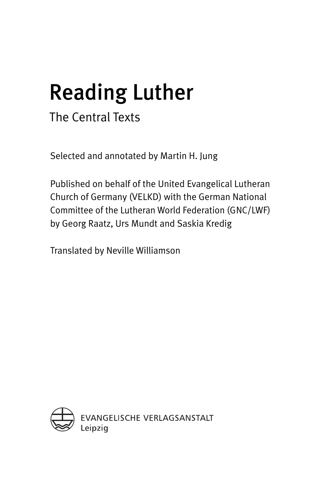## Reading Luther

## The Central Texts

Selected and annotated by Martin H. Jung

Published on behalf of the United Evangelical Lutheran Church of Germany (VELKD) with the German National Committee of the Lutheran World Federation (GNC/LWF) by Georg Raatz, Urs Mundt and Saskia Kredig

Translated by Neville Williamson

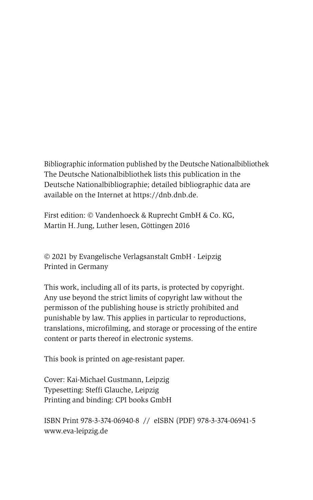Bibliographic information published by the Deutsche National bibliothek The Deutsche Nationalbibliothek lists this publication in the Deutsche Nationalbibliographie; detailed bibliographic data are available on the Internet at [https://dnb.dnb.de.](https://dnb.dnb.de)

First edition: © Vandenhoeck & Ruprecht GmbH & Co. KG, Martin H. Jung, Luther lesen, Göttingen 2016

© 2021 by Evangelische Verlagsanstalt GmbH · Leipzig Printed in Germany

This work, including all of its parts, is protected by copyright. Any use beyond the strict limits of copyright law without the permisson of the publishing house is strictly prohibited and punishable by law. This applies in particular to reproductions, translations, microfilming, and storage or processing of the entire content or parts thereof in electronic systems.

This book is printed on age-resistant paper.

Cover: Kai-Michael Gustmann, Leipzig Typesetting: Steffi Glauche, Leipzig Printing and binding: CPI books GmbH

ISBN Print 978-3-374-06940-8 // eISBN (PDF) 978-3-374-06941-5 [www.eva-leipzig.de](http://www.eva-leipzig.de)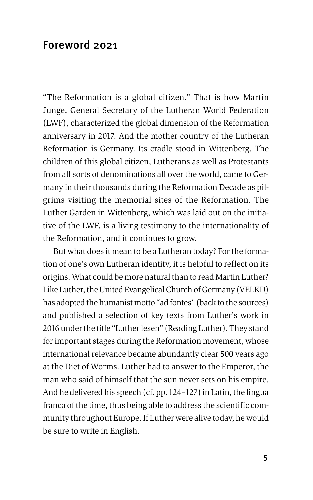#### Foreword 2021

"The Reformation is a global citizen." That is how Martin Junge, General Secretary of the Lutheran World Federation (LWF), characterized the global dimension of the Reformation anniversary in 2017. And the mother country of the Lutheran Reformation is Germany. Its cradle stood in Wittenberg. The children of this global citizen, Lutherans as well as Protestants from all sorts of denominations all over the world, came to Germany in their thousands during the Reformation Decade as pilgrims visiting the memorial sites of the Reformation. The Luther Garden in Wittenberg, which was laid out on the initiative of the LWF, is a living testimony to the internationality of the Reformation, and it continues to grow.

But what does it mean to be a Lutheran today? For the formation of one's own Lutheran identity, it is helpful to reflect on its origins. What could be more natural than to read Martin Luther? Like Luther, the United Evangelical Church of Germany (VELKD) has adopted the humanist motto "ad fontes" (back to the sources) and published a selection of key texts from Luther's work in 2016 under the title "Luther lesen" (Reading Luther). They stand for important stages during the Reformation movement, whose international relevance became abundantly clear 500 years ago at the Diet of Worms. Luther had to answer to the Emperor, the man who said of himself that the sun never sets on his empire. And he delivered his speech (cf. pp.124–127) in Latin, the lingua franca of the time, thus being able to address the scientific community throughout Europe. If Luther were alive today, he would be sure to write in English.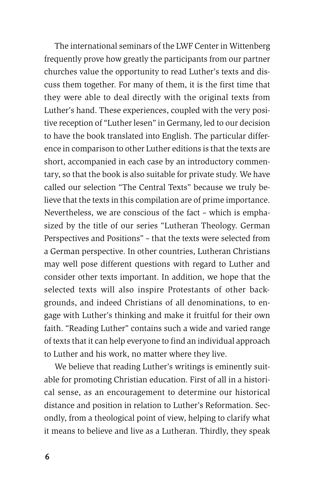The international seminars of the LWF Center in Wittenberg frequently prove how greatly the participants from our partner churches value the opportunity to read Luther's texts and discuss them together. For many of them, it is the first time that they were able to deal directly with the original texts from Luther's hand. These experiences, coupled with the very positive reception of "Luther lesen" in Germany, led to our decision to have the book translated into English. The particular difference in comparison to other Luther editions is that the texts are short, accompanied in each case by an introductory commentary, so that the book is also suitable for private study. We have called our selection "The Central Texts" because we truly believe that the texts in this compilation are of prime importance. Nevertheless, we are conscious of the fact – which is emphasized by the title of our series "Lutheran Theology. German Perspectives and Positions" – that the texts were selected from a German perspective. In other countries, Lutheran Christians may well pose different questions with regard to Luther and consider other texts important. In addition, we hope that the selected texts will also inspire Protestants of other backgrounds, and indeed Christians of all denominations, to engage with Luther's thinking and make it fruitful for their own faith. "Reading Luther" contains such a wide and varied range of texts that it can help everyone to find an individual approach to Luther and his work, no matter where they live.

We believe that reading Luther's writings is eminently suitable for promoting Christian education. First of all in a historical sense, as an encouragement to determine our historical distance and position in relation to Luther's Reformation. Secondly, from a theological point of view, helping to clarify what it means to believe and live as a Lutheran. Thirdly, they speak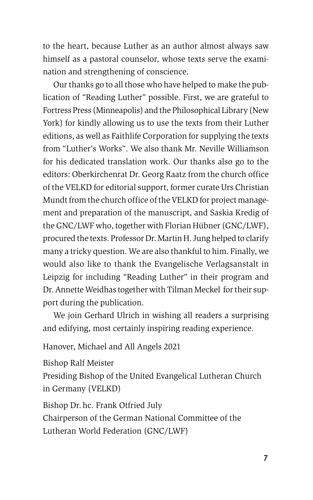to the heart, because Luther as an author almost always saw himself as a pastoral counselor, whose texts serve the examination and strengthening of conscience.

Our thanks go to all those who have helped to make the publication of "Reading Luther" possible. First, we are grateful to Fortress Press (Minneapolis) and the Philosophical Library (New York) for kindly allowing us to use the texts from their Luther editions, as well as Faithlife Corporation for supplying the texts from "Luther's Works". We also thank Mr. Neville Williamson for his dedicated translation work. Our thanks also go to the editors: Oberkirchenrat Dr. Georg Raatz from the church office of the VELKD for editorial support, former curate Urs Christian Mundt from the church office of the VELKD for project management and preparation of the manuscript, and Saskia Kredig of the GNC/LWF who, together with Florian Hübner (GNC/LWF), procured the texts. Professor Dr. Martin H. Jung helped to clarify many a tricky question. We are also thankful to him. Finally, we would also like to thank the Evangelische Verlagsanstalt in Leipzig for including "Reading Luther" in their program and Dr. Annette Weidhas together with Tilman Meckel for their support during the publication.

We join Gerhard Ulrich in wishing all readers a surprising and edifying, most certainly inspiring reading experience.

Hanover, Michael and All Angels 2021

Bishop Ralf Meister

Presiding Bishop of the United Evangelical Lutheran Church in Germany (VELKD)

Bishop Dr. hc. Frank Otfried July Chairperson of the German National Committee of the Lutheran World Federation (GNC/LWF)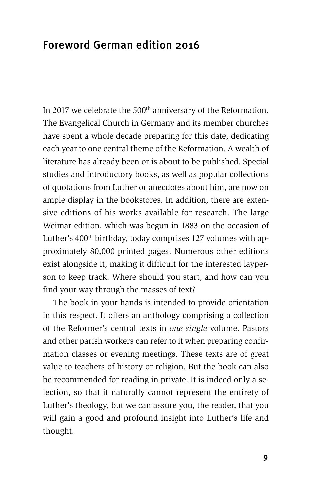#### Foreword German edition 2016

In 2017 we celebrate the 500<sup>th</sup> anniversary of the Reformation. The Evangelical Church in Germany and its member churches have spent a whole decade preparing for this date, dedicating each year to one central theme of the Reformation. A wealth of literature has already been or is about to be published. Special studies and introductory books, as well as popular collections of quotations from Luther or anecdotes about him, are now on ample display in the bookstores. In addition, there are extensive editions of his works available for research. The large Weimar edition, which was begun in 1883 on the occasion of Luther's 400<sup>th</sup> birthday, today comprises 127 volumes with approximately 80,000 printed pages. Numerous other editions exist alongside it, making it difficult for the interested layperson to keep track. Where should you start, and how can you find your way through the masses of text?

The book in your hands is intended to provide orientation in this respect. It offers an anthology comprising a collection of the Reformer's central texts in *one single* volume. Pastors and other parish workers can refer to it when preparing confirmation classes or evening meetings. These texts are of great value to teachers of history or religion. But the book can also be recommended for reading in private. It is indeed only a selection, so that it naturally cannot represent the entirety of Luther's theology, but we can assure you, the reader, that you will gain a good and profound insight into Luther's life and thought.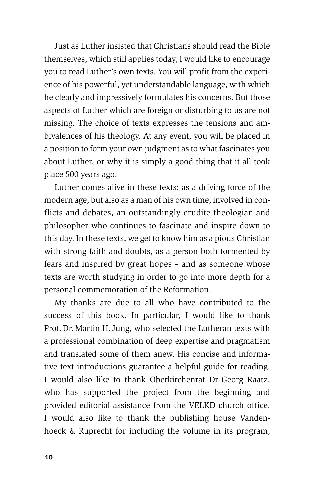Just as Luther insisted that Christians should read the Bible themselves, which still applies today, I would like to encourage you to read Luther's own texts. You will profit from the experience of his powerful, yet understandable language, with which he clearly and impressively formulates his concerns. But those aspects of Luther which are foreign or disturbing to us are not missing. The choice of texts expresses the tensions and ambivalences of his theology. At any event, you will be placed in a position to form your own judgment as to what fascinates you about Luther, or why it is simply a good thing that it all took place 500 years ago.

Luther comes alive in these texts: as a driving force of the modern age, but also as a man of his own time, involved in conflicts and debates, an outstandingly erudite theologian and philosopher who continues to fascinate and inspire down to this day. In these texts, we get to know him as a pious Christian with strong faith and doubts, as a person both tormented by fears and inspired by great hopes – and as someone whose texts are worth studying in order to go into more depth for a personal commemoration of the Reformation.

My thanks are due to all who have contributed to the success of this book. In particular, I would like to thank Prof. Dr. Martin H. Jung, who selected the Lutheran texts with a professional combination of deep expertise and pragmatism and translated some of them anew. His concise and informative text introductions guarantee a helpful guide for reading. I would also like to thank Oberkirchenrat Dr. Georg Raatz, who has supported the project from the beginning and provided editorial assistance from the VELKD church office. I would also like to thank the publishing house Vandenhoeck & Ruprecht for including the volume in its program,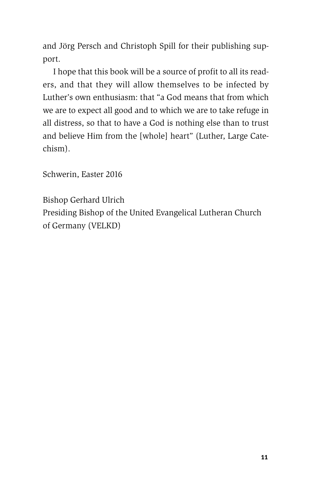and Jörg Persch and Christoph Spill for their publishing support.

I hope that this book will be a source of profit to all its readers, and that they will allow themselves to be infected by Luther's own enthusiasm: that "a God means that from which we are to expect all good and to which we are to take refuge in all distress, so that to have a God is nothing else than to trust and believe Him from the [whole] heart" (Luther, Large Catechism).

Schwerin, Easter 2016

Bishop Gerhard Ulrich Presiding Bishop of the United Evangelical Lutheran Church of Germany (VELKD)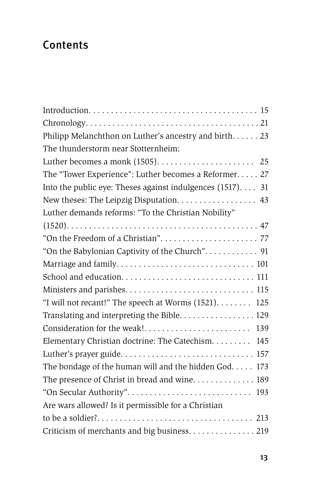## Contents

| Philipp Melanchthon on Luther's ancestry and birth. 23                |
|-----------------------------------------------------------------------|
| The thunderstorm near Stotternheim:                                   |
|                                                                       |
| The "Tower Experience": Luther becomes a Reformer. 27                 |
| Into the public eye: Theses against indulgences $(1517)$ 31           |
| New theses: The Leipzig Disputation. $\ldots \ldots \ldots \ldots$ 43 |
| Luther demands reforms: "To the Christian Nobility"                   |
|                                                                       |
|                                                                       |
|                                                                       |
|                                                                       |
|                                                                       |
|                                                                       |
| "I will not recant!" The speech at Worms $(1521)$<br>125              |
| Translating and interpreting the Bible. 129                           |
| Consideration for the weak! 139                                       |
| Elementary Christian doctrine: The Catechism.<br>145                  |
|                                                                       |
| The bondage of the human will and the hidden God. 173                 |
| The presence of Christ in bread and wine 189                          |
| "On Secular Authority"<br>193                                         |
| Are wars allowed? Is it permissible for a Christian                   |
|                                                                       |
| Criticism of merchants and big business. 219                          |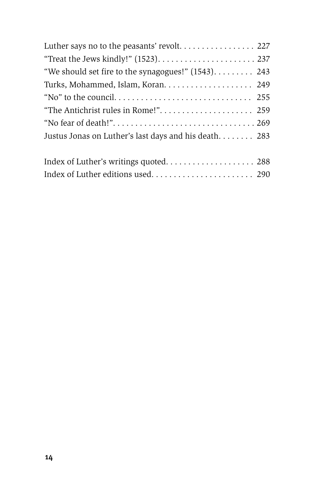| Luther says no to the peasants' revolt. 227          |  |
|------------------------------------------------------|--|
|                                                      |  |
| "We should set fire to the synagogues!" $(1543)$ 243 |  |
|                                                      |  |
|                                                      |  |
|                                                      |  |
|                                                      |  |
| Justus Jonas on Luther's last days and his death 283 |  |
|                                                      |  |
|                                                      |  |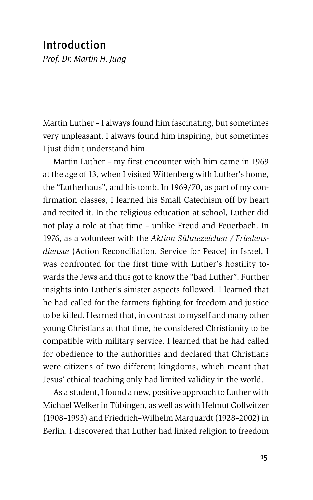#### <span id="page-15-0"></span>Introduction

*Prof. Dr. Martin H. Jung*

Martin Luther – I always found him fascinating, but sometimes very unpleasant. I always found him inspiring, but sometimes I just didn't understand him.

Martin Luther – my first encounter with him came in 1969 at the age of 13, when I visited Wittenberg with Luther's home, the "Lutherhaus", and his tomb. In 1969/70, as part of my confirmation classes, I learned his Small Catechism off by heart and recited it. In the religious education at school, Luther did not play a role at that time – unlike Freud and Feuerbach. In 1976, as a volunteer with the *Aktion Sühnezeichen / Friedensdienste* (Action Reconciliation. Service for Peace) in Israel, I was confronted for the first time with Luther's hostility towards the Jews and thus got to know the "bad Luther". Further insights into Luther's sinister aspects followed. I learned that he had called for the farmers fighting for freedom and justice to be killed. I learned that, in contrast to myself and many other young Christians at that time, he considered Christianity to be compatible with military service. I learned that he had called for obedience to the authorities and declared that Christians were citizens of two different kingdoms, which meant that Jesus' ethical teaching only had limited validity in the world.

As a student, I found a new, positive approach to Luther with Michael Welker in Tübingen, as well as with Helmut Gollwitzer (1908–1993) and Friedrich–Wilhelm Marquardt (1928–2002) in Berlin. I discovered that Luther had linked religion to freedom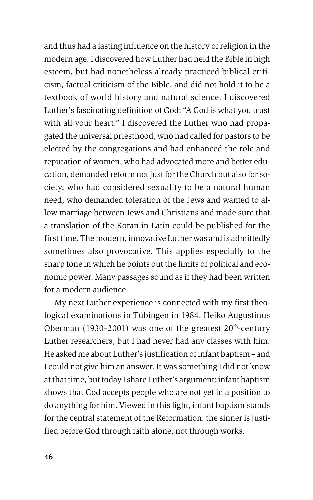and thus had a lasting influence on the history of religion in the modern age. I discovered how Luther had held the Bible in high esteem, but had nonetheless already practiced biblical criticism, factual criticism of the Bible, and did not hold it to be a textbook of world history and natural science. I discovered Luther's fascinating definition of God: "A God is what you trust with all your heart." I discovered the Luther who had propagated the universal priesthood, who had called for pastors to be elected by the congregations and had enhanced the role and reputation of women, who had advocated more and better education, demanded reform not just for the Church but also for society, who had considered sexuality to be a natural human need, who demanded toleration of the Jews and wanted to allow marriage between Jews and Christians and made sure that a translation of the Koran in Latin could be published for the first time. The modern, innovative Luther was and is admittedly sometimes also provocative. This applies especially to the sharp tone in which he points out the limits of political and economic power. Many passages sound as if they had been written for a modern audience.

My next Luther experience is connected with my first theological examinations in Tübingen in 1984. Heiko Augustinus Oberman (1930–2001) was one of the greatest  $20<sup>th</sup>$ -century Luther researchers, but I had never had any classes with him. He asked me about Luther's justification of infant baptism – and I could not give him an answer. It was something I did not know at that time, but today I share Luther's argument: infant baptism shows that God accepts people who are not yet in a position to do anything for him. Viewed in this light, infant baptism stands for the central statement of the Reformation: the sinner is justified before God through faith alone, not through works.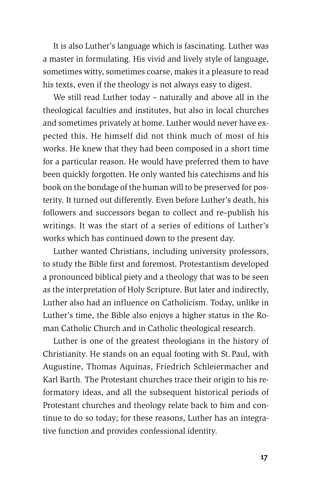It is also Luther's language which is fascinating. Luther was a master in formulating. His vivid and lively style of language, sometimes witty, sometimes coarse, makes it a pleasure to read his texts, even if the theology is not always easy to digest.

We still read Luther today – naturally and above all in the theological faculties and institutes, but also in local churches and sometimes privately at home. Luther would never have expected this. He himself did not think much of most of his works. He knew that they had been composed in a short time for a particular reason. He would have preferred them to have been quickly forgotten. He only wanted his catechisms and his book on the bondage of the human will to be preserved for posterity. It turned out differently. Even before Luther's death, his followers and successors began to collect and re–publish his writings. It was the start of a series of editions of Luther's works which has continued down to the present day.

Luther wanted Christians, including university professors, to study the Bible first and foremost. Protestantism developed a pronounced biblical piety and a theology that was to be seen as the interpretation of Holy Scripture. But later and indirectly, Luther also had an influence on Catholicism. Today, unlike in Luther's time, the Bible also enjoys a higher status in the Roman Catholic Church and in Catholic theological research.

Luther is one of the greatest theologians in the history of Christianity. He stands on an equal footing with St. Paul, with Augustine, Thomas Aquinas, Friedrich Schleiermacher and Karl Barth. The Protestant churches trace their origin to his reformatory ideas, and all the subsequent historical periods of Protestant churches and theology relate back to him and continue to do so today; for these reasons, Luther has an integrative function and provides confessional identity.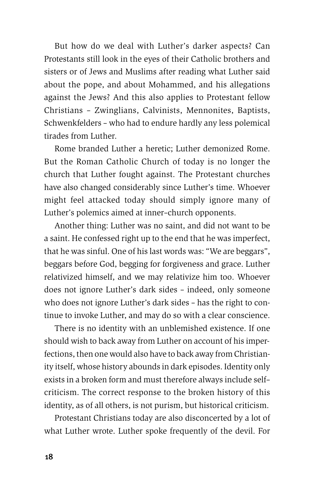But how do we deal with Luther's darker aspects? Can Protestants still look in the eyes of their Catholic brothers and sisters or of Jews and Muslims after reading what Luther said about the pope, and about Mohammed, and his allegations against the Jews? And this also applies to Protestant fellow Christians – Zwinglians, Calvinists, Mennonites, Baptists, Schwenkfelders – who had to endure hardly any less polemical tirades from Luther.

Rome branded Luther a heretic; Luther demonized Rome. But the Roman Catholic Church of today is no longer the church that Luther fought against. The Protestant churches have also changed considerably since Luther's time. Whoever might feel attacked today should simply ignore many of Luther's polemics aimed at inner–church opponents.

Another thing: Luther was no saint, and did not want to be a saint. He confessed right up to the end that he was imperfect, that he was sinful. One of his last words was: "We are beggars", beggars before God, begging for forgiveness and grace. Luther relativized himself, and we may relativize him too. Whoever does not ignore Luther's dark sides – indeed, only someone who does not ignore Luther's dark sides – has the right to continue to invoke Luther, and may do so with a clear conscience.

There is no identity with an unblemished existence. If one should wish to back away from Luther on account of his imperfections, then one would also have to back away from Christianity itself, whose history abounds in dark episodes. Identity only exists in a broken form and must therefore always include self– criticism. The correct response to the broken history of this identity, as of all others, is not purism, but historical criticism.

Protestant Christians today are also disconcerted by a lot of what Luther wrote. Luther spoke frequently of the devil. For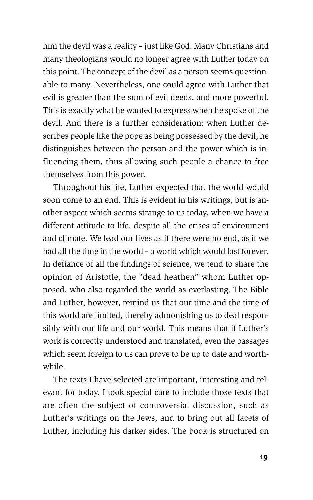him the devil was a reality - just like God. Many Christians and many theologians would no longer agree with Luther today on this point. The concept of the devil as a person seems questionable to many. Nevertheless, one could agree with Luther that evil is greater than the sum of evil deeds, and more powerful. This is exactly what he wanted to express when he spoke of the devil. And there is a further consideration: when Luther describes people like the pope as being possessed by the devil, he distinguishes between the person and the power which is influencing them, thus allowing such people a chance to free themselves from this power.

Throughout his life, Luther expected that the world would soon come to an end. This is evident in his writings, but is another aspect which seems strange to us today, when we have a different attitude to life, despite all the crises of environment and climate. We lead our lives as if there were no end, as if we had all the time in the world – a world which would last forever. In defiance of all the findings of science, we tend to share the opinion of Aristotle, the "dead heathen" whom Luther opposed, who also regarded the world as everlasting. The Bible and Luther, however, remind us that our time and the time of this world are limited, thereby admonishing us to deal responsibly with our life and our world. This means that if Luther's work is correctly understood and translated, even the passages which seem foreign to us can prove to be up to date and worthwhile.

The texts I have selected are important, interesting and relevant for today. I took special care to include those texts that are often the subject of controversial discussion, such as Luther's writings on the Jews, and to bring out all facets of Luther, including his darker sides. The book is structured on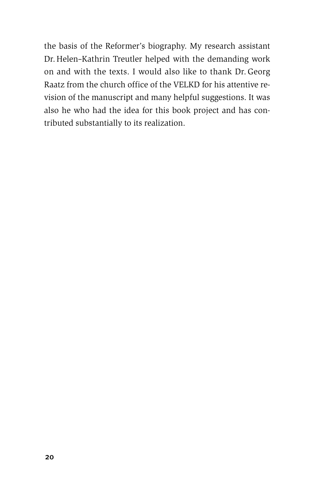the basis of the Reformer's biography. My research assistant Dr. Helen–Kathrin Treutler helped with the demanding work on and with the texts. I would also like to thank Dr. Georg Raatz from the church office of the VELKD for his attentive revision of the manuscript and many helpful suggestions. It was also he who had the idea for this book project and has contributed substantially to its realization.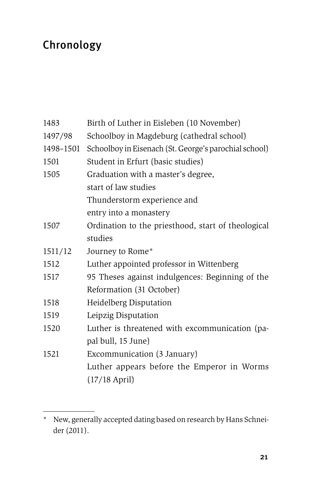## <span id="page-21-0"></span>Chronology

| 1483      | Birth of Luther in Eisleben (10 November)             |
|-----------|-------------------------------------------------------|
| 1497/98   | Schoolboy in Magdeburg (cathedral school)             |
| 1498-1501 | Schoolboy in Eisenach (St. George's parochial school) |
| 1501      | Student in Erfurt (basic studies)                     |
| 1505      | Graduation with a master's degree,                    |
|           | start of law studies                                  |
|           | Thunderstorm experience and                           |
|           | entry into a monastery                                |
| 1507      | Ordination to the priesthood, start of theological    |
|           | studies                                               |
| 1511/12   | Journey to Rome*                                      |
| 1512      | Luther appointed professor in Wittenberg              |
| 1517      | 95 Theses against indulgences: Beginning of the       |
|           | Reformation (31 October)                              |
| 1518      | Heidelberg Disputation                                |
| 1519      | Leipzig Disputation                                   |
| 1520      | Luther is threatened with excommunication (pa-        |
|           | pal bull, 15 June)                                    |
| 1521      | Excommunication (3 January)                           |
|           | Luther appears before the Emperor in Worms            |
|           | $(17/18 \text{ April})$                               |

<sup>\*</sup> New, generally accepted dating based on research by Hans Schnei der (2011).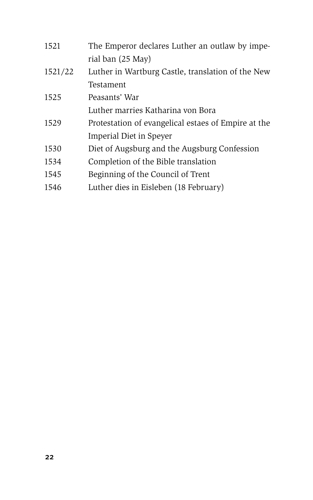| 1521    | The Emperor declares Luther an outlaw by impe-      |
|---------|-----------------------------------------------------|
|         | rial ban (25 May)                                   |
| 1521/22 | Luther in Wartburg Castle, translation of the New   |
|         | Testament                                           |
| 1525    | Peasants' War                                       |
|         | Luther marries Katharina von Bora                   |
| 1529    | Protestation of evangelical estaes of Empire at the |
|         | Imperial Diet in Spever                             |
| 1530    | Diet of Augsburg and the Augsburg Confession        |
| 1534    | Completion of the Bible translation                 |
| 1545    | Beginning of the Council of Trent                   |
| 1546    | Luther dies in Eisleben (18 February)               |
|         |                                                     |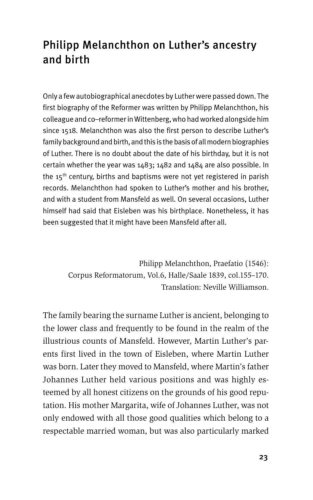## <span id="page-23-0"></span>Philipp Melanchthon on Luther's ancestry and birth

Only a few autobiographical anecdotes by Luther were passed down. The first biography of the Reformer was written by Philipp Melanchthon, his colleague and co–reformer in Wittenberg, who had worked alongside him since 1518. Melanchthon was also the first person to describe Luther's family background and birth, and this is the basis of all modern biographies of Luther. There is no doubt about the date of his birthday, but it is not certain whether the year was 1483; 1482 and 1484 are also possible. In the  $15<sup>th</sup>$  century, births and baptisms were not yet registered in parish records. Melanchthon had spoken to Luther's mother and his brother, and with a student from Mansfeld as well. On several occasions, Luther himself had said that Eisleben was his birthplace. Nonetheless, it has been suggested that it might have been Mansfeld after all.

> Philipp Melanchthon, Praefatio (1546): Corpus Reformatorum, Vol.6, Halle/Saale 1839, col.155–170. Translation: Neville Williamson.

The family bearing the surname Luther is ancient, belonging to the lower class and frequently to be found in the realm of the illustrious counts of Mansfeld. However, Martin Luther's parents first lived in the town of Eisleben, where Martin Luther was born. Later they moved to Mansfeld, where Martin's father Johannes Luther held various positions and was highly esteemed by all honest citizens on the grounds of his good reputation. His mother Margarita, wife of Johannes Luther, was not only endowed with all those good qualities which belong to a respectable married woman, but was also particularly marked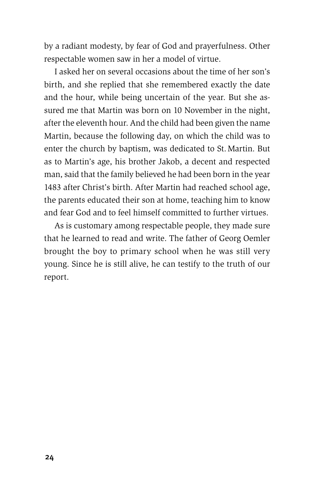by a radiant modesty, by fear of God and prayerfulness. Other respectable women saw in her a model of virtue.

I asked her on several occasions about the time of her son's birth, and she replied that she remembered exactly the date and the hour, while being uncertain of the year. But she assured me that Martin was born on 10 November in the night, after the eleventh hour. And the child had been given the name Martin, because the following day, on which the child was to enter the church by baptism, was dedicated to St. Martin. But as to Martin's age, his brother Jakob, a decent and respected man, said that the family believed he had been born in the year 1483 after Christ's birth. After Martin had reached school age, the parents educated their son at home, teaching him to know and fear God and to feel himself committed to further virtues.

As is customary among respectable people, they made sure that he learned to read and write. The father of Georg Oemler brought the boy to primary school when he was still very young. Since he is still alive, he can testify to the truth of our report.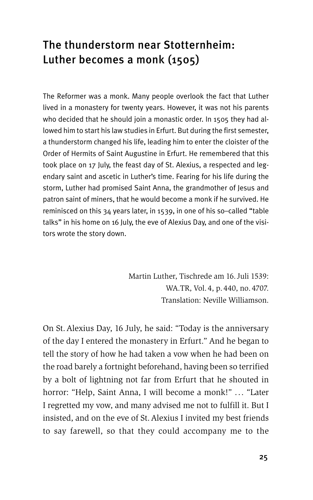## <span id="page-25-0"></span>The thunderstorm near Stotternheim: Luther becomes a monk (1505)

The Reformer was a monk. Many people overlook the fact that Luther lived in a monastery for twenty years. However, it was not his parents who decided that he should join a monastic order. In 1505 they had allowed him to start his law studies in Erfurt. But during the first semester, a thunderstorm changed his life, leading him to enter the cloister of the Order of Hermits of Saint Augustine in Erfurt. He remembered that this took place on 17 July, the feast day of St. Alexius, a respected and legendary saint and ascetic in Luther's time. Fearing for his life during the storm, Luther had promised Saint Anna, the grandmother of Jesus and patron saint of miners, that he would become a monk if he survived. He reminisced on this 34 years later, in 1539, in one of his so–called "table talks" in his home on 16 July, the eve of Alexius Day, and one of the visitors wrote the story down.

> Martin Luther, Tischrede am 16. Juli 1539: WA.TR, Vol. 4, p. 440, no. 4707. Translation: Neville Williamson.

On St. Alexius Day, 16 July, he said: "Today is the anniversary of the day I entered the monastery in Erfurt." And he began to tell the story of how he had taken a vow when he had been on the road barely a fortnight beforehand, having been so terrified by a bolt of lightning not far from Erfurt that he shouted in horror: "Help, Saint Anna, I will become a monk!" ... "Later I regretted my vow, and many advised me not to fulfill it. But I insisted, and on the eve of St. Alexius I invited my best friends to say farewell, so that they could accompany me to the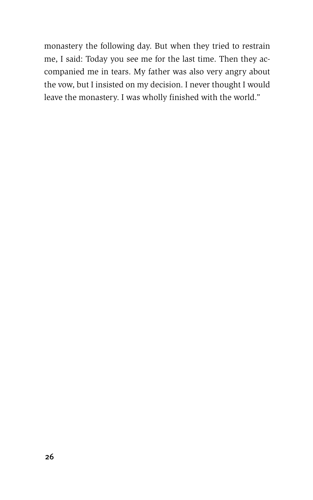monastery the following day. But when they tried to restrain me, I said: Today you see me for the last time. Then they accompanied me in tears. My father was also very angry about the vow, but I insisted on my decision. I never thought I would leave the monastery. I was wholly finished with the world."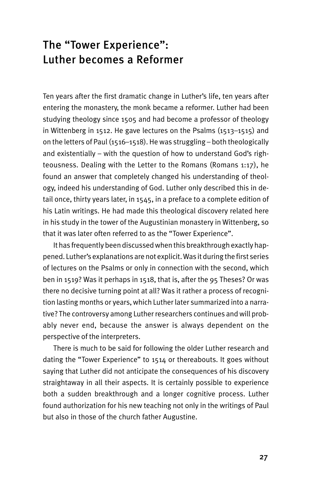## <span id="page-27-0"></span>The "Tower Experience": Luther becomes a Reformer

Ten years after the first dramatic change in Luther's life, ten years after entering the monastery, the monk became a reformer. Luther had been studying theology since 1505 and had become a professor of theology in Wittenberg in 1512. He gave lectures on the Psalms (1513–1515) and on the letters of Paul (1516–1518). He was struggling – both theologically and existentially – with the question of how to understand God's righteousness. Dealing with the Letter to the Romans (Romans 1:17), he found an answer that completely changed his understanding of theology, indeed his understanding of God. Luther only described this in detail once, thirty years later, in 1545, in a preface to a complete edition of his Latin writings. He had made this theological discovery related here in his study in the tower of the Augustinian monastery in Wittenberg, so that it was later often referred to as the "Tower Experience".

It has frequently been discussed when this breakthrough exactly happened. Luther's explanations are not explicit. Was it during the first series of lectures on the Psalms or only in connection with the second, which ben in 1519? Was it perhaps in 1518, that is, after the 95 Theses? Or was there no decisive turning point at all? Was it rather a process of recognition lasting months or years, which Luther later summarized into a narrative? The controversy among Luther researchers continues and will probably never end, because the answer is always dependent on the perspective of the interpreters.

There is much to be said for following the older Luther research and dating the "Tower Experience" to 1514 or thereabouts. It goes without saying that Luther did not anticipate the consequences of his discovery straightaway in all their aspects. It is certainly possible to experience both a sudden breakthrough and a longer cognitive process. Luther found authorization for his new teaching not only in the writings of Paul but also in those of the church father Augustine.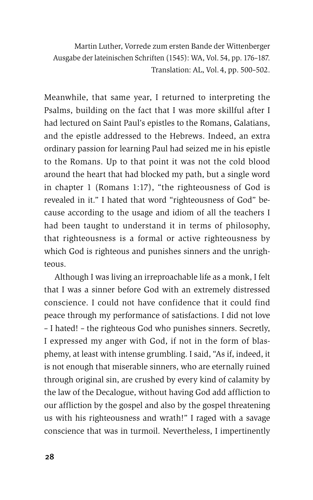Martin Luther, Vorrede zum ersten Bande der Wittenberger Ausgabe der lateinischen Schriften (1545): WA, Vol. 54, pp. 176–187. Translation: AL, Vol. 4, pp. 500–502.

Meanwhile, that same year, I returned to interpreting the Psalms, building on the fact that I was more skillful after I had lectured on Saint Paul's epistles to the Romans, Galatians, and the epistle addressed to the Hebrews. Indeed, an extra ordinary passion for learning Paul had seized me in his epistle to the Romans. Up to that point it was not the cold blood around the heart that had blocked my path, but a single word in chapter 1 (Romans 1:17), "the righteousness of God is revealed in it." I hated that word "righteousness of God" because according to the usage and idiom of all the teachers I had been taught to understand it in terms of philosophy, that righteousness is a formal or active righteousness by which God is righteous and punishes sinners and the unrighteous

Although I was living an irreproachable life as a monk, I felt that I was a sinner before God with an extremely distressed conscience. I could not have confidence that it could find peace through my performance of satisfactions. I did not love – I hated! – the righteous God who punishes sinners. Secretly, I expressed my anger with God, if not in the form of blasphemy, at least with intense grumbling. I said, "As if, indeed, it is not enough that miserable sinners, who are eternally ruined through original sin, are crushed by every kind of calamity by the law of the Decalogue, without having God add affliction to our affliction by the gospel and also by the gospel threatening us with his righteousness and wrath!" I raged with a savage conscience that was in turmoil. Nevertheless, I impertinently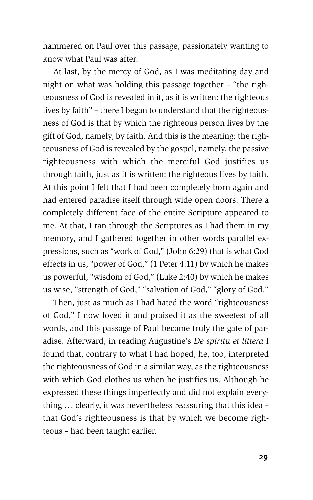hammered on Paul over this passage, passionately wanting to know what Paul was after.

At last, by the mercy of God, as I was meditating day and night on what was holding this passage together – "the righteousness of God is revealed in it, as it is written: the righteous lives by faith" – there I began to understand that the righteousness of God is that by which the righteous person lives by the gift of God, namely, by faith. And this is the meaning: the righteousness of God is revealed by the gospel, namely, the passive righteousness with which the merciful God justifies us through faith, just as it is written: the righteous lives by faith. At this point I felt that I had been completely born again and had entered paradise itself through wide open doors. There a completely different face of the entire Scripture appeared to me. At that, I ran through the Scriptures as I had them in my memory, and I gathered together in other words parallel expressions, such as "work of God," (John 6:29) that is what God effects in us, "power of God," (1 Peter 4:11) by which he makes us powerful, "wisdom of God," (Luke 2:40) by which he makes us wise, "strength of God," "salvation of God," "glory of God."

Then, just as much as I had hated the word "righteousness of God," I now loved it and praised it as the sweetest of all words, and this passage of Paul became truly the gate of paradise. Afterward, in reading Augustine's *De spiritu et littera* I found that, contrary to what I had hoped, he, too, interpreted the righteousness of God in a similar way, as the righteousness with which God clothes us when he justifies us. Although he expressed these things imperfectly and did not explain everything ... clearly, it was nevertheless reassuring that this idea – that God's righteousness is that by which we become righteous – had been taught earlier.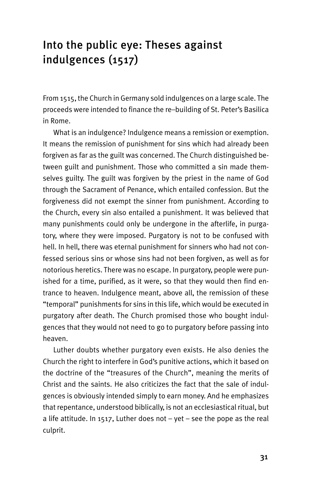## <span id="page-31-0"></span>Into the public eye: Theses against indulgences (1517)

From 1515, the Church in Germany sold indulgences on a large scale. The proceeds were intended to finance the re–building of St. Peter's Basilica in Rome.

What is an indulgence? Indulgence means a remission or exemption. It means the remission of punishment for sins which had already been forgiven as far as the guilt was concerned. The Church distinguished between guilt and punishment. Those who committed a sin made themselves guilty. The guilt was forgiven by the priest in the name of God through the Sacrament of Penance, which entailed confession. But the forgiveness did not exempt the sinner from punishment. According to the Church, every sin also entailed a punishment. It was believed that many punishments could only be undergone in the afterlife, in purgatory, where they were imposed. Purgatory is not to be confused with hell. In hell, there was eternal punishment for sinners who had not confessed serious sins or whose sins had not been forgiven, as well as for notorious heretics. There was no escape. In purgatory, people were punished for a time, purified, as it were, so that they would then find entrance to heaven. Indulgence meant, above all, the remission of these "temporal" punishments for sins in this life, which would be executed in purgatory after death. The Church promised those who bought indulgences that they would not need to go to purgatory before passing into heaven.

Luther doubts whether purgatory even exists. He also denies the Church the right to interfere in God's punitive actions, which it based on the doctrine of the "treasures of the Church", meaning the merits of Christ and the saints. He also criticizes the fact that the sale of indulgences is obviously intended simply to earn money. And he emphasizes that repentance, understood biblically, is not an ecclesiastical ritual, but a life attitude. In 1517, Luther does not – yet – see the pope as the real culprit.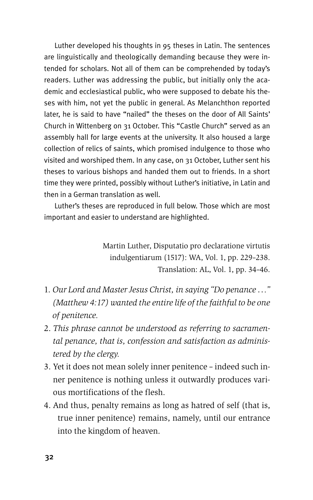Luther developed his thoughts in 95 theses in Latin. The sentences are linguistically and theologically demanding because they were intended for scholars. Not all of them can be comprehended by today's readers. Luther was addressing the public, but initially only the academic and ecclesiastical public, who were supposed to debate his theses with him, not yet the public in general. As Melanchthon reported later, he is said to have "nailed" the theses on the door of All Saints' Church in Wittenberg on 31 October. This "Castle Church" served as an assembly hall for large events at the university. It also housed a large collection of relics of saints, which promised indulgence to those who visited and worshiped them. In any case, on 31 October, Luther sent his theses to various bishops and handed them out to friends. In a short time they were printed, possibly without Luther's initiative, in Latin and then in a German translation as well.

Luther's theses are reproduced in full below. Those which are most important and easier to understand are highlighted.

> Martin Luther, Disputatio pro declaratione virtutis indulgentiarum (1517): WA, Vol. 1, pp. 229–238. Translation: AL, Vol. 1, pp. 34–46.

- 1. *Our Lord and Master Jesus Christ, in saying "Do penance* ..*." (Matthew 4:17) wanted the entire life of the faithful to be one of penitence.*
- 2. *This phrase cannot be understood as referring to sacramental penance, that is, confession and satisfaction as administered by the clergy.*
- 3. Yet it does not mean solely inner penitence indeed such inner penitence is nothing unless it outwardly produces various mortifications of the flesh.
- 4. And thus, penalty remains as long as hatred of self (that is, true inner penitence) remains, namely, until our entrance into the kingdom of heaven.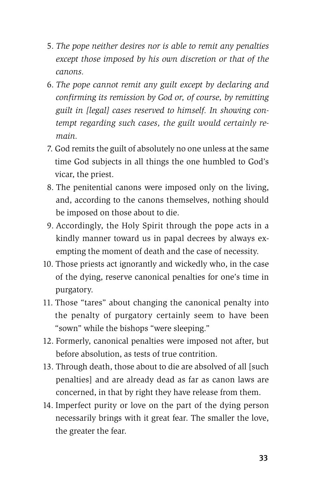- 5. *The pope neither desires nor is able to remit any penalties except those imposed by his own discretion or that of the canons.*
- 6. *The pope cannot remit any guilt except by declaring and confirming its remission by God or, of course, by remitting guilt in [legal] cases reserved to himself. In showing contempt regarding such cases, the guilt would certainly remain.*
- 7. God remits the guilt of absolutely no one unless at the same time God subjects in all things the one humbled to God's vicar, the priest.
- 8. The penitential canons were imposed only on the living, and, according to the canons themselves, nothing should be imposed on those about to die.
- 9. Accordingly, the Holy Spirit through the pope acts in a kindly manner toward us in papal decrees by always exempting the moment of death and the case of necessity.
- 10. Those priests act ignorantly and wickedly who, in the case of the dying, reserve canonical penalties for one's time in purgatory.
- 11. Those "tares" about changing the canonical penalty into the penalty of purgatory certainly seem to have been "sown" while the bishops "were sleeping."
- 12. Formerly, canonical penalties were imposed not after, but before absolution, as tests of true contrition.
- 13. Through death, those about to die are absolved of all [such penalties] and are already dead as far as canon laws are concerned, in that by right they have release from them.
- 14. Imperfect purity or love on the part of the dying person necessarily brings with it great fear. The smaller the love, the greater the fear.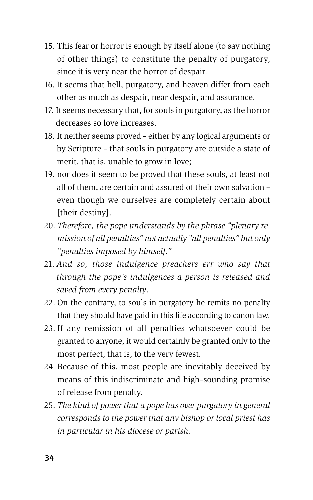- 15. This fear or horror is enough by itself alone (to say nothing of other things) to constitute the penalty of purgatory, since it is very near the horror of despair.
- 16. It seems that hell, purgatory, and heaven differ from each other as much as despair, near despair, and assurance.
- 17. It seems necessary that, for souls in purgatory, as the horror decreases so love increases.
- 18. It neither seems proved either by any logical arguments or by Scripture – that souls in purgatory are outside a state of merit, that is, unable to grow in love;
- 19. nor does it seem to be proved that these souls, at least not all of them, are certain and assured of their own salvation – even though we ourselves are completely certain about [their destiny].
- 20. *Therefore, the pope understands by the phrase "plenary remission of all penalties" not actually "all penalties" but only "penalties imposed by himself."*
- 21. *And so, those indulgence preachers err who say that through the pope's indulgences a person is released and saved from every penalty*.
- 22. On the contrary, to souls in purgatory he remits no penalty that they should have paid in this life according to canon law.
- 23. If any remission of all penalties whatsoever could be granted to anyone, it would certainly be granted only to the most perfect, that is, to the very fewest.
- 24. Because of this, most people are inevitably deceived by means of this indiscriminate and high–sounding promise of release from penalty.
- 25. *The kind of power that a pope has over purgatory in general corresponds to the power that any bishop or local priest has in particular in his diocese or parish.*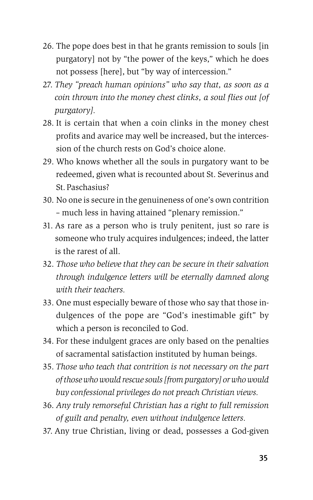- 26. The pope does best in that he grants remission to souls [in purgatory] not by "the power of the keys," which he does not possess [here], but "by way of intercession."
- 27. *They "preach human opinions" who say that, as soon as a coin thrown into the money chest clinks, a soul flies out [of purgatory].*
- 28. It is certain that when a coin clinks in the money chest profits and avarice may well be increased, but the intercession of the church rests on God's choice alone.
- 29. Who knows whether all the souls in purgatory want to be redeemed, given what is recounted about St. Severinus and St. Paschasius?
- 30. No one is secure in the genuineness of one's own contrition – much less in having attained "plenary remission."
- 31. As rare as a person who is truly penitent, just so rare is someone who truly acquires indulgences; indeed, the latter is the rarest of all.
- 32. *Those who believe that they can be secure in their salvation through indulgence letters will be eternally damned along with their teachers.*
- 33. One must especially beware of those who say that those indulgences of the pope are "God's inestimable gift" by which a person is reconciled to God.
- 34. For these indulgent graces are only based on the penalties of sacramental satisfaction instituted by human beings.
- 35. *Those who teach that contrition is not necessary on the part of those who would rescue souls [from purgatory] or who would buy confessional privileges do not preach Christian views.*
- 36. *Any truly remorseful Christian has a right to full remission of guilt and penalty, even without indulgence letters.*
- 37. Any true Christian, living or dead, possesses a God-given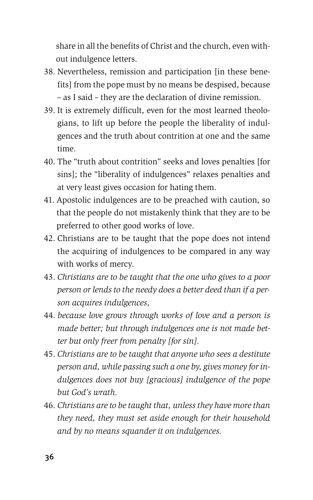share in all the benefits of Christ and the church, even without indulgence letters.

- 38. Nevertheless, remission and participation [in these benefits] from the pope must by no means be despised, because – as I said – they are the declaration of divine remission.
- 39. It is extremely difficult, even for the most learned theologians, to lift up before the people the liberality of indulgences and the truth about contrition at one and the same time.
- 40. The "truth about contrition" seeks and loves penalties [for sins]; the "liberality of indulgences" relaxes penalties and at very least gives occasion for hating them.
- 41. Apostolic indulgences are to be preached with caution, so that the people do not mistakenly think that they are to be preferred to other good works of love.
- 42. Christians are to be taught that the pope does not intend the acquiring of indulgences to be compared in any way with works of mercy.
- 43. *Christians are to be taught that the one who gives to a poor person or lends to the needy does a better deed than if a person acquires indulgences,*
- 44. *because love grows through works of love and a person is made better; but through indulgences one is not made better but only freer from penalty [for sin].*
- 45. *Christians are to be taught that anyone who sees a destitute person and, while passing such a one by, gives money for indulgences does not buy [gracious] indulgence of the pope but God's wrath.*
- 46. *Christians are to be taught that, unless they have more than they need, they must set aside enough for their household and by no means squander it on indulgences.*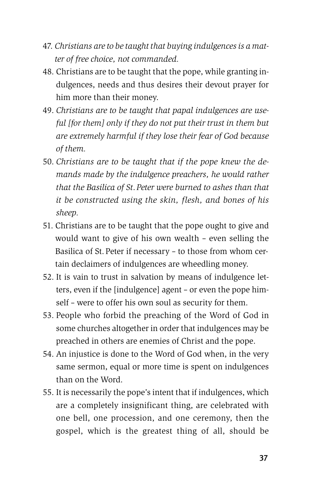- 47. *Christians are to be taught that buying indulgences is a matter of free choice, not commanded.*
- 48. Christians are to be taught that the pope, while granting indulgences, needs and thus desires their devout prayer for him more than their money.
- 49. *Christians are to be taught that papal indulgences are useful [for them] only if they do not put their trust in them but are extremely harmful if they lose their fear of God because of them.*
- 50. *Christians are to be taught that if the pope knew the demands made by the indulgence preachers, he would rather that the Basilica of St*. *Peter were burned to ashes than that it be constructed using the skin, flesh, and bones of his sheep.*
- 51. Christians are to be taught that the pope ought to give and would want to give of his own wealth – even selling the Basilica of St. Peter if necessary – to those from whom certain declaimers of indulgences are wheedling money.
- 52. It is vain to trust in salvation by means of indulgence letters, even if the [indulgence] agent – or even the pope himself – were to offer his own soul as security for them.
- 53. People who forbid the preaching of the Word of God in some churches altogether in order that indulgences may be preached in others are enemies of Christ and the pope.
- 54. An injustice is done to the Word of God when, in the very same sermon, equal or more time is spent on indulgences than on the Word.
- 55. It is necessarily the pope's intent that if indulgences, which are a completely insignificant thing, are celebrated with one bell, one procession, and one ceremony, then the gospel, which is the greatest thing of all, should be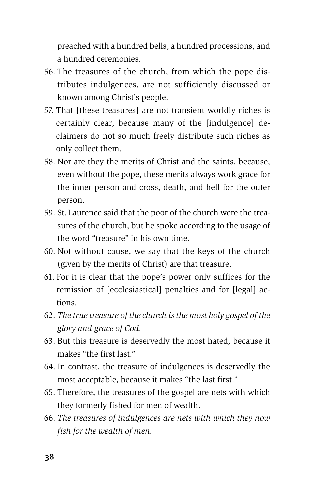preached with a hundred bells, a hundred processions, and a hundred ceremonies.

- 56. The treasures of the church, from which the pope distributes indulgences, are not sufficiently discussed or known among Christ's people.
- 57. That [these treasures] are not transient worldly riches is certainly clear, because many of the [indulgence] declaimers do not so much freely distribute such riches as only collect them.
- 58. Nor are they the merits of Christ and the saints, because, even without the pope, these merits always work grace for the inner person and cross, death, and hell for the outer person.
- 59. St. Laurence said that the poor of the church were the treasures of the church, but he spoke according to the usage of the word "treasure" in his own time.
- 60. Not without cause, we say that the keys of the church (given by the merits of Christ) are that treasure.
- 61. For it is clear that the pope's power only suffices for the remission of [ecclesiastical] penalties and for [legal] actions.
- 62. *The true treasure of the church is the most holy gospel of the glory and grace of God.*
- 63. But this treasure is deservedly the most hated, because it makes "the first last."
- 64. In contrast, the treasure of indulgences is deservedly the most acceptable, because it makes "the last first."
- 65. Therefore, the treasures of the gospel are nets with which they formerly fished for men of wealth.
- 66. *The treasures of indulgences are nets with which they now fish for the wealth of men.*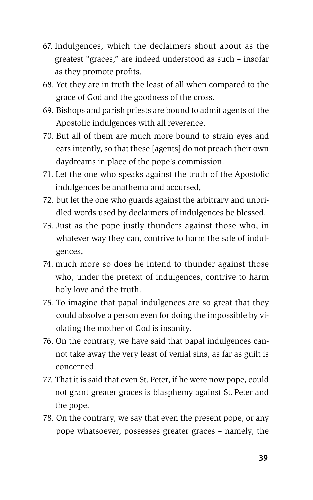- 67. Indulgences, which the declaimers shout about as the greatest "graces," are indeed understood as such – insofar as they promote profits.
- 68. Yet they are in truth the least of all when compared to the grace of God and the goodness of the cross.
- 69. Bishops and parish priests are bound to admit agents of the Apostolic indulgences with all reverence.
- 70. But all of them are much more bound to strain eyes and ears intently, so that these [agents] do not preach their own daydreams in place of the pope's commission.
- 71. Let the one who speaks against the truth of the Apostolic indulgences be anathema and accursed,
- 72. but let the one who guards against the arbitrary and unbridled words used by declaimers of indulgences be blessed.
- 73. Just as the pope justly thunders against those who, in whatever way they can, contrive to harm the sale of indulgences,
- 74. much more so does he intend to thunder against those who, under the pretext of indulgences, contrive to harm holy love and the truth.
- 75. To imagine that papal indulgences are so great that they could absolve a person even for doing the impossible by violating the mother of God is insanity.
- 76. On the contrary, we have said that papal indulgences cannot take away the very least of venial sins, as far as guilt is concerned.
- 77. That it is said that even St. Peter, if he were now pope, could not grant greater graces is blasphemy against St. Peter and the pope.
- 78. On the contrary, we say that even the present pope, or any pope whatsoever, possesses greater graces – namely, the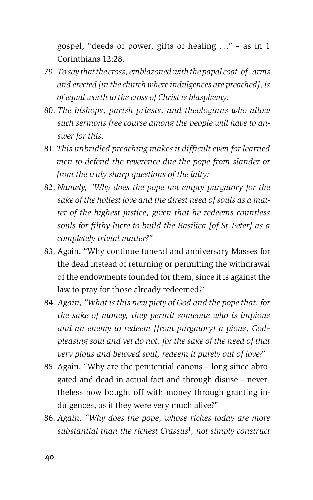gospel, "deeds of power, gifts of healing ..." – as in 1 Corinthians 12:28.

- 79. *To say that the cross, emblazoned with the papal coat–of– arms and erected [in the church where indulgences are preached], is of equal worth to the cross of Christ is blasphemy*.
- 80. *The bishops, parish priests, and theologians who allow such sermons free course among the people will have to answer for this.*
- 81. *This unbridled preaching makes it difficult even for learned men to defend the reverence due the pope from slander or from the truly sharp questions of the laity:*
- 82. *Namely, "Why does the pope not empty purgatory for the sake of the holiest love and the direst need of souls as a matter of the highest justice, given that he redeems countless souls for filthy lucre to build the Basilica [of St*. *Peter] as a completely trivial matter?"*
- 83. Again, "Why continue funeral and anniversary Masses for the dead instead of returning or permitting the withdrawal of the endowments founded for them, since it is against the law to pray for those already redeemed?"
- 84. *Again, "What is this new piety of God and the pope that, for the sake of money, they permit someone who is impious and an enemy to redeem [from purgatory] a pious, God– pleasing soul and yet do not, for the sake of the need of that very pious and beloved soul, redeem it purely out of love?"*
- 85. Again, "Why are the penitential canons long since abrogated and dead in actual fact and through disuse – nevertheless now bought off with money through granting indulgences, as if they were very much alive?"
- 86. *Again, "Why does the pope, whose riches today are more substantial than the richest Crassus*<sup>1</sup> *, not simply construct*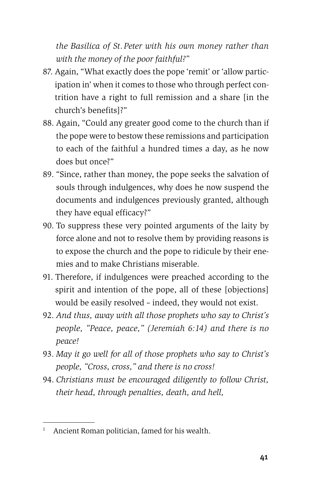*the Basilica of St*. *Peter with his own money rather than with the money of the poor faithful?"*

- 87. Again, "What exactly does the pope 'remit' or 'allow participation in' when it comes to those who through perfect contrition have a right to full remission and a share [in the church's benefits]?"
- 88. Again, "Could any greater good come to the church than if the pope were to bestow these remissions and participation to each of the faithful a hundred times a day, as he now does but once?"
- 89. "Since, rather than money, the pope seeks the salvation of souls through indulgences, why does he now suspend the documents and indulgences previously granted, although they have equal efficacy?"
- 90. To suppress these very pointed arguments of the laity by force alone and not to resolve them by providing reasons is to expose the church and the pope to ridicule by their enemies and to make Christians miserable.
- 91. Therefore, if indulgences were preached according to the spirit and intention of the pope, all of these [objections] would be easily resolved – indeed, they would not exist.
- 92. *And thus, away with all those prophets who say to Christ's people, "Peace, peace," (Jeremiah 6:14) and there is no peace!*
- 93. *May it go well for all of those prophets who say to Christ's people, "Cross, cross," and there is no cross!*
- 94. *Christians must be encouraged diligently to follow Christ, their head, through penalties, death, and hell,*

<sup>&</sup>lt;sup>1</sup> Ancient Roman politician, famed for his wealth.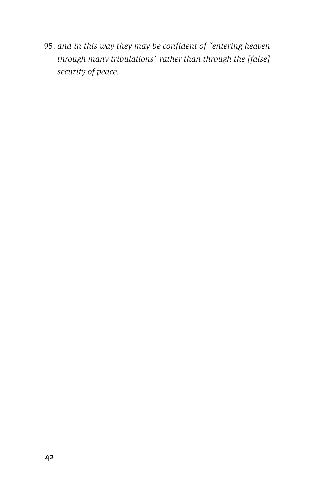95. *and in this way they may be confident of "entering heaven through many tribulations" rather than through the [false] security of peace.*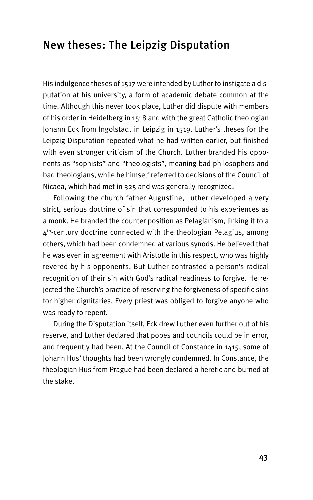## New theses: The Leipzig Disputation

His indulgence theses of 1517 were intended by Luther to instigate a disputation at his university, a form of academic debate common at the time. Although this never took place, Luther did dispute with members of his order in Heidelberg in 1518 and with the great Catholic theologian Johann Eck from Ingolstadt in Leipzig in 1519. Luther's theses for the Leipzig Disputation repeated what he had written earlier, but finished with even stronger criticism of the Church. Luther branded his opponents as "sophists" and "theologists", meaning bad philosophers and bad theologians, while he himself referred to decisions of the Council of Nicaea, which had met in 325 and was generally recognized.

Following the church father Augustine, Luther developed a very strict, serious doctrine of sin that corresponded to his experiences as a monk. He branded the counter position as Pelagianism, linking it to a  $4<sup>th</sup>$ -century doctrine connected with the theologian Pelagius, among others, which had been condemned at various synods. He believed that he was even in agreement with Aristotle in this respect, who was highly revered by his opponents. But Luther contrasted a person's radical recognition of their sin with God's radical readiness to forgive. He rejected the Church's practice of reserving the forgiveness of specific sins for higher dignitaries. Every priest was obliged to forgive anyone who was ready to repent.

During the Disputation itself, Eck drew Luther even further out of his reserve, and Luther declared that popes and councils could be in error, and frequently had been. At the Council of Constance in 1415, some of Johann Hus' thoughts had been wrongly condemned. In Constance, the theologian Hus from Prague had been declared a heretic and burned at the stake.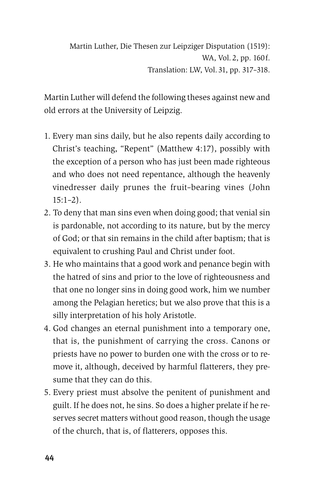Martin Luther, Die Thesen zur Leipziger Disputation (1519): WA, Vol. 2, pp. 160f. Translation: LW, Vol. 31, pp. 317–318.

Martin Luther will defend the following theses against new and old errors at the University of Leipzig.

- 1. Every man sins daily, but he also repents daily according to Christ's teaching, "Repent" (Matthew 4:17), possibly with the exception of a person who has just been made righteous and who does not need repentance, although the heavenly vinedresser daily prunes the fruit–bearing vines (John 15:1–2).
- 2. To deny that man sins even when doing good; that venial sin is pardonable, not according to its nature, but by the mercy of God; or that sin remains in the child after baptism; that is equivalent to crushing Paul and Christ under foot.
- 3. He who maintains that a good work and penance begin with the hatred of sins and prior to the love of righteousness and that one no longer sins in doing good work, him we number among the Pelagian heretics; but we also prove that this is a silly interpretation of his holy Aristotle.
- 4. God changes an eternal punishment into a temporary one, that is, the punishment of carrying the cross. Canons or priests have no power to burden one with the cross or to remove it, although, deceived by harmful flatterers, they presume that they can do this.
- 5. Every priest must absolve the penitent of punishment and guilt. If he does not, he sins. So does a higher prelate if he reserves secret matters without good reason, though the usage of the church, that is, of flatterers, opposes this.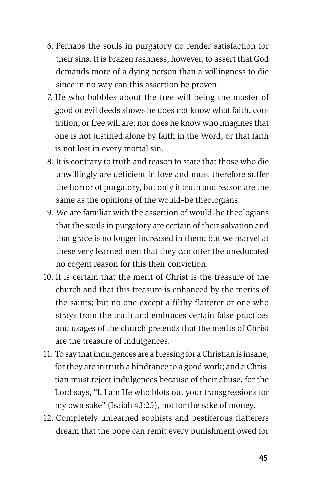- 6. Perhaps the souls in purgatory do render satisfaction for their sins. It is brazen rashness, however, to assert that God demands more of a dying person than a willingness to die since in no way can this assertion be proven.
- 7. He who babbles about the free will being the master of good or evil deeds shows he does not know what faith, contrition, or free will are; nor does he know who imagines that one is not justified alone by faith in the Word, or that faith is not lost in every mortal sin.
- 8. It is contrary to truth and reason to state that those who die unwillingly are deficient in love and must therefore suffer the horror of purgatory, but only if truth and reason are the same as the opinions of the would–be theologians.
- 9. We are familiar with the assertion of would–be theologians that the souls in purgatory are certain of their salvation and that grace is no longer increased in them; but we marvel at these very learned men that they can offer the uneducated no cogent reason for this their conviction.
- 10. It is certain that the merit of Christ is the treasure of the church and that this treasure is enhanced by the merits of the saints; but no one except a filthy flatterer or one who strays from the truth and embraces certain false practices and usages of the church pretends that the merits of Christ are the treasure of indulgences.
- 11. To say that indulgences are a blessing for a Christian is insane, for they are in truth a hindrance to a good work; and a Christian must reject indulgences because of their abuse, for the Lord says, "I, I am He who blots out your transgressions for my own sake" (Isaiah 43:25), not for the sake of money.
- 12. Completely unlearned sophists and pestiferous flatterers dream that the pope can remit every punishment owed for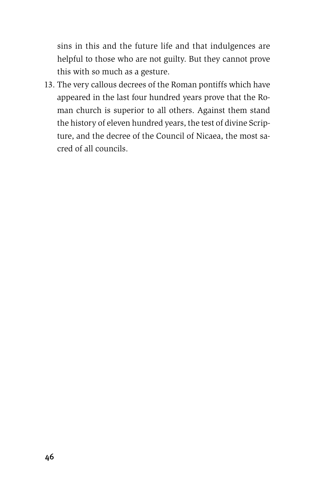sins in this and the future life and that indulgences are helpful to those who are not guilty. But they cannot prove this with so much as a gesture.

13. The very callous decrees of the Roman pontiffs which have appeared in the last four hundred years prove that the Roman church is superior to all others. Against them stand the history of eleven hundred years, the test of divine Scripture, and the decree of the Council of Nicaea, the most sacred of all councils.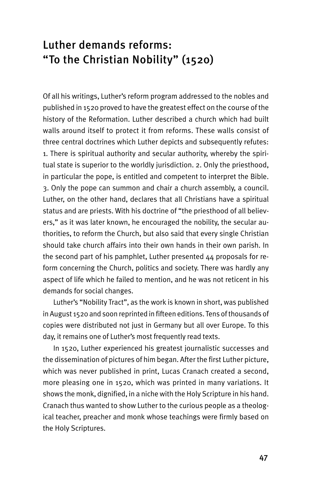# Luther demands reforms: "To the Christian Nobility" (1520)

Of all his writings, Luther's reform program addressed to the nobles and published in 1520 proved to have the greatest effect on the course of the history of the Reformation. Luther described a church which had built walls around itself to protect it from reforms. These walls consist of three central doctrines which Luther depicts and subsequently refutes: 1. There is spiritual authority and secular authority, whereby the spiritual state is superior to the worldly jurisdiction. 2. Only the priesthood, in particular the pope, is entitled and competent to interpret the Bible. 3. Only the pope can summon and chair a church assembly, a council. Luther, on the other hand, declares that all Christians have a spiritual status and are priests. With his doctrine of "the priesthood of all believers," as it was later known, he encouraged the nobility, the secular authorities, to reform the Church, but also said that every single Christian should take church affairs into their own hands in their own parish. In the second part of his pamphlet, Luther presented 44 proposals for reform concerning the Church, politics and society. There was hardly any aspect of life which he failed to mention, and he was not reticent in his demands for social changes.

Luther's "Nobility Tract", as the work is known in short, was published in August 1520 and soon reprinted in fifteen editions. Tens of thousands of copies were distributed not just in Germany but all over Europe. To this day, it remains one of Luther's most frequently read texts.

In 1520, Luther experienced his greatest journalistic successes and the dissemination of pictures of him began. After the first Luther picture, which was never published in print, Lucas Cranach created a second, more pleasing one in 1520, which was printed in many variations. It shows the monk, dignified, in a niche with the Holy Scripture in his hand. Cranach thus wanted to show Luther to the curious people as a theological teacher, preacher and monk whose teachings were firmly based on the Holy Scriptures.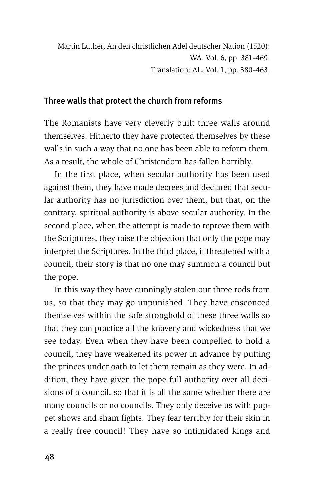Martin Luther, An den christlichen Adel deutscher Nation (1520): WA, Vol. 6, pp. 381–469. Translation: AL, Vol. 1, pp. 380–463.

#### Three walls that protect the church from reforms

The Romanists have very cleverly built three walls around themselves. Hitherto they have protected themselves by these walls in such a way that no one has been able to reform them. As a result, the whole of Christendom has fallen horribly.

In the first place, when secular authority has been used against them, they have made decrees and declared that secular authority has no jurisdiction over them, but that, on the contrary, spiritual authority is above secular authority. In the second place, when the attempt is made to reprove them with the Scriptures, they raise the objection that only the pope may interpret the Scriptures. In the third place, if threatened with a council, their story is that no one may summon a council but the pope.

In this way they have cunningly stolen our three rods from us, so that they may go unpunished. They have ensconced themselves within the safe stronghold of these three walls so that they can practice all the knavery and wickedness that we see today. Even when they have been compelled to hold a council, they have weakened its power in advance by putting the princes under oath to let them remain as they were. In addition, they have given the pope full authority over all decisions of a council, so that it is all the same whether there are many councils or no councils. They only deceive us with puppet shows and sham fights. They fear terribly for their skin in a really free council! They have so intimidated kings and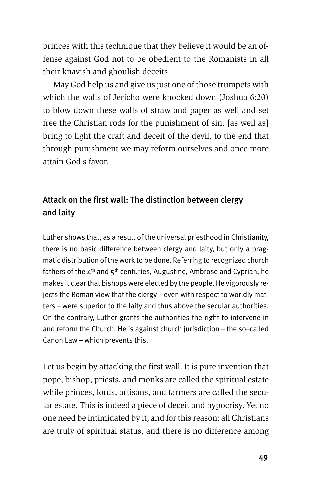princes with this technique that they believe it would be an offense against God not to be obedient to the Romanists in all their knavish and ghoulish deceits.

May God help us and give us just one of those trumpets with which the walls of Jericho were knocked down (Joshua 6:20) to blow down these walls of straw and paper as well and set free the Christian rods for the punishment of sin, [as well as] bring to light the craft and deceit of the devil, to the end that through punishment we may reform ourselves and once more attain God's favor.

### Attack on the first wall: The distinction between clergy and laity

Luther shows that, as a result of the universal priesthood in Christianity, there is no basic difference between clergy and laity, but only a pragmatic distribution of the work to be done. Referring to recognized church fathers of the  $4<sup>th</sup>$  and  $5<sup>th</sup>$  centuries, Augustine, Ambrose and Cyprian, he makes it clear that bishops were elected by the people. He vigorously rejects the Roman view that the clergy – even with respect to worldly matters – were superior to the laity and thus above the secular authorities. On the contrary, Luther grants the authorities the right to intervene in and reform the Church. He is against church jurisdiction – the so–called Canon Law – which prevents this.

Let us begin by attacking the first wall. It is pure invention that pope, bishop, priests, and monks are called the spiritual estate while princes, lords, artisans, and farmers are called the secular estate. This is indeed a piece of deceit and hypocrisy. Yet no one need be intimidated by it, and for this reason: all Christians are truly of spiritual status, and there is no difference among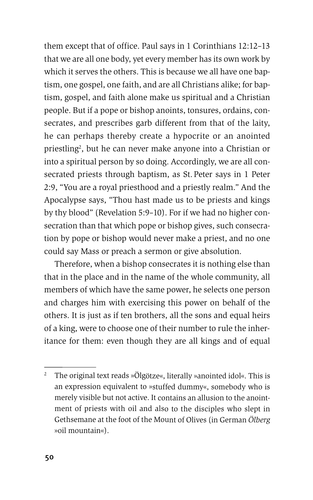them except that of office. Paul says in 1 Corinthians 12:12–13 that we are all one body, yet every member has its own work by which it serves the others. This is because we all have one baptism, one gospel, one faith, and are all Christians alike; for baptism, gospel, and faith alone make us spiritual and a Christian people. But if a pope or bishop anoints, tonsures, ordains, consecrates, and prescribes garb different from that of the laity, he can perhaps thereby create a hypocrite or an anointed priestling<sup>2</sup>, but he can never make anyone into a Christian or into a spiritual person by so doing. Accordingly, we are all consecrated priests through baptism, as St. Peter says in 1 Peter 2:9, "You are a royal priesthood and a priestly realm." And the Apocalypse says, "Thou hast made us to be priests and kings by thy blood" (Revelation 5:9–10). For if we had no higher consecration than that which pope or bishop gives, such consecration by pope or bishop would never make a priest, and no one could say Mass or preach a sermon or give absolution.

Therefore, when a bishop consecrates it is nothing else than that in the place and in the name of the whole community, all members of which have the same power, he selects one person and charges him with exercising this power on behalf of the others. It is just as if ten brothers, all the sons and equal heirs of a king, were to choose one of their number to rule the inheritance for them: even though they are all kings and of equal

<sup>2</sup> The original text reads »Ölgötze«, literally »anointed idol«. This is an expression equivalent to »stuffed dummy«, somebody who is merely visible but not active. It contains an allusion to the anointment of priests with oil and also to the disciples who slept in Gethsemane at the foot of the Mount of Olives (in German *Ölberg* »oil mountain«).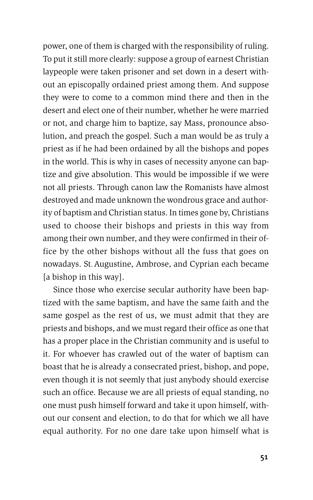power, one of them is charged with the responsibility of ruling. To put it still more clearly: suppose a group of earnest Christian laypeople were taken prisoner and set down in a desert without an episcopally ordained priest among them. And suppose they were to come to a common mind there and then in the desert and elect one of their number, whether he were married or not, and charge him to baptize, say Mass, pronounce absolution, and preach the gospel. Such a man would be as truly a priest as if he had been ordained by all the bishops and popes in the world. This is why in cases of necessity anyone can baptize and give absolution. This would be impossible if we were not all priests. Through canon law the Romanists have almost destroyed and made unknown the wondrous grace and authority of baptism and Christian status. In times gone by, Christians used to choose their bishops and priests in this way from among their own number, and they were confirmed in their office by the other bishops without all the fuss that goes on nowadays. St.Augustine, Ambrose, and Cyprian each became [a bishop in this way].

Since those who exercise secular authority have been baptized with the same baptism, and have the same faith and the same gospel as the rest of us, we must admit that they are priests and bishops, and we must regard their office as one that has a proper place in the Christian community and is useful to it. For whoever has crawled out of the water of baptism can boast that he is already a consecrated priest, bishop, and pope, even though it is not seemly that just anybody should exercise such an office. Because we are all priests of equal standing, no one must push himself forward and take it upon himself, without our consent and election, to do that for which we all have equal authority. For no one dare take upon himself what is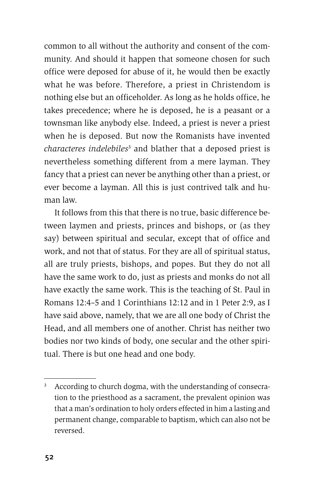common to all without the authority and consent of the community. And should it happen that someone chosen for such office were deposed for abuse of it, he would then be exactly what he was before. Therefore, a priest in Christendom is nothing else but an officeholder. As long as he holds office, he takes precedence; where he is deposed, he is a peasant or a townsman like anybody else. Indeed, a priest is never a priest when he is deposed. But now the Romanists have invented *characteres indelebiles*<sup>3</sup> and blather that a deposed priest is nevertheless something different from a mere layman. They fancy that a priest can never be anything other than a priest, or ever become a layman. All this is just contrived talk and human law.

It follows from this that there is no true, basic difference between laymen and priests, princes and bishops, or (as they say) between spiritual and secular, except that of office and work, and not that of status. For they are all of spiritual status, all are truly priests, bishops, and popes. But they do not all have the same work to do, just as priests and monks do not all have exactly the same work. This is the teaching of St. Paul in Romans 12:4–5 and 1 Corinthians 12:12 and in 1 Peter 2:9, as I have said above, namely, that we are all one body of Christ the Head, and all members one of another. Christ has neither two bodies nor two kinds of body, one secular and the other spiritual. There is but one head and one body.

<sup>&</sup>lt;sup>3</sup> According to church dogma, with the understanding of consecration to the priesthood as a sacrament, the prevalent opinion was that a man's ordination to holy orders effected in him a lasting and permanent change, comparable to baptism, which can also not be reversed.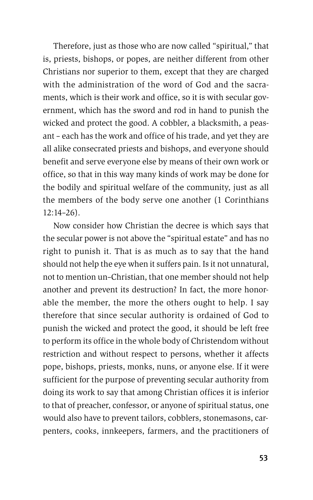Therefore, just as those who are now called "spiritual," that is, priests, bishops, or popes, are neither different from other Christians nor superior to them, except that they are charged with the administration of the word of God and the sacraments, which is their work and office, so it is with secular government, which has the sword and rod in hand to punish the wicked and protect the good. A cobbler, a blacksmith, a peasant – each has the work and office of his trade, and yet they are all alike consecrated priests and bishops, and everyone should benefit and serve everyone else by means of their own work or office, so that in this way many kinds of work may be done for the bodily and spiritual welfare of the community, just as all the members of the body serve one another (1 Corinthians  $12:14-26$ 

Now consider how Christian the decree is which says that the secular power is not above the "spiritual estate" and has no right to punish it. That is as much as to say that the hand should not help the eye when it suffers pain. Is it not unnatural, not to mention un–Christian, that one member should not help another and prevent its destruction? In fact, the more honorable the member, the more the others ought to help. I say therefore that since secular authority is ordained of God to punish the wicked and protect the good, it should be left free to perform its office in the whole body of Christendom without restriction and without respect to persons, whether it affects pope, bishops, priests, monks, nuns, or anyone else. If it were sufficient for the purpose of preventing secular authority from doing its work to say that among Christian offices it is inferior to that of preacher, confessor, or anyone of spiritual status, one would also have to prevent tailors, cobblers, stonemasons, carpenters, cooks, innkeepers, farmers, and the practitioners of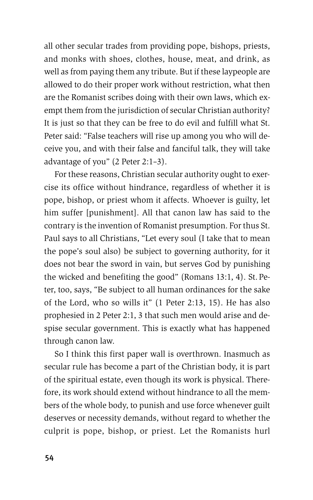all other secular trades from providing pope, bishops, priests, and monks with shoes, clothes, house, meat, and drink, as well as from paying them any tribute. But if these laypeople are allowed to do their proper work without restriction, what then are the Romanist scribes doing with their own laws, which exempt them from the jurisdiction of secular Christian authority? It is just so that they can be free to do evil and fulfill what St. Peter said: "False teachers will rise up among you who will deceive you, and with their false and fanciful talk, they will take advantage of you" (2 Peter 2:1–3).

For these reasons, Christian secular authority ought to exercise its office without hindrance, regardless of whether it is pope, bishop, or priest whom it affects. Whoever is guilty, let him suffer [punishment]. All that canon law has said to the contrary is the invention of Romanist presumption. For thus St. Paul says to all Christians, "Let every soul (I take that to mean the pope's soul also) be subject to governing authority, for it does not bear the sword in vain, but serves God by punishing the wicked and benefiting the good" (Romans 13:1, 4). St. Peter, too, says, "Be subject to all human ordinances for the sake of the Lord, who so wills it" (1 Peter 2:13, 15). He has also prophesied in 2 Peter 2:1, 3 that such men would arise and despise secular government. This is exactly what has happened through canon law.

So I think this first paper wall is overthrown. Inasmuch as secular rule has become a part of the Christian body, it is part of the spiritual estate, even though its work is physical. Therefore, its work should extend without hindrance to all the members of the whole body, to punish and use force whenever guilt deserves or necessity demands, without regard to whether the culprit is pope, bishop, or priest. Let the Romanists hurl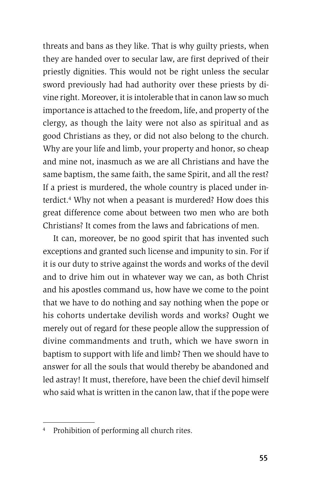threats and bans as they like. That is why guilty priests, when they are handed over to secular law, are first deprived of their priestly dignities. This would not be right unless the secular sword previously had had authority over these priests by divine right. Moreover, it is intolerable that in canon law so much importance is attached to the freedom, life, and property of the clergy, as though the laity were not also as spiritual and as good Christians as they, or did not also belong to the church. Why are your life and limb, your property and honor, so cheap and mine not, inasmuch as we are all Christians and have the same baptism, the same faith, the same Spirit, and all the rest? If a priest is murdered, the whole country is placed under interdict.4 Why not when a peasant is murdered? How does this great difference come about between two men who are both Christians? It comes from the laws and fabrications of men.

It can, moreover, be no good spirit that has invented such exceptions and granted such license and impunity to sin. For if it is our duty to strive against the words and works of the devil and to drive him out in whatever way we can, as both Christ and his apostles command us, how have we come to the point that we have to do nothing and say nothing when the pope or his cohorts undertake devilish words and works? Ought we merely out of regard for these people allow the suppression of divine commandments and truth, which we have sworn in baptism to support with life and limb? Then we should have to answer for all the souls that would thereby be abandoned and led astray! It must, therefore, have been the chief devil himself who said what is written in the canon law, that if the pope were

<sup>4</sup> Prohibition of performing all church rites.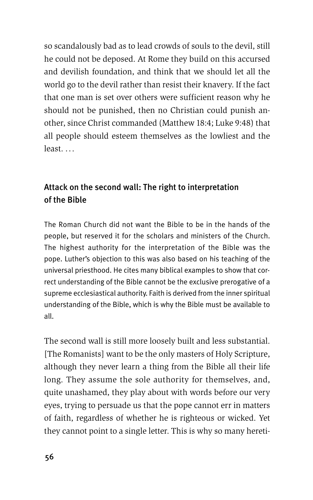so scandalously bad as to lead crowds of souls to the devil, still he could not be deposed. At Rome they build on this accursed and devilish foundation, and think that we should let all the world go to the devil rather than resist their knavery. If the fact that one man is set over others were sufficient reason why he should not be punished, then no Christian could punish another, since Christ commanded (Matthew 18:4; Luke 9:48) that all people should esteem themselves as the lowliest and the least.

## Attack on the second wall: The right to interpretation of the Bible

The Roman Church did not want the Bible to be in the hands of the people, but reserved it for the scholars and ministers of the Church. The highest authority for the interpretation of the Bible was the pope. Luther's objection to this was also based on his teaching of the universal priesthood. He cites many biblical examples to show that correct understanding of the Bible cannot be the exclusive prerogative of a supreme ecclesiastical authority. Faith is derived from the inner spiritual understanding of the Bible, which is why the Bible must be available to all.

The second wall is still more loosely built and less substantial. [The Romanists] want to be the only masters of Holy Scripture, although they never learn a thing from the Bible all their life long. They assume the sole authority for themselves, and, quite unashamed, they play about with words before our very eyes, trying to persuade us that the pope cannot err in matters of faith, regardless of whether he is righteous or wicked. Yet they cannot point to a single letter. This is why so many hereti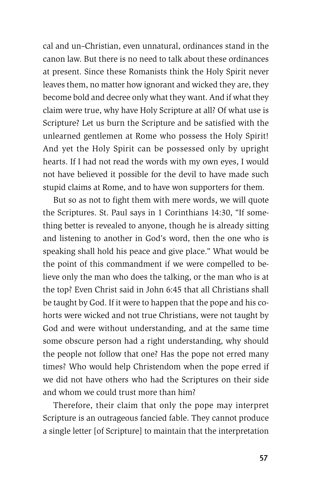cal and un–Christian, even unnatural, ordinances stand in the canon law. But there is no need to talk about these ordinances at present. Since these Romanists think the Holy Spirit never leaves them, no matter how ignorant and wicked they are, they become bold and decree only what they want. And if what they claim were true, why have Holy Scripture at all? Of what use is Scripture? Let us burn the Scripture and be satisfied with the unlearned gentlemen at Rome who possess the Holy Spirit! And yet the Holy Spirit can be possessed only by upright hearts. If I had not read the words with my own eyes, I would not have believed it possible for the devil to have made such stupid claims at Rome, and to have won supporters for them.

But so as not to fight them with mere words, we will quote the Scriptures. St. Paul says in 1 Corinthians 14:30, "If something better is revealed to anyone, though he is already sitting and listening to another in God's word, then the one who is speaking shall hold his peace and give place." What would be the point of this commandment if we were compelled to believe only the man who does the talking, or the man who is at the top? Even Christ said in John 6:45 that all Christians shall be taught by God. If it were to happen that the pope and his cohorts were wicked and not true Christians, were not taught by God and were without understanding, and at the same time some obscure person had a right understanding, why should the people not follow that one? Has the pope not erred many times? Who would help Christendom when the pope erred if we did not have others who had the Scriptures on their side and whom we could trust more than him?

Therefore, their claim that only the pope may interpret Scripture is an outrageous fancied fable. They cannot produce a single letter [of Scripture] to maintain that the interpretation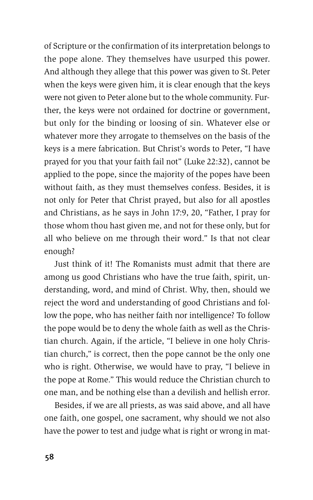of Scripture or the confirmation of its interpretation belongs to the pope alone. They themselves have usurped this power. And although they allege that this power was given to St. Peter when the keys were given him, it is clear enough that the keys were not given to Peter alone but to the whole community. Further, the keys were not ordained for doctrine or government, but only for the binding or loosing of sin. Whatever else or whatever more they arrogate to themselves on the basis of the keys is a mere fabrication. But Christ's words to Peter, "I have prayed for you that your faith fail not" (Luke 22:32), cannot be applied to the pope, since the majority of the popes have been without faith, as they must themselves confess. Besides, it is not only for Peter that Christ prayed, but also for all apostles and Christians, as he says in John 17:9, 20, "Father, I pray for those whom thou hast given me, and not for these only, but for all who believe on me through their word." Is that not clear enough?

Just think of it! The Romanists must admit that there are among us good Christians who have the true faith, spirit, understanding, word, and mind of Christ. Why, then, should we reject the word and understanding of good Christians and follow the pope, who has neither faith nor intelligence? To follow the pope would be to deny the whole faith as well as the Christian church. Again, if the article, "I believe in one holy Christian church," is correct, then the pope cannot be the only one who is right. Otherwise, we would have to pray, "I believe in the pope at Rome." This would reduce the Christian church to one man, and be nothing else than a devilish and hellish error.

Besides, if we are all priests, as was said above, and all have one faith, one gospel, one sacrament, why should we not also have the power to test and judge what is right or wrong in mat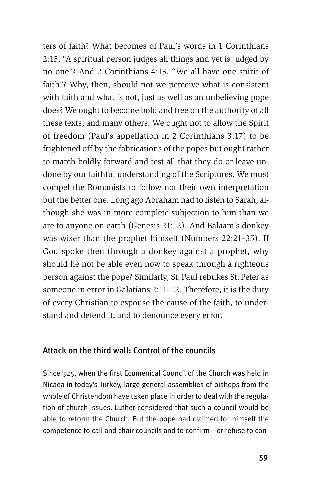ters of faith? What becomes of Paul's words in 1 Corinthians 2:15, "A spiritual person judges all things and yet is judged by no one"? And 2 Corinthians 4:13, "We all have one spirit of faith"? Why, then, should not we perceive what is consistent with faith and what is not, just as well as an unbelieving pope does? We ought to become bold and free on the authority of all these texts, and many others. We ought not to allow the Spirit of freedom (Paul's appellation in 2 Corinthians 3:17) to be frightened off by the fabrications of the popes but ought rather to march boldly forward and test all that they do or leave undone by our faithful understanding of the Scriptures. We must compel the Romanists to follow not their own interpretation but the better one. Long ago Abraham had to listen to Sarah, although she was in more complete subjection to him than we are to anyone on earth (Genesis 21:12). And Balaam's donkey was wiser than the prophet himself (Numbers 22:21–35). If God spoke then through a donkey against a prophet, why should he not be able even now to speak through a righteous person against the pope? Similarly, St. Paul rebukes St. Peter as someone in error in Galatians 2:11–12. Therefore, it is the duty of every Christian to espouse the cause of the faith, to understand and defend it, and to denounce every error.

#### Attack on the third wall: Control of the councils

Since 325, when the first Ecumenical Council of the Church was held in Nicaea in today's Turkey, large general assemblies of bishops from the whole of Christendom have taken place in order to deal with the regulation of church issues. Luther considered that such a council would be able to reform the Church. But the pope had claimed for himself the competence to call and chair councils and to confirm – or refuse to con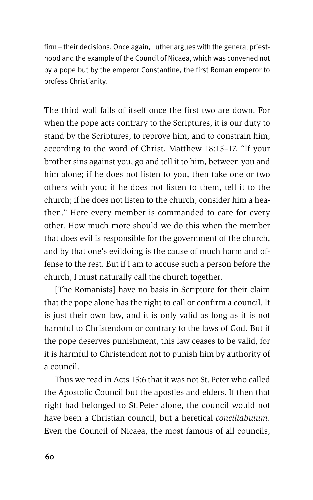firm – their decisions. Once again, Luther argues with the general priesthood and the example of the Council of Nicaea, which was convened not by a pope but by the emperor Constantine, the first Roman emperor to profess Christianity.

The third wall falls of itself once the first two are down. For when the pope acts contrary to the Scriptures, it is our duty to stand by the Scriptures, to reprove him, and to constrain him, according to the word of Christ, Matthew 18:15–17, "If your brother sins against you, go and tell it to him, between you and him alone; if he does not listen to you, then take one or two others with you; if he does not listen to them, tell it to the church; if he does not listen to the church, consider him a heathen." Here every member is commanded to care for every other. How much more should we do this when the member that does evil is responsible for the government of the church, and by that one's evildoing is the cause of much harm and offense to the rest. But if I am to accuse such a person before the church, I must naturally call the church together.

[The Romanists] have no basis in Scripture for their claim that the pope alone has the right to call or confirm a council. It is just their own law, and it is only valid as long as it is not harmful to Christendom or contrary to the laws of God. But if the pope deserves punishment, this law ceases to be valid, for it is harmful to Christendom not to punish him by authority of a council.

Thus we read in Acts 15:6 that it was not St. Peter who called the Apostolic Council but the apostles and elders. If then that right had belonged to St. Peter alone, the council would not have been a Christian council, but a heretical *conciliabulum*. Even the Council of Nicaea, the most famous of all councils,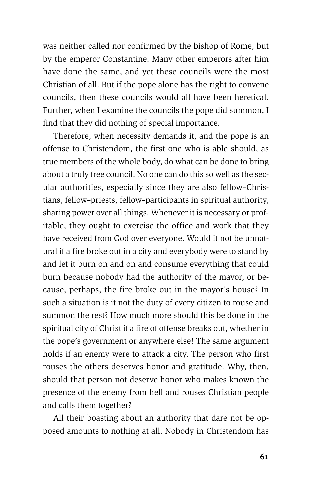was neither called nor confirmed by the bishop of Rome, but by the emperor Constantine. Many other emperors after him have done the same, and yet these councils were the most Christian of all. But if the pope alone has the right to convene councils, then these councils would all have been heretical. Further, when I examine the councils the pope did summon, I find that they did nothing of special importance.

Therefore, when necessity demands it, and the pope is an offense to Christendom, the first one who is able should, as true members of the whole body, do what can be done to bring about a truly free council. No one can do this so well as the secular authorities, especially since they are also fellow–Christians, fellow–priests, fellow–participants in spiritual authority, sharing power over all things. Whenever it is necessary or profitable, they ought to exercise the office and work that they have received from God over everyone. Would it not be unnatural if a fire broke out in a city and everybody were to stand by and let it burn on and on and consume everything that could burn because nobody had the authority of the mayor, or because, perhaps, the fire broke out in the mayor's house? In such a situation is it not the duty of every citizen to rouse and summon the rest? How much more should this be done in the spiritual city of Christ if a fire of offense breaks out, whether in the pope's government or anywhere else! The same argument holds if an enemy were to attack a city. The person who first rouses the others deserves honor and gratitude. Why, then, should that person not deserve honor who makes known the presence of the enemy from hell and rouses Christian people and calls them together?

All their boasting about an authority that dare not be opposed amounts to nothing at all. Nobody in Christendom has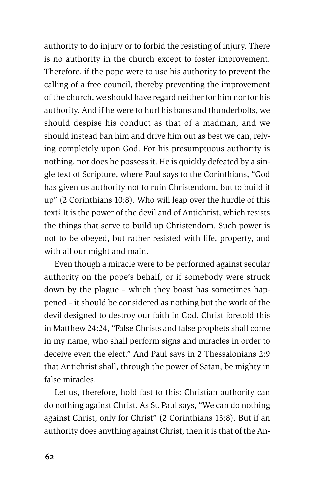authority to do injury or to forbid the resisting of injury. There is no authority in the church except to foster improvement. Therefore, if the pope were to use his authority to prevent the calling of a free council, thereby preventing the improvement of the church, we should have regard neither for him nor for his authority. And if he were to hurl his bans and thunderbolts, we should despise his conduct as that of a madman, and we should instead ban him and drive him out as best we can, relying completely upon God. For his presumptuous authority is nothing, nor does he possess it. He is quickly defeated by a single text of Scripture, where Paul says to the Corinthians, "God has given us authority not to ruin Christendom, but to build it up" (2 Corinthians 10:8). Who will leap over the hurdle of this text? It is the power of the devil and of Antichrist, which resists the things that serve to build up Christendom. Such power is not to be obeyed, but rather resisted with life, property, and with all our might and main.

Even though a miracle were to be performed against secular authority on the pope's behalf, or if somebody were struck down by the plague – which they boast has sometimes happened – it should be considered as nothing but the work of the devil designed to destroy our faith in God. Christ foretold this in Matthew 24:24, "False Christs and false prophets shall come in my name, who shall perform signs and miracles in order to deceive even the elect." And Paul says in 2 Thessalonians 2:9 that Antichrist shall, through the power of Satan, be mighty in false miracles.

Let us, therefore, hold fast to this: Christian authority can do nothing against Christ. As St. Paul says, "We can do nothing against Christ, only for Christ" (2 Corinthians 13:8). But if an authority does anything against Christ, then it is that of the An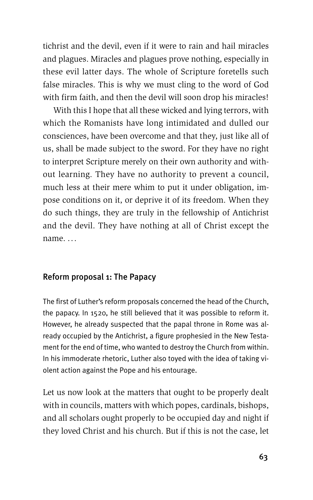tichrist and the devil, even if it were to rain and hail miracles and plagues. Miracles and plagues prove nothing, especially in these evil latter days. The whole of Scripture foretells such false miracles. This is why we must cling to the word of God with firm faith, and then the devil will soon drop his miracles!

With this I hope that all these wicked and lying terrors, with which the Romanists have long intimidated and dulled our consciences, have been overcome and that they, just like all of us, shall be made subject to the sword. For they have no right to interpret Scripture merely on their own authority and without learning. They have no authority to prevent a council, much less at their mere whim to put it under obligation, impose conditions on it, or deprive it of its freedom. When they do such things, they are truly in the fellowship of Antichrist and the devil. They have nothing at all of Christ except the name. ...

#### Reform proposal 1: The Papacy

The first of Luther's reform proposals concerned the head of the Church, the papacy. In 1520, he still believed that it was possible to reform it. However, he already suspected that the papal throne in Rome was already occupied by the Antichrist, a figure prophesied in the New Testament for the end of time, who wanted to destroy the Church from within. In his immoderate rhetoric, Luther also toyed with the idea of taking violent action against the Pope and his entourage.

Let us now look at the matters that ought to be properly dealt with in councils, matters with which popes, cardinals, bishops, and all scholars ought properly to be occupied day and night if they loved Christ and his church. But if this is not the case, let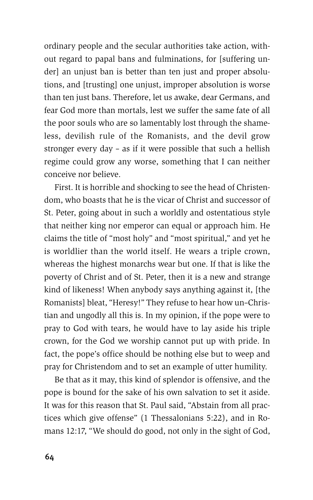ordinary people and the secular authorities take action, without regard to papal bans and fulminations, for [suffering under] an unjust ban is better than ten just and proper absolutions, and [trusting] one unjust, improper absolution is worse than ten just bans. Therefore, let us awake, dear Germans, and fear God more than mortals, lest we suffer the same fate of all the poor souls who are so lamentably lost through the shameless, devilish rule of the Romanists, and the devil grow stronger every day – as if it were possible that such a hellish regime could grow any worse, something that I can neither conceive nor believe.

First. It is horrible and shocking to see the head of Christendom, who boasts that he is the vicar of Christ and successor of St. Peter, going about in such a worldly and ostentatious style that neither king nor emperor can equal or approach him. He claims the title of "most holy" and "most spiritual," and yet he is worldlier than the world itself. He wears a triple crown, whereas the highest monarchs wear but one. If that is like the poverty of Christ and of St. Peter, then it is a new and strange kind of likeness! When anybody says anything against it, [the Romanists] bleat, "Heresy!" They refuse to hear how un–Christian and ungodly all this is. In my opinion, if the pope were to pray to God with tears, he would have to lay aside his triple crown, for the God we worship cannot put up with pride. In fact, the pope's office should be nothing else but to weep and pray for Christendom and to set an example of utter humility.

Be that as it may, this kind of splendor is offensive, and the pope is bound for the sake of his own salvation to set it aside. It was for this reason that St. Paul said, "Abstain from all practices which give offense" (1 Thessalonians 5:22), and in Romans 12:17, "We should do good, not only in the sight of God,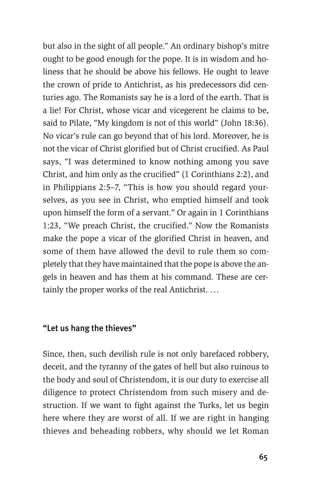but also in the sight of all people." An ordinary bishop's mitre ought to be good enough for the pope. It is in wisdom and holiness that he should be above his fellows. He ought to leave the crown of pride to Antichrist, as his predecessors did centuries ago. The Romanists say he is a lord of the earth. That is a lie! For Christ, whose vicar and vicegerent he claims to be, said to Pilate, "My kingdom is not of this world" (John 18:36). No vicar's rule can go beyond that of his lord. Moreover, he is not the vicar of Christ glorified but of Christ crucified. As Paul says, "I was determined to know nothing among you save Christ, and him only as the crucified" (1 Corinthians 2:2), and in Philippians 2:5–7, "This is how you should regard yourselves, as you see in Christ, who emptied himself and took upon himself the form of a servant." Or again in 1 Corinthians 1:23, "We preach Christ, the crucified." Now the Romanists make the pope a vicar of the glorified Christ in heaven, and some of them have allowed the devil to rule them so completely that they have maintained that the pope is above the angels in heaven and has them at his command. These are certainly the proper works of the real Antichrist. ...

#### "Let us hang the thieves"

Since, then, such devilish rule is not only barefaced robbery, deceit, and the tyranny of the gates of hell but also ruinous to the body and soul of Christendom, it is our duty to exercise all diligence to protect Christendom from such misery and destruction. If we want to fight against the Turks, let us begin here where they are worst of all. If we are right in hanging thieves and beheading robbers, why should we let Roman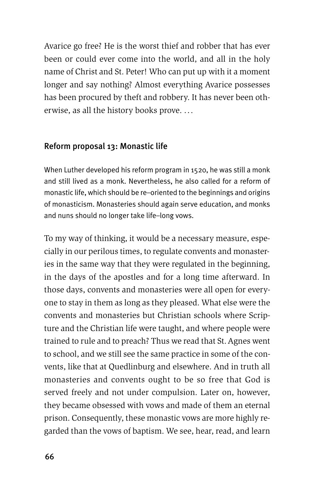Avarice go free? He is the worst thief and robber that has ever been or could ever come into the world, and all in the holy name of Christ and St. Peter! Who can put up with it a moment longer and say nothing? Almost everything Avarice possesses has been procured by theft and robbery. It has never been otherwise, as all the history books prove. ...

#### Reform proposal 13: Monastic life

When Luther developed his reform program in 1520, he was still a monk and still lived as a monk. Nevertheless, he also called for a reform of monastic life, which should be re–oriented to the beginnings and origins of monasticism. Monasteries should again serve education, and monks and nuns should no longer take life–long vows.

To my way of thinking, it would be a necessary measure, especially in our perilous times, to regulate convents and monasteries in the same way that they were regulated in the beginning, in the days of the apostles and for a long time afterward. In those days, convents and monasteries were all open for everyone to stay in them as long as they pleased. What else were the convents and monasteries but Christian schools where Scripture and the Christian life were taught, and where people were trained to rule and to preach? Thus we read that St. Agnes went to school, and we still see the same practice in some of the convents, like that at Quedlinburg and elsewhere. And in truth all monasteries and convents ought to be so free that God is served freely and not under compulsion. Later on, however, they became obsessed with vows and made of them an eternal prison. Consequently, these monastic vows are more highly regarded than the vows of baptism. We see, hear, read, and learn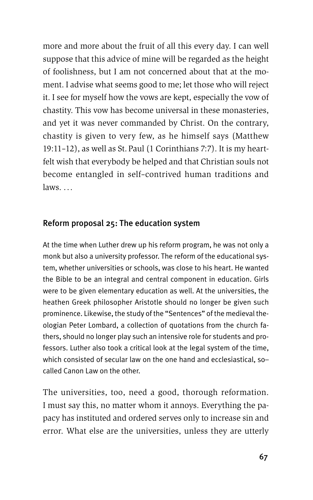more and more about the fruit of all this every day. I can well suppose that this advice of mine will be regarded as the height of foolishness, but I am not concerned about that at the moment. I advise what seems good to me; let those who will reject it. I see for myself how the vows are kept, especially the vow of chastity. This vow has become universal in these monasteries, and yet it was never commanded by Christ. On the contrary, chastity is given to very few, as he himself says (Matthew 19:11–12), as well as St. Paul (1 Corinthians 7:7). It is my heartfelt wish that everybody be helped and that Christian souls not become entangled in self–contrived human traditions and laws.

#### Reform proposal 25: The education system

At the time when Luther drew up his reform program, he was not only a monk but also a university professor. The reform of the educational system, whether universities or schools, was close to his heart. He wanted the Bible to be an integral and central component in education. Girls were to be given elementary education as well. At the universities, the heathen Greek philosopher Aristotle should no longer be given such prominence. Likewise, the study of the "Sentences" of the medieval theologian Peter Lombard, a collection of quotations from the church fathers, should no longer play such an intensive role for students and professors. Luther also took a critical look at the legal system of the time, which consisted of secular law on the one hand and ecclesiastical, so– called Canon Law on the other.

The universities, too, need a good, thorough reformation. I must say this, no matter whom it annoys. Everything the papacy has instituted and ordered serves only to increase sin and error. What else are the universities, unless they are utterly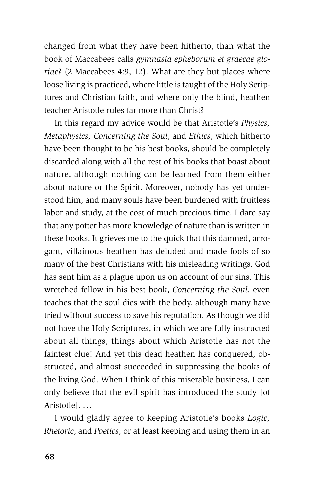changed from what they have been hitherto, than what the book of Maccabees calls *gymnasia epheborum et graecae gloriae*? (2 Maccabees 4:9, 12). What are they but places where loose living is practiced, where little is taught of the Holy Scriptures and Christian faith, and where only the blind, heathen teacher Aristotle rules far more than Christ?

In this regard my advice would be that Aristotle's *Physics, Metaphysics, Concerning the Soul*, and *Ethics*, which hitherto have been thought to be his best books, should be completely discarded along with all the rest of his books that boast about nature, although nothing can be learned from them either about nature or the Spirit. Moreover, nobody has yet understood him, and many souls have been burdened with fruitless labor and study, at the cost of much precious time. I dare say that any potter has more knowledge of nature than is written in these books. It grieves me to the quick that this damned, arrogant, villainous heathen has deluded and made fools of so many of the best Christians with his misleading writings. God has sent him as a plague upon us on account of our sins. This wretched fellow in his best book, *Concerning the Soul*, even teaches that the soul dies with the body, although many have tried without success to save his reputation. As though we did not have the Holy Scriptures, in which we are fully instructed about all things, things about which Aristotle has not the faintest clue! And yet this dead heathen has conquered, obstructed, and almost succeeded in suppressing the books of the living God. When I think of this miserable business, I can only believe that the evil spirit has introduced the study [of Aristotle]. ...

I would gladly agree to keeping Aristotle's books *Logic, Rhetoric*, and *Poetics*, or at least keeping and using them in an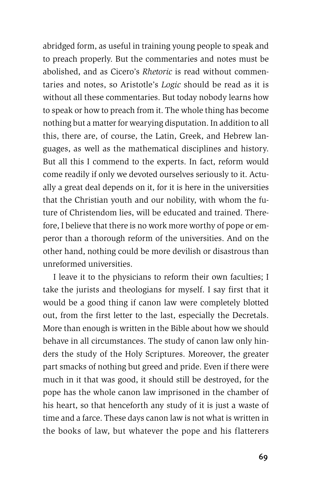abridged form, as useful in training young people to speak and to preach properly. But the commentaries and notes must be abolished, and as Cicero's *Rhetoric* is read without commentaries and notes, so Aristotle's *Logic* should be read as it is without all these commentaries. But today nobody learns how to speak or how to preach from it. The whole thing has become nothing but a matter for wearying disputation. In addition to all this, there are, of course, the Latin, Greek, and Hebrew languages, as well as the mathematical disciplines and history. But all this I commend to the experts. In fact, reform would come readily if only we devoted ourselves seriously to it. Actually a great deal depends on it, for it is here in the universities that the Christian youth and our nobility, with whom the future of Christendom lies, will be educated and trained. Therefore, I believe that there is no work more worthy of pope or emperor than a thorough reform of the universities. And on the other hand, nothing could be more devilish or disastrous than unreformed universities.

I leave it to the physicians to reform their own faculties; I take the jurists and theologians for myself. I say first that it would be a good thing if canon law were completely blotted out, from the first letter to the last, especially the Decretals. More than enough is written in the Bible about how we should behave in all circumstances. The study of canon law only hinders the study of the Holy Scriptures. Moreover, the greater part smacks of nothing but greed and pride. Even if there were much in it that was good, it should still be destroyed, for the pope has the whole canon law imprisoned in the chamber of his heart, so that henceforth any study of it is just a waste of time and a farce. These days canon law is not what is written in the books of law, but whatever the pope and his flatterers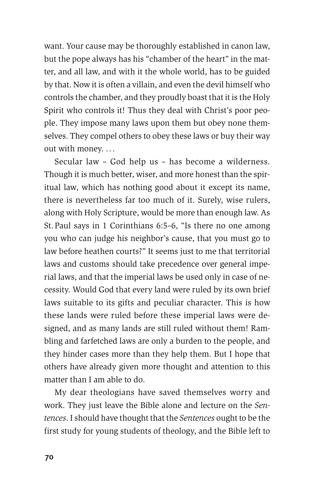want. Your cause may be thoroughly established in canon law, but the pope always has his "chamber of the heart" in the matter, and all law, and with it the whole world, has to be guided by that. Now it is often a villain, and even the devil himself who controls the chamber, and they proudly boast that it is the Holy Spirit who controls it! Thus they deal with Christ's poor people. They impose many laws upon them but obey none themselves. They compel others to obey these laws or buy their way out with money. ...

Secular law – God help us – has become a wilderness. Though it is much better, wiser, and more honest than the spiritual law, which has nothing good about it except its name, there is nevertheless far too much of it. Surely, wise rulers, along with Holy Scripture, would be more than enough law. As St. Paul says in 1 Corinthians 6:5–6, "Is there no one among you who can judge his neighbor's cause, that you must go to law before heathen courts?" It seems just to me that territorial laws and customs should take precedence over general imperial laws, and that the imperial laws be used only in case of necessity. Would God that every land were ruled by its own brief laws suitable to its gifts and peculiar character. This is how these lands were ruled before these imperial laws were designed, and as many lands are still ruled without them! Rambling and farfetched laws are only a burden to the people, and they hinder cases more than they help them. But I hope that others have already given more thought and attention to this matter than I am able to do.

My dear theologians have saved themselves worry and work. They just leave the Bible alone and lecture on the *Sentences*. I should have thought that the *Sentences* ought to be the first study for young students of theology, and the Bible left to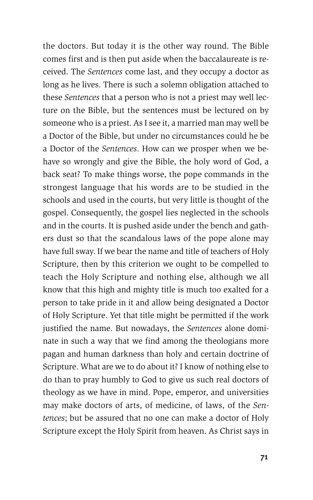the doctors. But today it is the other way round. The Bible comes first and is then put aside when the baccalaureate is received. The *Sentences* come last, and they occupy a doctor as long as he lives. There is such a solemn obligation attached to these *Sentences* that a person who is not a priest may well lecture on the Bible, but the sentences must be lectured on by someone who is a priest. As I see it, a married man may well be a Doctor of the Bible, but under no circumstances could he be a Doctor of the *Sentences*. How can we prosper when we behave so wrongly and give the Bible, the holy word of God, a back seat? To make things worse, the pope commands in the strongest language that his words are to be studied in the schools and used in the courts, but very little is thought of the gospel. Consequently, the gospel lies neglected in the schools and in the courts. It is pushed aside under the bench and gathers dust so that the scandalous laws of the pope alone may have full sway. If we bear the name and title of teachers of Holy Scripture, then by this criterion we ought to be compelled to teach the Holy Scripture and nothing else, although we all know that this high and mighty title is much too exalted for a person to take pride in it and allow being designated a Doctor of Holy Scripture. Yet that title might be permitted if the work justified the name. But nowadays, the *Sentences* alone dominate in such a way that we find among the theologians more pagan and human darkness than holy and certain doctrine of Scripture. What are we to do about it? I know of nothing else to do than to pray humbly to God to give us such real doctors of theology as we have in mind. Pope, emperor, and universities may make doctors of arts, of medicine, of laws, of the *Sentences*; but be assured that no one can make a doctor of Holy Scripture except the Holy Spirit from heaven. As Christ says in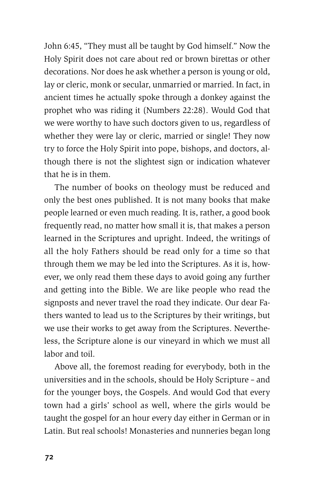John 6:45, "They must all be taught by God himself." Now the Holy Spirit does not care about red or brown birettas or other decorations. Nor does he ask whether a person is young or old, lay or cleric, monk or secular, unmarried or married. In fact, in ancient times he actually spoke through a donkey against the prophet who was riding it (Numbers 22:28). Would God that we were worthy to have such doctors given to us, regardless of whether they were lay or cleric, married or single! They now try to force the Holy Spirit into pope, bishops, and doctors, although there is not the slightest sign or indication whatever that he is in them.

The number of books on theology must be reduced and only the best ones published. It is not many books that make people learned or even much reading. It is, rather, a good book frequently read, no matter how small it is, that makes a person learned in the Scriptures and upright. Indeed, the writings of all the holy Fathers should be read only for a time so that through them we may be led into the Scriptures. As it is, however, we only read them these days to avoid going any further and getting into the Bible. We are like people who read the signposts and never travel the road they indicate. Our dear Fathers wanted to lead us to the Scriptures by their writings, but we use their works to get away from the Scriptures. Nevertheless, the Scripture alone is our vineyard in which we must all labor and toil.

Above all, the foremost reading for everybody, both in the universities and in the schools, should be Holy Scripture – and for the younger boys, the Gospels. And would God that every town had a girls' school as well, where the girls would be taught the gospel for an hour every day either in German or in Latin. But real schools! Monasteries and nunneries began long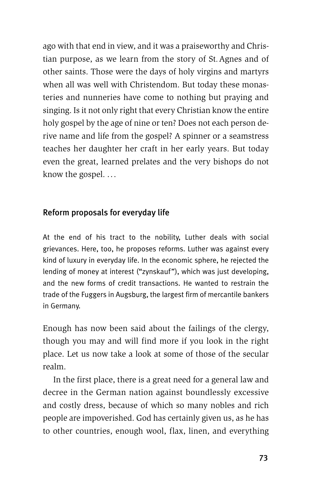ago with that end in view, and it was a praiseworthy and Christian purpose, as we learn from the story of St.Agnes and of other saints. Those were the days of holy virgins and martyrs when all was well with Christendom. But today these monasteries and nunneries have come to nothing but praying and singing. Is it not only right that every Christian know the entire holy gospel by the age of nine or ten? Does not each person derive name and life from the gospel? A spinner or a seamstress teaches her daughter her craft in her early years. But today even the great, learned prelates and the very bishops do not know the gospel. ...

### Reform proposals for everyday life

At the end of his tract to the nobility, Luther deals with social grievances. Here, too, he proposes reforms. Luther was against every kind of luxury in everyday life. In the economic sphere, he rejected the lending of money at interest ("zynskauf"), which was just developing, and the new forms of credit transactions. He wanted to restrain the trade of the Fuggers in Augsburg, the largest firm of mercantile bankers in Germany.

Enough has now been said about the failings of the clergy, though you may and will find more if you look in the right place. Let us now take a look at some of those of the secular realm.

In the first place, there is a great need for a general law and decree in the German nation against boundlessly excessive and costly dress, because of which so many nobles and rich people are impoverished. God has certainly given us, as he has to other countries, enough wool, flax, linen, and everything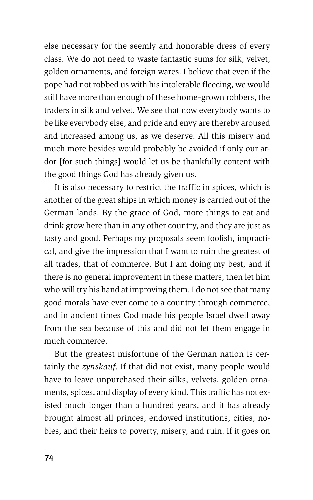else necessary for the seemly and honorable dress of every class. We do not need to waste fantastic sums for silk, velvet, golden ornaments, and foreign wares. I believe that even if the pope had not robbed us with his intolerable fleecing, we would still have more than enough of these home–grown robbers, the traders in silk and velvet. We see that now everybody wants to be like everybody else, and pride and envy are thereby aroused and increased among us, as we deserve. All this misery and much more besides would probably be avoided if only our ardor [for such things] would let us be thankfully content with the good things God has already given us.

It is also necessary to restrict the traffic in spices, which is another of the great ships in which money is carried out of the German lands. By the grace of God, more things to eat and drink grow here than in any other country, and they are just as tasty and good. Perhaps my proposals seem foolish, impractical, and give the impression that I want to ruin the greatest of all trades, that of commerce. But I am doing my best, and if there is no general improvement in these matters, then let him who will try his hand at improving them. I do not see that many good morals have ever come to a country through commerce, and in ancient times God made his people Israel dwell away from the sea because of this and did not let them engage in much commerce.

But the greatest misfortune of the German nation is certainly the *zynskauf*. If that did not exist, many people would have to leave unpurchased their silks, velvets, golden ornaments, spices, and display of every kind. This traffic has not existed much longer than a hundred years, and it has already brought almost all princes, endowed institutions, cities, nobles, and their heirs to poverty, misery, and ruin. If it goes on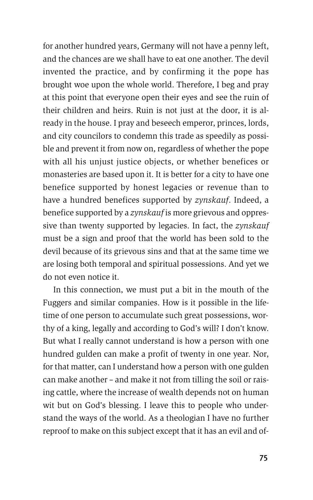for another hundred years, Germany will not have a penny left, and the chances are we shall have to eat one another. The devil invented the practice, and by confirming it the pope has brought woe upon the whole world. Therefore, I beg and pray at this point that everyone open their eyes and see the ruin of their children and heirs. Ruin is not just at the door, it is already in the house. I pray and beseech emperor, princes, lords, and city councilors to condemn this trade as speedily as possible and prevent it from now on, regardless of whether the pope with all his unjust justice objects, or whether benefices or monasteries are based upon it. It is better for a city to have one benefice supported by honest legacies or revenue than to have a hundred benefices supported by *zynskauf*. Indeed, a benefice supported by a *zynskauf* is more grievous and oppressive than twenty supported by legacies. In fact, the *zynskauf* must be a sign and proof that the world has been sold to the devil because of its grievous sins and that at the same time we are losing both temporal and spiritual possessions. And yet we do not even notice it.

In this connection, we must put a bit in the mouth of the Fuggers and similar companies. How is it possible in the lifetime of one person to accumulate such great possessions, worthy of a king, legally and according to God's will? I don't know. But what I really cannot understand is how a person with one hundred gulden can make a profit of twenty in one year. Nor, for that matter, can I understand how a person with one gulden can make another – and make it not from tilling the soil or raising cattle, where the increase of wealth depends not on human wit but on God's blessing. I leave this to people who understand the ways of the world. As a theologian I have no further reproof to make on this subject except that it has an evil and of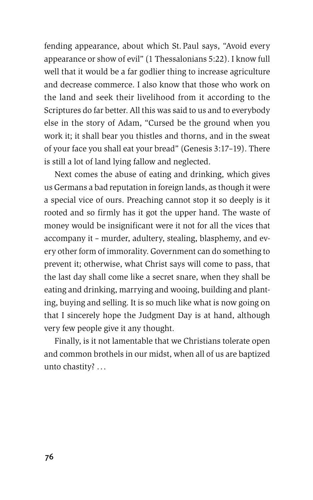fending appearance, about which St. Paul says, "Avoid every appearance or show of evil" (1 Thessalonians 5:22). I know full well that it would be a far godlier thing to increase agriculture and decrease commerce. I also know that those who work on the land and seek their livelihood from it according to the Scriptures do far better. All this was said to us and to everybody else in the story of Adam, "Cursed be the ground when you work it; it shall bear you thistles and thorns, and in the sweat of your face you shall eat your bread" (Genesis 3:17–19). There is still a lot of land lying fallow and neglected.

Next comes the abuse of eating and drinking, which gives us Germans a bad reputation in foreign lands, as though it were a special vice of ours. Preaching cannot stop it so deeply is it rooted and so firmly has it got the upper hand. The waste of money would be insignificant were it not for all the vices that accompany it – murder, adultery, stealing, blasphemy, and every other form of immorality. Government can do something to prevent it; otherwise, what Christ says will come to pass, that the last day shall come like a secret snare, when they shall be eating and drinking, marrying and wooing, building and planting, buying and selling. It is so much like what is now going on that I sincerely hope the Judgment Day is at hand, although very few people give it any thought.

Finally, is it not lamentable that we Christians tolerate open and common brothels in our midst, when all of us are baptized unto chastity? ...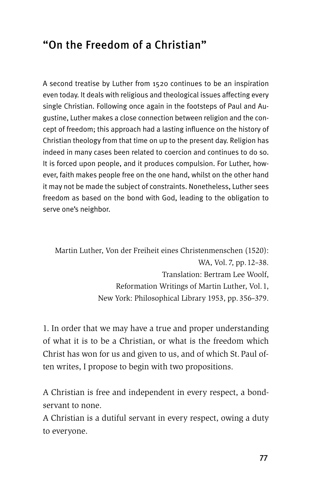# "On the Freedom of a Christian"

A second treatise by Luther from 1520 continues to be an inspiration even today. It deals with religious and theological issues affecting every single Christian. Following once again in the footsteps of Paul and Augustine, Luther makes a close connection between religion and the concept of freedom; this approach had a lasting influence on the history of Christian theology from that time on up to the present day. Religion has indeed in many cases been related to coercion and continues to do so. It is forced upon people, and it produces compulsion. For Luther, however, faith makes people free on the one hand, whilst on the other hand it may not be made the subject of constraints. Nonetheless, Luther sees freedom as based on the bond with God, leading to the obligation to serve one's neighbor.

Martin Luther, Von der Freiheit eines Christenmenschen (1520): WA, Vol. 7, pp.12–38. Translation: Bertram Lee Woolf, Reformation Writings of Martin Luther, Vol.1, New York: Philosophical Library 1953, pp. 356–379.

1. In order that we may have a true and proper understanding of what it is to be a Christian, or what is the freedom which Christ has won for us and given to us, and of which St. Paul often writes, I propose to begin with two propositions.

A Christian is free and independent in every respect, a bondservant to none.

A Christian is a dutiful servant in every respect, owing a duty to everyone.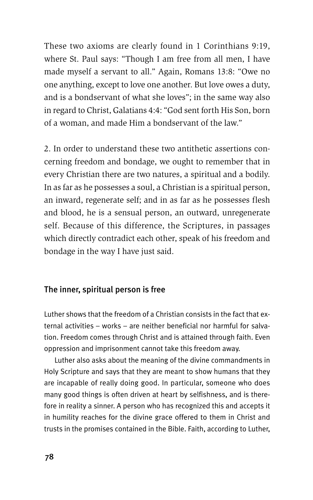These two axioms are clearly found in 1 Corinthians 9:19, where St. Paul says: "Though I am free from all men, I have made myself a servant to all." Again, Romans 13:8: "Owe no one anything, except to love one another. But love owes a duty, and is a bondservant of what she loves"; in the same way also in regard to Christ, Galatians 4:4: "God sent forth His Son, born of a woman, and made Him a bondservant of the law."

2. In order to understand these two antithetic assertions concerning freedom and bondage, we ought to remember that in every Christian there are two natures, a spiritual and a bodily. In as far as he possesses a soul, a Christian is a spiritual person, an inward, regenerate self; and in as far as he possesses flesh and blood, he is a sensual person, an outward, unregenerate self. Because of this difference, the Scriptures, in passages which directly contradict each other, speak of his freedom and bondage in the way I have just said.

### The inner, spiritual person is free

Luther shows that the freedom of a Christian consists in the fact that external activities – works – are neither beneficial nor harmful for salvation. Freedom comes through Christ and is attained through faith. Even oppression and imprisonment cannot take this freedom away.

Luther also asks about the meaning of the divine commandments in Holy Scripture and says that they are meant to show humans that they are incapable of really doing good. In particular, someone who does many good things is often driven at heart by selfishness, and is therefore in reality a sinner. A person who has recognized this and accepts it in humility reaches for the divine grace offered to them in Christ and trusts in the promises contained in the Bible. Faith, according to Luther,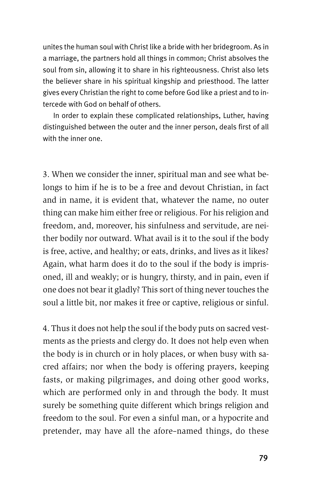unites the human soul with Christ like a bride with her bridegroom. As in a marriage, the partners hold all things in common; Christ absolves the soul from sin, allowing it to share in his righteousness. Christ also lets the believer share in his spiritual kingship and priesthood. The latter gives every Christian the right to come before God like a priest and to intercede with God on behalf of others.

In order to explain these complicated relationships, Luther, having distinguished between the outer and the inner person, deals first of all with the inner one.

3. When we consider the inner, spiritual man and see what belongs to him if he is to be a free and devout Christian, in fact and in name, it is evident that, whatever the name, no outer thing can make him either free or religious. For his religion and freedom, and, moreover, his sinfulness and servitude, are neither bodily nor outward. What avail is it to the soul if the body is free, active, and healthy; or eats, drinks, and lives as it likes? Again, what harm does it do to the soul if the body is imprisoned, ill and weakly; or is hungry, thirsty, and in pain, even if one does not bear it gladly? This sort of thing never touches the soul a little bit, nor makes it free or captive, religious or sinful.

4. Thus it does not help the soul if the body puts on sacred vestments as the priests and clergy do. It does not help even when the body is in church or in holy places, or when busy with sacred affairs; nor when the body is offering prayers, keeping fasts, or making pilgrimages, and doing other good works, which are performed only in and through the body. It must surely be something quite different which brings religion and freedom to the soul. For even a sinful man, or a hypocrite and pretender, may have all the afore–named things, do these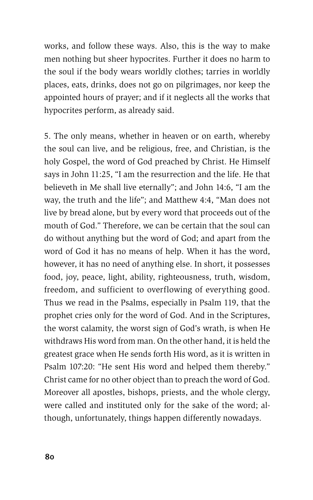works, and follow these ways. Also, this is the way to make men nothing but sheer hypocrites. Further it does no harm to the soul if the body wears worldly clothes; tarries in worldly places, eats, drinks, does not go on pilgrimages, nor keep the appointed hours of prayer; and if it neglects all the works that hypocrites perform, as already said.

5. The only means, whether in heaven or on earth, whereby the soul can live, and be religious, free, and Christian, is the holy Gospel, the word of God preached by Christ. He Himself says in John 11:25, "I am the resurrection and the life. He that believeth in Me shall live eternally"; and John 14:6, "I am the way, the truth and the life"; and Matthew 4:4, "Man does not live by bread alone, but by every word that proceeds out of the mouth of God." Therefore, we can be certain that the soul can do without anything but the word of God; and apart from the word of God it has no means of help. When it has the word, however, it has no need of anything else. In short, it possesses food, joy, peace, light, ability, righteousness, truth, wisdom, freedom, and sufficient to overflowing of everything good. Thus we read in the Psalms, especially in Psalm 119, that the prophet cries only for the word of God. And in the Scriptures, the worst calamity, the worst sign of God's wrath, is when He withdraws His word from man. On the other hand, it is held the greatest grace when He sends forth His word, as it is written in Psalm 107:20: "He sent His word and helped them thereby." Christ came for no other object than to preach the word of God. Moreover all apostles, bishops, priests, and the whole clergy, were called and instituted only for the sake of the word; although, unfortunately, things happen differently nowadays.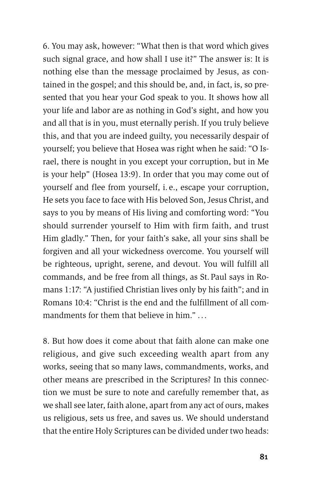6. You may ask, however: "What then is that word which gives such signal grace, and how shall I use it?" The answer is: It is nothing else than the message proclaimed by Jesus, as contained in the gospel; and this should be, and, in fact, is, so presented that you hear your God speak to you. It shows how all your life and labor are as nothing in God's sight, and how you and all that is in you, must eternally perish. If you truly believe this, and that you are indeed guilty, you necessarily despair of yourself; you believe that Hosea was right when he said: "O Israel, there is nought in you except your corruption, but in Me is your help" (Hosea 13:9). In order that you may come out of yourself and flee from yourself, i. e., escape your corruption, He sets you face to face with His beloved Son, Jesus Christ, and says to you by means of His living and comforting word: "You should surrender yourself to Him with firm faith, and trust Him gladly." Then, for your faith's sake, all your sins shall be forgiven and all your wickedness overcome. You yourself will be righteous, upright, serene, and devout. You will fulfill all commands, and be free from all things, as St. Paul says in Romans 1:17: "A justified Christian lives only by his faith"; and in Romans 10:4: "Christ is the end and the fulfillment of all commandments for them that believe in him."...

8. But how does it come about that faith alone can make one religious, and give such exceeding wealth apart from any works, seeing that so many laws, commandments, works, and other means are prescribed in the Scriptures? In this connection we must be sure to note and carefully remember that, as we shall see later, faith alone, apart from any act of ours, makes us religious, sets us free, and saves us. We should understand that the entire Holy Scriptures can be divided under two heads: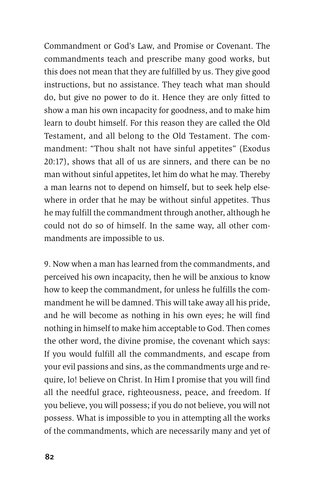Commandment or God's Law, and Promise or Covenant. The commandments teach and prescribe many good works, but this does not mean that they are fulfilled by us. They give good instructions, but no assistance. They teach what man should do, but give no power to do it. Hence they are only fitted to show a man his own incapacity for goodness, and to make him learn to doubt himself. For this reason they are called the Old Testament, and all belong to the Old Testament. The commandment: "Thou shalt not have sinful appetites" (Exodus 20:17), shows that all of us are sinners, and there can be no man without sinful appetites, let him do what he may. Thereby a man learns not to depend on himself, but to seek help elsewhere in order that he may be without sinful appetites. Thus he may fulfill the commandment through another, although he could not do so of himself. In the same way, all other commandments are impossible to us.

9. Now when a man has learned from the commandments, and perceived his own incapacity, then he will be anxious to know how to keep the commandment, for unless he fulfills the commandment he will be damned. This will take away all his pride, and he will become as nothing in his own eyes; he will find nothing in himself to make him acceptable to God. Then comes the other word, the divine promise, the covenant which says: If you would fulfill all the commandments, and escape from your evil passions and sins, as the commandments urge and require, lo! believe on Christ. In Him I promise that you will find all the needful grace, righteousness, peace, and freedom. If you believe, you will possess; if you do not believe, you will not possess. What is impossible to you in attempting all the works of the commandments, which are necessarily many and yet of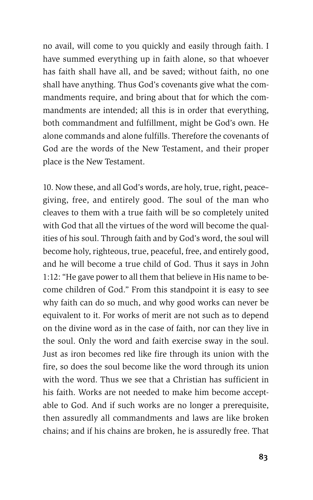no avail, will come to you quickly and easily through faith. I have summed everything up in faith alone, so that whoever has faith shall have all, and be saved; without faith, no one shall have anything. Thus God's covenants give what the commandments require, and bring about that for which the commandments are intended; all this is in order that everything, both commandment and fulfillment, might be God's own. He alone commands and alone fulfills. Therefore the covenants of God are the words of the New Testament, and their proper place is the New Testament.

10. Now these, and all God's words, are holy, true, right, peace– giving, free, and entirely good. The soul of the man who cleaves to them with a true faith will be so completely united with God that all the virtues of the word will become the qualities of his soul. Through faith and by God's word, the soul will become holy, righteous, true, peaceful, free, and entirely good, and he will become a true child of God. Thus it says in John 1:12: "He gave power to all them that believe in His name to become children of God." From this standpoint it is easy to see why faith can do so much, and why good works can never be equivalent to it. For works of merit are not such as to depend on the divine word as in the case of faith, nor can they live in the soul. Only the word and faith exercise sway in the soul. Just as iron becomes red like fire through its union with the fire, so does the soul become like the word through its union with the word. Thus we see that a Christian has sufficient in his faith. Works are not needed to make him become acceptable to God. And if such works are no longer a prerequisite, then assuredly all commandments and laws are like broken chains; and if his chains are broken, he is assuredly free. That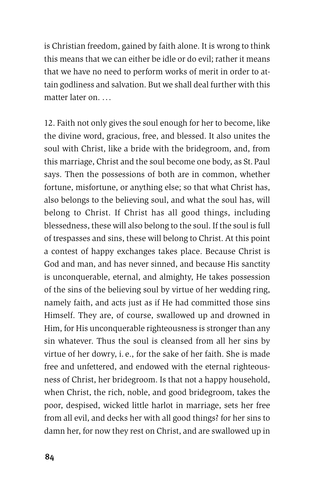is Christian freedom, gained by faith alone. It is wrong to think this means that we can either be idle or do evil; rather it means that we have no need to perform works of merit in order to attain godliness and salvation. But we shall deal further with this matter later on.

12. Faith not only gives the soul enough for her to become, like the divine word, gracious, free, and blessed. It also unites the soul with Christ, like a bride with the bridegroom, and, from this marriage, Christ and the soul become one body, as St. Paul says. Then the possessions of both are in common, whether fortune, misfortune, or anything else; so that what Christ has, also belongs to the believing soul, and what the soul has, will belong to Christ. If Christ has all good things, including blessedness, these will also belong to the soul. If the soul is full of trespasses and sins, these will belong to Christ. At this point a contest of happy exchanges takes place. Because Christ is God and man, and has never sinned, and because His sanctity is unconquerable, eternal, and almighty, He takes possession of the sins of the believing soul by virtue of her wedding ring, namely faith, and acts just as if He had committed those sins Himself. They are, of course, swallowed up and drowned in Him, for His unconquerable righteousness is stronger than any sin whatever. Thus the soul is cleansed from all her sins by virtue of her dowry, i. e., for the sake of her faith. She is made free and unfettered, and endowed with the eternal righteousness of Christ, her bridegroom. Is that not a happy household, when Christ, the rich, noble, and good bridegroom, takes the poor, despised, wicked little harlot in marriage, sets her free from all evil, and decks her with all good things? for her sins to damn her, for now they rest on Christ, and are swallowed up in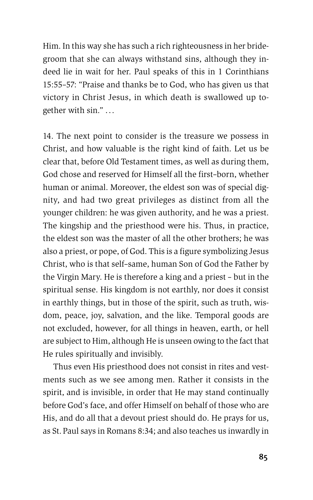Him. In this way she has such a rich righteousness in her bridegroom that she can always withstand sins, although they indeed lie in wait for her. Paul speaks of this in 1 Corinthians 15:55–57: "Praise and thanks be to God, who has given us that victory in Christ Jesus, in which death is swallowed up together with sin." ...

14. The next point to consider is the treasure we possess in Christ, and how valuable is the right kind of faith. Let us be clear that, before Old Testament times, as well as during them, God chose and reserved for Himself all the first–born, whether human or animal. Moreover, the eldest son was of special dignity, and had two great privileges as distinct from all the younger children: he was given authority, and he was a priest. The kingship and the priesthood were his. Thus, in practice, the eldest son was the master of all the other brothers; he was also a priest, or pope, of God. This is a figure symbolizing Jesus Christ, who is that self–same, human Son of God the Father by the Virgin Mary. He is therefore a king and a priest – but in the spiritual sense. His kingdom is not earthly, nor does it consist in earthly things, but in those of the spirit, such as truth, wisdom, peace, joy, salvation, and the like. Temporal goods are not excluded, however, for all things in heaven, earth, or hell are subject to Him, although He is unseen owing to the fact that He rules spiritually and invisibly.

Thus even His priesthood does not consist in rites and vestments such as we see among men. Rather it consists in the spirit, and is invisible, in order that He may stand continually before God's face, and offer Himself on behalf of those who are His, and do all that a devout priest should do. He prays for us, as St. Paul says in Romans 8:34; and also teaches us inwardly in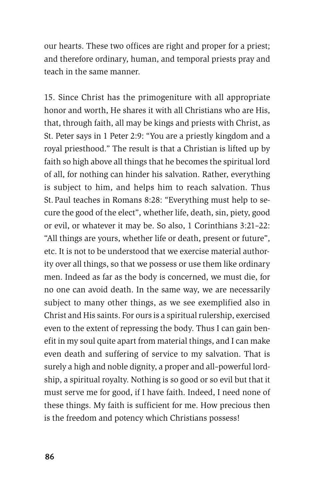our hearts. These two offices are right and proper for a priest; and therefore ordinary, human, and temporal priests pray and teach in the same manner.

15. Since Christ has the primogeniture with all appropriate honor and worth, He shares it with all Christians who are His, that, through faith, all may be kings and priests with Christ, as St. Peter says in 1 Peter 2:9: "You are a priestly kingdom and a royal priesthood." The result is that a Christian is lifted up by faith so high above all things that he becomes the spiritual lord of all, for nothing can hinder his salvation. Rather, everything is subject to him, and helps him to reach salvation. Thus St. Paul teaches in Romans 8:28: "Everything must help to secure the good of the elect", whether life, death, sin, piety, good or evil, or whatever it may be. So also, 1 Corinthians 3:21–22: "All things are yours, whether life or death, present or future", etc. It is not to be understood that we exercise material authority over all things, so that we possess or use them like ordinary men. Indeed as far as the body is concerned, we must die, for no one can avoid death. In the same way, we are necessarily subject to many other things, as we see exemplified also in Christ and His saints. For ours is a spiritual rulership, exercised even to the extent of repressing the body. Thus I can gain benefit in my soul quite apart from material things, and I can make even death and suffering of service to my salvation. That is surely a high and noble dignity, a proper and all–powerful lordship, a spiritual royalty. Nothing is so good or so evil but that it must serve me for good, if I have faith. Indeed, I need none of these things. My faith is sufficient for me. How precious then is the freedom and potency which Christians possess!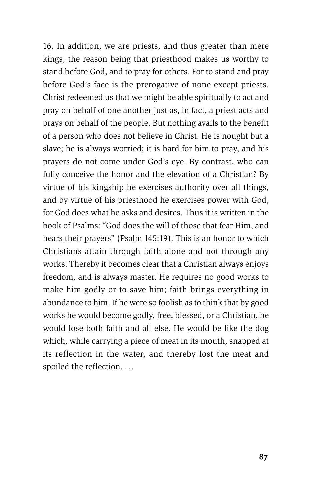16. In addition, we are priests, and thus greater than mere kings, the reason being that priesthood makes us worthy to stand before God, and to pray for others. For to stand and pray before God's face is the prerogative of none except priests. Christ redeemed us that we might be able spiritually to act and pray on behalf of one another just as, in fact, a priest acts and prays on behalf of the people. But nothing avails to the benefit of a person who does not believe in Christ. He is nought but a slave; he is always worried; it is hard for him to pray, and his prayers do not come under God's eye. By contrast, who can fully conceive the honor and the elevation of a Christian? By virtue of his kingship he exercises authority over all things, and by virtue of his priesthood he exercises power with God, for God does what he asks and desires. Thus it is written in the book of Psalms: "God does the will of those that fear Him, and hears their prayers" (Psalm 145:19). This is an honor to which Christians attain through faith alone and not through any works. Thereby it becomes clear that a Christian always enjoys freedom, and is always master. He requires no good works to make him godly or to save him; faith brings everything in abundance to him. If he were so foolish as to think that by good works he would become godly, free, blessed, or a Christian, he would lose both faith and all else. He would be like the dog which, while carrying a piece of meat in its mouth, snapped at its reflection in the water, and thereby lost the meat and spoiled the reflection. ...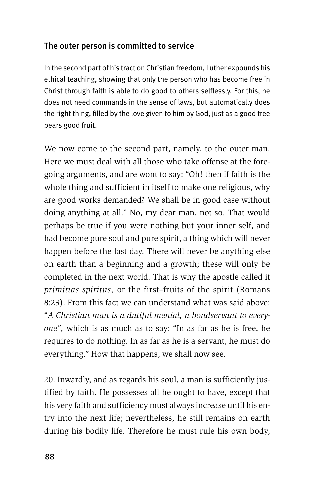### The outer person is committed to service

In the second part of his tract on Christian freedom, Luther expounds his ethical teaching, showing that only the person who has become free in Christ through faith is able to do good to others selflessly. For this, he does not need commands in the sense of laws, but automatically does the right thing, filled by the love given to him by God, just as a good tree bears good fruit.

We now come to the second part, namely, to the outer man. Here we must deal with all those who take offense at the foregoing arguments, and are wont to say: "Oh! then if faith is the whole thing and sufficient in itself to make one religious, why are good works demanded? We shall be in good case without doing anything at all." No, my dear man, not so. That would perhaps be true if you were nothing but your inner self, and had become pure soul and pure spirit, a thing which will never happen before the last day. There will never be anything else on earth than a beginning and a growth; these will only be completed in the next world. That is why the apostle called it *primitias spiritus,* or the first–fruits of the spirit (Romans 8:23). From this fact we can understand what was said above: "*A Christian man is a dutiful menial, a bondservant to everyone",* which is as much as to say: "In as far as he is free, he requires to do nothing. In as far as he is a servant, he must do everything." How that happens, we shall now see.

20. Inwardly, and as regards his soul, a man is sufficiently justified by faith. He possesses all he ought to have, except that his very faith and sufficiency must always increase until his entry into the next life; nevertheless, he still remains on earth during his bodily life. Therefore he must rule his own body,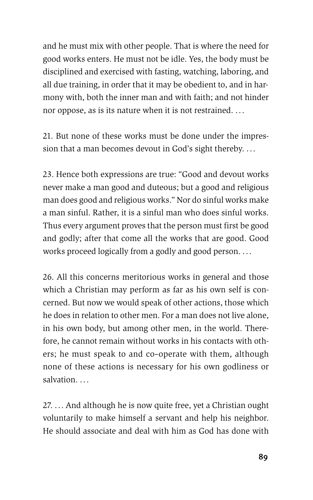and he must mix with other people. That is where the need for good works enters. He must not be idle. Yes, the body must be disciplined and exercised with fasting, watching, laboring, and all due training, in order that it may be obedient to, and in harmony with, both the inner man and with faith; and not hinder nor oppose, as is its nature when it is not restrained. ...

21. But none of these works must be done under the impression that a man becomes devout in God's sight thereby. ...

23. Hence both expressions are true: "Good and devout works never make a man good and duteous; but a good and religious man does good and religious works." Nor do sinful works make a man sinful. Rather, it is a sinful man who does sinful works. Thus every argument proves that the person must first be good and godly; after that come all the works that are good. Good works proceed logically from a godly and good person. ...

26. All this concerns meritorious works in general and those which a Christian may perform as far as his own self is concerned. But now we would speak of other actions, those which he does in relation to other men. For a man does not live alone, in his own body, but among other men, in the world. Therefore, he cannot remain without works in his contacts with others; he must speak to and co–operate with them, although none of these actions is necessary for his own godliness or salvation.

27. ... And although he is now quite free, yet a Christian ought voluntarily to make himself a servant and help his neighbor. He should associate and deal with him as God has done with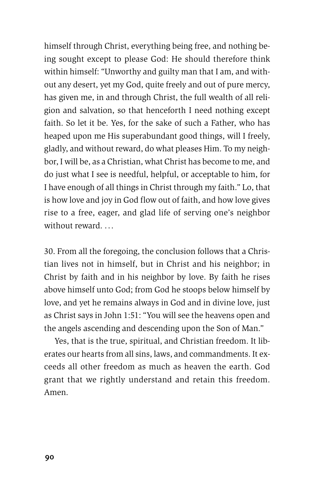himself through Christ, everything being free, and nothing being sought except to please God: He should therefore think within himself: "Unworthy and guilty man that I am, and without any desert, yet my God, quite freely and out of pure mercy, has given me, in and through Christ, the full wealth of all religion and salvation, so that henceforth I need nothing except faith. So let it be. Yes, for the sake of such a Father, who has heaped upon me His superabundant good things, will I freely, gladly, and without reward, do what pleases Him. To my neighbor, I will be, as a Christian, what Christ has become to me, and do just what I see is needful, helpful, or acceptable to him, for I have enough of all things in Christ through my faith." Lo, that is how love and joy in God flow out of faith, and how love gives rise to a free, eager, and glad life of serving one's neighbor without reward

30. From all the foregoing, the conclusion follows that a Christian lives not in himself, but in Christ and his neighbor; in Christ by faith and in his neighbor by love. By faith he rises above himself unto God; from God he stoops below himself by love, and yet he remains always in God and in divine love, just as Christ says in John 1:51: "You will see the heavens open and the angels ascending and descending upon the Son of Man."

Yes, that is the true, spiritual, and Christian freedom. It liberates our hearts from all sins, laws, and commandments. It exceeds all other freedom as much as heaven the earth. God grant that we rightly understand and retain this freedom. Amen.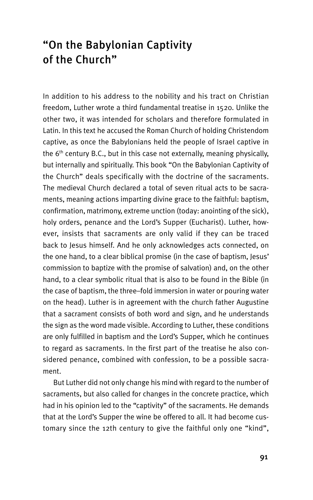# "On the Babylonian Captivity of the Church"

In addition to his address to the nobility and his tract on Christian freedom, Luther wrote a third fundamental treatise in 1520. Unlike the other two, it was intended for scholars and therefore formulated in Latin. In this text he accused the Roman Church of holding Christendom captive, as once the Babylonians held the people of Israel captive in the 6th century B.C., but in this case not externally, meaning physically, but internally and spiritually. This book "On the Babylonian Captivity of the Church" deals specifically with the doctrine of the sacraments. The medieval Church declared a total of seven ritual acts to be sacraments, meaning actions imparting divine grace to the faithful: baptism, confirmation, matrimony, extreme unction (today: anointing of the sick), holy orders, penance and the Lord's Supper (Eucharist). Luther, however, insists that sacraments are only valid if they can be traced back to Jesus himself. And he only acknowledges acts connected, on the one hand, to a clear biblical promise (in the case of baptism, Jesus' commission to baptize with the promise of salvation) and, on the other hand, to a clear symbolic ritual that is also to be found in the Bible (in the case of baptism, the three–fold immersion in water or pouring water on the head). Luther is in agreement with the church father Augustine that a sacrament consists of both word and sign, and he understands the sign as the word made visible. According to Luther, these conditions are only fulfilled in baptism and the Lord's Supper, which he continues to regard as sacraments. In the first part of the treatise he also considered penance, combined with confession, to be a possible sacrament.

But Luther did not only change his mind with regard to the number of sacraments, but also called for changes in the concrete practice, which had in his opinion led to the "captivity" of the sacraments. He demands that at the Lord's Supper the wine be offered to all. It had become customary since the 12th century to give the faithful only one "kind",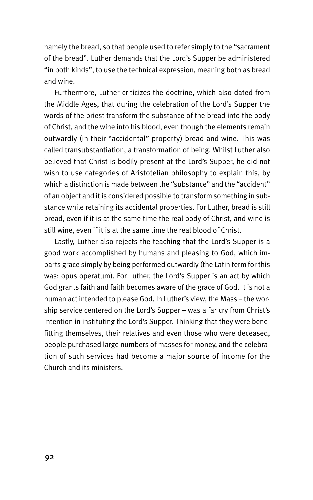namely the bread, so that people used to refer simply to the "sacrament of the bread". Luther demands that the Lord's Supper be administered "in both kinds", to use the technical expression, meaning both as bread and wine.

Furthermore, Luther criticizes the doctrine, which also dated from the Middle Ages, that during the celebration of the Lord's Supper the words of the priest transform the substance of the bread into the body of Christ, and the wine into his blood, even though the elements remain outwardly (in their "accidental" property) bread and wine. This was called transubstantiation, a transformation of being. Whilst Luther also believed that Christ is bodily present at the Lord's Supper, he did not wish to use categories of Aristotelian philosophy to explain this, by which a distinction is made between the "substance" and the "accident" of an object and it is considered possible to transform something in substance while retaining its accidental properties. For Luther, bread is still bread, even if it is at the same time the real body of Christ, and wine is still wine, even if it is at the same time the real blood of Christ.

Lastly, Luther also rejects the teaching that the Lord's Supper is a good work accomplished by humans and pleasing to God, which imparts grace simply by being performed outwardly (the Latin term for this was: opus operatum). For Luther, the Lord's Supper is an act by which God grants faith and faith becomes aware of the grace of God. It is not a human act intended to please God. In Luther's view, the Mass – the worship service centered on the Lord's Supper – was a far cry from Christ's intention in instituting the Lord's Supper. Thinking that they were benefitting themselves, their relatives and even those who were deceased, people purchased large numbers of masses for money, and the celebration of such services had become a major source of income for the Church and its ministers.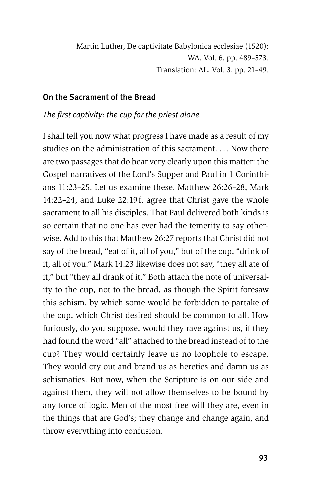Martin Luther, De captivitate Babylonica ecclesiae (1520): WA, Vol. 6, pp. 489–573. Translation: AL, Vol. 3, pp. 21–49.

#### On the Sacrament of the Bread

#### *The first captivity: the cup for the priest alone*

I shall tell you now what progress I have made as a result of my studies on the administration of this sacrament. ... Now there are two passages that do bear very clearly upon this matter: the Gospel narratives of the Lord's Supper and Paul in 1 Corinthians 11:23–25. Let us examine these. Matthew 26:26–28, Mark 14:22–24, and Luke 22:19f. agree that Christ gave the whole sacrament to all his disciples. That Paul delivered both kinds is so certain that no one has ever had the temerity to say otherwise. Add to this that Matthew 26:27 reports that Christ did not say of the bread, "eat of it, all of you," but of the cup, "drink of it, all of you." Mark 14:23 likewise does not say, "they all ate of it," but "they all drank of it." Both attach the note of universality to the cup, not to the bread, as though the Spirit foresaw this schism, by which some would be forbidden to partake of the cup, which Christ desired should be common to all. How furiously, do you suppose, would they rave against us, if they had found the word "all" attached to the bread instead of to the cup? They would certainly leave us no loophole to escape. They would cry out and brand us as heretics and damn us as schismatics. But now, when the Scripture is on our side and against them, they will not allow themselves to be bound by any force of logic. Men of the most free will they are, even in the things that are God's; they change and change again, and throw everything into confusion.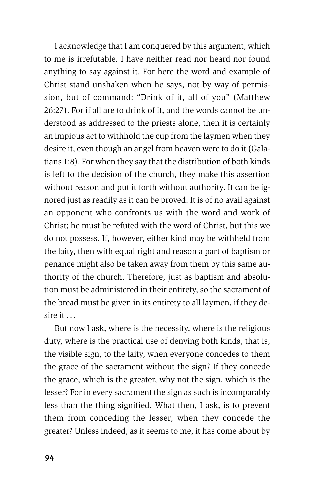I acknowledge that I am conquered by this argument, which to me is irrefutable. I have neither read nor heard nor found anything to say against it. For here the word and example of Christ stand unshaken when he says, not by way of permission, but of command: "Drink of it, all of you" (Matthew 26:27). For if all are to drink of it, and the words cannot be understood as addressed to the priests alone, then it is certainly an impious act to withhold the cup from the laymen when they desire it, even though an angel from heaven were to do it (Galatians 1:8). For when they say that the distribution of both kinds is left to the decision of the church, they make this assertion without reason and put it forth without authority. It can be ignored just as readily as it can be proved. It is of no avail against an opponent who confronts us with the word and work of Christ; he must be refuted with the word of Christ, but this we do not possess. If, however, either kind may be withheld from the laity, then with equal right and reason a part of baptism or penance might also be taken away from them by this same authority of the church. Therefore, just as baptism and absolution must be administered in their entirety, so the sacrament of the bread must be given in its entirety to all laymen, if they desire it ...

But now I ask, where is the necessity, where is the religious duty, where is the practical use of denying both kinds, that is, the visible sign, to the laity, when everyone concedes to them the grace of the sacrament without the sign? If they concede the grace, which is the greater, why not the sign, which is the lesser? For in every sacrament the sign as such is incomparably less than the thing signified. What then, I ask, is to prevent them from conceding the lesser, when they concede the greater? Unless indeed, as it seems to me, it has come about by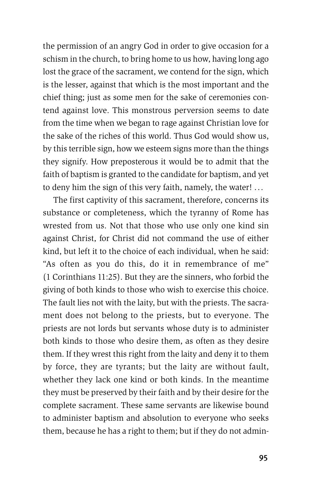the permission of an angry God in order to give occasion for a schism in the church, to bring home to us how, having long ago lost the grace of the sacrament, we contend for the sign, which is the lesser, against that which is the most important and the chief thing; just as some men for the sake of ceremonies contend against love. This monstrous perversion seems to date from the time when we began to rage against Christian love for the sake of the riches of this world. Thus God would show us, by this terrible sign, how we esteem signs more than the things they signify. How preposterous it would be to admit that the faith of baptism is granted to the candidate for baptism, and yet to deny him the sign of this very faith, namely, the water! ...

The first captivity of this sacrament, therefore, concerns its substance or completeness, which the tyranny of Rome has wrested from us. Not that those who use only one kind sin against Christ, for Christ did not command the use of either kind, but left it to the choice of each individual, when he said: "As often as you do this, do it in remembrance of me" (1 Corinthians 11:25). But they are the sinners, who forbid the giving of both kinds to those who wish to exercise this choice. The fault lies not with the laity, but with the priests. The sacrament does not belong to the priests, but to everyone. The priests are not lords but servants whose duty is to administer both kinds to those who desire them, as often as they desire them. If they wrest this right from the laity and deny it to them by force, they are tyrants; but the laity are without fault, whether they lack one kind or both kinds. In the meantime they must be preserved by their faith and by their desire for the complete sacrament. These same servants are likewise bound to administer baptism and absolution to everyone who seeks them, because he has a right to them; but if they do not admin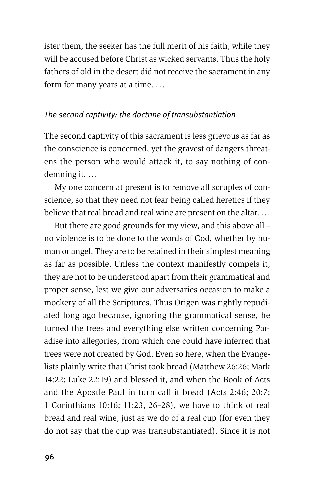ister them, the seeker has the full merit of his faith, while they will be accused before Christ as wicked servants. Thus the holy fathers of old in the desert did not receive the sacrament in any form for many years at a time. ...

#### *The second captivity: the doctrine of transubstantiation*

The second captivity of this sacrament is less grievous as far as the conscience is concerned, yet the gravest of dangers threatens the person who would attack it, to say nothing of condemning it. ...

My one concern at present is to remove all scruples of conscience, so that they need not fear being called heretics if they believe that real bread and real wine are present on the altar. ...

But there are good grounds for my view, and this above all – no violence is to be done to the words of God, whether by human or angel. They are to be retained in their simplest meaning as far as possible. Unless the context manifestly compels it, they are not to be understood apart from their grammatical and proper sense, lest we give our adversaries occasion to make a mockery of all the Scriptures. Thus Origen was rightly repudiated long ago because, ignoring the grammatical sense, he turned the trees and everything else written concerning Paradise into allegories, from which one could have inferred that trees were not created by God. Even so here, when the Evangelists plainly write that Christ took bread (Matthew 26:26; Mark 14:22; Luke 22:19) and blessed it, and when the Book of Acts and the Apostle Paul in turn call it bread (Acts 2:46; 20:7; 1 Corinthians 10:16; 11:23, 26–28), we have to think of real bread and real wine, just as we do of a real cup (for even they do not say that the cup was transubstantiated). Since it is not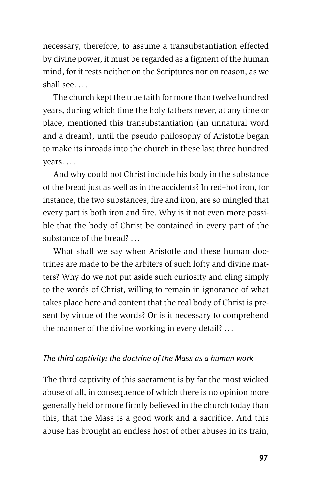necessary, therefore, to assume a transubstantiation effected by divine power, it must be regarded as a figment of the human mind, for it rests neither on the Scriptures nor on reason, as we shall see. ...

The church kept the true faith for more than twelve hundred years, during which time the holy fathers never, at any time or place, mentioned this transubstantiation (an unnatural word and a dream), until the pseudo philosophy of Aristotle began to make its inroads into the church in these last three hundred years. ...

And why could not Christ include his body in the substance of the bread just as well as in the accidents? In red–hot iron, for instance, the two substances, fire and iron, are so mingled that every part is both iron and fire. Why is it not even more possible that the body of Christ be contained in every part of the substance of the bread? ...

What shall we say when Aristotle and these human doctrines are made to be the arbiters of such lofty and divine matters? Why do we not put aside such curiosity and cling simply to the words of Christ, willing to remain in ignorance of what takes place here and content that the real body of Christ is present by virtue of the words? Or is it necessary to comprehend the manner of the divine working in every detail? ...

#### *The third captivity: the doctrine of the Mass as a human work*

The third captivity of this sacrament is by far the most wicked abuse of all, in consequence of which there is no opinion more generally held or more firmly believed in the church today than this, that the Mass is a good work and a sacrifice. And this abuse has brought an endless host of other abuses in its train,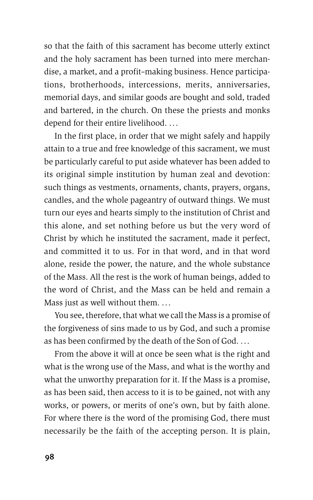so that the faith of this sacrament has become utterly extinct and the holy sacrament has been turned into mere merchandise, a market, and a profit–making business. Hence participations, brotherhoods, intercessions, merits, anniversaries, memorial days, and similar goods are bought and sold, traded and bartered, in the church. On these the priests and monks depend for their entire livelihood. ...

In the first place, in order that we might safely and happily attain to a true and free knowledge of this sacrament, we must be particularly careful to put aside whatever has been added to its original simple institution by human zeal and devotion: such things as vestments, ornaments, chants, prayers, organs, candles, and the whole pageantry of outward things. We must turn our eyes and hearts simply to the institution of Christ and this alone, and set nothing before us but the very word of Christ by which he instituted the sacrament, made it perfect, and committed it to us. For in that word, and in that word alone, reside the power, the nature, and the whole substance of the Mass. All the rest is the work of human beings, added to the word of Christ, and the Mass can be held and remain a Mass just as well without them. ...

You see, therefore, that what we call the Mass is a promise of the forgiveness of sins made to us by God, and such a promise as has been confirmed by the death of the Son of God. ...

From the above it will at once be seen what is the right and what is the wrong use of the Mass, and what is the worthy and what the unworthy preparation for it. If the Mass is a promise, as has been said, then access to it is to be gained, not with any works, or powers, or merits of one's own, but by faith alone. For where there is the word of the promising God, there must necessarily be the faith of the accepting person. It is plain,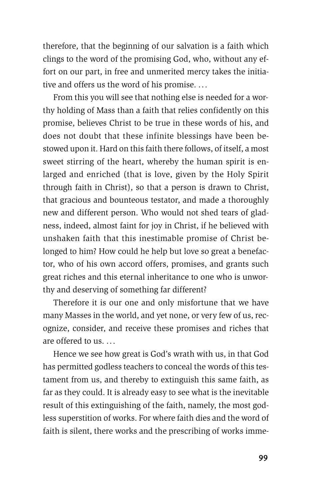therefore, that the beginning of our salvation is a faith which clings to the word of the promising God, who, without any effort on our part, in free and unmerited mercy takes the initiative and offers us the word of his promise. ...

From this you will see that nothing else is needed for a worthy holding of Mass than a faith that relies confidently on this promise, believes Christ to be true in these words of his, and does not doubt that these infinite blessings have been bestowed upon it. Hard on this faith there follows, of itself, a most sweet stirring of the heart, whereby the human spirit is enlarged and enriched (that is love, given by the Holy Spirit through faith in Christ), so that a person is drawn to Christ, that gracious and bounteous testator, and made a thoroughly new and different person. Who would not shed tears of gladness, indeed, almost faint for joy in Christ, if he believed with unshaken faith that this inestimable promise of Christ belonged to him? How could he help but love so great a benefactor, who of his own accord offers, promises, and grants such great riches and this eternal inheritance to one who is unworthy and deserving of something far different?

Therefore it is our one and only misfortune that we have many Masses in the world, and yet none, or very few of us, recognize, consider, and receive these promises and riches that are offered to us.

Hence we see how great is God's wrath with us, in that God has permitted godless teachers to conceal the words of this testament from us, and thereby to extinguish this same faith, as far as they could. It is already easy to see what is the inevitable result of this extinguishing of the faith, namely, the most godless superstition of works. For where faith dies and the word of faith is silent, there works and the prescribing of works imme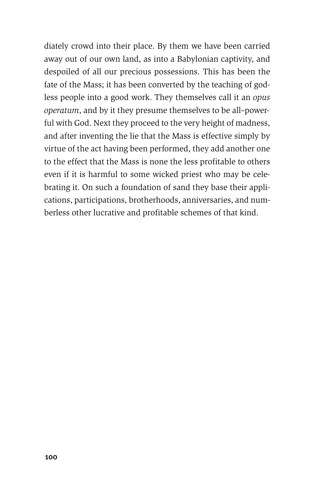diately crowd into their place. By them we have been carried away out of our own land, as into a Babylonian captivity, and despoiled of all our precious possessions. This has been the fate of the Mass; it has been converted by the teaching of godless people into a good work. They themselves call it an *opus operatum*, and by it they presume themselves to be all–powerful with God. Next they proceed to the very height of madness, and after inventing the lie that the Mass is effective simply by virtue of the act having been performed, they add another one to the effect that the Mass is none the less profitable to others even if it is harmful to some wicked priest who may be celebrating it. On such a foundation of sand they base their applications, participations, brotherhoods, anniversaries, and numberless other lucrative and profitable schemes of that kind.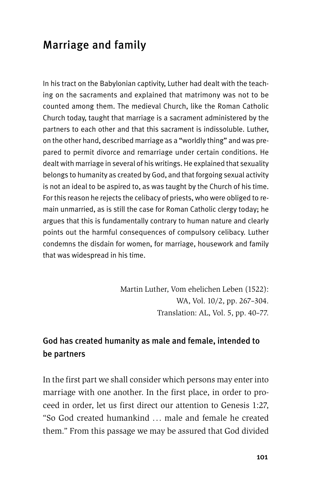# Marriage and family

In his tract on the Babylonian captivity, Luther had dealt with the teaching on the sacraments and explained that matrimony was not to be counted among them. The medieval Church, like the Roman Catholic Church today, taught that marriage is a sacrament administered by the partners to each other and that this sacrament is indissoluble. Luther, on the other hand, described marriage as a "worldly thing" and was prepared to permit divorce and remarriage under certain conditions. He dealt with marriage in several of his writings. He explained that sexuality belongs to humanity as created by God, and that forgoing sexual activity is not an ideal to be aspired to, as was taught by the Church of his time. For this reason he rejects the celibacy of priests, who were obliged to remain unmarried, as is still the case for Roman Catholic clergy today; he argues that this is fundamentally contrary to human nature and clearly points out the harmful consequences of compulsory celibacy. Luther condemns the disdain for women, for marriage, housework and family that was widespread in his time.

> Martin Luther, Vom ehelichen Leben (1522): WA, Vol. 10/2, pp. 267–304. Translation: AL, Vol. 5, pp. 40–77.

## God has created humanity as male and female, intended to be partners

In the first part we shall consider which persons may enter into marriage with one another. In the first place, in order to proceed in order, let us first direct our attention to Genesis 1:27, "So God created humankind ... male and female he created them." From this passage we may be assured that God divided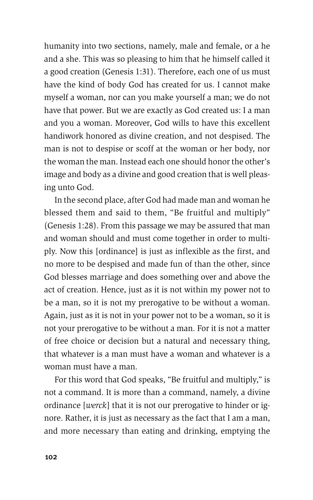humanity into two sections, namely, male and female, or a he and a she. This was so pleasing to him that he himself called it a good creation (Genesis 1:31). Therefore, each one of us must have the kind of body God has created for us. I cannot make myself a woman, nor can you make yourself a man; we do not have that power. But we are exactly as God created us: I a man and you a woman. Moreover, God wills to have this excellent handiwork honored as divine creation, and not despised. The man is not to despise or scoff at the woman or her body, nor the woman the man. Instead each one should honor the other's image and body as a divine and good creation that is well pleasing unto God.

In the second place, after God had made man and woman he blessed them and said to them, "Be fruitful and multiply" (Genesis 1:28). From this passage we may be assured that man and woman should and must come together in order to multiply. Now this [ordinance] is just as inflexible as the first, and no more to be despised and made fun of than the other, since God blesses marriage and does something over and above the act of creation. Hence, just as it is not within my power not to be a man, so it is not my prerogative to be without a woman. Again, just as it is not in your power not to be a woman, so it is not your prerogative to be without a man. For it is not a matter of free choice or decision but a natural and necessary thing, that whatever is a man must have a woman and whatever is a woman must have a man.

For this word that God speaks, "Be fruitful and multiply," is not a command. It is more than a command, namely, a divine ordinance [*werck*] that it is not our prerogative to hinder or ignore. Rather, it is just as necessary as the fact that I am a man, and more necessary than eating and drinking, emptying the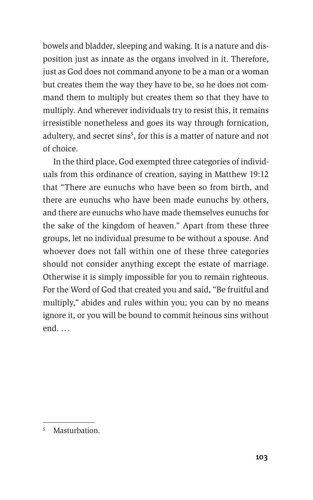bowels and bladder, sleeping and waking. It is a nature and disposition just as innate as the organs involved in it. Therefore, just as God does not command anyone to be a man or a woman but creates them the way they have to be, so he does not command them to multiply but creates them so that they have to multiply. And wherever individuals try to resist this, it remains irresistible nonetheless and goes its way through fornication, adultery, and secret sins<sup>5</sup>, for this is a matter of nature and not of choice.

In the third place, God exempted three categories of individuals from this ordinance of creation, saying in Matthew 19:12 that "There are eunuchs who have been so from birth, and there are eunuchs who have been made eunuchs by others, and there are eunuchs who have made themselves eunuchs for the sake of the kingdom of heaven." Apart from these three groups, let no individual presume to be without a spouse. And whoever does not fall within one of these three categories should not consider anything except the estate of marriage. Otherwise it is simply impossible for you to remain righteous. For the Word of God that created you and said, "Be fruitful and multiply," abides and rules within you; you can by no means ignore it, or you will be bound to commit heinous sins without end. ...

<sup>5</sup> Masturbation.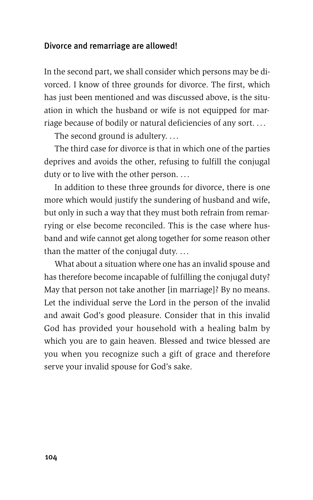#### Divorce and remarriage are allowed!

In the second part, we shall consider which persons may be divorced. I know of three grounds for divorce. The first, which has just been mentioned and was discussed above, is the situation in which the husband or wife is not equipped for marriage because of bodily or natural deficiencies of any sort. ...

The second ground is adultery. ...

The third case for divorce is that in which one of the parties deprives and avoids the other, refusing to fulfill the conjugal duty or to live with the other person. ...

In addition to these three grounds for divorce, there is one more which would justify the sundering of husband and wife, but only in such a way that they must both refrain from remarrying or else become reconciled. This is the case where husband and wife cannot get along together for some reason other than the matter of the conjugal duty. ...

What about a situation where one has an invalid spouse and has therefore become incapable of fulfilling the conjugal duty? May that person not take another [in marriage]? By no means. Let the individual serve the Lord in the person of the invalid and await God's good pleasure. Consider that in this invalid God has provided your household with a healing balm by which you are to gain heaven. Blessed and twice blessed are you when you recognize such a gift of grace and therefore serve your invalid spouse for God's sake.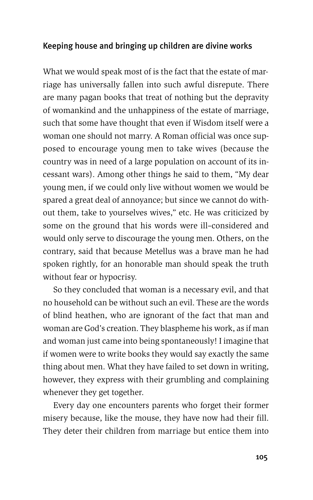#### Keeping house and bringing up children are divine works

What we would speak most of is the fact that the estate of marriage has universally fallen into such awful disrepute. There are many pagan books that treat of nothing but the depravity of womankind and the unhappiness of the estate of marriage, such that some have thought that even if Wisdom itself were a woman one should not marry. A Roman official was once supposed to encourage young men to take wives (because the country was in need of a large population on account of its incessant wars). Among other things he said to them, "My dear young men, if we could only live without women we would be spared a great deal of annoyance; but since we cannot do without them, take to yourselves wives," etc. He was criticized by some on the ground that his words were ill–considered and would only serve to discourage the young men. Others, on the contrary, said that because Metellus was a brave man he had spoken rightly, for an honorable man should speak the truth without fear or hypocrisy.

So they concluded that woman is a necessary evil, and that no household can be without such an evil. These are the words of blind heathen, who are ignorant of the fact that man and woman are God's creation. They blaspheme his work, as if man and woman just came into being spontaneously! I imagine that if women were to write books they would say exactly the same thing about men. What they have failed to set down in writing, however, they express with their grumbling and complaining whenever they get together.

Every day one encounters parents who forget their former misery because, like the mouse, they have now had their fill. They deter their children from marriage but entice them into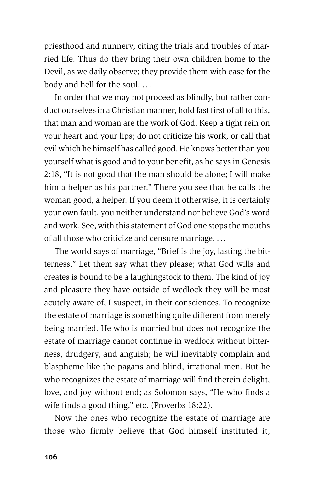priesthood and nunnery, citing the trials and troubles of married life. Thus do they bring their own children home to the Devil, as we daily observe; they provide them with ease for the body and hell for the soul. ...

In order that we may not proceed as blindly, but rather conduct ourselves in a Christian manner, hold fast first of all to this, that man and woman are the work of God. Keep a tight rein on your heart and your lips; do not criticize his work, or call that evil which he himself has called good. He knows better than you yourself what is good and to your benefit, as he says in Genesis 2:18, "It is not good that the man should be alone; I will make him a helper as his partner." There you see that he calls the woman good, a helper. If you deem it otherwise, it is certainly your own fault, you neither understand nor believe God's word and work. See, with this statement of God one stops the mouths of all those who criticize and censure marriage. ...

The world says of marriage, "Brief is the joy, lasting the bitterness." Let them say what they please; what God wills and creates is bound to be a laughingstock to them. The kind of joy and pleasure they have outside of wedlock they will be most acutely aware of, I suspect, in their consciences. To recognize the estate of marriage is something quite different from merely being married. He who is married but does not recognize the estate of marriage cannot continue in wedlock without bitterness, drudgery, and anguish; he will inevitably complain and blaspheme like the pagans and blind, irrational men. But he who recognizes the estate of marriage will find therein delight, love, and joy without end; as Solomon says, "He who finds a wife finds a good thing," etc. (Proverbs 18:22).

Now the ones who recognize the estate of marriage are those who firmly believe that God himself instituted it,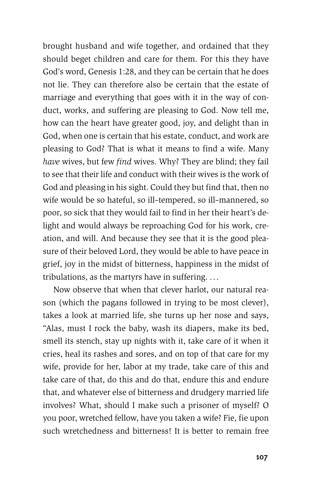brought husband and wife together, and ordained that they should beget children and care for them. For this they have God's word, Genesis 1:28, and they can be certain that he does not lie. They can therefore also be certain that the estate of marriage and everything that goes with it in the way of conduct, works, and suffering are pleasing to God. Now tell me, how can the heart have greater good, joy, and delight than in God, when one is certain that his estate, conduct, and work are pleasing to God? That is what it means to find a wife. Many *have* wives, but few *find* wives. Why? They are blind; they fail to see that their life and conduct with their wives is the work of God and pleasing in his sight. Could they but find that, then no wife would be so hateful, so ill–tempered, so ill–mannered, so poor, so sick that they would fail to find in her their heart's delight and would always be reproaching God for his work, creation, and will. And because they see that it is the good pleasure of their beloved Lord, they would be able to have peace in grief, joy in the midst of bitterness, happiness in the midst of tribulations, as the martyrs have in suffering. ...

Now observe that when that clever harlot, our natural reason (which the pagans followed in trying to be most clever), takes a look at married life, she turns up her nose and says, "Alas, must I rock the baby, wash its diapers, make its bed, smell its stench, stay up nights with it, take care of it when it cries, heal its rashes and sores, and on top of that care for my wife, provide for her, labor at my trade, take care of this and take care of that, do this and do that, endure this and endure that, and whatever else of bitterness and drudgery married life involves? What, should I make such a prisoner of myself? O you poor, wretched fellow, have you taken a wife? Fie, fie upon such wretchedness and bitterness! It is better to remain free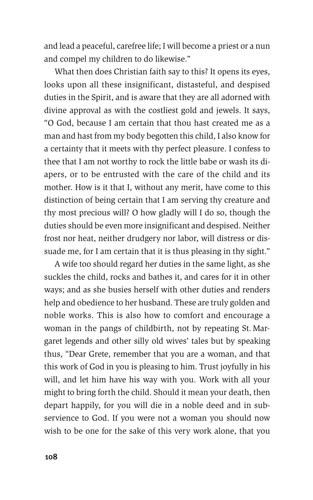and lead a peaceful, carefree life; I will become a priest or a nun and compel my children to do likewise."

What then does Christian faith say to this? It opens its eyes, looks upon all these insignificant, distasteful, and despised duties in the Spirit, and is aware that they are all adorned with divine approval as with the costliest gold and jewels. It says, "O God, because I am certain that thou hast created me as a man and hast from my body begotten this child, I also know for a certainty that it meets with thy perfect pleasure. I confess to thee that I am not worthy to rock the little babe or wash its diapers, or to be entrusted with the care of the child and its mother. How is it that I, without any merit, have come to this distinction of being certain that I am serving thy creature and thy most precious will? O how gladly will I do so, though the duties should be even more insignificant and despised. Neither frost nor heat, neither drudgery nor labor, will distress or dissuade me, for I am certain that it is thus pleasing in thy sight."

A wife too should regard her duties in the same light, as she suckles the child, rocks and bathes it, and cares for it in other ways; and as she busies herself with other duties and renders help and obedience to her husband. These are truly golden and noble works. This is also how to comfort and encourage a woman in the pangs of childbirth, not by repeating St. Margaret legends and other silly old wives' tales but by speaking thus, "Dear Grete, remember that you are a woman, and that this work of God in you is pleasing to him. Trust joyfully in his will, and let him have his way with you. Work with all your might to bring forth the child. Should it mean your death, then depart happily, for you will die in a noble deed and in subservience to God. If you were not a woman you should now wish to be one for the sake of this very work alone, that you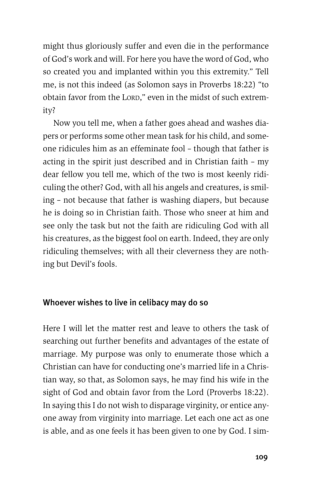might thus gloriously suffer and even die in the performance of God's work and will. For here you have the word of God, who so created you and implanted within you this extremity." Tell me, is not this indeed (as Solomon says in Proverbs 18:22) "to obtain favor from the LORD," even in the midst of such extremity?

Now you tell me, when a father goes ahead and washes diapers or performs some other mean task for his child, and someone ridicules him as an effeminate fool – though that father is acting in the spirit just described and in Christian faith – my dear fellow you tell me, which of the two is most keenly ridiculing the other? God, with all his angels and creatures, is smiling – not because that father is washing diapers, but because he is doing so in Christian faith. Those who sneer at him and see only the task but not the faith are ridiculing God with all his creatures, as the biggest fool on earth. Indeed, they are only ridiculing themselves; with all their cleverness they are nothing but Devil's fools.

#### Whoever wishes to live in celibacy may do so

Here I will let the matter rest and leave to others the task of searching out further benefits and advantages of the estate of marriage. My purpose was only to enumerate those which a Christian can have for conducting one's married life in a Christian way, so that, as Solomon says, he may find his wife in the sight of God and obtain favor from the Lord (Proverbs 18:22). In saying this I do not wish to disparage virginity, or entice anyone away from virginity into marriage. Let each one act as one is able, and as one feels it has been given to one by God. I sim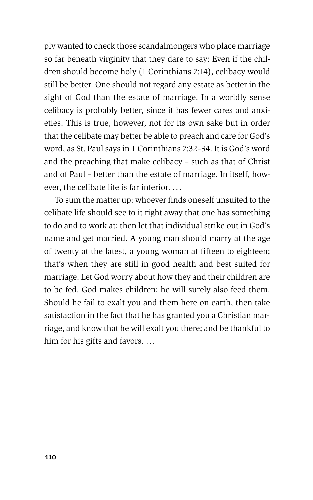ply wanted to check those scandalmongers who place marriage so far beneath virginity that they dare to say: Even if the children should become holy (1 Corinthians 7:14), celibacy would still be better. One should not regard any estate as better in the sight of God than the estate of marriage. In a worldly sense celibacy is probably better, since it has fewer cares and anxieties. This is true, however, not for its own sake but in order that the celibate may better be able to preach and care for God's word, as St. Paul says in 1 Corinthians 7:32–34. It is God's word and the preaching that make celibacy – such as that of Christ and of Paul – better than the estate of marriage. In itself, however, the celibate life is far inferior. ...

To sum the matter up: whoever finds oneself unsuited to the celibate life should see to it right away that one has something to do and to work at; then let that individual strike out in God's name and get married. A young man should marry at the age of twenty at the latest, a young woman at fifteen to eighteen; that's when they are still in good health and best suited for marriage. Let God worry about how they and their children are to be fed. God makes children; he will surely also feed them. Should he fail to exalt you and them here on earth, then take satisfaction in the fact that he has granted you a Christian marriage, and know that he will exalt you there; and be thankful to him for his gifts and favors. ...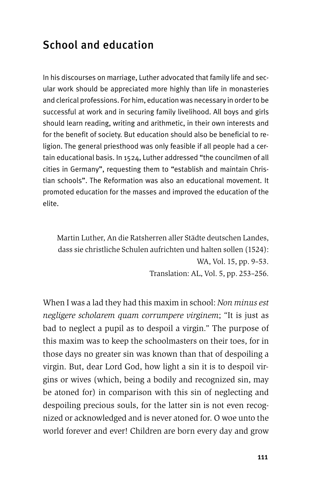# School and education

In his discourses on marriage, Luther advocated that family life and secular work should be appreciated more highly than life in monasteries and clerical professions. For him, education was necessary in order to be successful at work and in securing family livelihood. All boys and girls should learn reading, writing and arithmetic, in their own interests and for the benefit of society. But education should also be beneficial to religion. The general priesthood was only feasible if all people had a certain educational basis. In 1524, Luther addressed "the councilmen of all cities in Germany", requesting them to "establish and maintain Christian schools". The Reformation was also an educational movement. It promoted education for the masses and improved the education of the elite.

Martin Luther, An die Ratsherren aller Städte deutschen Landes, dass sie christliche Schulen aufrichten und halten sollen (1524): WA, Vol. 15, pp. 9-53. Translation: AL, Vol. 5, pp. 253–256.

When I was a lad they had this maxim in school: *Non minus est negligere scholarem quam corrumpere virginem*; "It is just as bad to neglect a pupil as to despoil a virgin." The purpose of this maxim was to keep the schoolmasters on their toes, for in those days no greater sin was known than that of despoiling a virgin. But, dear Lord God, how light a sin it is to despoil virgins or wives (which, being a bodily and recognized sin, may be atoned for) in comparison with this sin of neglecting and despoiling precious souls, for the latter sin is not even recognized or acknowledged and is never atoned for. O woe unto the world forever and ever! Children are born every day and grow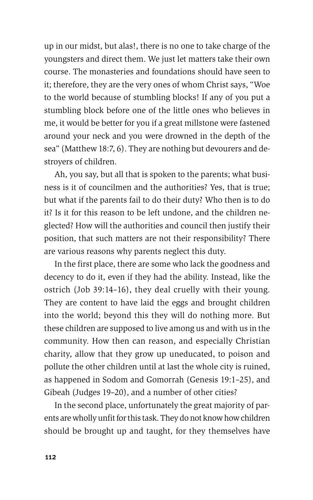up in our midst, but alas!, there is no one to take charge of the youngsters and direct them. We just let matters take their own course. The monasteries and foundations should have seen to it; therefore, they are the very ones of whom Christ says, "Woe to the world because of stumbling blocks! If any of you put a stumbling block before one of the little ones who believes in me, it would be better for you if a great millstone were fastened around your neck and you were drowned in the depth of the sea" (Matthew 18:7, 6). They are nothing but devourers and destroyers of children.

Ah, you say, but all that is spoken to the parents; what business is it of councilmen and the authorities? Yes, that is true; but what if the parents fail to do their duty? Who then is to do it? Is it for this reason to be left undone, and the children neglected? How will the authorities and council then justify their position, that such matters are not their responsibility? There are various reasons why parents neglect this duty.

In the first place, there are some who lack the goodness and decency to do it, even if they had the ability. Instead, like the ostrich (Job 39:14–16), they deal cruelly with their young. They are content to have laid the eggs and brought children into the world; beyond this they will do nothing more. But these children are supposed to live among us and with us in the community. How then can reason, and especially Christian charity, allow that they grow up uneducated, to poison and pollute the other children until at last the whole city is ruined, as happened in Sodom and Gomorrah (Genesis 19:1–25), and Gibeah (Judges 19–20), and a number of other cities?

In the second place, unfortunately the great majority of parents are wholly unfit for this task. They do not know how children should be brought up and taught, for they themselves have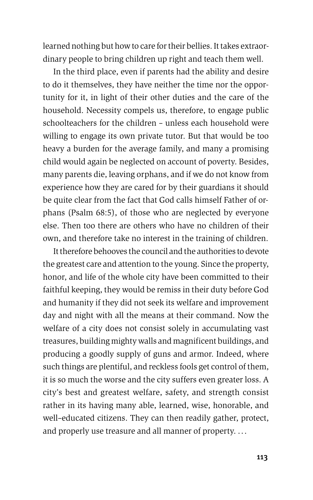learned nothing but how to care for their bellies. It takes extraordinary people to bring children up right and teach them well.

In the third place, even if parents had the ability and desire to do it themselves, they have neither the time nor the opportunity for it, in light of their other duties and the care of the household. Necessity compels us, therefore, to engage public schoolteachers for the children – unless each household were willing to engage its own private tutor. But that would be too heavy a burden for the average family, and many a promising child would again be neglected on account of poverty. Besides, many parents die, leaving orphans, and if we do not know from experience how they are cared for by their guardians it should be quite clear from the fact that God calls himself Father of orphans (Psalm 68:5), of those who are neglected by everyone else. Then too there are others who have no children of their own, and therefore take no interest in the training of children.

It therefore behooves the council and the authorities to devote the greatest care and attention to the young. Since the property, honor, and life of the whole city have been committed to their faithful keeping, they would be remiss in their duty before God and humanity if they did not seek its welfare and improvement day and night with all the means at their command. Now the welfare of a city does not consist solely in accumulating vast treasures, building mighty walls and magnificent buildings, and producing a goodly supply of guns and armor. Indeed, where such things are plentiful, and reckless fools get control of them, it is so much the worse and the city suffers even greater loss. A city's best and greatest welfare, safety, and strength consist rather in its having many able, learned, wise, honorable, and well–educated citizens. They can then readily gather, protect, and properly use treasure and all manner of property. ...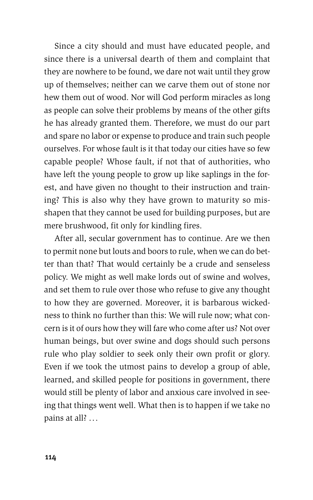Since a city should and must have educated people, and since there is a universal dearth of them and complaint that they are nowhere to be found, we dare not wait until they grow up of themselves; neither can we carve them out of stone nor hew them out of wood. Nor will God perform miracles as long as people can solve their problems by means of the other gifts he has already granted them. Therefore, we must do our part and spare no labor or expense to produce and train such people ourselves. For whose fault is it that today our cities have so few capable people? Whose fault, if not that of authorities, who have left the young people to grow up like saplings in the forest, and have given no thought to their instruction and training? This is also why they have grown to maturity so misshapen that they cannot be used for building purposes, but are mere brushwood, fit only for kindling fires.

After all, secular government has to continue. Are we then to permit none but louts and boors to rule, when we can do better than that? That would certainly be a crude and senseless policy. We might as well make lords out of swine and wolves, and set them to rule over those who refuse to give any thought to how they are governed. Moreover, it is barbarous wickedness to think no further than this: We will rule now; what concern is it of ours how they will fare who come after us? Not over human beings, but over swine and dogs should such persons rule who play soldier to seek only their own profit or glory. Even if we took the utmost pains to develop a group of able, learned, and skilled people for positions in government, there would still be plenty of labor and anxious care involved in seeing that things went well. What then is to happen if we take no pains at all? ...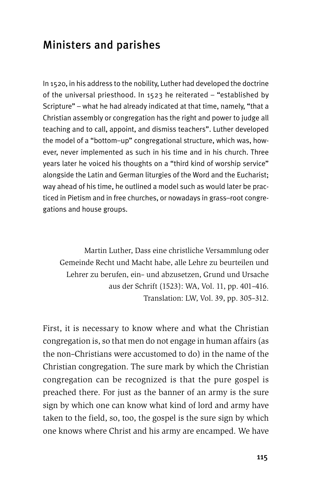## Ministers and parishes

In 1520, in his address to the nobility, Luther had developed the doctrine of the universal priesthood. In 1523 he reiterated – "established by Scripture" – what he had already indicated at that time, namely, "that a Christian assembly or congregation has the right and power to judge all teaching and to call, appoint, and dismiss teachers". Luther developed the model of a "bottom–up" congregational structure, which was, however, never implemented as such in his time and in his church. Three years later he voiced his thoughts on a "third kind of worship service" alongside the Latin and German liturgies of the Word and the Eucharist; way ahead of his time, he outlined a model such as would later be practiced in Pietism and in free churches, or nowadays in grass–root congregations and house groups.

Martin Luther, Dass eine christliche Versammlung oder Gemeinde Recht und Macht habe, alle Lehre zu beurteilen und Lehrer zu berufen, ein– und abzusetzen, Grund und Ursache aus der Schrift (1523): WA, Vol. 11, pp. 401–416. Translation: LW, Vol. 39, pp. 305–312.

First, it is necessary to know where and what the Christian congregation is, so that men do not engage in human affairs (as the non–Christians were accustomed to do) in the name of the Christian congregation. The sure mark by which the Christian congregation can be recognized is that the pure gospel is preached there. For just as the banner of an army is the sure sign by which one can know what kind of lord and army have taken to the field, so, too, the gospel is the sure sign by which one knows where Christ and his army are encamped. We have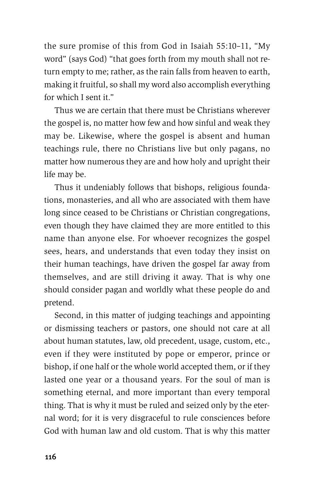the sure promise of this from God in Isaiah 55:10–11, "My word" (says God) "that goes forth from my mouth shall not return empty to me; rather, as the rain falls from heaven to earth, making it fruitful, so shall my word also accomplish everything for which I sent it."

Thus we are certain that there must be Christians wherever the gospel is, no matter how few and how sinful and weak they may be. Likewise, where the gospel is absent and human teachings rule, there no Christians live but only pagans, no matter how numerous they are and how holy and upright their life may be.

Thus it undeniably follows that bishops, religious foundations, monasteries, and all who are associated with them have long since ceased to be Christians or Christian congregations, even though they have claimed they are more entitled to this name than anyone else. For whoever recognizes the gospel sees, hears, and understands that even today they insist on their human teachings, have driven the gospel far away from themselves, and are still driving it away. That is why one should consider pagan and worldly what these people do and pretend.

Second, in this matter of judging teachings and appointing or dismissing teachers or pastors, one should not care at all about human statutes, law, old precedent, usage, custom, etc., even if they were instituted by pope or emperor, prince or bishop, if one half or the whole world accepted them, or if they lasted one year or a thousand years. For the soul of man is something eternal, and more important than every temporal thing. That is why it must be ruled and seized only by the eternal word; for it is very disgraceful to rule consciences before God with human law and old custom. That is why this matter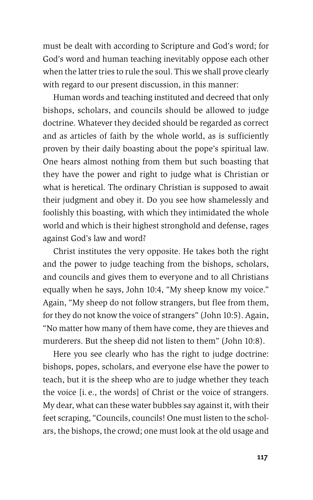must be dealt with according to Scripture and God's word; for God's word and human teaching inevitably oppose each other when the latter tries to rule the soul. This we shall prove clearly with regard to our present discussion, in this manner:

Human words and teaching instituted and decreed that only bishops, scholars, and councils should be allowed to judge doctrine. Whatever they decided should be regarded as correct and as articles of faith by the whole world, as is sufficiently proven by their daily boasting about the pope's spiritual law. One hears almost nothing from them but such boasting that they have the power and right to judge what is Christian or what is heretical. The ordinary Christian is supposed to await their judgment and obey it. Do you see how shamelessly and foolishly this boasting, with which they intimidated the whole world and which is their highest stronghold and defense, rages against God's law and word?

Christ institutes the very opposite. He takes both the right and the power to judge teaching from the bishops, scholars, and councils and gives them to everyone and to all Christians equally when he says, John 10:4, "My sheep know my voice." Again, "My sheep do not follow strangers, but flee from them, for they do not know the voice of strangers" (John 10:5). Again, "No matter how many of them have come, they are thieves and murderers. But the sheep did not listen to them" (John 10:8).

Here you see clearly who has the right to judge doctrine: bishops, popes, scholars, and everyone else have the power to teach, but it is the sheep who are to judge whether they teach the voice [i. e., the words] of Christ or the voice of strangers. My dear, what can these water bubbles say against it, with their feet scraping, "Councils, councils! One must listen to the scholars, the bishops, the crowd; one must look at the old usage and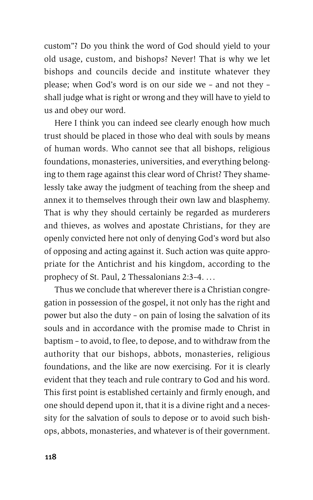custom"? Do you think the word of God should yield to your old usage, custom, and bishops? Never! That is why we let bishops and councils decide and institute whatever they please; when God's word is on our side we – and not they – shall judge what is right or wrong and they will have to yield to us and obey our word.

Here I think you can indeed see clearly enough how much trust should be placed in those who deal with souls by means of human words. Who cannot see that all bishops, religious foundations, monasteries, universities, and everything belonging to them rage against this clear word of Christ? They shamelessly take away the judgment of teaching from the sheep and annex it to themselves through their own law and blasphemy. That is why they should certainly be regarded as murderers and thieves, as wolves and apostate Christians, for they are openly convicted here not only of denying God's word but also of opposing and acting against it. Such action was quite appropriate for the Antichrist and his kingdom, according to the prophecy of St. Paul, 2 Thessalonians 2:3–4. ...

Thus we conclude that wherever there is a Christian congregation in possession of the gospel, it not only has the right and power but also the duty – on pain of losing the salvation of its souls and in accordance with the promise made to Christ in baptism – to avoid, to flee, to depose, and to withdraw from the authority that our bishops, abbots, monasteries, religious foundations, and the like are now exercising. For it is clearly evident that they teach and rule contrary to God and his word. This first point is established certainly and firmly enough, and one should depend upon it, that it is a divine right and a necessity for the salvation of souls to depose or to avoid such bishops, abbots, monasteries, and whatever is of their government.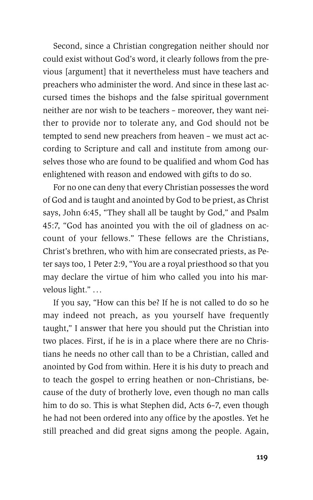Second, since a Christian congregation neither should nor could exist without God's word, it clearly follows from the previous [argument] that it nevertheless must have teachers and preachers who administer the word. And since in these last accursed times the bishops and the false spiritual government neither are nor wish to be teachers – moreover, they want neither to provide nor to tolerate any, and God should not be tempted to send new preachers from heaven – we must act according to Scripture and call and institute from among ourselves those who are found to be qualified and whom God has enlightened with reason and endowed with gifts to do so.

For no one can deny that every Christian possesses the word of God and is taught and anointed by God to be priest, as Christ says, John 6:45, "They shall all be taught by God," and Psalm 45:7, "God has anointed you with the oil of gladness on account of your fellows." These fellows are the Christians, Christ's brethren, who with him are consecrated priests, as Peter says too, 1 Peter 2:9, "You are a royal priesthood so that you may declare the virtue of him who called you into his marvelous light." ...

If you say, "How can this be? If he is not called to do so he may indeed not preach, as you yourself have frequently taught," I answer that here you should put the Christian into two places. First, if he is in a place where there are no Christians he needs no other call than to be a Christian, called and anointed by God from within. Here it is his duty to preach and to teach the gospel to erring heathen or non–Christians, because of the duty of brotherly love, even though no man calls him to do so. This is what Stephen did, Acts 6-7, even though he had not been ordered into any office by the apostles. Yet he still preached and did great signs among the people. Again,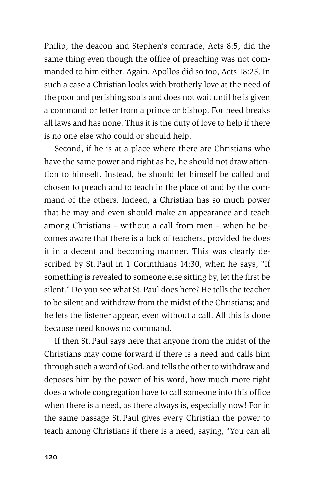Philip, the deacon and Stephen's comrade, Acts 8:5, did the same thing even though the office of preaching was not commanded to him either. Again, Apollos did so too, Acts 18:25. In such a case a Christian looks with brotherly love at the need of the poor and perishing souls and does not wait until he is given a command or letter from a prince or bishop. For need breaks all laws and has none. Thus it is the duty of love to help if there is no one else who could or should help.

Second, if he is at a place where there are Christians who have the same power and right as he, he should not draw attention to himself. Instead, he should let himself be called and chosen to preach and to teach in the place of and by the command of the others. Indeed, a Christian has so much power that he may and even should make an appearance and teach among Christians – without a call from men – when he becomes aware that there is a lack of teachers, provided he does it in a decent and becoming manner. This was clearly described by St. Paul in 1 Corinthians 14:30, when he says, "If something is revealed to someone else sitting by, let the first be silent." Do you see what St. Paul does here? He tells the teacher to be silent and withdraw from the midst of the Christians; and he lets the listener appear, even without a call. All this is done because need knows no command.

If then St. Paul says here that anyone from the midst of the Christians may come forward if there is a need and calls him through such a word of God, and tells the other to withdraw and deposes him by the power of his word, how much more right does a whole congregation have to call someone into this office when there is a need, as there always is, especially now! For in the same passage St. Paul gives every Christian the power to teach among Christians if there is a need, saying, "You can all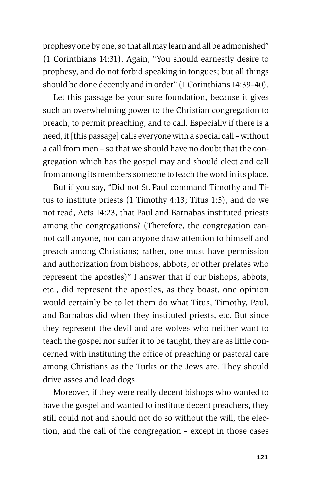prophesy one by one, so that all may learn and all be admonished" (1 Corinthians 14:31). Again, "You should earnestly desire to prophesy, and do not forbid speaking in tongues; but all things should be done decently and in order" (1 Corinthians 14:39–40).

Let this passage be your sure foundation, because it gives such an overwhelming power to the Christian congregation to preach, to permit preaching, and to call. Especially if there is a need, it [this passage] calls everyone with a special call – without a call from men – so that we should have no doubt that the congregation which has the gospel may and should elect and call from among its members someone to teach the word in its place.

But if you say, "Did not St. Paul command Timothy and Titus to institute priests (1 Timothy 4:13; Titus 1:5), and do we not read, Acts 14:23, that Paul and Barnabas instituted priests among the congregations? (Therefore, the congregation cannot call anyone, nor can anyone draw attention to himself and preach among Christians; rather, one must have permission and authorization from bishops, abbots, or other prelates who represent the apostles)" I answer that if our bishops, abbots, etc., did represent the apostles, as they boast, one opinion would certainly be to let them do what Titus, Timothy, Paul, and Barnabas did when they instituted priests, etc. But since they represent the devil and are wolves who neither want to teach the gospel nor suffer it to be taught, they are as little concerned with instituting the office of preaching or pastoral care among Christians as the Turks or the Jews are. They should drive asses and lead dogs.

Moreover, if they were really decent bishops who wanted to have the gospel and wanted to institute decent preachers, they still could not and should not do so without the will, the election, and the call of the congregation – except in those cases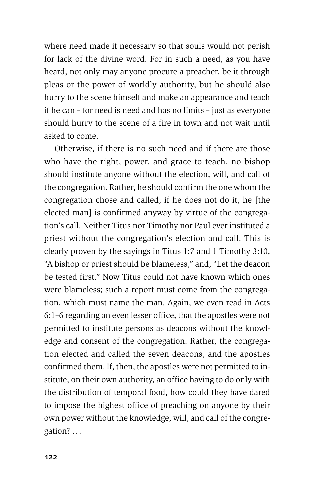where need made it necessary so that souls would not perish for lack of the divine word. For in such a need, as you have heard, not only may anyone procure a preacher, be it through pleas or the power of worldly authority, but he should also hurry to the scene himself and make an appearance and teach if he can – for need is need and has no limits – just as everyone should hurry to the scene of a fire in town and not wait until asked to come.

Otherwise, if there is no such need and if there are those who have the right, power, and grace to teach, no bishop should institute anyone without the election, will, and call of the congregation. Rather, he should confirm the one whom the congregation chose and called; if he does not do it, he [the elected man] is confirmed anyway by virtue of the congregation's call. Neither Titus nor Timothy nor Paul ever instituted a priest without the congregation's election and call. This is clearly proven by the sayings in Titus 1:7 and 1 Timothy 3:10, "A bishop or priest should be blameless," and, "Let the deacon be tested first." Now Titus could not have known which ones were blameless; such a report must come from the congregation, which must name the man. Again, we even read in Acts 6:1–6 regarding an even lesser office, that the apostles were not permitted to institute persons as deacons without the knowledge and consent of the congregation. Rather, the congregation elected and called the seven deacons, and the apostles confirmed them. If, then, the apostles were not permitted to institute, on their own authority, an office having to do only with the distribution of temporal food, how could they have dared to impose the highest office of preaching on anyone by their own power without the knowledge, will, and call of the congregation? ...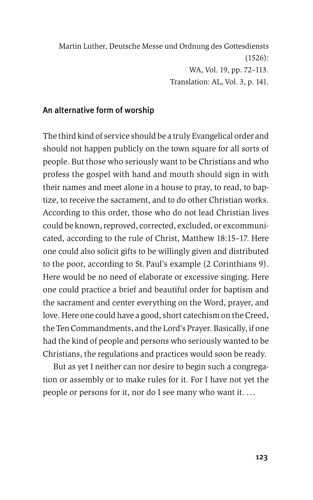Martin Luther, Deutsche Messe und Ordnung des Gottesdiensts  $(1526):$ WA, Vol. 19, pp. 72–113. Translation: AL, Vol. 3, p. 141.

### An alternative form of worship

The third kind of service should be a truly Evangelical order and should not happen publicly on the town square for all sorts of people. But those who seriously want to be Christians and who profess the gospel with hand and mouth should sign in with their names and meet alone in a house to pray, to read, to baptize, to receive the sacrament, and to do other Christian works. According to this order, those who do not lead Christian lives could be known, reproved, corrected, excluded, or excommunicated, according to the rule of Christ, Matthew 18:15–17. Here one could also solicit gifts to be willingly given and distributed to the poor, according to St. Paul's example (2 Corinthians 9). Here would be no need of elaborate or excessive singing. Here one could practice a brief and beautiful order for baptism and the sacrament and center everything on the Word, prayer, and love. Here one could have a good, short catechism on the Creed, the Ten Commandments, and the Lord's Prayer. Basically, if one had the kind of people and persons who seriously wanted to be Christians, the regulations and practices would soon be ready.

But as yet I neither can nor desire to begin such a congregation or assembly or to make rules for it. For I have not yet the people or persons for it, nor do I see many who want it. ...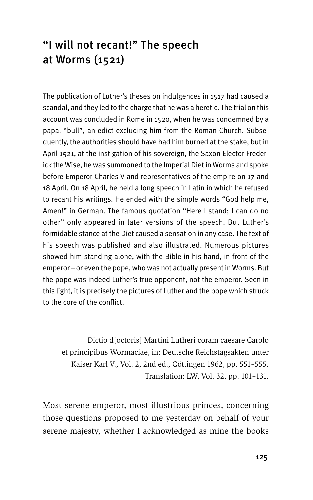# "I will not recant!" The speech at Worms (1521)

The publication of Luther's theses on indulgences in 1517 had caused a scandal, and they led to the charge that he was a heretic. The trial on this account was concluded in Rome in 1520, when he was condemned by a papal "bull", an edict excluding him from the Roman Church. Subsequently, the authorities should have had him burned at the stake, but in April 1521, at the instigation of his sovereign, the Saxon Elector Frederick the Wise, he was summoned to the Imperial Diet in Worms and spoke before Emperor Charles V and representatives of the empire on 17 and 18 April. On 18 April, he held a long speech in Latin in which he refused to recant his writings. He ended with the simple words "God help me, Amen!" in German. The famous quotation "Here I stand; I can do no other" only appeared in later versions of the speech. But Luther's formidable stance at the Diet caused a sensation in any case. The text of his speech was published and also illustrated. Numerous pictures showed him standing alone, with the Bible in his hand, in front of the emperor – or even the pope, who was not actually present in Worms. But the pope was indeed Luther's true opponent, not the emperor. Seen in this light, it is precisely the pictures of Luther and the pope which struck to the core of the conflict.

Dictio d[octoris] Martini Lutheri coram caesare Carolo et principibus Wormaciae, in: Deutsche Reichstagsakten unter Kaiser Karl V., Vol. 2, 2nd ed., Göttingen 1962, pp. 551–555. Translation: LW, Vol. 32, pp. 101–131.

Most serene emperor, most illustrious princes, concerning those questions proposed to me yesterday on behalf of your serene majesty, whether I acknowledged as mine the books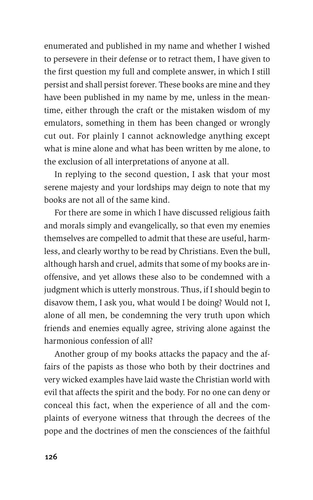enumerated and published in my name and whether I wished to persevere in their defense or to retract them, I have given to the first question my full and complete answer, in which I still persist and shall persist forever. These books are mine and they have been published in my name by me, unless in the meantime, either through the craft or the mistaken wisdom of my emulators, something in them has been changed or wrongly cut out. For plainly I cannot acknowledge anything except what is mine alone and what has been written by me alone, to the exclusion of all interpretations of anyone at all.

In replying to the second question, I ask that your most serene majesty and your lordships may deign to note that my books are not all of the same kind.

For there are some in which I have discussed religious faith and morals simply and evangelically, so that even my enemies themselves are compelled to admit that these are useful, harmless, and clearly worthy to be read by Christians. Even the bull, although harsh and cruel, admits that some of my books are inoffensive, and yet allows these also to be condemned with a judgment which is utterly monstrous. Thus, if I should begin to disavow them, I ask you, what would I be doing? Would not I, alone of all men, be condemning the very truth upon which friends and enemies equally agree, striving alone against the harmonious confession of all?

Another group of my books attacks the papacy and the affairs of the papists as those who both by their doctrines and very wicked examples have laid waste the Christian world with evil that affects the spirit and the body. For no one can deny or conceal this fact, when the experience of all and the complaints of everyone witness that through the decrees of the pope and the doctrines of men the consciences of the faithful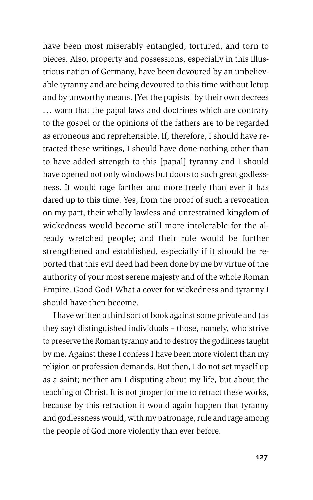have been most miserably entangled, tortured, and torn to pieces. Also, property and possessions, especially in this illustrious nation of Germany, have been devoured by an unbelievable tyranny and are being devoured to this time without letup and by unworthy means. [Yet the papists] by their own decrees ... warn that the papal laws and doctrines which are contrary to the gospel or the opinions of the fathers are to be regarded as erroneous and reprehensible. If, therefore, I should have retracted these writings, I should have done nothing other than to have added strength to this [papal] tyranny and I should have opened not only windows but doors to such great godlessness. It would rage farther and more freely than ever it has dared up to this time. Yes, from the proof of such a revocation on my part, their wholly lawless and unrestrained kingdom of wickedness would become still more intolerable for the already wretched people; and their rule would be further strengthened and established, especially if it should be reported that this evil deed had been done by me by virtue of the authority of your most serene majesty and of the whole Roman Empire. Good God! What a cover for wickedness and tyranny I should have then become.

I have written a third sort of book against some private and (as they say) distinguished individuals – those, namely, who strive to preserve the Roman tyranny and to destroy the godliness taught by me. Against these I confess I have been more violent than my religion or profession demands. But then, I do not set myself up as a saint; neither am I disputing about my life, but about the teaching of Christ. It is not proper for me to retract these works, because by this retraction it would again happen that tyranny and godlessness would, with my patronage, rule and rage among the people of God more violently than ever before.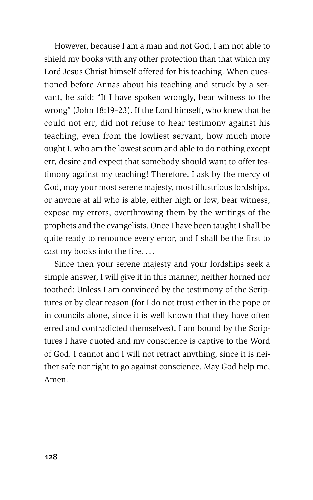However, because I am a man and not God, I am not able to shield my books with any other protection than that which my Lord Jesus Christ himself offered for his teaching. When questioned before Annas about his teaching and struck by a servant, he said: "If I have spoken wrongly, bear witness to the wrong" (John 18:19–23). If the Lord himself, who knew that he could not err, did not refuse to hear testimony against his teaching, even from the lowliest servant, how much more ought I, who am the lowest scum and able to do nothing except err, desire and expect that somebody should want to offer testimony against my teaching! Therefore, I ask by the mercy of God, may your most serene majesty, most illustrious lordships, or anyone at all who is able, either high or low, bear witness, expose my errors, overthrowing them by the writings of the prophets and the evangelists. Once I have been taught I shall be quite ready to renounce every error, and I shall be the first to cast my books into the fire. ...

Since then your serene majesty and your lordships seek a simple answer, I will give it in this manner, neither horned nor toothed: Unless I am convinced by the testimony of the Scriptures or by clear reason (for I do not trust either in the pope or in councils alone, since it is well known that they have often erred and contradicted themselves), I am bound by the Scriptures I have quoted and my conscience is captive to the Word of God. I cannot and I will not retract anything, since it is neither safe nor right to go against conscience. May God help me, Amen.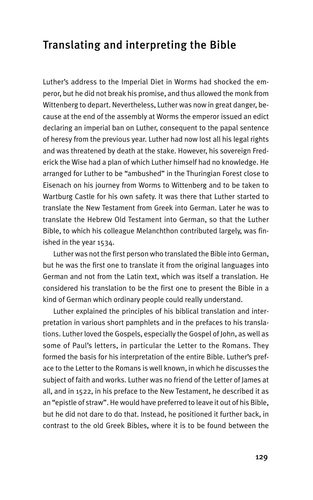### Translating and interpreting the Bible

Luther's address to the Imperial Diet in Worms had shocked the emperor, but he did not break his promise, and thus allowed the monk from Wittenberg to depart. Nevertheless, Luther was now in great danger, because at the end of the assembly at Worms the emperor issued an edict declaring an imperial ban on Luther, consequent to the papal sentence of heresy from the previous year. Luther had now lost all his legal rights and was threatened by death at the stake. However, his sovereign Frederick the Wise had a plan of which Luther himself had no knowledge. He arranged for Luther to be "ambushed" in the Thuringian Forest close to Eisenach on his journey from Worms to Wittenberg and to be taken to Wartburg Castle for his own safety. It was there that Luther started to translate the New Testament from Greek into German. Later he was to translate the Hebrew Old Testament into German, so that the Luther Bible, to which his colleague Melanchthon contributed largely, was finished in the year 1534.

Luther was not the first person who translated the Bible into German, but he was the first one to translate it from the original languages into German and not from the Latin text, which was itself a translation. He considered his translation to be the first one to present the Bible in a kind of German which ordinary people could really understand.

Luther explained the principles of his biblical translation and interpretation in various short pamphlets and in the prefaces to his translations. Luther loved the Gospels, especially the Gospel of John, as well as some of Paul's letters, in particular the Letter to the Romans. They formed the basis for his interpretation of the entire Bible. Luther's preface to the Letter to the Romans is well known, in which he discusses the subject of faith and works. Luther was no friend of the Letter of James at all, and in 1522, in his preface to the New Testament, he described it as an "epistle of straw". He would have preferred to leave it out of his Bible, but he did not dare to do that. Instead, he positioned it further back, in contrast to the old Greek Bibles, where it is to be found between the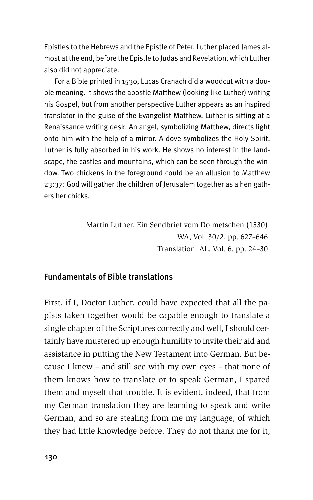Epistles to the Hebrews and the Epistle of Peter. Luther placed James almost at the end, before the Epistle to Judas and Revelation, which Luther also did not appreciate.

For a Bible printed in 1530, Lucas Cranach did a woodcut with a double meaning. It shows the apostle Matthew (looking like Luther) writing his Gospel, but from another perspective Luther appears as an inspired translator in the guise of the Evangelist Matthew. Luther is sitting at a Renaissance writing desk. An angel, symbolizing Matthew, directs light onto him with the help of a mirror. A dove symbolizes the Holy Spirit. Luther is fully absorbed in his work. He shows no interest in the landscape, the castles and mountains, which can be seen through the window. Two chickens in the foreground could be an allusion to Matthew 23:37: God will gather the children of Jerusalem together as a hen gathers her chicks.

> Martin Luther, Ein Sendbrief vom Dolmetschen (1530): WA, Vol. 30/2, pp. 627–646. Translation: AL, Vol. 6, pp. 24–30.

#### Fundamentals of Bible translations

First, if I, Doctor Luther, could have expected that all the papists taken together would be capable enough to translate a single chapter of the Scriptures correctly and well, I should certainly have mustered up enough humility to invite their aid and assistance in putting the New Testament into German. But because I knew – and still see with my own eyes – that none of them knows how to translate or to speak German, I spared them and myself that trouble. It is evident, indeed, that from my German translation they are learning to speak and write German, and so are stealing from me my language, of which they had little knowledge before. They do not thank me for it,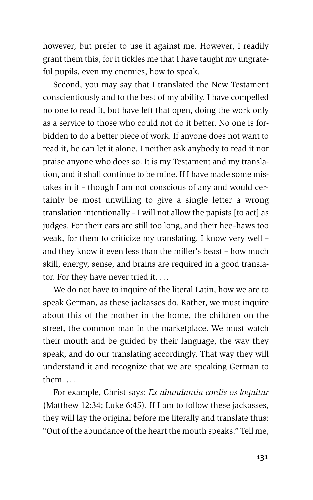however, but prefer to use it against me. However, I readily grant them this, for it tickles me that I have taught my ungrateful pupils, even my enemies, how to speak.

Second, you may say that I translated the New Testament conscientiously and to the best of my ability. I have compelled no one to read it, but have left that open, doing the work only as a service to those who could not do it better. No one is forbidden to do a better piece of work. If anyone does not want to read it, he can let it alone. I neither ask anybody to read it nor praise anyone who does so. It is my Testament and my translation, and it shall continue to be mine. If I have made some mistakes in it – though I am not conscious of any and would certainly be most unwilling to give a single letter a wrong translation intentionally – I will not allow the papists [to act] as judges. For their ears are still too long, and their hee–haws too weak, for them to criticize my translating. I know very well – and they know it even less than the miller's beast – how much skill, energy, sense, and brains are required in a good translator. For they have never tried it. ...

We do not have to inquire of the literal Latin, how we are to speak German, as these jackasses do. Rather, we must inquire about this of the mother in the home, the children on the street, the common man in the marketplace. We must watch their mouth and be guided by their language, the way they speak, and do our translating accordingly. That way they will understand it and recognize that we are speaking German to them. ...

For example, Christ says: *Ex abundantia cordis os loquitur* (Matthew 12:34; Luke 6:45). If I am to follow these jackasses, they will lay the original before me literally and translate thus: "Out of the abundance of the heart the mouth speaks." Tell me,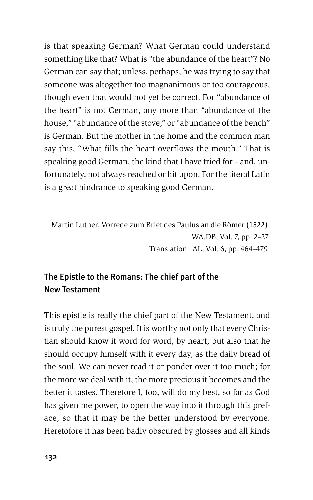is that speaking German? What German could understand something like that? What is "the abundance of the heart"? No German can say that; unless, perhaps, he was trying to say that someone was altogether too magnanimous or too courageous, though even that would not yet be correct. For "abundance of the heart" is not German, any more than "abundance of the house," "abundance of the stove," or "abundance of the bench" is German. But the mother in the home and the common man say this, "What fills the heart overflows the mouth." That is speaking good German, the kind that I have tried for – and, unfortunately, not always reached or hit upon. For the literal Latin is a great hindrance to speaking good German.

```
Martin Luther, Vorrede zum Brief des Paulus an die Römer (1522):
                              WA.DB, Vol. 7, pp. 2–27.
                 Translation: AL, Vol. 6, pp. 464–479.
```
### The Epistle to the Romans: The chief part of the New Testament

This epistle is really the chief part of the New Testament, and is truly the purest gospel. It is worthy not only that every Christian should know it word for word, by heart, but also that he should occupy himself with it every day, as the daily bread of the soul. We can never read it or ponder over it too much; for the more we deal with it, the more precious it becomes and the better it tastes. Therefore I, too, will do my best, so far as God has given me power, to open the way into it through this preface, so that it may be the better understood by everyone. Heretofore it has been badly obscured by glosses and all kinds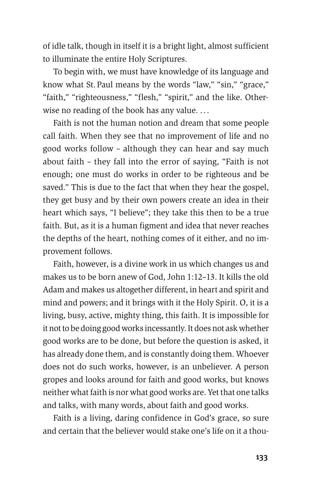of idle talk, though in itself it is a bright light, almost sufficient to illuminate the entire Holy Scriptures.

To begin with, we must have knowledge of its language and know what St. Paul means by the words "law," "sin," "grace," "faith," "righteousness," "flesh," "spirit," and the like. Otherwise no reading of the book has any value. ...

Faith is not the human notion and dream that some people call faith. When they see that no improvement of life and no good works follow – although they can hear and say much about faith – they fall into the error of saying, "Faith is not enough; one must do works in order to be righteous and be saved." This is due to the fact that when they hear the gospel, they get busy and by their own powers create an idea in their heart which says, "I believe"; they take this then to be a true faith. But, as it is a human figment and idea that never reaches the depths of the heart, nothing comes of it either, and no improvement follows.

Faith, however, is a divine work in us which changes us and makes us to be born anew of God, John 1:12–13. It kills the old Adam and makes us altogether different, in heart and spirit and mind and powers; and it brings with it the Holy Spirit. O, it is a living, busy, active, mighty thing, this faith. It is impossible for it not to be doing good works incessantly. It does not ask whether good works are to be done, but before the question is asked, it has already done them, and is constantly doing them. Whoever does not do such works, however, is an unbeliever. A person gropes and looks around for faith and good works, but knows neither what faith is nor what good works are. Yet that one talks and talks, with many words, about faith and good works.

Faith is a living, daring confidence in God's grace, so sure and certain that the believer would stake one's life on it a thou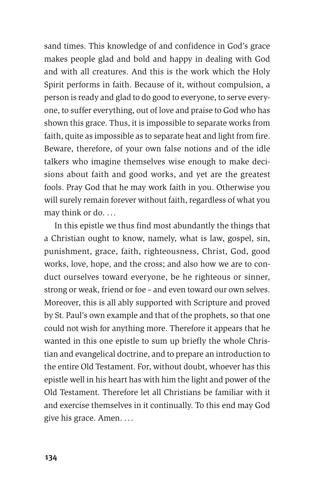sand times. This knowledge of and confidence in God's grace makes people glad and bold and happy in dealing with God and with all creatures. And this is the work which the Holy Spirit performs in faith. Because of it, without compulsion, a person is ready and glad to do good to everyone, to serve everyone, to suffer everything, out of love and praise to God who has shown this grace. Thus, it is impossible to separate works from faith, quite as impossible as to separate heat and light from fire. Beware, therefore, of your own false notions and of the idle talkers who imagine themselves wise enough to make decisions about faith and good works, and yet are the greatest fools. Pray God that he may work faith in you. Otherwise you will surely remain forever without faith, regardless of what you may think or do. ...

In this epistle we thus find most abundantly the things that a Christian ought to know, namely, what is law, gospel, sin, punishment, grace, faith, righteousness, Christ, God, good works, love, hope, and the cross; and also how we are to conduct ourselves toward everyone, be he righteous or sinner, strong or weak, friend or foe – and even toward our own selves. Moreover, this is all ably supported with Scripture and proved by St. Paul's own example and that of the prophets, so that one could not wish for anything more. Therefore it appears that he wanted in this one epistle to sum up briefly the whole Christian and evangelical doctrine, and to prepare an introduction to the entire Old Testament. For, without doubt, whoever has this epistle well in his heart has with him the light and power of the Old Testament. Therefore let all Christians be familiar with it and exercise themselves in it continually. To this end may God give his grace. Amen. ...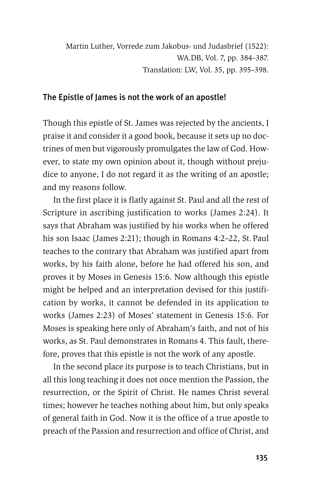Martin Luther, Vorrede zum Jakobus- und Judasbrief (1522): WA.DB, Vol. 7, pp. 384–387. Translation: LW, Vol. 35, pp. 395–398.

#### The Epistle of James is not the work of an apostle!

Though this epistle of St. James was rejected by the ancients, I praise it and consider it a good book, because it sets up no doctrines of men but vigorously promulgates the law of God. However, to state my own opinion about it, though without prejudice to anyone, I do not regard it as the writing of an apostle; and my reasons follow.

In the first place it is flatly against St. Paul and all the rest of Scripture in ascribing justification to works (James 2:24). It says that Abraham was justified by his works when he offered his son Isaac (James 2:21); though in Romans 4:2-22, St. Paul teaches to the contrary that Abraham was justified apart from works, by his faith alone, before he had offered his son, and proves it by Moses in Genesis 15:6. Now although this epistle might be helped and an interpretation devised for this justification by works, it cannot be defended in its application to works (James 2:23) of Moses' statement in Genesis 15:6. For Moses is speaking here only of Abraham's faith, and not of his works, as St. Paul demonstrates in Romans 4. This fault, therefore, proves that this epistle is not the work of any apostle.

In the second place its purpose is to teach Christians, but in all this long teaching it does not once mention the Passion, the resurrection, or the Spirit of Christ. He names Christ several times; however he teaches nothing about him, but only speaks of general faith in God. Now it is the office of a true apostle to preach of the Passion and resurrection and office of Christ, and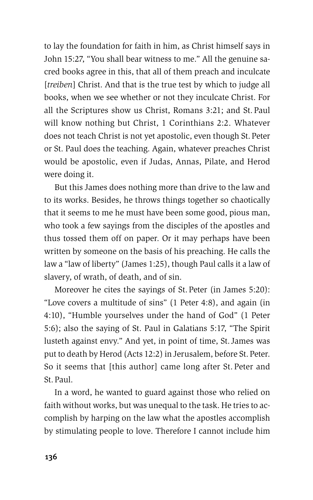to lay the foundation for faith in him, as Christ himself says in John 15:27, "You shall bear witness to me." All the genuine sacred books agree in this, that all of them preach and inculcate [*treiben*] Christ. And that is the true test by which to judge all books, when we see whether or not they inculcate Christ. For all the Scriptures show us Christ, Romans 3:21; and St. Paul will know nothing but Christ, 1 Corinthians 2:2. Whatever does not teach Christ is not yet apostolic, even though St. Peter or St. Paul does the teaching. Again, whatever preaches Christ would be apostolic, even if Judas, Annas, Pilate, and Herod were doing it.

But this James does nothing more than drive to the law and to its works. Besides, he throws things together so chaotically that it seems to me he must have been some good, pious man, who took a few sayings from the disciples of the apostles and thus tossed them off on paper. Or it may perhaps have been written by someone on the basis of his preaching. He calls the law a "law of liberty" (James 1:25), though Paul calls it a law of slavery, of wrath, of death, and of sin.

Moreover he cites the sayings of St. Peter (in James 5:20): "Love covers a multitude of sins" (1 Peter 4:8), and again (in 4:10), "Humble yourselves under the hand of God" (1 Peter 5:6); also the saying of St. Paul in Galatians 5:17, "The Spirit lusteth against envy." And yet, in point of time, St. James was put to death by Herod (Acts 12:2) in Jerusalem, before St. Peter. So it seems that [this author] came long after St. Peter and St. Paul.

In a word, he wanted to guard against those who relied on faith without works, but was unequal to the task. He tries to accomplish by harping on the law what the apostles accomplish by stimulating people to love. Therefore I cannot include him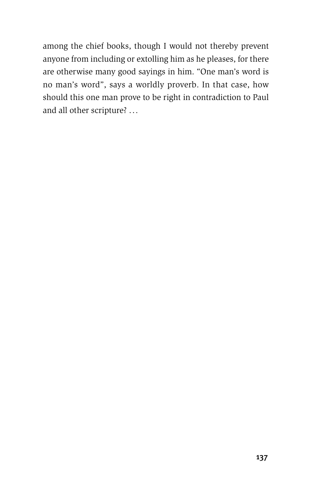among the chief books, though I would not thereby prevent anyone from including or extolling him as he pleases, for there are otherwise many good sayings in him. "One man's word is no man's word", says a worldly proverb. In that case, how should this one man prove to be right in contradiction to Paul and all other scripture? ...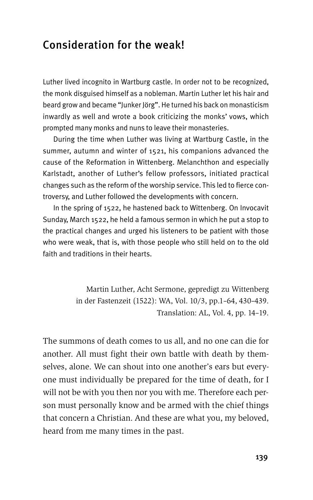### Consideration for the weak!

Luther lived incognito in Wartburg castle. In order not to be recognized, the monk disguised himself as a nobleman. Martin Luther let his hair and beard grow and became "Junker Jörg". He turned his back on monasticism inwardly as well and wrote a book criticizing the monks' vows, which prompted many monks and nuns to leave their monasteries.

During the time when Luther was living at Wartburg Castle, in the summer, autumn and winter of 1521, his companions advanced the cause of the Reformation in Wittenberg. Melanchthon and especially Karlstadt, another of Luther's fellow professors, initiated practical changes such as the reform of the worship service. This led to fierce controversy, and Luther followed the developments with concern.

In the spring of 1522, he hastened back to Wittenberg. On Invocavit Sunday, March 1522, he held a famous sermon in which he put a stop to the practical changes and urged his listeners to be patient with those who were weak, that is, with those people who still held on to the old faith and traditions in their hearts.

> Martin Luther, Acht Sermone, gepredigt zu Wittenberg in der Fastenzeit (1522): WA, Vol. 10/3, pp.1–64, 430–439. Translation: AL, Vol. 4, pp. 14–19.

The summons of death comes to us all, and no one can die for another. All must fight their own battle with death by themselves, alone. We can shout into one another's ears but everyone must individually be prepared for the time of death, for I will not be with you then nor you with me. Therefore each person must personally know and be armed with the chief things that concern a Christian. And these are what you, my beloved, heard from me many times in the past.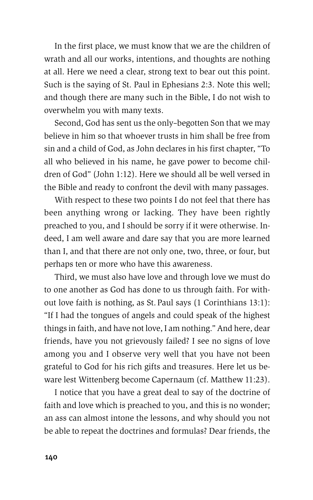In the first place, we must know that we are the children of wrath and all our works, intentions, and thoughts are nothing at all. Here we need a clear, strong text to bear out this point. Such is the saying of St. Paul in Ephesians 2:3. Note this well; and though there are many such in the Bible, I do not wish to overwhelm you with many texts.

Second, God has sent us the only–begotten Son that we may believe in him so that whoever trusts in him shall be free from sin and a child of God, as John declares in his first chapter, "To all who believed in his name, he gave power to become children of God" (John 1:12). Here we should all be well versed in the Bible and ready to confront the devil with many passages.

With respect to these two points I do not feel that there has been anything wrong or lacking. They have been rightly preached to you, and I should be sorry if it were otherwise. Indeed, I am well aware and dare say that you are more learned than I, and that there are not only one, two, three, or four, but perhaps ten or more who have this awareness.

Third, we must also have love and through love we must do to one another as God has done to us through faith. For without love faith is nothing, as St. Paul says (1 Corinthians 13:1): "If I had the tongues of angels and could speak of the highest things in faith, and have not love, I am nothing." And here, dear friends, have you not grievously failed? I see no signs of love among you and I observe very well that you have not been grateful to God for his rich gifts and treasures. Here let us beware lest Wittenberg become Capernaum (cf. Matthew 11:23).

I notice that you have a great deal to say of the doctrine of faith and love which is preached to you, and this is no wonder; an ass can almost intone the lessons, and why should you not be able to repeat the doctrines and formulas? Dear friends, the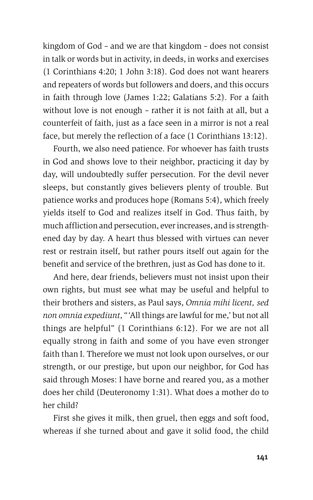kingdom of God – and we are that kingdom – does not consist in talk or words but in activity, in deeds, in works and exercises (1 Corinthians 4:20; 1 John 3:18). God does not want hearers and repeaters of words but followers and doers, and this occurs in faith through love (James 1:22; Galatians 5:2). For a faith without love is not enough – rather it is not faith at all, but a counterfeit of faith, just as a face seen in a mirror is not a real face, but merely the reflection of a face (1 Corinthians 13:12).

Fourth, we also need patience. For whoever has faith trusts in God and shows love to their neighbor, practicing it day by day, will undoubtedly suffer persecution. For the devil never sleeps, but constantly gives believers plenty of trouble. But patience works and produces hope (Romans 5:4), which freely yields itself to God and realizes itself in God. Thus faith, by much affliction and persecution, ever increases, and is strengthened day by day. A heart thus blessed with virtues can never rest or restrain itself, but rather pours itself out again for the benefit and service of the brethren, just as God has done to it.

And here, dear friends, believers must not insist upon their own rights, but must see what may be useful and helpful to their brothers and sisters, as Paul says, *Omnia mihi licent, sed non omnia expediunt*, "'All things are lawful for me,' but not all things are helpful" (1 Corinthians 6:12). For we are not all equally strong in faith and some of you have even stronger faith than I. Therefore we must not look upon ourselves, or our strength, or our prestige, but upon our neighbor, for God has said through Moses: I have borne and reared you, as a mother does her child (Deuteronomy 1:31). What does a mother do to her child?

First she gives it milk, then gruel, then eggs and soft food, whereas if she turned about and gave it solid food, the child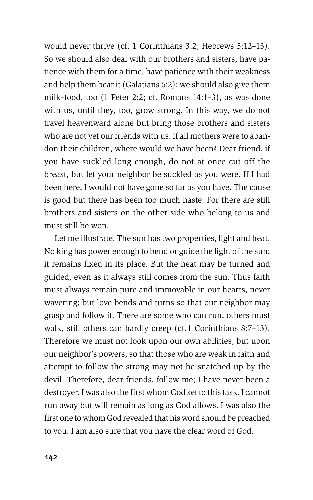would never thrive (cf. 1 Corinthians 3:2; Hebrews 5:12–13). So we should also deal with our brothers and sisters, have patience with them for a time, have patience with their weakness and help them bear it (Galatians 6:2); we should also give them milk–food, too (1 Peter 2:2; cf. Romans 14:1–3), as was done with us, until they, too, grow strong. In this way, we do not travel heavenward alone but bring those brothers and sisters who are not yet our friends with us. If all mothers were to abandon their children, where would we have been? Dear friend, if you have suckled long enough, do not at once cut off the breast, but let your neighbor be suckled as you were. If I had been here, I would not have gone so far as you have. The cause is good but there has been too much haste. For there are still brothers and sisters on the other side who belong to us and must still be won.

Let me illustrate. The sun has two properties, light and heat. No king has power enough to bend or guide the light of the sun; it remains fixed in its place. But the heat may be turned and guided, even as it always still comes from the sun. Thus faith must always remain pure and immovable in our hearts, never wavering; but love bends and turns so that our neighbor may grasp and follow it. There are some who can run, others must walk, still others can hardly creep (cf.1 Corinthians 8:7–13). Therefore we must not look upon our own abilities, but upon our neighbor's powers, so that those who are weak in faith and attempt to follow the strong may not be snatched up by the devil. Therefore, dear friends, follow me; I have never been a destroyer. I was also the first whom God set to this task. I cannot run away but will remain as long as God allows. I was also the first one to whom God revealed that his word should be preached to you. I am also sure that you have the clear word of God.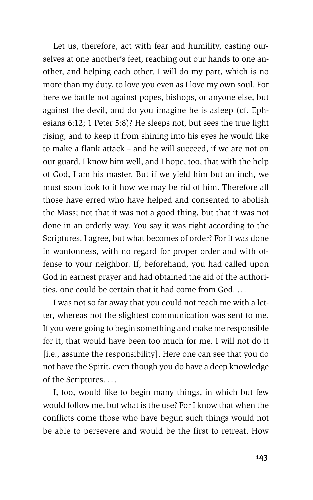Let us, therefore, act with fear and humility, casting ourselves at one another's feet, reaching out our hands to one another, and helping each other. I will do my part, which is no more than my duty, to love you even as I love my own soul. For here we battle not against popes, bishops, or anyone else, but against the devil, and do you imagine he is asleep (cf. Ephesians 6:12; 1 Peter 5:8)? He sleeps not, but sees the true light rising, and to keep it from shining into his eyes he would like to make a flank attack – and he will succeed, if we are not on our guard. I know him well, and I hope, too, that with the help of God, I am his master. But if we yield him but an inch, we must soon look to it how we may be rid of him. Therefore all those have erred who have helped and consented to abolish the Mass; not that it was not a good thing, but that it was not done in an orderly way. You say it was right according to the Scriptures. I agree, but what becomes of order? For it was done in wantonness, with no regard for proper order and with offense to your neighbor. If, beforehand, you had called upon God in earnest prayer and had obtained the aid of the authorities, one could be certain that it had come from God. ...

I was not so far away that you could not reach me with a letter, whereas not the slightest communication was sent to me. If you were going to begin something and make me responsible for it, that would have been too much for me. I will not do it [i.e., assume the responsibility]. Here one can see that you do not have the Spirit, even though you do have a deep knowledge of the Scriptures. ...

I, too, would like to begin many things, in which but few would follow me, but what is the use? For I know that when the conflicts come those who have begun such things would not be able to persevere and would be the first to retreat. How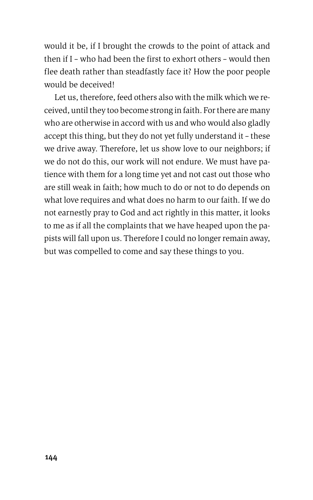would it be, if I brought the crowds to the point of attack and then if I – who had been the first to exhort others – would then flee death rather than steadfastly face it? How the poor people would be deceived!

Let us, therefore, feed others also with the milk which we received, until they too become strong in faith. For there are many who are otherwise in accord with us and who would also gladly accept this thing, but they do not yet fully understand it – these we drive away. Therefore, let us show love to our neighbors; if we do not do this, our work will not endure. We must have patience with them for a long time yet and not cast out those who are still weak in faith; how much to do or not to do depends on what love requires and what does no harm to our faith. If we do not earnestly pray to God and act rightly in this matter, it looks to me as if all the complaints that we have heaped upon the papists will fall upon us. Therefore I could no longer remain away, but was compelled to come and say these things to you.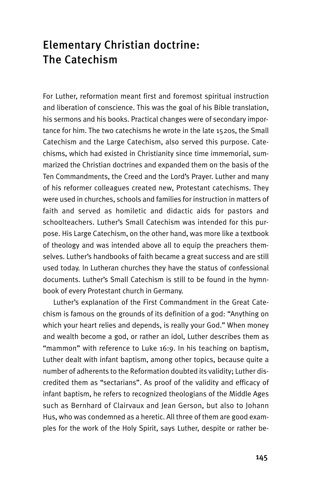# Elementary Christian doctrine: The Catechism

For Luther, reformation meant first and foremost spiritual instruction and liberation of conscience. This was the goal of his Bible translation, his sermons and his books. Practical changes were of secondary importance for him. The two catechisms he wrote in the late 1520s, the Small Catechism and the Large Catechism, also served this purpose. Catechisms, which had existed in Christianity since time immemorial, summarized the Christian doctrines and expanded them on the basis of the Ten Commandments, the Creed and the Lord's Prayer. Luther and many of his reformer colleagues created new, Protestant catechisms. They were used in churches, schools and families for instruction in matters of faith and served as homiletic and didactic aids for pastors and schoolteachers. Luther's Small Catechism was intended for this purpose. His Large Catechism, on the other hand, was more like a textbook of theology and was intended above all to equip the preachers themselves. Luther's handbooks of faith became a great success and are still used today. In Lutheran churches they have the status of confessional documents. Luther's Small Catechism is still to be found in the hymnbook of every Protestant church in Germany.

Luther's explanation of the First Commandment in the Great Catechism is famous on the grounds of its definition of a god: "Anything on which your heart relies and depends, is really your God." When money and wealth become a god, or rather an idol, Luther describes them as "mammon" with reference to Luke 16:9. In his teaching on baptism, Luther dealt with infant baptism, among other topics, because quite a number of adherents to the Reformation doubted its validity; Luther discredited them as "sectarians". As proof of the validity and efficacy of infant baptism, he refers to recognized theologians of the Middle Ages such as Bernhard of Clairvaux and Jean Gerson, but also to Johann Hus, who was condemned as a heretic. All three of them are good examples for the work of the Holy Spirit, says Luther, despite or rather be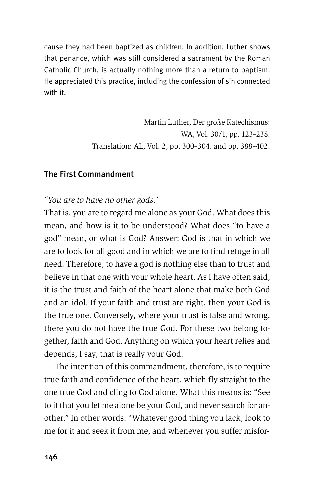cause they had been baptized as children. In addition, Luther shows that penance, which was still considered a sacrament by the Roman Catholic Church, is actually nothing more than a return to baptism. He appreciated this practice, including the confession of sin connected with it.

> Martin Luther, Der große Katechismus: WA, Vol. 30/1, pp. 123–238. Translation: AL, Vol. 2, pp. 300–304. and pp. 388–402.

# The First Commandment

#### *"You are to have no other gods."*

That is, you are to regard me alone as your God. What does this mean, and how is it to be understood? What does "to have a god" mean, or what is God? Answer: God is that in which we are to look for all good and in which we are to find refuge in all need. Therefore, to have a god is nothing else than to trust and believe in that one with your whole heart. As I have often said, it is the trust and faith of the heart alone that make both God and an idol. If your faith and trust are right, then your God is the true one. Conversely, where your trust is false and wrong, there you do not have the true God. For these two belong together, faith and God. Anything on which your heart relies and depends, I say, that is really your God.

The intention of this commandment, therefore, is to require true faith and confidence of the heart, which fly straight to the one true God and cling to God alone. What this means is: "See to it that you let me alone be your God, and never search for another." In other words: "Whatever good thing you lack, look to me for it and seek it from me, and whenever you suffer misfor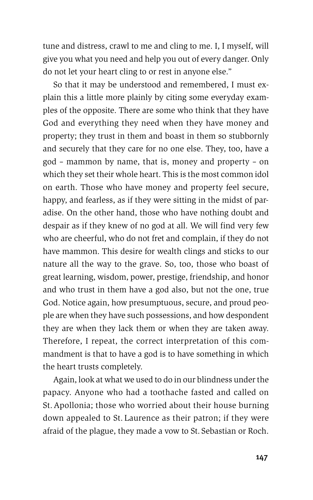tune and distress, crawl to me and cling to me. I, I myself, will give you what you need and help you out of every danger. Only do not let your heart cling to or rest in anyone else."

So that it may be understood and remembered, I must explain this a little more plainly by citing some everyday examples of the opposite. There are some who think that they have God and everything they need when they have money and property; they trust in them and boast in them so stubbornly and securely that they care for no one else. They, too, have a god – mammon by name, that is, money and property – on which they set their whole heart. This is the most common idol on earth. Those who have money and property feel secure, happy, and fearless, as if they were sitting in the midst of paradise. On the other hand, those who have nothing doubt and despair as if they knew of no god at all. We will find very few who are cheerful, who do not fret and complain, if they do not have mammon. This desire for wealth clings and sticks to our nature all the way to the grave. So, too, those who boast of great learning, wisdom, power, prestige, friendship, and honor and who trust in them have a god also, but not the one, true God. Notice again, how presumptuous, secure, and proud people are when they have such possessions, and how despondent they are when they lack them or when they are taken away. Therefore, I repeat, the correct interpretation of this commandment is that to have a god is to have something in which the heart trusts completely.

Again, look at what we used to do in our blindness under the papacy. Anyone who had a toothache fasted and called on St. Apollonia; those who worried about their house burning down appealed to St. Laurence as their patron; if they were afraid of the plague, they made a vow to St. Sebastian or Roch.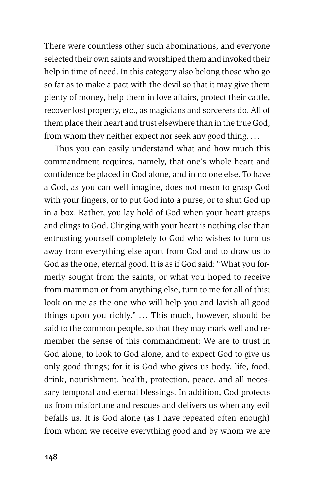There were countless other such abominations, and everyone selected their own saints and worshiped them and invoked their help in time of need. In this category also belong those who go so far as to make a pact with the devil so that it may give them plenty of money, help them in love affairs, protect their cattle, recover lost property, etc., as magicians and sorcerers do. All of them place their heart and trust elsewhere than in the true God, from whom they neither expect nor seek any good thing. ...

Thus you can easily understand what and how much this commandment requires, namely, that one's whole heart and confidence be placed in God alone, and in no one else. To have a God, as you can well imagine, does not mean to grasp God with your fingers, or to put God into a purse, or to shut God up in a box. Rather, you lay hold of God when your heart grasps and clings to God. Clinging with your heart is nothing else than entrusting yourself completely to God who wishes to turn us away from everything else apart from God and to draw us to God as the one, eternal good. It is as if God said: "What you formerly sought from the saints, or what you hoped to receive from mammon or from anything else, turn to me for all of this; look on me as the one who will help you and lavish all good things upon you richly." ... This much, however, should be said to the common people, so that they may mark well and remember the sense of this commandment: We are to trust in God alone, to look to God alone, and to expect God to give us only good things; for it is God who gives us body, life, food, drink, nourishment, health, protection, peace, and all necessary temporal and eternal blessings. In addition, God protects us from misfortune and rescues and delivers us when any evil befalls us. It is God alone (as I have repeated often enough) from whom we receive everything good and by whom we are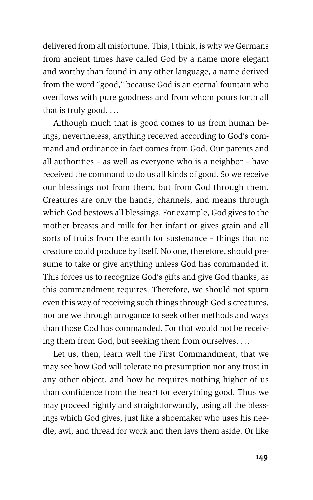delivered from all misfortune. This, I think, is why we Germans from ancient times have called God by a name more elegant and worthy than found in any other language, a name derived from the word "good," because God is an eternal fountain who overflows with pure goodness and from whom pours forth all that is truly good. ...

Although much that is good comes to us from human beings, nevertheless, anything received according to God's command and ordinance in fact comes from God. Our parents and all authorities – as well as everyone who is a neighbor – have received the command to do us all kinds of good. So we receive our blessings not from them, but from God through them. Creatures are only the hands, channels, and means through which God bestows all blessings. For example, God gives to the mother breasts and milk for her infant or gives grain and all sorts of fruits from the earth for sustenance – things that no creature could produce by itself. No one, therefore, should presume to take or give anything unless God has commanded it. This forces us to recognize God's gifts and give God thanks, as this commandment requires. Therefore, we should not spurn even this way of receiving such things through God's creatures, nor are we through arrogance to seek other methods and ways than those God has commanded. For that would not be receiving them from God, but seeking them from ourselves. ...

Let us, then, learn well the First Commandment, that we may see how God will tolerate no presumption nor any trust in any other object, and how he requires nothing higher of us than confidence from the heart for everything good. Thus we may proceed rightly and straightforwardly, using all the blessings which God gives, just like a shoemaker who uses his needle, awl, and thread for work and then lays them aside. Or like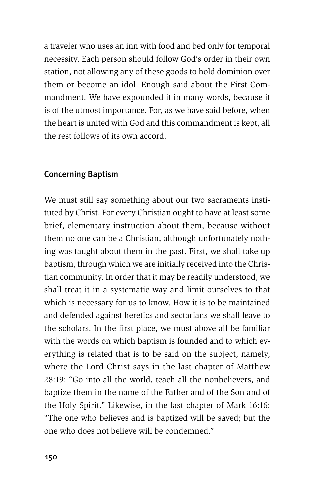a traveler who uses an inn with food and bed only for temporal necessity. Each person should follow God's order in their own station, not allowing any of these goods to hold dominion over them or become an idol. Enough said about the First Commandment. We have expounded it in many words, because it is of the utmost importance. For, as we have said before, when the heart is united with God and this commandment is kept, all the rest follows of its own accord.

# Concerning Baptism

We must still say something about our two sacraments instituted by Christ. For every Christian ought to have at least some brief, elementary instruction about them, because without them no one can be a Christian, although unfortunately nothing was taught about them in the past. First, we shall take up baptism, through which we are initially received into the Christian community. In order that it may be readily understood, we shall treat it in a systematic way and limit ourselves to that which is necessary for us to know. How it is to be maintained and defended against heretics and sectarians we shall leave to the scholars. In the first place, we must above all be familiar with the words on which baptism is founded and to which everything is related that is to be said on the subject, namely, where the Lord Christ says in the last chapter of Matthew 28:19: "Go into all the world, teach all the nonbelievers, and baptize them in the name of the Father and of the Son and of the Holy Spirit." Likewise, in the last chapter of Mark 16:16: "The one who believes and is baptized will be saved; but the one who does not believe will be condemned."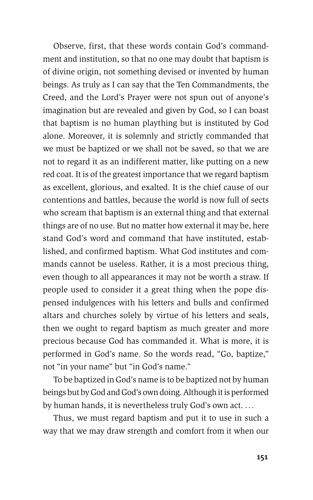Observe, first, that these words contain God's commandment and institution, so that no one may doubt that baptism is of divine origin, not something devised or invented by human beings. As truly as I can say that the Ten Commandments, the Creed, and the Lord's Prayer were not spun out of anyone's imagination but are revealed and given by God, so I can boast that baptism is no human plaything but is instituted by God alone. Moreover, it is solemnly and strictly commanded that we must be baptized or we shall not be saved, so that we are not to regard it as an indifferent matter, like putting on a new red coat. It is of the greatest importance that we regard baptism as excellent, glorious, and exalted. It is the chief cause of our contentions and battles, because the world is now full of sects who scream that baptism is an external thing and that external things are of no use. But no matter how external it may be, here stand God's word and command that have instituted, established, and confirmed baptism. What God institutes and commands cannot be useless. Rather, it is a most precious thing, even though to all appearances it may not be worth a straw. If people used to consider it a great thing when the pope dispensed indulgences with his letters and bulls and confirmed altars and churches solely by virtue of his letters and seals, then we ought to regard baptism as much greater and more precious because God has commanded it. What is more, it is performed in God's name. So the words read, "Go, baptize," not "in your name" but "in God's name."

To be baptized in God's name is to be baptized not by human beings but by God and God's own doing. Although it is performed by human hands, it is nevertheless truly God's own act. ...

Thus, we must regard baptism and put it to use in such a way that we may draw strength and comfort from it when our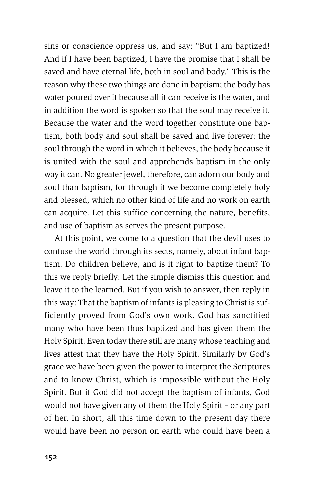sins or conscience oppress us, and say: "But I am baptized! And if I have been baptized, I have the promise that I shall be saved and have eternal life, both in soul and body." This is the reason why these two things are done in baptism; the body has water poured over it because all it can receive is the water, and in addition the word is spoken so that the soul may receive it. Because the water and the word together constitute one baptism, both body and soul shall be saved and live forever: the soul through the word in which it believes, the body because it is united with the soul and apprehends baptism in the only way it can. No greater jewel, therefore, can adorn our body and soul than baptism, for through it we become completely holy and blessed, which no other kind of life and no work on earth can acquire. Let this suffice concerning the nature, benefits, and use of baptism as serves the present purpose.

At this point, we come to a question that the devil uses to confuse the world through its sects, namely, about infant baptism. Do children believe, and is it right to baptize them? To this we reply briefly: Let the simple dismiss this question and leave it to the learned. But if you wish to answer, then reply in this way: That the baptism of infants is pleasing to Christ is sufficiently proved from God's own work. God has sanctified many who have been thus baptized and has given them the Holy Spirit. Even today there still are many whose teaching and lives attest that they have the Holy Spirit. Similarly by God's grace we have been given the power to interpret the Scriptures and to know Christ, which is impossible without the Holy Spirit. But if God did not accept the baptism of infants, God would not have given any of them the Holy Spirit – or any part of her. In short, all this time down to the present day there would have been no person on earth who could have been a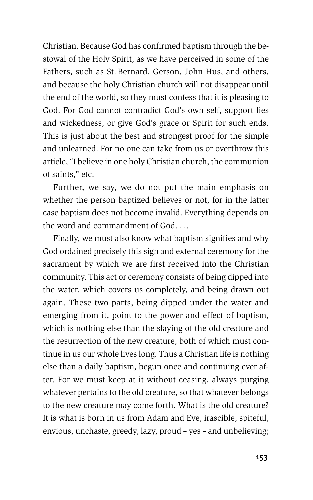Christian. Because God has confirmed baptism through the bestowal of the Holy Spirit, as we have perceived in some of the Fathers, such as St. Bernard, Gerson, John Hus, and others, and because the holy Christian church will not disappear until the end of the world, so they must confess that it is pleasing to God. For God cannot contradict God's own self, support lies and wickedness, or give God's grace or Spirit for such ends. This is just about the best and strongest proof for the simple and unlearned. For no one can take from us or overthrow this article, "I believe in one holy Christian church, the communion of saints," etc.

Further, we say, we do not put the main emphasis on whether the person baptized believes or not, for in the latter case baptism does not become invalid. Everything depends on the word and commandment of God.

Finally, we must also know what baptism signifies and why God ordained precisely this sign and external ceremony for the sacrament by which we are first received into the Christian community. This act or ceremony consists of being dipped into the water, which covers us completely, and being drawn out again. These two parts, being dipped under the water and emerging from it, point to the power and effect of baptism, which is nothing else than the slaying of the old creature and the resurrection of the new creature, both of which must continue in us our whole lives long. Thus a Christian life is nothing else than a daily baptism, begun once and continuing ever after. For we must keep at it without ceasing, always purging whatever pertains to the old creature, so that whatever belongs to the new creature may come forth. What is the old creature? It is what is born in us from Adam and Eve, irascible, spiteful, envious, unchaste, greedy, lazy, proud – yes – and unbelieving;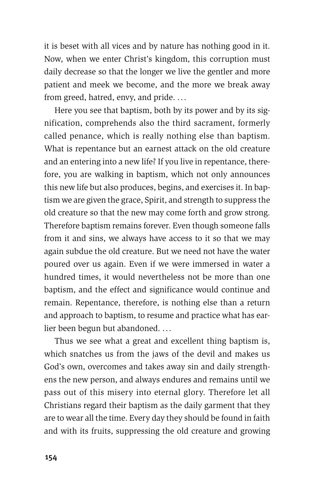it is beset with all vices and by nature has nothing good in it. Now, when we enter Christ's kingdom, this corruption must daily decrease so that the longer we live the gentler and more patient and meek we become, and the more we break away from greed, hatred, envy, and pride. ...

Here you see that baptism, both by its power and by its signification, comprehends also the third sacrament, formerly called penance, which is really nothing else than baptism. What is repentance but an earnest attack on the old creature and an entering into a new life? If you live in repentance, therefore, you are walking in baptism, which not only announces this new life but also produces, begins, and exercises it. In baptism we are given the grace, Spirit, and strength to suppress the old creature so that the new may come forth and grow strong. Therefore baptism remains forever. Even though someone falls from it and sins, we always have access to it so that we may again subdue the old creature. But we need not have the water poured over us again. Even if we were immersed in water a hundred times, it would nevertheless not be more than one baptism, and the effect and significance would continue and remain. Repentance, therefore, is nothing else than a return and approach to baptism, to resume and practice what has earlier been begun but abandoned. ...

Thus we see what a great and excellent thing baptism is, which snatches us from the jaws of the devil and makes us God's own, overcomes and takes away sin and daily strengthens the new person, and always endures and remains until we pass out of this misery into eternal glory. Therefore let all Christians regard their baptism as the daily garment that they are to wear all the time. Every day they should be found in faith and with its fruits, suppressing the old creature and growing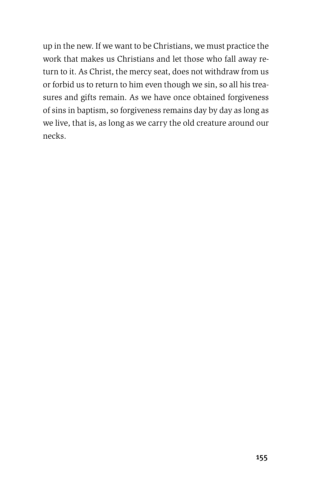up in the new. If we want to be Christians, we must practice the work that makes us Christians and let those who fall away return to it. As Christ, the mercy seat, does not withdraw from us or forbid us to return to him even though we sin, so all his treasures and gifts remain. As we have once obtained forgiveness of sins in baptism, so forgiveness remains day by day as long as we live, that is, as long as we carry the old creature around our necks.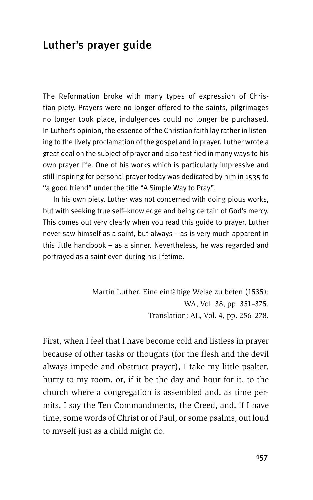# Luther's prayer guide

The Reformation broke with many types of expression of Christian piety. Prayers were no longer offered to the saints, pilgrimages no longer took place, indulgences could no longer be purchased. In Luther's opinion, the essence of the Christian faith lay rather in listening to the lively proclamation of the gospel and in prayer. Luther wrote a great deal on the subject of prayer and also testified in many ways to his own prayer life. One of his works which is particularly impressive and still inspiring for personal prayer today was dedicated by him in 1535 to "a good friend" under the title "A Simple Way to Pray".

In his own piety, Luther was not concerned with doing pious works, but with seeking true self–knowledge and being certain of God's mercy. This comes out very clearly when you read this guide to prayer. Luther never saw himself as a saint, but always – as is very much apparent in this little handbook – as a sinner. Nevertheless, he was regarded and portrayed as a saint even during his lifetime.

> Martin Luther, Eine einfältige Weise zu beten (1535): WA, Vol. 38, pp. 351–375. Translation: AL, Vol. 4, pp. 256–278.

First, when I feel that I have become cold and listless in prayer because of other tasks or thoughts (for the flesh and the devil always impede and obstruct prayer), I take my little psalter, hurry to my room, or, if it be the day and hour for it, to the church where a congregation is assembled and, as time permits, I say the Ten Commandments, the Creed, and, if I have time, some words of Christ or of Paul, or some psalms, out loud to myself just as a child might do.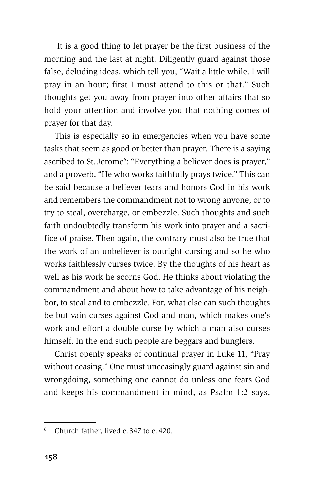It is a good thing to let prayer be the first business of the morning and the last at night. Diligently guard against those false, deluding ideas, which tell you, "Wait a little while. I will pray in an hour; first I must attend to this or that." Such thoughts get you away from prayer into other affairs that so hold your attention and involve you that nothing comes of prayer for that day.

This is especially so in emergencies when you have some tasks that seem as good or better than prayer. There is a saying ascribed to St. Jerome<sup>6</sup>: "Everything a believer does is prayer," and a proverb, "He who works faithfully prays twice." This can be said because a believer fears and honors God in his work and remembers the commandment not to wrong anyone, or to try to steal, overcharge, or embezzle. Such thoughts and such faith undoubtedly transform his work into prayer and a sacrifice of praise. Then again, the contrary must also be true that the work of an unbeliever is outright cursing and so he who works faithlessly curses twice. By the thoughts of his heart as well as his work he scorns God. He thinks about violating the commandment and about how to take advantage of his neighbor, to steal and to embezzle. For, what else can such thoughts be but vain curses against God and man, which makes one's work and effort a double curse by which a man also curses himself. In the end such people are beggars and bunglers.

Christ openly speaks of continual prayer in Luke 11, "Pray without ceasing." One must unceasingly guard against sin and wrongdoing, something one cannot do unless one fears God and keeps his commandment in mind, as Psalm 1:2 says,

<sup>6</sup> Church father, lived c. 347 to c. 420.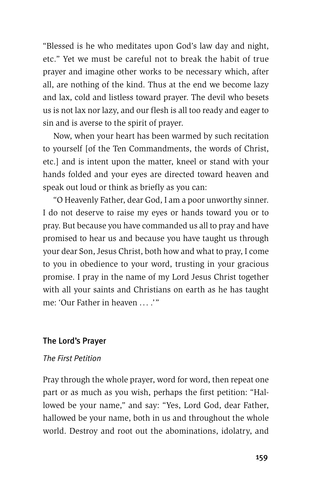"Blessed is he who meditates upon God's law day and night, etc." Yet we must be careful not to break the habit of true prayer and imagine other works to be necessary which, after all, are nothing of the kind. Thus at the end we become lazy and lax, cold and listless toward prayer. The devil who besets us is not lax nor lazy, and our flesh is all too ready and eager to sin and is averse to the spirit of prayer.

Now, when your heart has been warmed by such recitation to yourself [of the Ten Commandments, the words of Christ, etc.] and is intent upon the matter, kneel or stand with your hands folded and your eyes are directed toward heaven and speak out loud or think as briefly as you can:

"O Heavenly Father, dear God, I am a poor unworthy sinner. I do not deserve to raise my eyes or hands toward you or to pray. But because you have commanded us all to pray and have promised to hear us and because you have taught us through your dear Son, Jesus Christ, both how and what to pray, I come to you in obedience to your word, trusting in your gracious promise. I pray in the name of my Lord Jesus Christ together with all your saints and Christians on earth as he has taught me: 'Our Father in heaven ... .'"

#### The Lord's Prayer

#### *The First Petition*

Pray through the whole prayer, word for word, then repeat one part or as much as you wish, perhaps the first petition: "Hallowed be your name," and say: "Yes, Lord God, dear Father, hallowed be your name, both in us and throughout the whole world. Destroy and root out the abominations, idolatry, and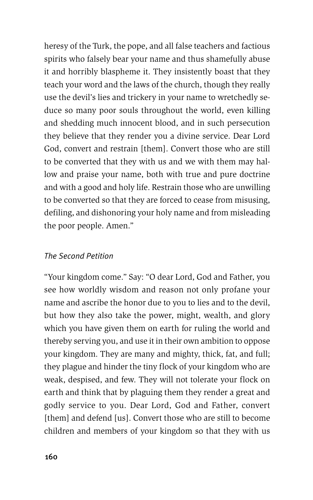heresy of the Turk, the pope, and all false teachers and factious spirits who falsely bear your name and thus shamefully abuse it and horribly blaspheme it. They insistently boast that they teach your word and the laws of the church, though they really use the devil's lies and trickery in your name to wretchedly seduce so many poor souls throughout the world, even killing and shedding much innocent blood, and in such persecution they believe that they render you a divine service. Dear Lord God, convert and restrain [them]. Convert those who are still to be converted that they with us and we with them may hallow and praise your name, both with true and pure doctrine and with a good and holy life. Restrain those who are unwilling to be converted so that they are forced to cease from misusing, defiling, and dishonoring your holy name and from misleading the poor people. Amen."

### *The Second Petition*

"Your kingdom come." Say: "O dear Lord, God and Father, you see how worldly wisdom and reason not only profane your name and ascribe the honor due to you to lies and to the devil, but how they also take the power, might, wealth, and glory which you have given them on earth for ruling the world and thereby serving you, and use it in their own ambition to oppose your kingdom. They are many and mighty, thick, fat, and full; they plague and hinder the tiny flock of your kingdom who are weak, despised, and few. They will not tolerate your flock on earth and think that by plaguing them they render a great and godly service to you. Dear Lord, God and Father, convert [them] and defend [us]. Convert those who are still to become children and members of your kingdom so that they with us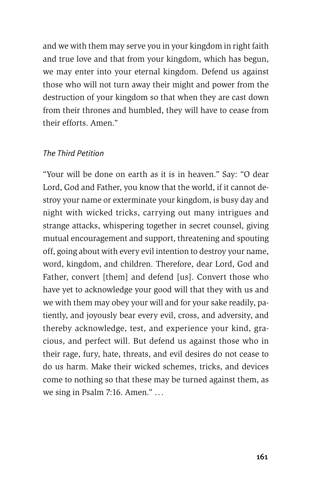and we with them may serve you in your kingdom in right faith and true love and that from your kingdom, which has begun, we may enter into your eternal kingdom. Defend us against those who will not turn away their might and power from the destruction of your kingdom so that when they are cast down from their thrones and humbled, they will have to cease from their efforts. Amen."

#### *The Third Petition*

"Your will be done on earth as it is in heaven." Say: "O dear Lord, God and Father, you know that the world, if it cannot destroy your name or exterminate your kingdom, is busy day and night with wicked tricks, carrying out many intrigues and strange attacks, whispering together in secret counsel, giving mutual encouragement and support, threatening and spouting off, going about with every evil intention to destroy your name, word, kingdom, and children. Therefore, dear Lord, God and Father, convert [them] and defend [us]. Convert those who have yet to acknowledge your good will that they with us and we with them may obey your will and for your sake readily, patiently, and joyously bear every evil, cross, and adversity, and thereby acknowledge, test, and experience your kind, gracious, and perfect will. But defend us against those who in their rage, fury, hate, threats, and evil desires do not cease to do us harm. Make their wicked schemes, tricks, and devices come to nothing so that these may be turned against them, as we sing in Psalm 7:16. Amen." ...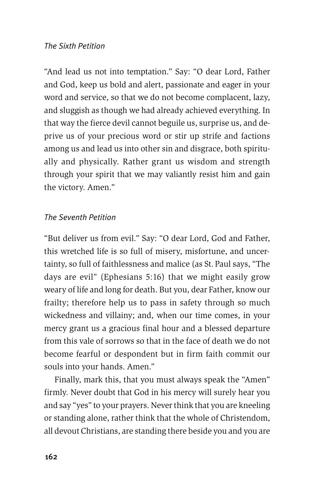#### *The Sixth Petition*

"And lead us not into temptation." Say: "O dear Lord, Father and God, keep us bold and alert, passionate and eager in your word and service, so that we do not become complacent, lazy, and sluggish as though we had already achieved everything. In that way the fierce devil cannot beguile us, surprise us, and deprive us of your precious word or stir up strife and factions among us and lead us into other sin and disgrace, both spiritually and physically. Rather grant us wisdom and strength through your spirit that we may valiantly resist him and gain the victory. Amen."

#### *The Seventh Petition*

"But deliver us from evil." Say: "O dear Lord, God and Father, this wretched life is so full of misery, misfortune, and uncertainty, so full of faithlessness and malice (as St. Paul says, "The days are evil" (Ephesians 5:16) that we might easily grow weary of life and long for death. But you, dear Father, know our frailty; therefore help us to pass in safety through so much wickedness and villainy; and, when our time comes, in your mercy grant us a gracious final hour and a blessed departure from this vale of sorrows so that in the face of death we do not become fearful or despondent but in firm faith commit our souls into your hands. Amen."

Finally, mark this, that you must always speak the "Amen" firmly. Never doubt that God in his mercy will surely hear you and say "yes" to your prayers. Never think that you are kneeling or standing alone, rather think that the whole of Christendom, all devout Christians, are standing there beside you and you are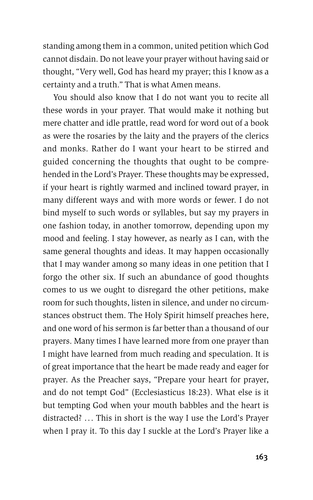standing among them in a common, united petition which God cannot disdain. Do not leave your prayer without having said or thought, "Very well, God has heard my prayer; this I know as a certainty and a truth." That is what Amen means.

You should also know that I do not want you to recite all these words in your prayer. That would make it nothing but mere chatter and idle prattle, read word for word out of a book as were the rosaries by the laity and the prayers of the clerics and monks. Rather do I want your heart to be stirred and guided concerning the thoughts that ought to be comprehended in the Lord's Prayer. These thoughts may be expressed, if your heart is rightly warmed and inclined toward prayer, in many different ways and with more words or fewer. I do not bind myself to such words or syllables, but say my prayers in one fashion today, in another tomorrow, depending upon my mood and feeling. I stay however, as nearly as I can, with the same general thoughts and ideas. It may happen occasionally that I may wander among so many ideas in one petition that I forgo the other six. If such an abundance of good thoughts comes to us we ought to disregard the other petitions, make room for such thoughts, listen in silence, and under no circumstances obstruct them. The Holy Spirit himself preaches here, and one word of his sermon is far better than a thousand of our prayers. Many times I have learned more from one prayer than I might have learned from much reading and speculation. It is of great importance that the heart be made ready and eager for prayer. As the Preacher says, "Prepare your heart for prayer, and do not tempt God" (Ecclesiasticus 18:23). What else is it but tempting God when your mouth babbles and the heart is distracted? ... This in short is the way I use the Lord's Prayer when I pray it. To this day I suckle at the Lord's Prayer like a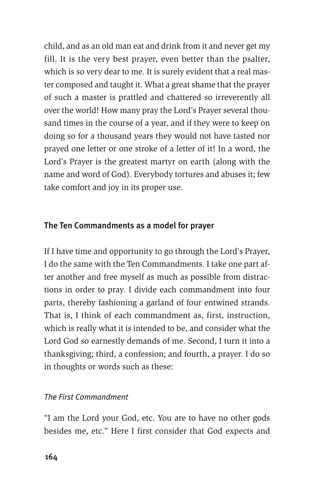child, and as an old man eat and drink from it and never get my fill. It is the very best prayer, even better than the psalter, which is so very dear to me. It is surely evident that a real master composed and taught it. What a great shame that the prayer of such a master is prattled and chattered so irreverently all over the world! How many pray the Lord's Prayer several thousand times in the course of a year, and if they were to keep on doing so for a thousand years they would not have tasted nor prayed one letter or one stroke of a letter of it! In a word, the Lord's Prayer is the greatest martyr on earth (along with the name and word of God). Everybody tortures and abuses it; few take comfort and joy in its proper use.

# The Ten Commandments as a model for prayer

If I have time and opportunity to go through the Lord's Prayer, I do the same with the Ten Commandments. I take one part after another and free myself as much as possible from distractions in order to pray. I divide each commandment into four parts, thereby fashioning a garland of four entwined strands. That is, I think of each commandment as, first, instruction, which is really what it is intended to be, and consider what the Lord God so earnestly demands of me. Second, I turn it into a thanksgiving; third, a confession; and fourth, a prayer. I do so in thoughts or words such as these:

#### *The First Commandment*

"I am the Lord your God, etc. You are to have no other gods besides me, etc." Here I first consider that God expects and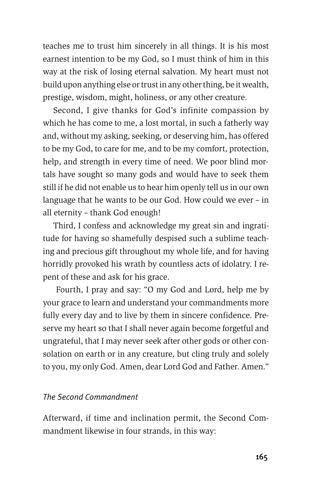teaches me to trust him sincerely in all things. It is his most earnest intention to be my God, so I must think of him in this way at the risk of losing eternal salvation. My heart must not build upon anything else or trust in any other thing, be it wealth, prestige, wisdom, might, holiness, or any other creature.

Second, I give thanks for God's infinite compassion by which he has come to me, a lost mortal, in such a fatherly way and, without my asking, seeking, or deserving him, has offered to be my God, to care for me, and to be my comfort, protection, help, and strength in every time of need. We poor blind mortals have sought so many gods and would have to seek them still if he did not enable us to hear him openly tell us in our own language that he wants to be our God. How could we ever – in all eternity – thank God enough!

Third, I confess and acknowledge my great sin and ingratitude for having so shamefully despised such a sublime teaching and precious gift throughout my whole life, and for having horridly provoked his wrath by countless acts of idolatry. I repent of these and ask for his grace.

Fourth, I pray and say: "O my God and Lord, help me by your grace to learn and understand your commandments more fully every day and to live by them in sincere confidence. Preserve my heart so that I shall never again become forgetful and ungrateful, that I may never seek after other gods or other consolation on earth or in any creature, but cling truly and solely to you, my only God. Amen, dear Lord God and Father. Amen."

#### *The Second Commandment*

Afterward, if time and inclination permit, the Second Commandment likewise in four strands, in this way: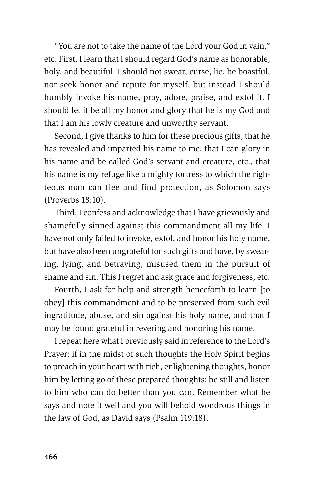"You are not to take the name of the Lord your God in vain," etc. First, I learn that I should regard God's name as honorable, holy, and beautiful. I should not swear, curse, lie, be boastful, nor seek honor and repute for myself, but instead I should humbly invoke his name, pray, adore, praise, and extol it. I should let it be all my honor and glory that he is my God and that I am his lowly creature and unworthy servant.

Second, I give thanks to him for these precious gifts, that he has revealed and imparted his name to me, that I can glory in his name and be called God's servant and creature, etc., that his name is my refuge like a mighty fortress to which the righteous man can flee and find protection, as Solomon says (Proverbs 18:10).

Third, I confess and acknowledge that I have grievously and shamefully sinned against this commandment all my life. I have not only failed to invoke, extol, and honor his holy name, but have also been ungrateful for such gifts and have, by swearing, lying, and betraying, misused them in the pursuit of shame and sin. This I regret and ask grace and forgiveness, etc.

Fourth, I ask for help and strength henceforth to learn [to obey] this commandment and to be preserved from such evil ingratitude, abuse, and sin against his holy name, and that I may be found grateful in revering and honoring his name.

I repeat here what I previously said in reference to the Lord's Prayer: if in the midst of such thoughts the Holy Spirit begins to preach in your heart with rich, enlightening thoughts, honor him by letting go of these prepared thoughts; be still and listen to him who can do better than you can. Remember what he says and note it well and you will behold wondrous things in the law of God, as David says (Psalm 119:18).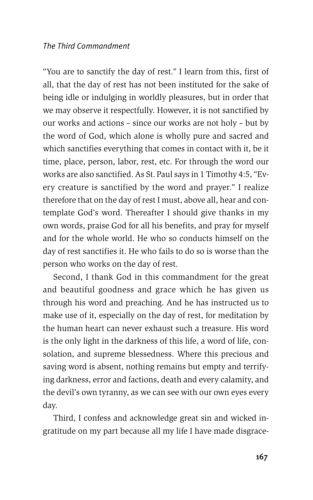"You are to sanctify the day of rest." I learn from this, first of all, that the day of rest has not been instituted for the sake of being idle or indulging in worldly pleasures, but in order that we may observe it respectfully. However, it is not sanctified by our works and actions – since our works are not holy – but by the word of God, which alone is wholly pure and sacred and which sanctifies everything that comes in contact with it, be it time, place, person, labor, rest, etc. For through the word our works are also sanctified. As St. Paul says in 1 Timothy 4:5, "Every creature is sanctified by the word and prayer." I realize therefore that on the day of rest I must, above all, hear and contemplate God's word. Thereafter I should give thanks in my own words, praise God for all his benefits, and pray for myself and for the whole world. He who so conducts himself on the day of rest sanctifies it. He who fails to do so is worse than the person who works on the day of rest.

Second, I thank God in this commandment for the great and beautiful goodness and grace which he has given us through his word and preaching. And he has instructed us to make use of it, especially on the day of rest, for meditation by the human heart can never exhaust such a treasure. His word is the only light in the darkness of this life, a word of life, consolation, and supreme blessedness. Where this precious and saving word is absent, nothing remains but empty and terrifying darkness, error and factions, death and every calamity, and the devil's own tyranny, as we can see with our own eyes every day.

Third, I confess and acknowledge great sin and wicked ingratitude on my part because all my life I have made disgrace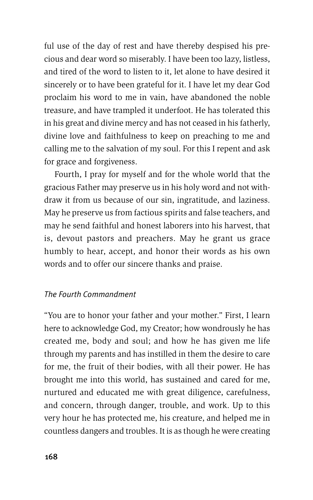ful use of the day of rest and have thereby despised his precious and dear word so miserably. I have been too lazy, listless, and tired of the word to listen to it, let alone to have desired it sincerely or to have been grateful for it. I have let my dear God proclaim his word to me in vain, have abandoned the noble treasure, and have trampled it underfoot. He has tolerated this in his great and divine mercy and has not ceased in his fatherly, divine love and faithfulness to keep on preaching to me and calling me to the salvation of my soul. For this I repent and ask for grace and forgiveness.

Fourth, I pray for myself and for the whole world that the gracious Father may preserve us in his holy word and not withdraw it from us because of our sin, ingratitude, and laziness. May he preserve us from factious spirits and false teachers, and may he send faithful and honest laborers into his harvest, that is, devout pastors and preachers. May he grant us grace humbly to hear, accept, and honor their words as his own words and to offer our sincere thanks and praise.

#### *The Fourth Commandment*

"You are to honor your father and your mother." First, I learn here to acknowledge God, my Creator; how wondrously he has created me, body and soul; and how he has given me life through my parents and has instilled in them the desire to care for me, the fruit of their bodies, with all their power. He has brought me into this world, has sustained and cared for me, nurtured and educated me with great diligence, carefulness, and concern, through danger, trouble, and work. Up to this very hour he has protected me, his creature, and helped me in countless dangers and troubles. It is as though he were creating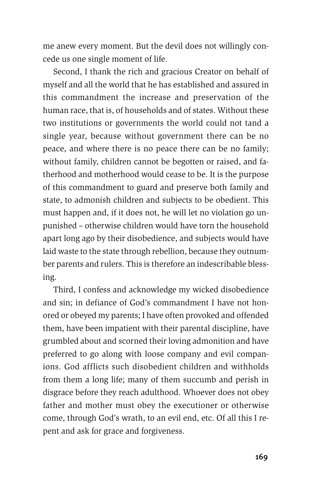me anew every moment. But the devil does not willingly concede us one single moment of life.

Second, I thank the rich and gracious Creator on behalf of myself and all the world that he has established and assured in this commandment the increase and preservation of the human race, that is, of households and of states. Without these two institutions or governments the world could not tand a single year, because without government there can be no peace, and where there is no peace there can be no family; without family, children cannot be begotten or raised, and fatherhood and motherhood would cease to be. It is the purpose of this commandment to guard and preserve both family and state, to admonish children and subjects to be obedient. This must happen and, if it does not, he will let no violation go unpunished – otherwise children would have torn the household apart long ago by their disobedience, and subjects would have laid waste to the state through rebellion, because they outnumber parents and rulers. This is therefore an indescribable blessing.

Third, I confess and acknowledge my wicked disobedience and sin; in defiance of God's commandment I have not honored or obeyed my parents; I have often provoked and offended them, have been impatient with their parental discipline, have grumbled about and scorned their loving admonition and have preferred to go along with loose company and evil companions. God afflicts such disobedient children and withholds from them a long life; many of them succumb and perish in disgrace before they reach adulthood. Whoever does not obey father and mother must obey the executioner or otherwise come, through God's wrath, to an evil end, etc. Of all this I repent and ask for grace and forgiveness.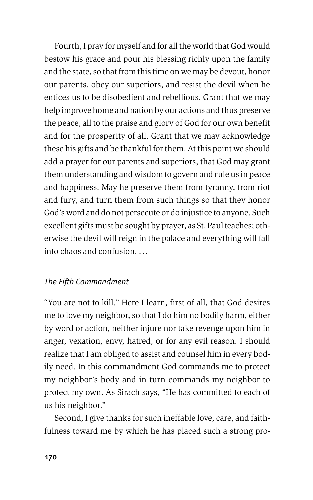Fourth, I pray for myself and for all the world that God would bestow his grace and pour his blessing richly upon the family and the state, so that from this time on we may be devout, honor our parents, obey our superiors, and resist the devil when he entices us to be disobedient and rebellious. Grant that we may help improve home and nation by our actions and thus preserve the peace, all to the praise and glory of God for our own benefit and for the prosperity of all. Grant that we may acknowledge these his gifts and be thankful for them. At this point we should add a prayer for our parents and superiors, that God may grant them understanding and wisdom to govern and rule us in peace and happiness. May he preserve them from tyranny, from riot and fury, and turn them from such things so that they honor God's word and do not persecute or do injustice to anyone. Such excellent gifts must be sought by prayer, as St. Paul teaches; otherwise the devil will reign in the palace and everything will fall  $\frac{1}{100}$  chaos and confusion.

### *The Fifth Commandment*

"You are not to kill." Here I learn, first of all, that God desires me to love my neighbor, so that I do him no bodily harm, either by word or action, neither injure nor take revenge upon him in anger, vexation, envy, hatred, or for any evil reason. I should realize that I am obliged to assist and counsel him in every bodily need. In this commandment God commands me to protect my neighbor's body and in turn commands my neighbor to protect my own. As Sirach says, "He has committed to each of us his neighbor."

Second, I give thanks for such ineffable love, care, and faithfulness toward me by which he has placed such a strong pro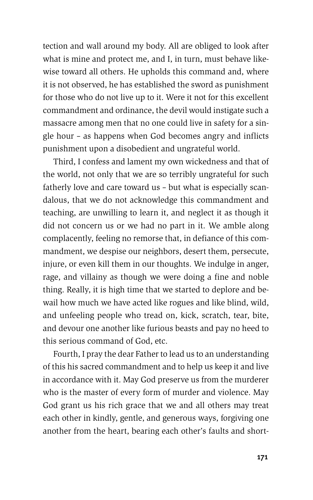tection and wall around my body. All are obliged to look after what is mine and protect me, and I, in turn, must behave likewise toward all others. He upholds this command and, where it is not observed, he has established the sword as punishment for those who do not live up to it. Were it not for this excellent commandment and ordinance, the devil would instigate such a massacre among men that no one could live in safety for a single hour – as happens when God becomes angry and inflicts punishment upon a disobedient and ungrateful world.

Third, I confess and lament my own wickedness and that of the world, not only that we are so terribly ungrateful for such fatherly love and care toward us – but what is especially scandalous, that we do not acknowledge this commandment and teaching, are unwilling to learn it, and neglect it as though it did not concern us or we had no part in it. We amble along complacently, feeling no remorse that, in defiance of this commandment, we despise our neighbors, desert them, persecute, injure, or even kill them in our thoughts. We indulge in anger, rage, and villainy as though we were doing a fine and noble thing. Really, it is high time that we started to deplore and bewail how much we have acted like rogues and like blind, wild, and unfeeling people who tread on, kick, scratch, tear, bite, and devour one another like furious beasts and pay no heed to this serious command of God, etc.

Fourth, I pray the dear Father to lead us to an understanding of this his sacred commandment and to help us keep it and live in accordance with it. May God preserve us from the murderer who is the master of every form of murder and violence. May God grant us his rich grace that we and all others may treat each other in kindly, gentle, and generous ways, forgiving one another from the heart, bearing each other's faults and short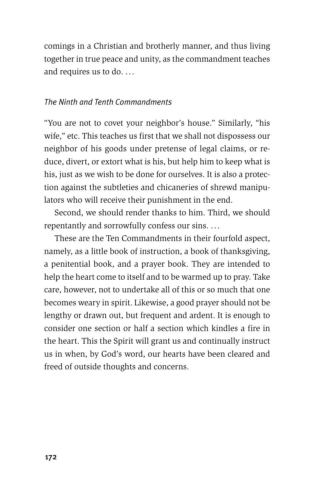comings in a Christian and brotherly manner, and thus living together in true peace and unity, as the commandment teaches and requires us to do. ...

#### *The Ninth and Tenth Commandments*

"You are not to covet your neighbor's house." Similarly, "his wife," etc. This teaches us first that we shall not dispossess our neighbor of his goods under pretense of legal claims, or reduce, divert, or extort what is his, but help him to keep what is his, just as we wish to be done for ourselves. It is also a protection against the subtleties and chicaneries of shrewd manipulators who will receive their punishment in the end.

Second, we should render thanks to him. Third, we should repentantly and sorrowfully confess our sins. ...

These are the Ten Commandments in their fourfold aspect, namely, as a little book of instruction, a book of thanksgiving, a penitential book, and a prayer book. They are intended to help the heart come to itself and to be warmed up to pray. Take care, however, not to undertake all of this or so much that one becomes weary in spirit. Likewise, a good prayer should not be lengthy or drawn out, but frequent and ardent. It is enough to consider one section or half a section which kindles a fire in the heart. This the Spirit will grant us and continually instruct us in when, by God's word, our hearts have been cleared and freed of outside thoughts and concerns.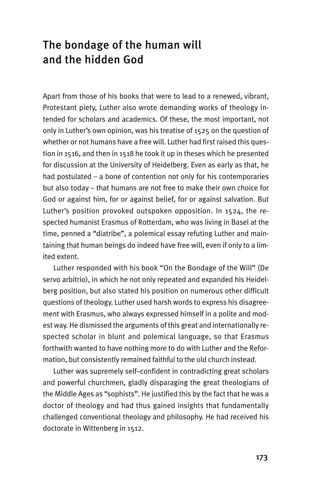# The bondage of the human will and the hidden God

Apart from those of his books that were to lead to a renewed, vibrant, Protestant piety, Luther also wrote demanding works of theology intended for scholars and academics. Of these, the most important, not only in Luther's own opinion, was his treatise of 1525 on the question of whether or not humans have a free will. Luther had first raised this question in 1516, and then in 1518 he took it up in theses which he presented for discussion at the University of Heidelberg. Even as early as that, he had postulated – a bone of contention not only for his contemporaries but also today – that humans are not free to make their own choice for God or against him, for or against belief, for or against salvation. But Luther's position provoked outspoken opposition. In 1524, the respected humanist Erasmus of Rotterdam, who was living in Basel at the time, penned a "diatribe", a polemical essay refuting Luther and maintaining that human beings do indeed have free will, even if only to a limited extent.

Luther responded with his book "On the Bondage of the Will" (De servo arbitrio), in which he not only repeated and expanded his Heidelberg position, but also stated his position on numerous other difficult questions of theology. Luther used harsh words to express his disagreement with Erasmus, who always expressed himself in a polite and modest way. He dismissed the arguments of this great and internationally respected scholar in blunt and polemical language, so that Erasmus forthwith wanted to have nothing more to do with Luther and the Reformation, but consistently remained faithful to the old church instead.

Luther was supremely self–confident in contradicting great scholars and powerful churchmen, gladly disparaging the great theologians of the Middle Ages as "sophists". He justified this by the fact that he was a doctor of theology and had thus gained insights that fundamentally challenged conventional theology and philosophy. He had received his doctorate in Wittenberg in 1512.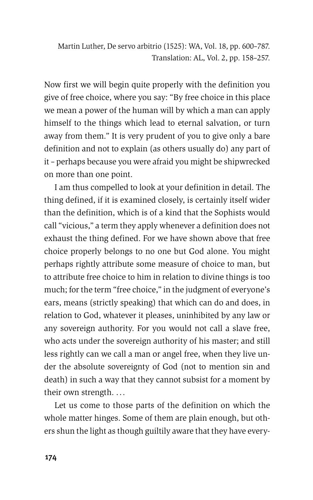Martin Luther, De servo arbitrio (1525): WA, Vol. 18, pp. 600–787. Translation: AL, Vol. 2, pp. 158–257.

Now first we will begin quite properly with the definition you give of free choice, where you say: "By free choice in this place we mean a power of the human will by which a man can apply himself to the things which lead to eternal salvation, or turn away from them." It is very prudent of you to give only a bare definition and not to explain (as others usually do) any part of it – perhaps because you were afraid you might be shipwrecked on more than one point.

I am thus compelled to look at your definition in detail. The thing defined, if it is examined closely, is certainly itself wider than the definition, which is of a kind that the Sophists would call "vicious," a term they apply whenever a definition does not exhaust the thing defined. For we have shown above that free choice properly belongs to no one but God alone. You might perhaps rightly attribute some measure of choice to man, but to attribute free choice to him in relation to divine things is too much; for the term "free choice," in the judgment of everyone's ears, means (strictly speaking) that which can do and does, in relation to God, whatever it pleases, uninhibited by any law or any sovereign authority. For you would not call a slave free, who acts under the sovereign authority of his master; and still less rightly can we call a man or angel free, when they live under the absolute sovereignty of God (not to mention sin and death) in such a way that they cannot subsist for a moment by their own strength. ...

Let us come to those parts of the definition on which the whole matter hinges. Some of them are plain enough, but others shun the light as though guiltily aware that they have every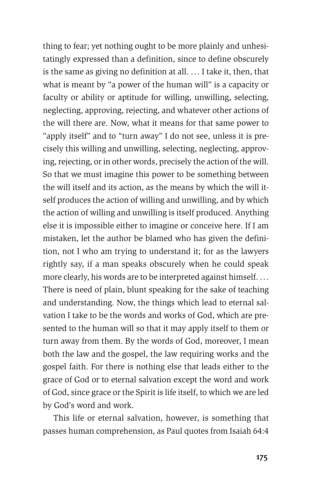thing to fear; yet nothing ought to be more plainly and unhesitatingly expressed than a definition, since to define obscurely is the same as giving no definition at all. ... I take it, then, that what is meant by "a power of the human will" is a capacity or faculty or ability or aptitude for willing, unwilling, selecting, neglecting, approving, rejecting, and whatever other actions of the will there are. Now, what it means for that same power to "apply itself" and to "turn away" I do not see, unless it is precisely this willing and unwilling, selecting, neglecting, approving, rejecting, or in other words, precisely the action of the will. So that we must imagine this power to be something between the will itself and its action, as the means by which the will itself produces the action of willing and unwilling, and by which the action of willing and unwilling is itself produced. Anything else it is impossible either to imagine or conceive here. If I am mistaken, let the author be blamed who has given the definition, not I who am trying to understand it; for as the lawyers rightly say, if a man speaks obscurely when he could speak more clearly, his words are to be interpreted against himself. ... There is need of plain, blunt speaking for the sake of teaching and understanding. Now, the things which lead to eternal salvation I take to be the words and works of God, which are presented to the human will so that it may apply itself to them or turn away from them. By the words of God, moreover, I mean both the law and the gospel, the law requiring works and the gospel faith. For there is nothing else that leads either to the grace of God or to eternal salvation except the word and work of God, since grace or the Spirit is life itself, to which we are led by God's word and work.

This life or eternal salvation, however, is something that passes human comprehension, as Paul quotes from Isaiah 64:4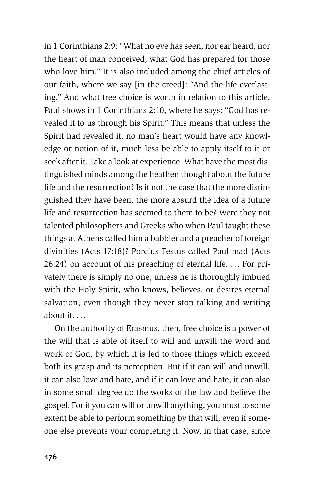in 1 Corinthians 2:9: "What no eye has seen, nor ear heard, nor the heart of man conceived, what God has prepared for those who love him." It is also included among the chief articles of our faith, where we say [in the creed]: "And the life everlasting." And what free choice is worth in relation to this article, Paul shows in 1 Corinthians 2:10, where he says: "God has revealed it to us through his Spirit." This means that unless the Spirit had revealed it, no man's heart would have any knowledge or notion of it, much less be able to apply itself to it or seek after it. Take a look at experience. What have the most distinguished minds among the heathen thought about the future life and the resurrection? Is it not the case that the more distinguished they have been, the more absurd the idea of a future life and resurrection has seemed to them to be? Were they not talented philosophers and Greeks who when Paul taught these things at Athens called him a babbler and a preacher of foreign divinities (Acts 17:18)? Porcius Festus called Paul mad (Acts 26:24) on account of his preaching of eternal life. ... For privately there is simply no one, unless he is thoroughly imbued with the Holy Spirit, who knows, believes, or desires eternal salvation, even though they never stop talking and writing about it. ...

On the authority of Erasmus, then, free choice is a power of the will that is able of itself to will and unwill the word and work of God, by which it is led to those things which exceed both its grasp and its perception. But if it can will and unwill, it can also love and hate, and if it can love and hate, it can also in some small degree do the works of the law and believe the gospel. For if you can will or unwill anything, you must to some extent be able to perform something by that will, even if someone else prevents your completing it. Now, in that case, since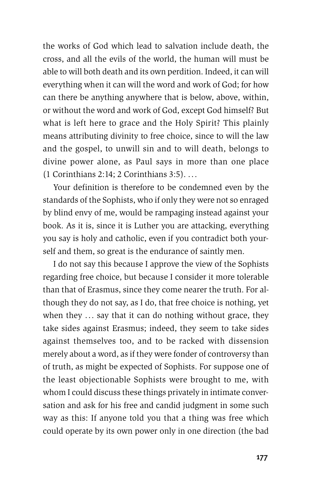the works of God which lead to salvation include death, the cross, and all the evils of the world, the human will must be able to will both death and its own perdition. Indeed, it can will everything when it can will the word and work of God; for how can there be anything anywhere that is below, above, within, or without the word and work of God, except God himself? But what is left here to grace and the Holy Spirit? This plainly means attributing divinity to free choice, since to will the law and the gospel, to unwill sin and to will death, belongs to divine power alone, as Paul says in more than one place (1 Corinthians 2:14; 2 Corinthians 3:5). ...

Your definition is therefore to be condemned even by the standards of the Sophists, who if only they were not so enraged by blind envy of me, would be rampaging instead against your book. As it is, since it is Luther you are attacking, everything you say is holy and catholic, even if you contradict both yourself and them, so great is the endurance of saintly men.

I do not say this because I approve the view of the Sophists regarding free choice, but because I consider it more tolerable than that of Erasmus, since they come nearer the truth. For although they do not say, as I do, that free choice is nothing, yet when they ... say that it can do nothing without grace, they take sides against Erasmus; indeed, they seem to take sides against themselves too, and to be racked with dissension merely about a word, as if they were fonder of controversy than of truth, as might be expected of Sophists. For suppose one of the least objectionable Sophists were brought to me, with whom I could discuss these things privately in intimate conversation and ask for his free and candid judgment in some such way as this: If anyone told you that a thing was free which could operate by its own power only in one direction (the bad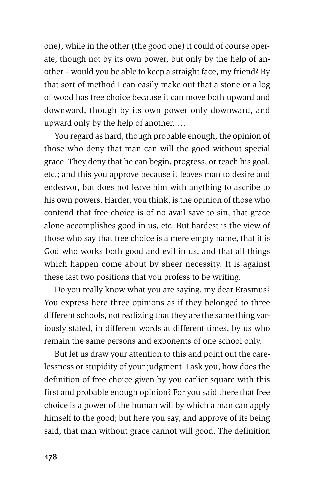one), while in the other (the good one) it could of course operate, though not by its own power, but only by the help of another – would you be able to keep a straight face, my friend? By that sort of method I can easily make out that a stone or a log of wood has free choice because it can move both upward and downward, though by its own power only downward, and upward only by the help of another. ...

You regard as hard, though probable enough, the opinion of those who deny that man can will the good without special grace. They deny that he can begin, progress, or reach his goal, etc.; and this you approve because it leaves man to desire and endeavor, but does not leave him with anything to ascribe to his own powers. Harder, you think, is the opinion of those who contend that free choice is of no avail save to sin, that grace alone accomplishes good in us, etc. But hardest is the view of those who say that free choice is a mere empty name, that it is God who works both good and evil in us, and that all things which happen come about by sheer necessity. It is against these last two positions that you profess to be writing.

Do you really know what you are saying, my dear Erasmus? You express here three opinions as if they belonged to three different schools, not realizing that they are the same thing variously stated, in different words at different times, by us who remain the same persons and exponents of one school only.

But let us draw your attention to this and point out the carelessness or stupidity of your judgment. I ask you, how does the definition of free choice given by you earlier square with this first and probable enough opinion? For you said there that free choice is a power of the human will by which a man can apply himself to the good; but here you say, and approve of its being said, that man without grace cannot will good. The definition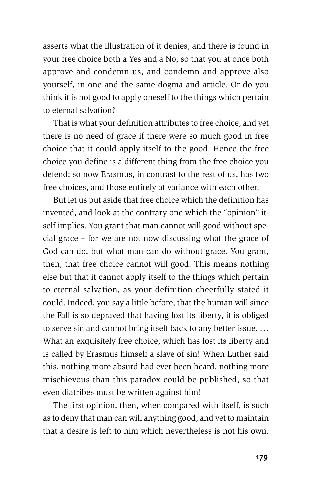asserts what the illustration of it denies, and there is found in your free choice both a Yes and a No, so that you at once both approve and condemn us, and condemn and approve also yourself, in one and the same dogma and article. Or do you think it is not good to apply oneself to the things which pertain to eternal salvation?

That is what your definition attributes to free choice; and yet there is no need of grace if there were so much good in free choice that it could apply itself to the good. Hence the free choice you define is a different thing from the free choice you defend; so now Erasmus, in contrast to the rest of us, has two free choices, and those entirely at variance with each other.

But let us put aside that free choice which the definition has invented, and look at the contrary one which the "opinion" itself implies. You grant that man cannot will good without special grace – for we are not now discussing what the grace of God can do, but what man can do without grace. You grant, then, that free choice cannot will good. This means nothing else but that it cannot apply itself to the things which pertain to eternal salvation, as your definition cheerfully stated it could. Indeed, you say a little before, that the human will since the Fall is so depraved that having lost its liberty, it is obliged to serve sin and cannot bring itself back to any better issue. ... What an exquisitely free choice, which has lost its liberty and is called by Erasmus himself a slave of sin! When Luther said this, nothing more absurd had ever been heard, nothing more mischievous than this paradox could be published, so that even diatribes must be written against him!

The first opinion, then, when compared with itself, is such as to deny that man can will anything good, and yet to maintain that a desire is left to him which nevertheless is not his own.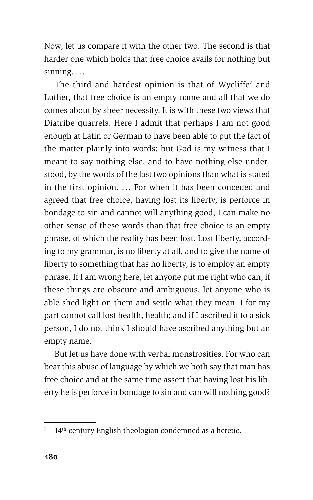Now, let us compare it with the other two. The second is that harder one which holds that free choice avails for nothing but sinning. ...

The third and hardest opinion is that of Wycliffe<sup>7</sup> and Luther, that free choice is an empty name and all that we do comes about by sheer necessity. It is with these two views that Diatribe quarrels. Here I admit that perhaps I am not good enough at Latin or German to have been able to put the fact of the matter plainly into words; but God is my witness that I meant to say nothing else, and to have nothing else understood, by the words of the last two opinions than what is stated in the first opinion. ... For when it has been conceded and agreed that free choice, having lost its liberty, is perforce in bondage to sin and cannot will anything good, I can make no other sense of these words than that free choice is an empty phrase, of which the reality has been lost. Lost liberty, according to my grammar, is no liberty at all, and to give the name of liberty to something that has no liberty, is to employ an empty phrase. If I am wrong here, let anyone put me right who can; if these things are obscure and ambiguous, let anyone who is able shed light on them and settle what they mean. I for my part cannot call lost health, health; and if I ascribed it to a sick person, I do not think I should have ascribed anything but an empty name.

But let us have done with verbal monstrosities. For who can bear this abuse of language by which we both say that man has free choice and at the same time assert that having lost his liberty he is perforce in bondage to sin and can will nothing good?

<sup>14&</sup>lt;sup>th</sup>-century English theologian condemned as a heretic.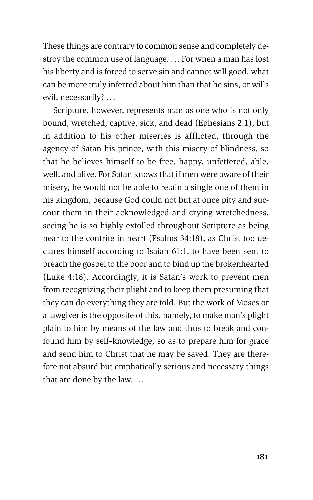These things are contrary to common sense and completely destroy the common use of language. ... For when a man has lost his liberty and is forced to serve sin and cannot will good, what can be more truly inferred about him than that he sins, or wills evil, necessarily? ...

Scripture, however, represents man as one who is not only bound, wretched, captive, sick, and dead (Ephesians 2:1), but in addition to his other miseries is afflicted, through the agency of Satan his prince, with this misery of blindness, so that he believes himself to be free, happy, unfettered, able, well, and alive. For Satan knows that if men were aware of their misery, he would not be able to retain a single one of them in his kingdom, because God could not but at once pity and succour them in their acknowledged and crying wretchedness, seeing he is so highly extolled throughout Scripture as being near to the contrite in heart (Psalms 34:18), as Christ too declares himself according to Isaiah 61:1, to have been sent to preach the gospel to the poor and to bind up the brokenhearted (Luke 4:18). Accordingly, it is Satan's work to prevent men from recognizing their plight and to keep them presuming that they can do everything they are told. But the work of Moses or a lawgiver is the opposite of this, namely, to make man's plight plain to him by means of the law and thus to break and confound him by self–knowledge, so as to prepare him for grace and send him to Christ that he may be saved. They are therefore not absurd but emphatically serious and necessary things that are done by the law. ...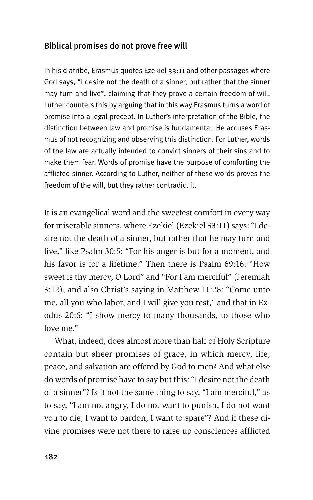### Biblical promises do not prove free will

In his diatribe, Erasmus quotes Ezekiel 33:11 and other passages where God says, "I desire not the death of a sinner, but rather that the sinner may turn and live", claiming that they prove a certain freedom of will. Luther counters this by arguing that in this way Erasmus turns a word of promise into a legal precept. In Luther's interpretation of the Bible, the distinction between law and promise is fundamental. He accuses Erasmus of not recognizing and observing this distinction. For Luther, words of the law are actually intended to convict sinners of their sins and to make them fear. Words of promise have the purpose of comforting the afflicted sinner. According to Luther, neither of these words proves the freedom of the will, but they rather contradict it.

It is an evangelical word and the sweetest comfort in every way for miserable sinners, where Ezekiel (Ezekiel 33:11) says: "I desire not the death of a sinner, but rather that he may turn and live," like Psalm 30:5: "For his anger is but for a moment, and his favor is for a lifetime." Then there is Psalm 69:16: "How sweet is thy mercy, O Lord" and "For I am merciful" (Jeremiah 3:12), and also Christ's saying in Matthew 11:28: "Come unto me, all you who labor, and I will give you rest," and that in Exodus 20:6: "I show mercy to many thousands, to those who love me."

What, indeed, does almost more than half of Holy Scripture contain but sheer promises of grace, in which mercy, life, peace, and salvation are offered by God to men? And what else do words of promise have to say but this: "I desire not the death of a sinner"? Is it not the same thing to say, "I am merciful," as to say, "I am not angry, I do not want to punish, I do not want you to die, I want to pardon, I want to spare"? And if these divine promises were not there to raise up consciences afflicted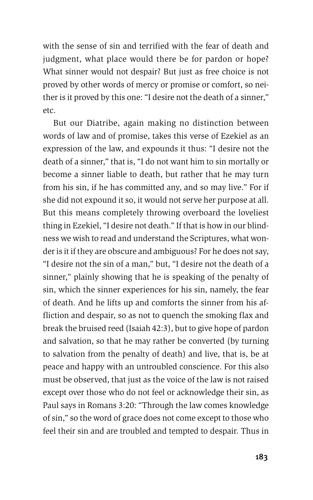with the sense of sin and terrified with the fear of death and judgment, what place would there be for pardon or hope? What sinner would not despair? But just as free choice is not proved by other words of mercy or promise or comfort, so neither is it proved by this one: "I desire not the death of a sinner," etc.

But our Diatribe, again making no distinction between words of law and of promise, takes this verse of Ezekiel as an expression of the law, and expounds it thus: "I desire not the death of a sinner," that is, "I do not want him to sin mortally or become a sinner liable to death, but rather that he may turn from his sin, if he has committed any, and so may live." For if she did not expound it so, it would not serve her purpose at all. But this means completely throwing overboard the loveliest thing in Ezekiel, "I desire not death." If that is how in our blindness we wish to read and understand the Scriptures, what wonder is it if they are obscure and ambiguous? For he does not say, "I desire not the sin of a man," but, "I desire not the death of a sinner," plainly showing that he is speaking of the penalty of sin, which the sinner experiences for his sin, namely, the fear of death. And he lifts up and comforts the sinner from his affliction and despair, so as not to quench the smoking flax and break the bruised reed (Isaiah 42:3), but to give hope of pardon and salvation, so that he may rather be converted (by turning to salvation from the penalty of death) and live, that is, be at peace and happy with an untroubled conscience. For this also must be observed, that just as the voice of the law is not raised except over those who do not feel or acknowledge their sin, as Paul says in Romans 3:20: "Through the law comes knowledge of sin," so the word of grace does not come except to those who feel their sin and are troubled and tempted to despair. Thus in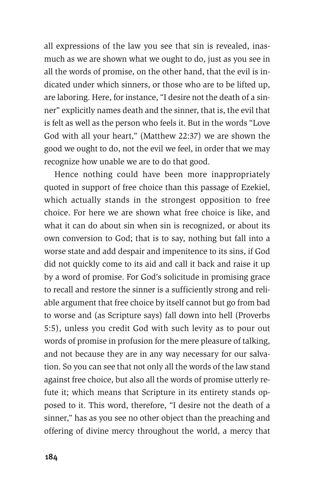all expressions of the law you see that sin is revealed, inasmuch as we are shown what we ought to do, just as you see in all the words of promise, on the other hand, that the evil is indicated under which sinners, or those who are to be lifted up, are laboring. Here, for instance, "I desire not the death of a sinner" explicitly names death and the sinner, that is, the evil that is felt as well as the person who feels it. But in the words "Love God with all your heart," (Matthew 22:37) we are shown the good we ought to do, not the evil we feel, in order that we may recognize how unable we are to do that good.

Hence nothing could have been more inappropriately quoted in support of free choice than this passage of Ezekiel, which actually stands in the strongest opposition to free choice. For here we are shown what free choice is like, and what it can do about sin when sin is recognized, or about its own conversion to God; that is to say, nothing but fall into a worse state and add despair and impenitence to its sins, if God did not quickly come to its aid and call it back and raise it up by a word of promise. For God's solicitude in promising grace to recall and restore the sinner is a sufficiently strong and reliable argument that free choice by itself cannot but go from bad to worse and (as Scripture says) fall down into hell (Proverbs 5:5), unless you credit God with such levity as to pour out words of promise in profusion for the mere pleasure of talking, and not because they are in any way necessary for our salvation. So you can see that not only all the words of the law stand against free choice, but also all the words of promise utterly refute it; which means that Scripture in its entirety stands opposed to it. This word, therefore, "I desire not the death of a sinner," has as you see no other object than the preaching and offering of divine mercy throughout the world, a mercy that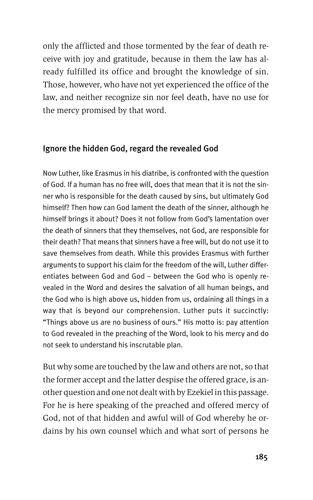only the afflicted and those tormented by the fear of death receive with joy and gratitude, because in them the law has already fulfilled its office and brought the knowledge of sin. Those, however, who have not yet experienced the office of the law, and neither recognize sin nor feel death, have no use for the mercy promised by that word.

#### Ignore the hidden God, regard the revealed God

Now Luther, like Erasmus in his diatribe, is confronted with the question of God. If a human has no free will, does that mean that it is not the sinner who is responsible for the death caused by sins, but ultimately God himself? Then how can God lament the death of the sinner, although he himself brings it about? Does it not follow from God's lamentation over the death of sinners that they themselves, not God, are responsible for their death? That means that sinners have a free will, but do not use it to save themselves from death. While this provides Erasmus with further arguments to support his claim for the freedom of the will, Luther differentiates between God and God – between the God who is openly revealed in the Word and desires the salvation of all human beings, and the God who is high above us, hidden from us, ordaining all things in a way that is beyond our comprehension. Luther puts it succinctly: "Things above us are no business of ours." His motto is: pay attention to God revealed in the preaching of the Word, look to his mercy and do not seek to understand his inscrutable plan.

But why some are touched by the law and others are not, so that the former accept and the latter despise the offered grace, is another question and one not dealt with by Ezekiel in this passage. For he is here speaking of the preached and offered mercy of God, not of that hidden and awful will of God whereby he ordains by his own counsel which and what sort of persons he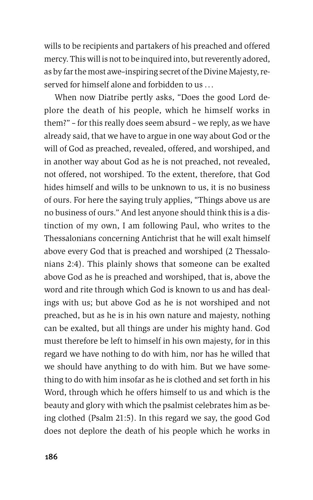wills to be recipients and partakers of his preached and offered mercy. This will is not to be inquired into, but reverently adored, as by far the most awe–inspiring secret of the Divine Majesty, reserved for himself alone and forbidden to us

When now Diatribe pertly asks, "Does the good Lord deplore the death of his people, which he himself works in them?" – for this really does seem absurd – we reply, as we have already said, that we have to argue in one way about God or the will of God as preached, revealed, offered, and worshiped, and in another way about God as he is not preached, not revealed, not offered, not worshiped. To the extent, therefore, that God hides himself and wills to be unknown to us, it is no business of ours. For here the saying truly applies, "Things above us are no business of ours." And lest anyone should think this is a distinction of my own, I am following Paul, who writes to the Thessalonians concerning Antichrist that he will exalt himself above every God that is preached and worshiped (2 Thessalonians 2:4). This plainly shows that someone can be exalted above God as he is preached and worshiped, that is, above the word and rite through which God is known to us and has dealings with us; but above God as he is not worshiped and not preached, but as he is in his own nature and majesty, nothing can be exalted, but all things are under his mighty hand. God must therefore be left to himself in his own majesty, for in this regard we have nothing to do with him, nor has he willed that we should have anything to do with him. But we have something to do with him insofar as he is clothed and set forth in his Word, through which he offers himself to us and which is the beauty and glory with which the psalmist celebrates him as being clothed (Psalm 21:5). In this regard we say, the good God does not deplore the death of his people which he works in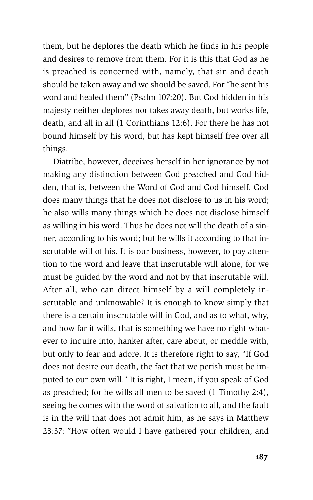them, but he deplores the death which he finds in his people and desires to remove from them. For it is this that God as he is preached is concerned with, namely, that sin and death should be taken away and we should be saved. For "he sent his word and healed them" (Psalm 107:20). But God hidden in his majesty neither deplores nor takes away death, but works life, death, and all in all (1 Corinthians 12:6). For there he has not bound himself by his word, but has kept himself free over all things.

Diatribe, however, deceives herself in her ignorance by not making any distinction between God preached and God hidden, that is, between the Word of God and God himself. God does many things that he does not disclose to us in his word; he also wills many things which he does not disclose himself as willing in his word. Thus he does not will the death of a sinner, according to his word; but he wills it according to that inscrutable will of his. It is our business, however, to pay attention to the word and leave that inscrutable will alone, for we must be guided by the word and not by that inscrutable will. After all, who can direct himself by a will completely inscrutable and unknowable? It is enough to know simply that there is a certain inscrutable will in God, and as to what, why, and how far it wills, that is something we have no right whatever to inquire into, hanker after, care about, or meddle with, but only to fear and adore. It is therefore right to say, "If God does not desire our death, the fact that we perish must be imputed to our own will." It is right, I mean, if you speak of God as preached; for he wills all men to be saved (1 Timothy 2:4), seeing he comes with the word of salvation to all, and the fault is in the will that does not admit him, as he says in Matthew 23:37: "How often would I have gathered your children, and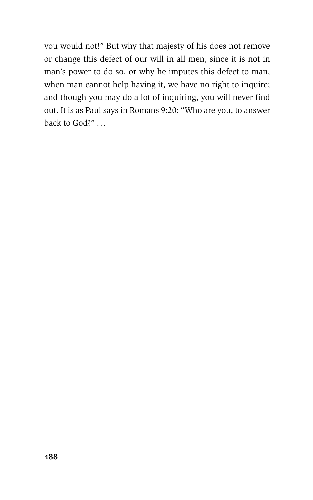you would not!" But why that majesty of his does not remove or change this defect of our will in all men, since it is not in man's power to do so, or why he imputes this defect to man, when man cannot help having it, we have no right to inquire; and though you may do a lot of inquiring, you will never find out. It is as Paul says in Romans 9:20: "Who are you, to answer back to God?" ...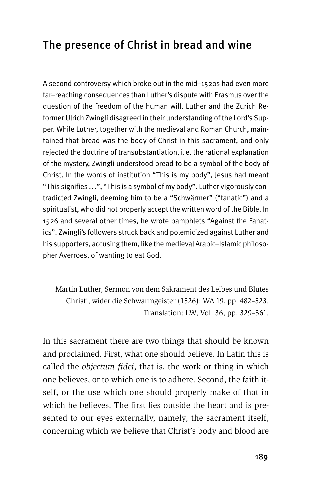## The presence of Christ in bread and wine

A second controversy which broke out in the mid–1520s had even more far–reaching consequences than Luther's dispute with Erasmus over the question of the freedom of the human will. Luther and the Zurich Reformer Ulrich Zwingli disagreed in their understanding of the Lord's Supper. While Luther, together with the medieval and Roman Church, maintained that bread was the body of Christ in this sacrament, and only rejected the doctrine of transubstantiation, i.e. the rational explanation of the mystery, Zwingli understood bread to be a symbol of the body of Christ. In the words of institution "This is my body", Jesus had meant "This signifies ...", "This is a symbol of my body". Luther vigorously contradicted Zwingli, deeming him to be a "Schwärmer" ("fanatic") and a spiritualist, who did not properly accept the written word of the Bible. In 1526 and several other times, he wrote pamphlets "Against the Fanatics". Zwingli's followers struck back and polemicized against Luther and his supporters, accusing them, like the medieval Arabic–Islamic philosopher Averroes, of wanting to eat God.

Martin Luther, Sermon von dem Sakrament des Leibes und Blutes Christi, wider die Schwarmgeister (1526): WA 19, pp. 482–523. Translation: LW, Vol. 36, pp. 329–361.

In this sacrament there are two things that should be known and proclaimed. First, what one should believe. In Latin this is called the *objectum fidei*, that is, the work or thing in which one believes, or to which one is to adhere. Second, the faith itself, or the use which one should properly make of that in which he believes. The first lies outside the heart and is presented to our eyes externally, namely, the sacrament itself, concerning which we believe that Christ's body and blood are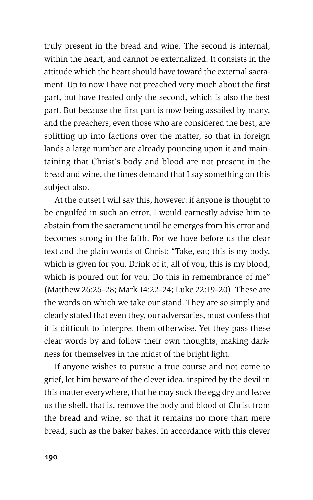truly present in the bread and wine. The second is internal, within the heart, and cannot be externalized. It consists in the attitude which the heart should have toward the external sacrament. Up to now I have not preached very much about the first part, but have treated only the second, which is also the best part. But because the first part is now being assailed by many, and the preachers, even those who are considered the best, are splitting up into factions over the matter, so that in foreign lands a large number are already pouncing upon it and maintaining that Christ's body and blood are not present in the bread and wine, the times demand that I say something on this subject also.

At the outset I will say this, however: if anyone is thought to be engulfed in such an error, I would earnestly advise him to abstain from the sacrament until he emerges from his error and becomes strong in the faith. For we have before us the clear text and the plain words of Christ: "Take, eat; this is my body, which is given for you. Drink of it, all of you, this is my blood, which is poured out for you. Do this in remembrance of me" (Matthew 26:26–28; Mark 14:22–24; Luke 22:19–20). These are the words on which we take our stand. They are so simply and clearly stated that even they, our adversaries, must confess that it is difficult to interpret them otherwise. Yet they pass these clear words by and follow their own thoughts, making darkness for themselves in the midst of the bright light.

If anyone wishes to pursue a true course and not come to grief, let him beware of the clever idea, inspired by the devil in this matter everywhere, that he may suck the egg dry and leave us the shell, that is, remove the body and blood of Christ from the bread and wine, so that it remains no more than mere bread, such as the baker bakes. In accordance with this clever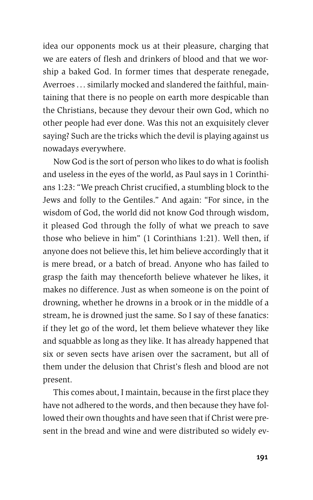idea our opponents mock us at their pleasure, charging that we are eaters of flesh and drinkers of blood and that we worship a baked God. In former times that desperate renegade, Averroes ... similarly mocked and slandered the faithful, maintaining that there is no people on earth more despicable than the Christians, because they devour their own God, which no other people had ever done. Was this not an exquisitely clever saying? Such are the tricks which the devil is playing against us nowadays everywhere.

Now God is the sort of person who likes to do what is foolish and useless in the eyes of the world, as Paul says in 1 Corinthians 1:23: "We preach Christ crucified, a stumbling block to the Jews and folly to the Gentiles." And again: "For since, in the wisdom of God, the world did not know God through wisdom, it pleased God through the folly of what we preach to save those who believe in him" (1 Corinthians 1:21). Well then, if anyone does not believe this, let him believe accordingly that it is mere bread, or a batch of bread. Anyone who has failed to grasp the faith may thenceforth believe whatever he likes, it makes no difference. Just as when someone is on the point of drowning, whether he drowns in a brook or in the middle of a stream, he is drowned just the same. So I say of these fanatics: if they let go of the word, let them believe whatever they like and squabble as long as they like. It has already happened that six or seven sects have arisen over the sacrament, but all of them under the delusion that Christ's flesh and blood are not present.

This comes about, I maintain, because in the first place they have not adhered to the words, and then because they have followed their own thoughts and have seen that if Christ were present in the bread and wine and were distributed so widely ev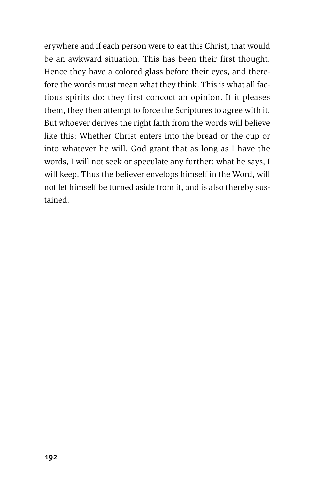erywhere and if each person were to eat this Christ, that would be an awkward situation. This has been their first thought. Hence they have a colored glass before their eyes, and therefore the words must mean what they think. This is what all factious spirits do: they first concoct an opinion. If it pleases them, they then attempt to force the Scriptures to agree with it. But whoever derives the right faith from the words will believe like this: Whether Christ enters into the bread or the cup or into whatever he will, God grant that as long as I have the words, I will not seek or speculate any further; what he says, I will keep. Thus the believer envelops himself in the Word, will not let himself be turned aside from it, and is also thereby sustained.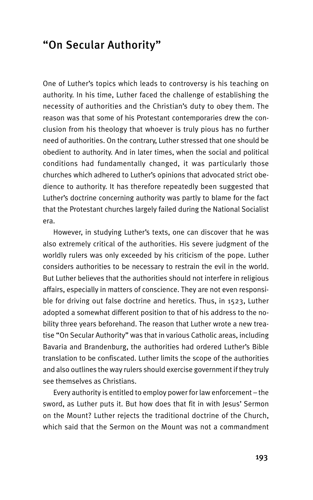## "On Secular Authority"

One of Luther's topics which leads to controversy is his teaching on authority. In his time, Luther faced the challenge of establishing the necessity of authorities and the Christian's duty to obey them. The reason was that some of his Protestant contemporaries drew the conclusion from his theology that whoever is truly pious has no further need of authorities. On the contrary, Luther stressed that one should be obedient to authority. And in later times, when the social and political conditions had fundamentally changed, it was particularly those churches which adhered to Luther's opinions that advocated strict obedience to authority. It has therefore repeatedly been suggested that Luther's doctrine concerning authority was partly to blame for the fact that the Protestant churches largely failed during the National Socialist era.

However, in studying Luther's texts, one can discover that he was also extremely critical of the authorities. His severe judgment of the worldly rulers was only exceeded by his criticism of the pope. Luther considers authorities to be necessary to restrain the evil in the world. But Luther believes that the authorities should not interfere in religious affairs, especially in matters of conscience. They are not even responsible for driving out false doctrine and heretics. Thus, in 1523, Luther adopted a somewhat different position to that of his address to the nobility three years beforehand. The reason that Luther wrote a new treatise "On Secular Authority" was that in various Catholic areas, including Bavaria and Brandenburg, the authorities had ordered Luther's Bible translation to be confiscated. Luther limits the scope of the authorities and also outlines the way rulers should exercise government if they truly see themselves as Christians.

Every authority is entitled to employ power for law enforcement – the sword, as Luther puts it. But how does that fit in with Jesus' Sermon on the Mount? Luther rejects the traditional doctrine of the Church, which said that the Sermon on the Mount was not a commandment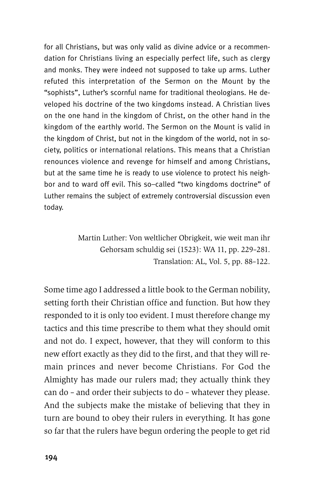for all Christians, but was only valid as divine advice or a recommendation for Christians living an especially perfect life, such as clergy and monks. They were indeed not supposed to take up arms. Luther refuted this interpretation of the Sermon on the Mount by the "sophists", Luther's scornful name for traditional theologians. He developed his doctrine of the two kingdoms instead. A Christian lives on the one hand in the kingdom of Christ, on the other hand in the kingdom of the earthly world. The Sermon on the Mount is valid in the kingdom of Christ, but not in the kingdom of the world, not in society, politics or international relations. This means that a Christian renounces violence and revenge for himself and among Christians, but at the same time he is ready to use violence to protect his neighbor and to ward off evil. This so–called "two kingdoms doctrine" of Luther remains the subject of extremely controversial discussion even today.

> Martin Luther: Von weltlicher Obrigkeit, wie weit man ihr Gehorsam schuldig sei (1523): WA 11, pp. 229-281. Translation: AL, Vol. 5, pp. 88–122.

Some time ago I addressed a little book to the German nobility, setting forth their Christian office and function. But how they responded to it is only too evident. I must therefore change my tactics and this time prescribe to them what they should omit and not do. I expect, however, that they will conform to this new effort exactly as they did to the first, and that they will remain princes and never become Christians. For God the Almighty has made our rulers mad; they actually think they can do – and order their subjects to do – whatever they please. And the subjects make the mistake of believing that they in turn are bound to obey their rulers in everything. It has gone so far that the rulers have begun ordering the people to get rid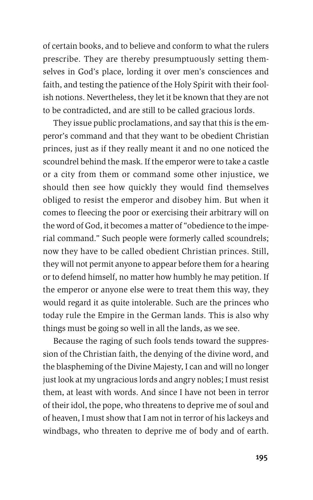of certain books, and to believe and conform to what the rulers prescribe. They are thereby presumptuously setting themselves in God's place, lording it over men's consciences and faith, and testing the patience of the Holy Spirit with their foolish notions. Nevertheless, they let it be known that they are not to be contradicted, and are still to be called gracious lords.

They issue public proclamations, and say that this is the emperor's command and that they want to be obedient Christian princes, just as if they really meant it and no one noticed the scoundrel behind the mask. If the emperor were to take a castle or a city from them or command some other injustice, we should then see how quickly they would find themselves obliged to resist the emperor and disobey him. But when it comes to fleecing the poor or exercising their arbitrary will on the word of God, it becomes a matter of "obedience to the imperial command." Such people were formerly called scoundrels; now they have to be called obedient Christian princes. Still, they will not permit anyone to appear before them for a hearing or to defend himself, no matter how humbly he may petition. If the emperor or anyone else were to treat them this way, they would regard it as quite intolerable. Such are the princes who today rule the Empire in the German lands. This is also why things must be going so well in all the lands, as we see.

Because the raging of such fools tends toward the suppression of the Christian faith, the denying of the divine word, and the blaspheming of the Divine Majesty, I can and will no longer just look at my ungracious lords and angry nobles; I must resist them, at least with words. And since I have not been in terror of their idol, the pope, who threatens to deprive me of soul and of heaven, I must show that I am not in terror of his lackeys and windbags, who threaten to deprive me of body and of earth.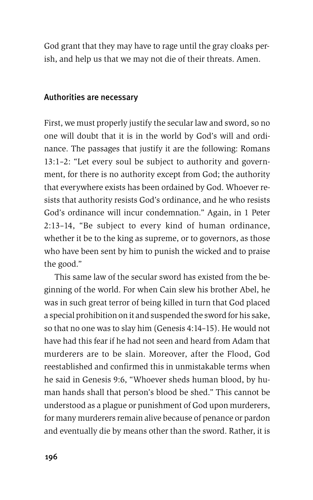God grant that they may have to rage until the gray cloaks perish, and help us that we may not die of their threats. Amen.

#### Authorities are necessary

First, we must properly justify the secular law and sword, so no one will doubt that it is in the world by God's will and ordinance. The passages that justify it are the following: Romans 13:1–2: "Let every soul be subject to authority and government, for there is no authority except from God; the authority that everywhere exists has been ordained by God. Whoever resists that authority resists God's ordinance, and he who resists God's ordinance will incur condemnation." Again, in 1 Peter 2:13–14, "Be subject to every kind of human ordinance, whether it be to the king as supreme, or to governors, as those who have been sent by him to punish the wicked and to praise the good."

This same law of the secular sword has existed from the beginning of the world. For when Cain slew his brother Abel, he was in such great terror of being killed in turn that God placed a special prohibition on it and suspended the sword for his sake, so that no one was to slay him (Genesis 4:14–15). He would not have had this fear if he had not seen and heard from Adam that murderers are to be slain. Moreover, after the Flood, God reestablished and confirmed this in unmistakable terms when he said in Genesis 9:6, "Whoever sheds human blood, by human hands shall that person's blood be shed." This cannot be understood as a plague or punishment of God upon murderers, for many murderers remain alive because of penance or pardon and eventually die by means other than the sword. Rather, it is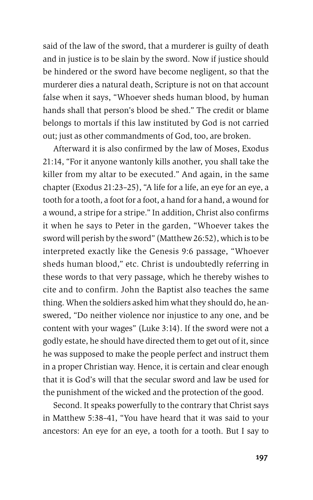said of the law of the sword, that a murderer is guilty of death and in justice is to be slain by the sword. Now if justice should be hindered or the sword have become negligent, so that the murderer dies a natural death, Scripture is not on that account false when it says, "Whoever sheds human blood, by human hands shall that person's blood be shed." The credit or blame belongs to mortals if this law instituted by God is not carried out; just as other commandments of God, too, are broken.

Afterward it is also confirmed by the law of Moses, Exodus 21:14, "For it anyone wantonly kills another, you shall take the killer from my altar to be executed." And again, in the same chapter (Exodus 21:23–25), "A life for a life, an eye for an eye, a tooth for a tooth, a foot for a foot, a hand for a hand, a wound for a wound, a stripe for a stripe." In addition, Christ also confirms it when he says to Peter in the garden, "Whoever takes the sword will perish by the sword" (Matthew 26:52), which is to be interpreted exactly like the Genesis 9:6 passage, "Whoever sheds human blood," etc. Christ is undoubtedly referring in these words to that very passage, which he thereby wishes to cite and to confirm. John the Baptist also teaches the same thing. When the soldiers asked him what they should do, he answered, "Do neither violence nor injustice to any one, and be content with your wages" (Luke 3:14). If the sword were not a godly estate, he should have directed them to get out of it, since he was supposed to make the people perfect and instruct them in a proper Christian way. Hence, it is certain and clear enough that it is God's will that the secular sword and law be used for the punishment of the wicked and the protection of the good.

Second. It speaks powerfully to the contrary that Christ says in Matthew 5:38–41, "You have heard that it was said to your ancestors: An eye for an eye, a tooth for a tooth. But I say to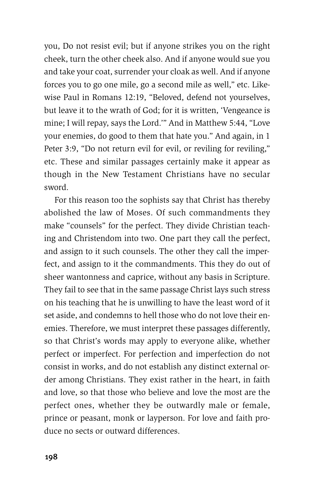you, Do not resist evil; but if anyone strikes you on the right cheek, turn the other cheek also. And if anyone would sue you and take your coat, surrender your cloak as well. And if anyone forces you to go one mile, go a second mile as well," etc. Likewise Paul in Romans 12:19, "Beloved, defend not yourselves, but leave it to the wrath of God; for it is written, 'Vengeance is mine; I will repay, says the Lord.'" And in Matthew 5:44, "Love your enemies, do good to them that hate you." And again, in 1 Peter 3:9, "Do not return evil for evil, or reviling for reviling," etc. These and similar passages certainly make it appear as though in the New Testament Christians have no secular sword.

For this reason too the sophists say that Christ has thereby abolished the law of Moses. Of such commandments they make "counsels" for the perfect. They divide Christian teaching and Christendom into two. One part they call the perfect, and assign to it such counsels. The other they call the imperfect, and assign to it the commandments. This they do out of sheer wantonness and caprice, without any basis in Scripture. They fail to see that in the same passage Christ lays such stress on his teaching that he is unwilling to have the least word of it set aside, and condemns to hell those who do not love their enemies. Therefore, we must interpret these passages differently, so that Christ's words may apply to everyone alike, whether perfect or imperfect. For perfection and imperfection do not consist in works, and do not establish any distinct external order among Christians. They exist rather in the heart, in faith and love, so that those who believe and love the most are the perfect ones, whether they be outwardly male or female, prince or peasant, monk or layperson. For love and faith produce no sects or outward differences.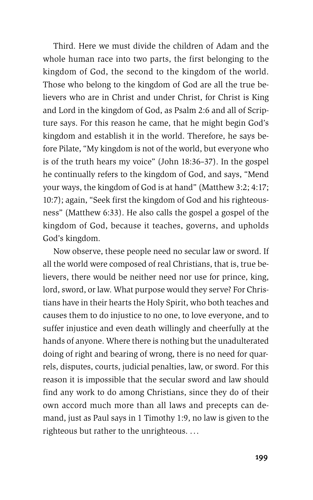Third. Here we must divide the children of Adam and the whole human race into two parts, the first belonging to the kingdom of God, the second to the kingdom of the world. Those who belong to the kingdom of God are all the true believers who are in Christ and under Christ, for Christ is King and Lord in the kingdom of God, as Psalm 2:6 and all of Scripture says. For this reason he came, that he might begin God's kingdom and establish it in the world. Therefore, he says before Pilate, "My kingdom is not of the world, but everyone who is of the truth hears my voice" (John 18:36–37). In the gospel he continually refers to the kingdom of God, and says, "Mend your ways, the kingdom of God is at hand" (Matthew 3:2; 4:17; 10:7); again, "Seek first the kingdom of God and his righteousness" (Matthew 6:33). He also calls the gospel a gospel of the kingdom of God, because it teaches, governs, and upholds God's kingdom.

Now observe, these people need no secular law or sword. If all the world were composed of real Christians, that is, true believers, there would be neither need nor use for prince, king, lord, sword, or law. What purpose would they serve? For Christians have in their hearts the Holy Spirit, who both teaches and causes them to do injustice to no one, to love everyone, and to suffer injustice and even death willingly and cheerfully at the hands of anyone. Where there is nothing but the unadulterated doing of right and bearing of wrong, there is no need for quarrels, disputes, courts, judicial penalties, law, or sword. For this reason it is impossible that the secular sword and law should find any work to do among Christians, since they do of their own accord much more than all laws and precepts can demand, just as Paul says in 1 Timothy 1:9, no law is given to the righteous but rather to the unrighteous. ...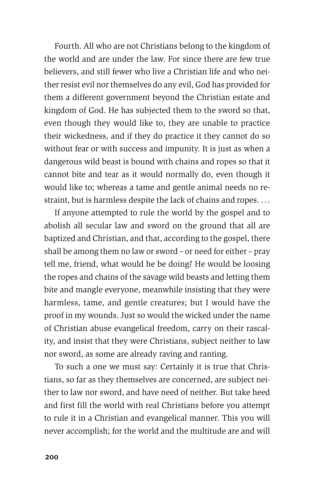Fourth. All who are not Christians belong to the kingdom of the world and are under the law. For since there are few true believers, and still fewer who live a Christian life and who neither resist evil nor themselves do any evil, God has provided for them a different government beyond the Christian estate and kingdom of God. He has subjected them to the sword so that, even though they would like to, they are unable to practice their wickedness, and if they do practice it they cannot do so without fear or with success and impunity. It is just as when a dangerous wild beast is bound with chains and ropes so that it cannot bite and tear as it would normally do, even though it would like to; whereas a tame and gentle animal needs no restraint, but is harmless despite the lack of chains and ropes. ...

If anyone attempted to rule the world by the gospel and to abolish all secular law and sword on the ground that all are baptized and Christian, and that, according to the gospel, there shall be among them no law or sword – or need for either – pray tell me, friend, what would he be doing? He would be loosing the ropes and chains of the savage wild beasts and letting them bite and mangle everyone, meanwhile insisting that they were harmless, tame, and gentle creatures; but I would have the proof in my wounds. Just so would the wicked under the name of Christian abuse evangelical freedom, carry on their rascality, and insist that they were Christians, subject neither to law nor sword, as some are already raving and ranting.

To such a one we must say: Certainly it is true that Christians, so far as they themselves are concerned, are subject neither to law nor sword, and have need of neither. But take heed and first fill the world with real Christians before you attempt to rule it in a Christian and evangelical manner. This you will never accomplish; for the world and the multitude are and will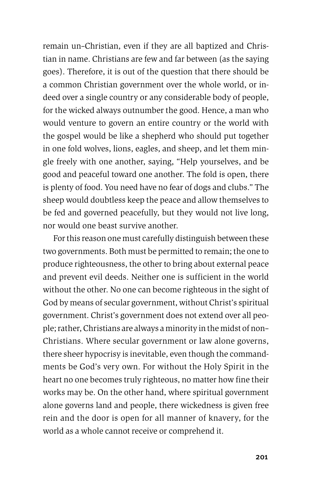remain un–Christian, even if they are all baptized and Christian in name. Christians are few and far between (as the saying goes). Therefore, it is out of the question that there should be a common Christian government over the whole world, or indeed over a single country or any considerable body of people, for the wicked always outnumber the good. Hence, a man who would venture to govern an entire country or the world with the gospel would be like a shepherd who should put together in one fold wolves, lions, eagles, and sheep, and let them mingle freely with one another, saying, "Help yourselves, and be good and peaceful toward one another. The fold is open, there is plenty of food. You need have no fear of dogs and clubs." The sheep would doubtless keep the peace and allow themselves to be fed and governed peacefully, but they would not live long, nor would one beast survive another.

For this reason one must carefully distinguish between these two governments. Both must be permitted to remain; the one to produce righteousness, the other to bring about external peace and prevent evil deeds. Neither one is sufficient in the world without the other. No one can become righteous in the sight of God by means of secular government, without Christ's spiritual government. Christ's government does not extend over all people; rather, Christians are always a minority in the midst of non– Christians. Where secular government or law alone governs, there sheer hypocrisy is inevitable, even though the commandments be God's very own. For without the Holy Spirit in the heart no one becomes truly righteous, no matter how fine their works may be. On the other hand, where spiritual government alone governs land and people, there wickedness is given free rein and the door is open for all manner of knavery, for the world as a whole cannot receive or comprehend it.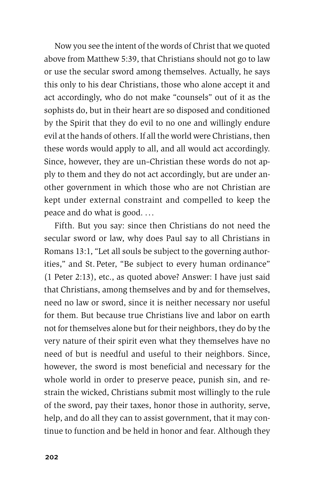Now you see the intent of the words of Christ that we quoted above from Matthew 5:39, that Christians should not go to law or use the secular sword among themselves. Actually, he says this only to his dear Christians, those who alone accept it and act accordingly, who do not make "counsels" out of it as the sophists do, but in their heart are so disposed and conditioned by the Spirit that they do evil to no one and willingly endure evil at the hands of others. If all the world were Christians, then these words would apply to all, and all would act accordingly. Since, however, they are un–Christian these words do not apply to them and they do not act accordingly, but are under another government in which those who are not Christian are kept under external constraint and compelled to keep the peace and do what is good. ...

Fifth. But you say: since then Christians do not need the secular sword or law, why does Paul say to all Christians in Romans 13:1, "Let all souls be subject to the governing authorities," and St. Peter, "Be subject to every human ordinance" (1 Peter 2:13), etc., as quoted above? Answer: I have just said that Christians, among themselves and by and for themselves, need no law or sword, since it is neither necessary nor useful for them. But because true Christians live and labor on earth not for themselves alone but for their neighbors, they do by the very nature of their spirit even what they themselves have no need of but is needful and useful to their neighbors. Since, however, the sword is most beneficial and necessary for the whole world in order to preserve peace, punish sin, and restrain the wicked, Christians submit most willingly to the rule of the sword, pay their taxes, honor those in authority, serve, help, and do all they can to assist government, that it may continue to function and be held in honor and fear. Although they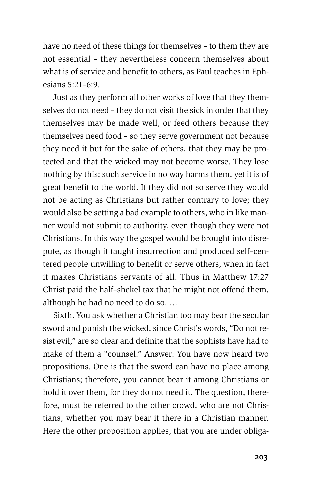have no need of these things for themselves – to them they are not essential – they nevertheless concern themselves about what is of service and benefit to others, as Paul teaches in Ephesians  $5:21-6:9$ .

Just as they perform all other works of love that they themselves do not need – they do not visit the sick in order that they themselves may be made well, or feed others because they themselves need food – so they serve government not because they need it but for the sake of others, that they may be protected and that the wicked may not become worse. They lose nothing by this; such service in no way harms them, yet it is of great benefit to the world. If they did not so serve they would not be acting as Christians but rather contrary to love; they would also be setting a bad example to others, who in like manner would not submit to authority, even though they were not Christians. In this way the gospel would be brought into disrepute, as though it taught insurrection and produced self–centered people unwilling to benefit or serve others, when in fact it makes Christians servants of all. Thus in Matthew 17:27 Christ paid the half–shekel tax that he might not offend them, although he had no need to do so. ...

Sixth. You ask whether a Christian too may bear the secular sword and punish the wicked, since Christ's words, "Do not resist evil," are so clear and definite that the sophists have had to make of them a "counsel." Answer: You have now heard two propositions. One is that the sword can have no place among Christians; therefore, you cannot bear it among Christians or hold it over them, for they do not need it. The question, therefore, must be referred to the other crowd, who are not Christians, whether you may bear it there in a Christian manner. Here the other proposition applies, that you are under obliga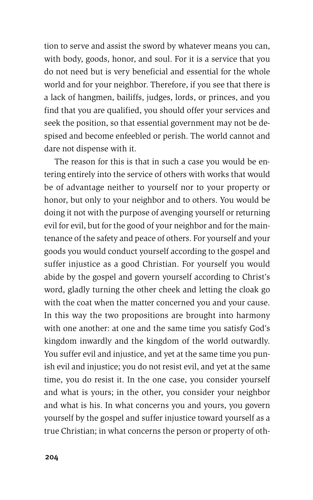tion to serve and assist the sword by whatever means you can, with body, goods, honor, and soul. For it is a service that you do not need but is very beneficial and essential for the whole world and for your neighbor. Therefore, if you see that there is a lack of hangmen, bailiffs, judges, lords, or princes, and you find that you are qualified, you should offer your services and seek the position, so that essential government may not be despised and become enfeebled or perish. The world cannot and dare not dispense with it.

The reason for this is that in such a case you would be entering entirely into the service of others with works that would be of advantage neither to yourself nor to your property or honor, but only to your neighbor and to others. You would be doing it not with the purpose of avenging yourself or returning evil for evil, but for the good of your neighbor and for the maintenance of the safety and peace of others. For yourself and your goods you would conduct yourself according to the gospel and suffer injustice as a good Christian. For yourself you would abide by the gospel and govern yourself according to Christ's word, gladly turning the other cheek and letting the cloak go with the coat when the matter concerned you and your cause. In this way the two propositions are brought into harmony with one another: at one and the same time you satisfy God's kingdom inwardly and the kingdom of the world outwardly. You suffer evil and injustice, and yet at the same time you punish evil and injustice; you do not resist evil, and yet at the same time, you do resist it. In the one case, you consider yourself and what is yours; in the other, you consider your neighbor and what is his. In what concerns you and yours, you govern yourself by the gospel and suffer injustice toward yourself as a true Christian; in what concerns the person or property of oth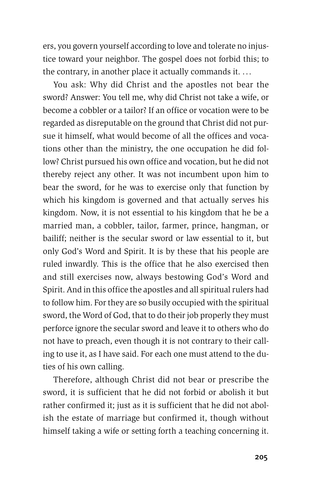ers, you govern yourself according to love and tolerate no injustice toward your neighbor. The gospel does not forbid this; to the contrary, in another place it actually commands it. ...

You ask: Why did Christ and the apostles not bear the sword? Answer: You tell me, why did Christ not take a wife, or become a cobbler or a tailor? If an office or vocation were to be regarded as disreputable on the ground that Christ did not pursue it himself, what would become of all the offices and vocations other than the ministry, the one occupation he did follow? Christ pursued his own office and vocation, but he did not thereby reject any other. It was not incumbent upon him to bear the sword, for he was to exercise only that function by which his kingdom is governed and that actually serves his kingdom. Now, it is not essential to his kingdom that he be a married man, a cobbler, tailor, farmer, prince, hangman, or bailiff; neither is the secular sword or law essential to it, but only God's Word and Spirit. It is by these that his people are ruled inwardly. This is the office that he also exercised then and still exercises now, always bestowing God's Word and Spirit. And in this office the apostles and all spiritual rulers had to follow him. For they are so busily occupied with the spiritual sword, the Word of God, that to do their job properly they must perforce ignore the secular sword and leave it to others who do not have to preach, even though it is not contrary to their calling to use it, as I have said. For each one must attend to the duties of his own calling.

Therefore, although Christ did not bear or prescribe the sword, it is sufficient that he did not forbid or abolish it but rather confirmed it; just as it is sufficient that he did not abolish the estate of marriage but confirmed it, though without himself taking a wife or setting forth a teaching concerning it.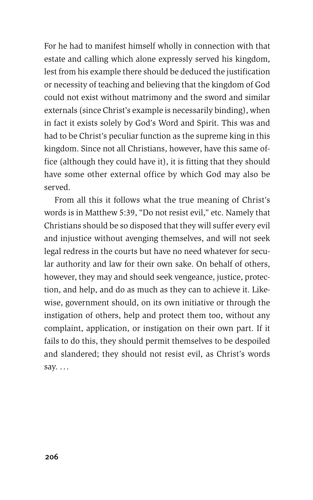For he had to manifest himself wholly in connection with that estate and calling which alone expressly served his kingdom, lest from his example there should be deduced the justification or necessity of teaching and believing that the kingdom of God could not exist without matrimony and the sword and similar externals (since Christ's example is necessarily binding), when in fact it exists solely by God's Word and Spirit. This was and had to be Christ's peculiar function as the supreme king in this kingdom. Since not all Christians, however, have this same office (although they could have it), it is fitting that they should have some other external office by which God may also be served.

From all this it follows what the true meaning of Christ's words is in Matthew 5:39, "Do not resist evil," etc. Namely that Christians should be so disposed that they will suffer every evil and injustice without avenging themselves, and will not seek legal redress in the courts but have no need whatever for secular authority and law for their own sake. On behalf of others, however, they may and should seek vengeance, justice, protection, and help, and do as much as they can to achieve it. Likewise, government should, on its own initiative or through the instigation of others, help and protect them too, without any complaint, application, or instigation on their own part. If it fails to do this, they should permit themselves to be despoiled and slandered; they should not resist evil, as Christ's words say. ...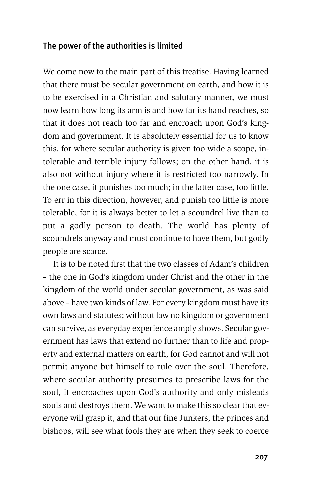### The power of the authorities is limited

We come now to the main part of this treatise. Having learned that there must be secular government on earth, and how it is to be exercised in a Christian and salutary manner, we must now learn how long its arm is and how far its hand reaches, so that it does not reach too far and encroach upon God's kingdom and government. It is absolutely essential for us to know this, for where secular authority is given too wide a scope, intolerable and terrible injury follows; on the other hand, it is also not without injury where it is restricted too narrowly. In the one case, it punishes too much; in the latter case, too little. To err in this direction, however, and punish too little is more tolerable, for it is always better to let a scoundrel live than to put a godly person to death. The world has plenty of scoundrels anyway and must continue to have them, but godly people are scarce.

It is to be noted first that the two classes of Adam's children – the one in God's kingdom under Christ and the other in the kingdom of the world under secular government, as was said above – have two kinds of law. For every kingdom must have its own laws and statutes; without law no kingdom or government can survive, as everyday experience amply shows. Secular government has laws that extend no further than to life and property and external matters on earth, for God cannot and will not permit anyone but himself to rule over the soul. Therefore, where secular authority presumes to prescribe laws for the soul, it encroaches upon God's authority and only misleads souls and destroys them. We want to make this so clear that everyone will grasp it, and that our fine Junkers, the princes and bishops, will see what fools they are when they seek to coerce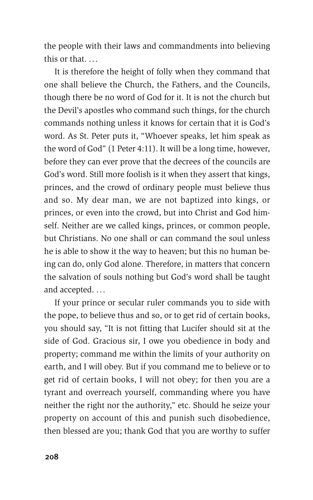the people with their laws and commandments into believing this or that. ...

It is therefore the height of folly when they command that one shall believe the Church, the Fathers, and the Councils, though there be no word of God for it. It is not the church but the Devil's apostles who command such things, for the church commands nothing unless it knows for certain that it is God's word. As St. Peter puts it, "Whoever speaks, let him speak as the word of God" (1 Peter 4:11). It will be a long time, however, before they can ever prove that the decrees of the councils are God's word. Still more foolish is it when they assert that kings, princes, and the crowd of ordinary people must believe thus and so. My dear man, we are not baptized into kings, or princes, or even into the crowd, but into Christ and God himself. Neither are we called kings, princes, or common people, but Christians. No one shall or can command the soul unless he is able to show it the way to heaven; but this no human being can do, only God alone. Therefore, in matters that concern the salvation of souls nothing but God's word shall be taught and accepted. ...

If your prince or secular ruler commands you to side with the pope, to believe thus and so, or to get rid of certain books, you should say, "It is not fitting that Lucifer should sit at the side of God. Gracious sir, I owe you obedience in body and property; command me within the limits of your authority on earth, and I will obey. But if you command me to believe or to get rid of certain books, I will not obey; for then you are a tyrant and overreach yourself, commanding where you have neither the right nor the authority," etc. Should he seize your property on account of this and punish such disobedience, then blessed are you; thank God that you are worthy to suffer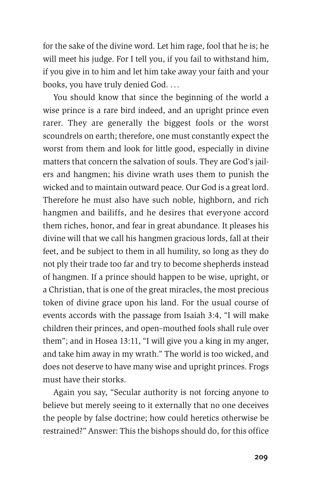for the sake of the divine word. Let him rage, fool that he is; he will meet his judge. For I tell you, if you fail to withstand him, if you give in to him and let him take away your faith and your books, you have truly denied God. ...

You should know that since the beginning of the world a wise prince is a rare bird indeed, and an upright prince even rarer. They are generally the biggest fools or the worst scoundrels on earth; therefore, one must constantly expect the worst from them and look for little good, especially in divine matters that concern the salvation of souls. They are God's jailers and hangmen; his divine wrath uses them to punish the wicked and to maintain outward peace. Our God is a great lord. Therefore he must also have such noble, highborn, and rich hangmen and bailiffs, and he desires that everyone accord them riches, honor, and fear in great abundance. It pleases his divine will that we call his hangmen gracious lords, fall at their feet, and be subject to them in all humility, so long as they do not ply their trade too far and try to become shepherds instead of hangmen. If a prince should happen to be wise, upright, or a Christian, that is one of the great miracles, the most precious token of divine grace upon his land. For the usual course of events accords with the passage from Isaiah 3:4, "I will make children their princes, and open–mouthed fools shall rule over them"; and in Hosea 13:11, "I will give you a king in my anger, and take him away in my wrath." The world is too wicked, and does not deserve to have many wise and upright princes. Frogs must have their storks.

Again you say, "Secular authority is not forcing anyone to believe but merely seeing to it externally that no one deceives the people by false doctrine; how could heretics otherwise be restrained?" Answer: This the bishops should do, for this office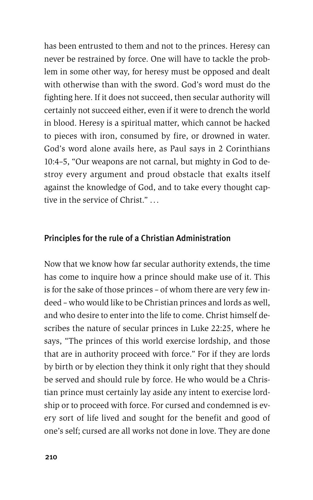has been entrusted to them and not to the princes. Heresy can never be restrained by force. One will have to tackle the problem in some other way, for heresy must be opposed and dealt with otherwise than with the sword. God's word must do the fighting here. If it does not succeed, then secular authority will certainly not succeed either, even if it were to drench the world in blood. Heresy is a spiritual matter, which cannot be hacked to pieces with iron, consumed by fire, or drowned in water. God's word alone avails here, as Paul says in 2 Corinthians 10:4–5, "Our weapons are not carnal, but mighty in God to destroy every argument and proud obstacle that exalts itself against the knowledge of God, and to take every thought captive in the service of Christ." ...

#### Principles for the rule of a Christian Administration

Now that we know how far secular authority extends, the time has come to inquire how a prince should make use of it. This is for the sake of those princes – of whom there are very few indeed – who would like to be Christian princes and lords as well, and who desire to enter into the life to come. Christ himself describes the nature of secular princes in Luke 22:25, where he says, "The princes of this world exercise lordship, and those that are in authority proceed with force." For if they are lords by birth or by election they think it only right that they should be served and should rule by force. He who would be a Christian prince must certainly lay aside any intent to exercise lordship or to proceed with force. For cursed and condemned is every sort of life lived and sought for the benefit and good of one's self; cursed are all works not done in love. They are done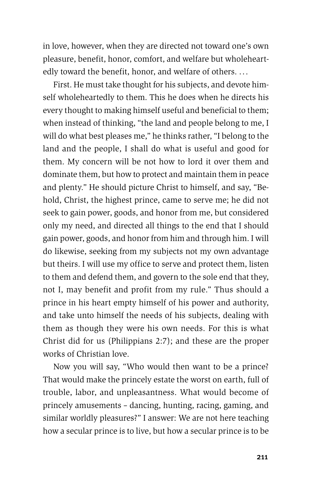in love, however, when they are directed not toward one's own pleasure, benefit, honor, comfort, and welfare but wholeheartedly toward the benefit, honor, and welfare of others. ...

First. He must take thought for his subjects, and devote himself wholeheartedly to them. This he does when he directs his every thought to making himself useful and beneficial to them; when instead of thinking, "the land and people belong to me, I will do what best pleases me," he thinks rather, "I belong to the land and the people, I shall do what is useful and good for them. My concern will be not how to lord it over them and dominate them, but how to protect and maintain them in peace and plenty." He should picture Christ to himself, and say, "Behold, Christ, the highest prince, came to serve me; he did not seek to gain power, goods, and honor from me, but considered only my need, and directed all things to the end that I should gain power, goods, and honor from him and through him. I will do likewise, seeking from my subjects not my own advantage but theirs. I will use my office to serve and protect them, listen to them and defend them, and govern to the sole end that they, not I, may benefit and profit from my rule." Thus should a prince in his heart empty himself of his power and authority, and take unto himself the needs of his subjects, dealing with them as though they were his own needs. For this is what Christ did for us (Philippians 2:7); and these are the proper works of Christian love.

Now you will say, "Who would then want to be a prince? That would make the princely estate the worst on earth, full of trouble, labor, and unpleasantness. What would become of princely amusements – dancing, hunting, racing, gaming, and similar worldly pleasures?" I answer: We are not here teaching how a secular prince is to live, but how a secular prince is to be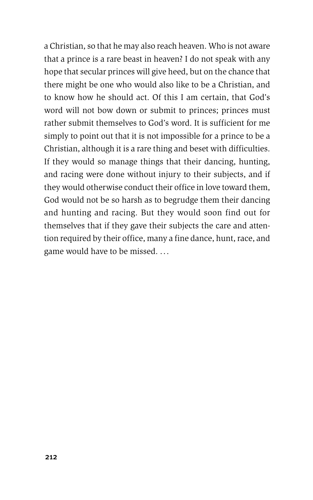a Christian, so that he may also reach heaven. Who is not aware that a prince is a rare beast in heaven? I do not speak with any hope that secular princes will give heed, but on the chance that there might be one who would also like to be a Christian, and to know how he should act. Of this I am certain, that God's word will not bow down or submit to princes; princes must rather submit themselves to God's word. It is sufficient for me simply to point out that it is not impossible for a prince to be a Christian, although it is a rare thing and beset with difficulties. If they would so manage things that their dancing, hunting, and racing were done without injury to their subjects, and if they would otherwise conduct their office in love toward them, God would not be so harsh as to begrudge them their dancing and hunting and racing. But they would soon find out for themselves that if they gave their subjects the care and attention required by their office, many a fine dance, hunt, race, and game would have to be missed. ...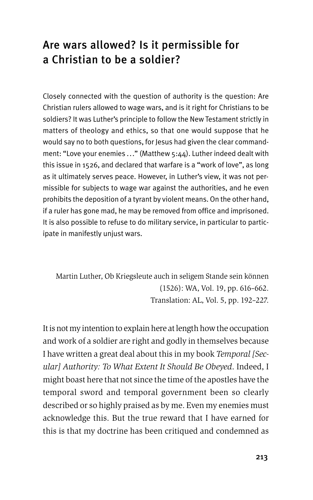# Are wars allowed? Is it permissible for a Christian to be a soldier?

Closely connected with the question of authority is the question: Are Christian rulers allowed to wage wars, and is it right for Christians to be soldiers? It was Luther's principle to follow the New Testament strictly in matters of theology and ethics, so that one would suppose that he would say no to both questions, for Jesus had given the clear commandment: "Love your enemies ..." (Matthew 5:44). Luther indeed dealt with this issue in 1526, and declared that warfare is a "work of love", as long as it ultimately serves peace. However, in Luther's view, it was not permissible for subjects to wage war against the authorities, and he even prohibits the deposition of a tyrant by violent means. On the other hand, if a ruler has gone mad, he may be removed from office and imprisoned. It is also possible to refuse to do military service, in particular to participate in manifestly unjust wars.

Martin Luther, Ob Kriegsleute auch in seligem Stande sein können (1526): WA, Vol. 19, pp. 616–662. Translation: AL, Vol. 5, pp. 192–227.

It is not my intention to explain here at length how the occupation and work of a soldier are right and godly in themselves because I have written a great deal about this in my book *Temporal [Secular] Authority: To What Extent It Should Be Obeyed*. Indeed, I might boast here that not since the time of the apostles have the temporal sword and temporal government been so clearly described or so highly praised as by me. Even my enemies must acknowledge this. But the true reward that I have earned for this is that my doctrine has been critiqued and condemned as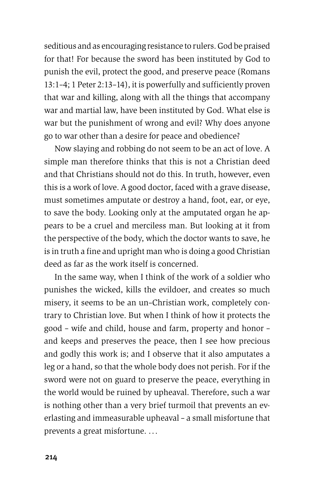seditious and as encouraging resistance to rulers. God be praised for that! For because the sword has been instituted by God to punish the evil, protect the good, and preserve peace (Romans 13:1–4; 1 Peter 2:13–14), it is powerfully and sufficiently proven that war and killing, along with all the things that accompany war and martial law, have been instituted by God. What else is war but the punishment of wrong and evil? Why does anyone go to war other than a desire for peace and obedience?

Now slaying and robbing do not seem to be an act of love. A simple man therefore thinks that this is not a Christian deed and that Christians should not do this. In truth, however, even this is a work of love. A good doctor, faced with a grave disease, must sometimes amputate or destroy a hand, foot, ear, or eye, to save the body. Looking only at the amputated organ he appears to be a cruel and merciless man. But looking at it from the perspective of the body, which the doctor wants to save, he is in truth a fine and upright man who is doing a good Christian deed as far as the work itself is concerned.

In the same way, when I think of the work of a soldier who punishes the wicked, kills the evildoer, and creates so much misery, it seems to be an un–Christian work, completely contrary to Christian love. But when I think of how it protects the good – wife and child, house and farm, property and honor – and keeps and preserves the peace, then I see how precious and godly this work is; and I observe that it also amputates a leg or a hand, so that the whole body does not perish. For if the sword were not on guard to preserve the peace, everything in the world would be ruined by upheaval. Therefore, such a war is nothing other than a very brief turmoil that prevents an everlasting and immeasurable upheaval – a small misfortune that prevents a great misfortune. ...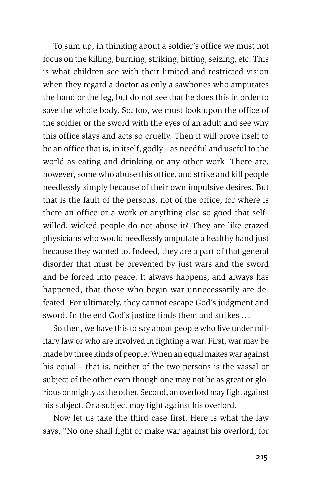To sum up, in thinking about a soldier's office we must not focus on the killing, burning, striking, hitting, seizing, etc. This is what children see with their limited and restricted vision when they regard a doctor as only a sawbones who amputates the hand or the leg, but do not see that he does this in order to save the whole body. So, too, we must look upon the office of the soldier or the sword with the eyes of an adult and see why this office slays and acts so cruelly. Then it will prove itself to be an office that is, in itself, godly – as needful and useful to the world as eating and drinking or any other work. There are, however, some who abuse this office, and strike and kill people needlessly simply because of their own impulsive desires. But that is the fault of the persons, not of the office, for where is there an office or a work or anything else so good that self– willed, wicked people do not abuse it? They are like crazed physicians who would needlessly amputate a healthy hand just because they wanted to. Indeed, they are a part of that general disorder that must be prevented by just wars and the sword and be forced into peace. It always happens, and always has happened, that those who begin war unnecessarily are defeated. For ultimately, they cannot escape God's judgment and sword. In the end God's justice finds them and strikes ...

So then, we have this to say about people who live under military law or who are involved in fighting a war. First, war may be made by three kinds of people. When an equal makes war against his equal – that is, neither of the two persons is the vassal or subject of the other even though one may not be as great or glorious or mighty as the other. Second, an overlord may fight against his subject. Or a subject may fight against his overlord.

Now let us take the third case first. Here is what the law says, "No one shall fight or make war against his overlord; for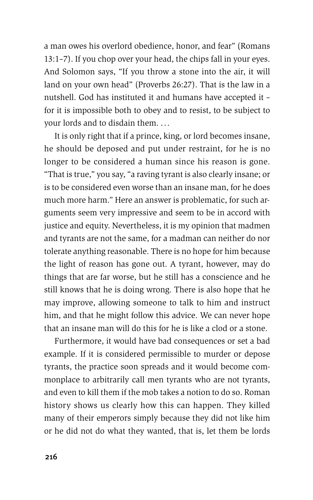a man owes his overlord obedience, honor, and fear" (Romans 13:1–7). If you chop over your head, the chips fall in your eyes. And Solomon says, "If you throw a stone into the air, it will land on your own head" (Proverbs 26:27). That is the law in a nutshell. God has instituted it and humans have accepted it – for it is impossible both to obey and to resist, to be subject to your lords and to disdain them. ...

It is only right that if a prince, king, or lord becomes insane, he should be deposed and put under restraint, for he is no longer to be considered a human since his reason is gone. "That is true," you say, "a raving tyrant is also clearly insane; or is to be considered even worse than an insane man, for he does much more harm." Here an answer is problematic, for such arguments seem very impressive and seem to be in accord with justice and equity. Nevertheless, it is my opinion that madmen and tyrants are not the same, for a madman can neither do nor tolerate anything reasonable. There is no hope for him because the light of reason has gone out. A tyrant, however, may do things that are far worse, but he still has a conscience and he still knows that he is doing wrong. There is also hope that he may improve, allowing someone to talk to him and instruct him, and that he might follow this advice. We can never hope that an insane man will do this for he is like a clod or a stone.

Furthermore, it would have bad consequences or set a bad example. If it is considered permissible to murder or depose tyrants, the practice soon spreads and it would become commonplace to arbitrarily call men tyrants who are not tyrants, and even to kill them if the mob takes a notion to do so. Roman history shows us clearly how this can happen. They killed many of their emperors simply because they did not like him or he did not do what they wanted, that is, let them be lords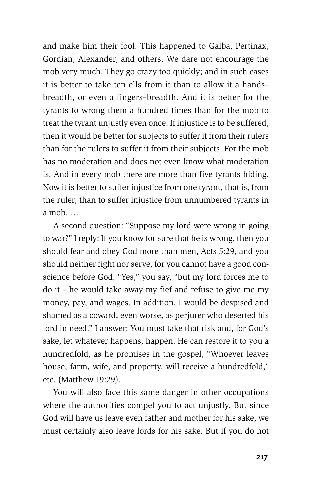and make him their fool. This happened to Galba, Pertinax, Gordian, Alexander, and others. We dare not encourage the mob very much. They go crazy too quickly; and in such cases it is better to take ten ells from it than to allow it a hands– breadth, or even a fingers–breadth. And it is better for the tyrants to wrong them a hundred times than for the mob to treat the tyrant unjustly even once. If injustice is to be suffered, then it would be better for subjects to suffer it from their rulers than for the rulers to suffer it from their subjects. For the mob has no moderation and does not even know what moderation is. And in every mob there are more than five tyrants hiding. Now it is better to suffer injustice from one tyrant, that is, from the ruler, than to suffer injustice from unnumbered tyrants in a mob. ...

A second question: "Suppose my lord were wrong in going to war?" I reply: If you know for sure that he is wrong, then you should fear and obey God more than men, Acts 5:29, and you should neither fight nor serve, for you cannot have a good conscience before God. "Yes," you say, "but my lord forces me to do it – he would take away my fief and refuse to give me my money, pay, and wages. In addition, I would be despised and shamed as a coward, even worse, as perjurer who deserted his lord in need." I answer: You must take that risk and, for God's sake, let whatever happens, happen. He can restore it to you a hundredfold, as he promises in the gospel, "Whoever leaves house, farm, wife, and property, will receive a hundredfold," etc. (Matthew 19:29).

You will also face this same danger in other occupations where the authorities compel you to act unjustly. But since God will have us leave even father and mother for his sake, we must certainly also leave lords for his sake. But if you do not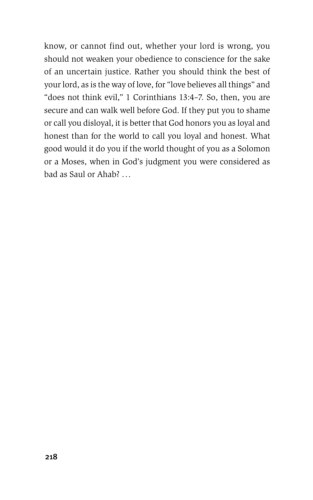know, or cannot find out, whether your lord is wrong, you should not weaken your obedience to conscience for the sake of an uncertain justice. Rather you should think the best of your lord, as is the way of love, for "love believes all things" and "does not think evil," 1 Corinthians 13:4–7. So, then, you are secure and can walk well before God. If they put you to shame or call you disloyal, it is better that God honors you as loyal and honest than for the world to call you loyal and honest. What good would it do you if the world thought of you as a Solomon or a Moses, when in God's judgment you were considered as bad as Saul or Ahab? ...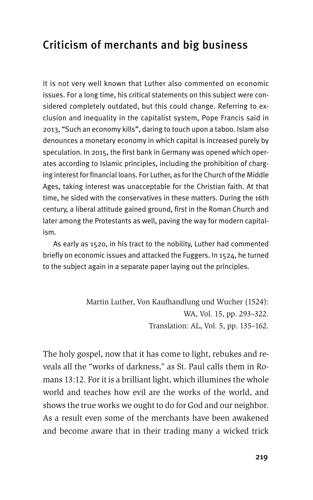## Criticism of merchants and big business

It is not very well known that Luther also commented on economic issues. For a long time, his critical statements on this subject were considered completely outdated, but this could change. Referring to exclusion and inequality in the capitalist system, Pope Francis said in 2013, "Such an economy kills", daring to touch upon a taboo. Islam also denounces a monetary economy in which capital is increased purely by speculation. In 2015, the first bank in Germany was opened which operates according to Islamic principles, including the prohibition of charging interest for financial loans. For Luther, as for the Church of the Middle Ages, taking interest was unacceptable for the Christian faith. At that time, he sided with the conservatives in these matters. During the 16th century, a liberal attitude gained ground, first in the Roman Church and later among the Protestants as well, paving the way for modern capitalism.

As early as 1520, in his tract to the nobility, Luther had commented briefly on economic issues and attacked the Fuggers. In 1524, he turned to the subject again in a separate paper laying out the principles.

> Martin Luther, Von Kaufhandlung und Wucher (1524): WA, Vol. 15, pp. 293–322. Translation: AL, Vol. 5, pp. 135–162.

The holy gospel, now that it has come to light, rebukes and reveals all the "works of darkness," as St. Paul calls them in Romans 13:12. For it is a brilliant light, which illumines the whole world and teaches how evil are the works of the world, and shows the true works we ought to do for God and our neighbor. As a result even some of the merchants have been awakened and become aware that in their trading many a wicked trick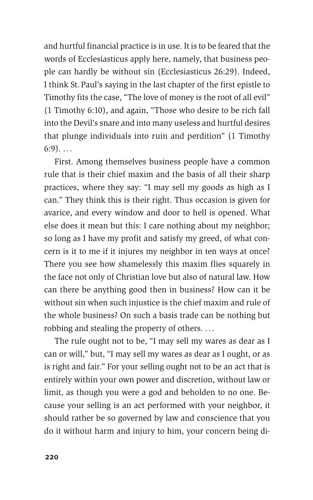and hurtful financial practice is in use. It is to be feared that the words of Ecclesiasticus apply here, namely, that business people can hardly be without sin (Ecclesiasticus 26:29). Indeed, I think St. Paul's saying in the last chapter of the first epistle to Timothy fits the case, "The love of money is the root of all evil" (1 Timothy 6:10), and again, "Those who desire to be rich fall into the Devil's snare and into many useless and hurtful desires that plunge individuals into ruin and perdition" (1 Timothy  $(6:9)$ ...

First. Among themselves business people have a common rule that is their chief maxim and the basis of all their sharp practices, where they say: "I may sell my goods as high as I can." They think this is their right. Thus occasion is given for avarice, and every window and door to hell is opened. What else does it mean but this: I care nothing about my neighbor; so long as I have my profit and satisfy my greed, of what concern is it to me if it injures my neighbor in ten ways at once? There you see how shamelessly this maxim flies squarely in the face not only of Christian love but also of natural law. How can there be anything good then in business? How can it be without sin when such injustice is the chief maxim and rule of the whole business? On such a basis trade can be nothing but robbing and stealing the property of others. ...

The rule ought not to be, "I may sell my wares as dear as I can or will," but, "I may sell my wares as dear as I ought, or as is right and fair." For your selling ought not to be an act that is entirely within your own power and discretion, without law or limit, as though you were a god and beholden to no one. Because your selling is an act performed with your neighbor, it should rather be so governed by law and conscience that you do it without harm and injury to him, your concern being di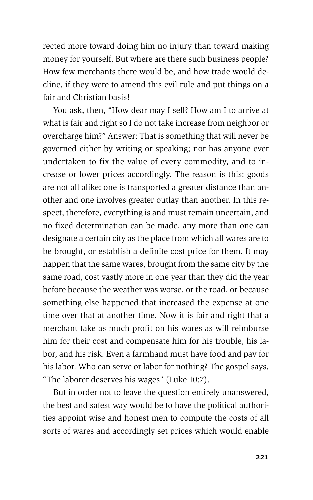rected more toward doing him no injury than toward making money for yourself. But where are there such business people? How few merchants there would be, and how trade would decline, if they were to amend this evil rule and put things on a fair and Christian basis!

You ask, then, "How dear may I sell? How am I to arrive at what is fair and right so I do not take increase from neighbor or overcharge him?" Answer: That is something that will never be governed either by writing or speaking; nor has anyone ever undertaken to fix the value of every commodity, and to increase or lower prices accordingly. The reason is this: goods are not all alike; one is transported a greater distance than another and one involves greater outlay than another. In this respect, therefore, everything is and must remain uncertain, and no fixed determination can be made, any more than one can designate a certain city as the place from which all wares are to be brought, or establish a definite cost price for them. It may happen that the same wares, brought from the same city by the same road, cost vastly more in one year than they did the year before because the weather was worse, or the road, or because something else happened that increased the expense at one time over that at another time. Now it is fair and right that a merchant take as much profit on his wares as will reimburse him for their cost and compensate him for his trouble, his labor, and his risk. Even a farmhand must have food and pay for his labor. Who can serve or labor for nothing? The gospel says, "The laborer deserves his wages" (Luke 10:7).

But in order not to leave the question entirely unanswered, the best and safest way would be to have the political authorities appoint wise and honest men to compute the costs of all sorts of wares and accordingly set prices which would enable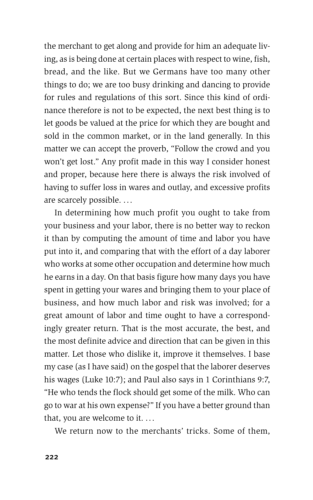the merchant to get along and provide for him an adequate living, as is being done at certain places with respect to wine, fish, bread, and the like. But we Germans have too many other things to do; we are too busy drinking and dancing to provide for rules and regulations of this sort. Since this kind of ordinance therefore is not to be expected, the next best thing is to let goods be valued at the price for which they are bought and sold in the common market, or in the land generally. In this matter we can accept the proverb, "Follow the crowd and you won't get lost." Any profit made in this way I consider honest and proper, because here there is always the risk involved of having to suffer loss in wares and outlay, and excessive profits are scarcely possible. ...

In determining how much profit you ought to take from your business and your labor, there is no better way to reckon it than by computing the amount of time and labor you have put into it, and comparing that with the effort of a day laborer who works at some other occupation and determine how much he earns in a day. On that basis figure how many days you have spent in getting your wares and bringing them to your place of business, and how much labor and risk was involved; for a great amount of labor and time ought to have a correspondingly greater return. That is the most accurate, the best, and the most definite advice and direction that can be given in this matter. Let those who dislike it, improve it themselves. I base my case (as I have said) on the gospel that the laborer deserves his wages (Luke 10:7); and Paul also says in 1 Corinthians 9:7, "He who tends the flock should get some of the milk. Who can go to war at his own expense?" If you have a better ground than that, you are welcome to it. ...

We return now to the merchants' tricks. Some of them,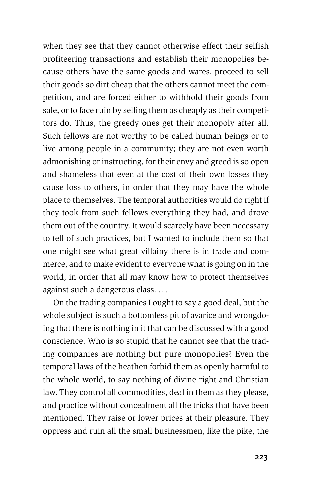when they see that they cannot otherwise effect their selfish profiteering transactions and establish their monopolies because others have the same goods and wares, proceed to sell their goods so dirt cheap that the others cannot meet the competition, and are forced either to withhold their goods from sale, or to face ruin by selling them as cheaply as their competitors do. Thus, the greedy ones get their monopoly after all. Such fellows are not worthy to be called human beings or to live among people in a community; they are not even worth admonishing or instructing, for their envy and greed is so open and shameless that even at the cost of their own losses they cause loss to others, in order that they may have the whole place to themselves. The temporal authorities would do right if they took from such fellows everything they had, and drove them out of the country. It would scarcely have been necessary to tell of such practices, but I wanted to include them so that one might see what great villainy there is in trade and commerce, and to make evident to everyone what is going on in the world, in order that all may know how to protect themselves against such a dangerous class. ...

On the trading companies I ought to say a good deal, but the whole subject is such a bottomless pit of avarice and wrongdoing that there is nothing in it that can be discussed with a good conscience. Who is so stupid that he cannot see that the trading companies are nothing but pure monopolies? Even the temporal laws of the heathen forbid them as openly harmful to the whole world, to say nothing of divine right and Christian law. They control all commodities, deal in them as they please, and practice without concealment all the tricks that have been mentioned. They raise or lower prices at their pleasure. They oppress and ruin all the small businessmen, like the pike, the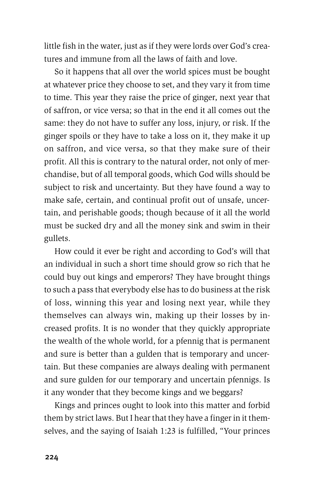little fish in the water, just as if they were lords over God's creatures and immune from all the laws of faith and love.

So it happens that all over the world spices must be bought at whatever price they choose to set, and they vary it from time to time. This year they raise the price of ginger, next year that of saffron, or vice versa; so that in the end it all comes out the same: they do not have to suffer any loss, injury, or risk. If the ginger spoils or they have to take a loss on it, they make it up on saffron, and vice versa, so that they make sure of their profit. All this is contrary to the natural order, not only of merchandise, but of all temporal goods, which God wills should be subject to risk and uncertainty. But they have found a way to make safe, certain, and continual profit out of unsafe, uncertain, and perishable goods; though because of it all the world must be sucked dry and all the money sink and swim in their gullets.

How could it ever be right and according to God's will that an individual in such a short time should grow so rich that he could buy out kings and emperors? They have brought things to such a pass that everybody else has to do business at the risk of loss, winning this year and losing next year, while they themselves can always win, making up their losses by increased profits. It is no wonder that they quickly appropriate the wealth of the whole world, for a pfennig that is permanent and sure is better than a gulden that is temporary and uncertain. But these companies are always dealing with permanent and sure gulden for our temporary and uncertain pfennigs. Is it any wonder that they become kings and we beggars?

Kings and princes ought to look into this matter and forbid them by strict laws. But I hear that they have a finger in it themselves, and the saying of Isaiah 1:23 is fulfilled, "Your princes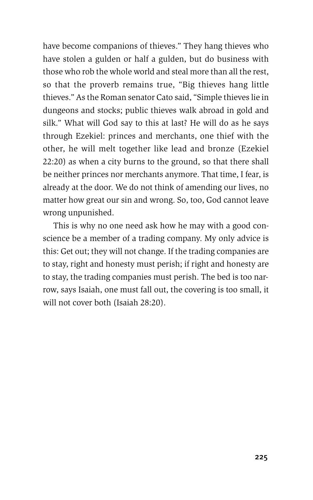have become companions of thieves." They hang thieves who have stolen a gulden or half a gulden, but do business with those who rob the whole world and steal more than all the rest, so that the proverb remains true, "Big thieves hang little thieves." As the Roman senator Cato said, "Simple thieves lie in dungeons and stocks; public thieves walk abroad in gold and silk." What will God say to this at last? He will do as he says through Ezekiel: princes and merchants, one thief with the other, he will melt together like lead and bronze (Ezekiel 22:20) as when a city burns to the ground, so that there shall be neither princes nor merchants anymore. That time, I fear, is already at the door. We do not think of amending our lives, no matter how great our sin and wrong. So, too, God cannot leave wrong unpunished.

This is why no one need ask how he may with a good conscience be a member of a trading company. My only advice is this: Get out; they will not change. If the trading companies are to stay, right and honesty must perish; if right and honesty are to stay, the trading companies must perish. The bed is too narrow, says Isaiah, one must fall out, the covering is too small, it will not cover both (Isaiah 28:20).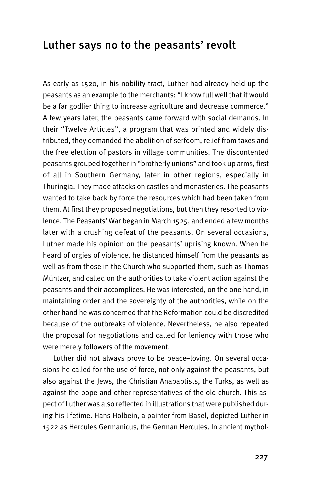#### Luther says no to the peasants' revolt

As early as 1520, in his nobility tract, Luther had already held up the peasants as an example to the merchants: "I know full well that it would be a far godlier thing to increase agriculture and decrease commerce." A few years later, the peasants came forward with social demands. In their "Twelve Articles", a program that was printed and widely distributed, they demanded the abolition of serfdom, relief from taxes and the free election of pastors in village communities. The discontented peasants grouped together in "brotherly unions" and took up arms, first of all in Southern Germany, later in other regions, especially in Thuringia. They made attacks on castles and monasteries. The peasants wanted to take back by force the resources which had been taken from them. At first they proposed negotiations, but then they resorted to violence. The Peasants' War began in March 1525, and ended a few months later with a crushing defeat of the peasants. On several occasions, Luther made his opinion on the peasants' uprising known. When he heard of orgies of violence, he distanced himself from the peasants as well as from those in the Church who supported them, such as Thomas Müntzer, and called on the authorities to take violent action against the peasants and their accomplices. He was interested, on the one hand, in maintaining order and the sovereignty of the authorities, while on the other hand he was concerned that the Reformation could be discredited because of the outbreaks of violence. Nevertheless, he also repeated the proposal for negotiations and called for leniency with those who were merely followers of the movement.

Luther did not always prove to be peace–loving. On several occasions he called for the use of force, not only against the peasants, but also against the Jews, the Christian Anabaptists, the Turks, as well as against the pope and other representatives of the old church. This aspect of Luther was also reflected in illustrations that were published during his lifetime. Hans Holbein, a painter from Basel, depicted Luther in 1522 as Hercules Germanicus, the German Hercules. In ancient mythol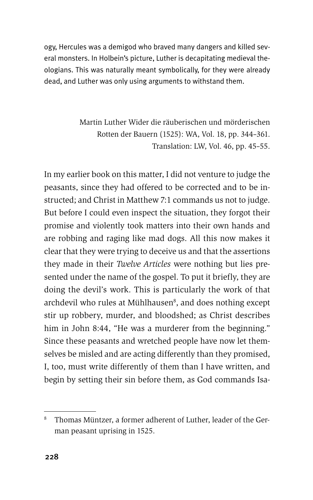ogy, Hercules was a demigod who braved many dangers and killed several monsters. In Holbein's picture, Luther is decapitating medieval theologians. This was naturally meant symbolically, for they were already dead, and Luther was only using arguments to withstand them.

> Martin Luther Wider die räuberischen und mörderischen Rotten der Bauern (1525): WA, Vol. 18, pp. 344–361. Translation: LW, Vol. 46, pp. 45–55.

In my earlier book on this matter, I did not venture to judge the peasants, since they had offered to be corrected and to be instructed; and Christ in Matthew 7:1 commands us not to judge. But before I could even inspect the situation, they forgot their promise and violently took matters into their own hands and are robbing and raging like mad dogs. All this now makes it clear that they were trying to deceive us and that the assertions they made in their *Twelve Articles* were nothing but lies presented under the name of the gospel. To put it briefly, they are doing the devil's work. This is particularly the work of that archdevil who rules at Mühlhausen<sup>8</sup>, and does nothing except stir up robbery, murder, and bloodshed; as Christ describes him in John 8:44, "He was a murderer from the beginning." Since these peasants and wretched people have now let themselves be misled and are acting differently than they promised, I, too, must write differently of them than I have written, and begin by setting their sin before them, as God commands Isa-

<sup>8</sup> Thomas Müntzer, a former adherent of Luther, leader of the German peasant uprising in 1525.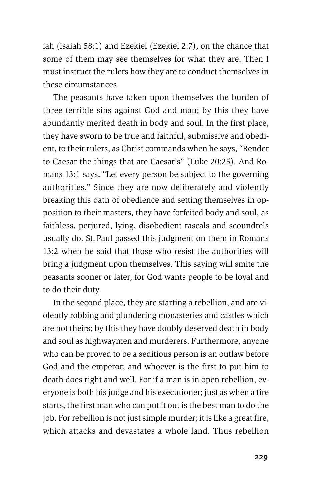iah (Isaiah 58:1) and Ezekiel (Ezekiel 2:7), on the chance that some of them may see themselves for what they are. Then I must instruct the rulers how they are to conduct themselves in these circumstances.

The peasants have taken upon themselves the burden of three terrible sins against God and man; by this they have abundantly merited death in body and soul. In the first place, they have sworn to be true and faithful, submissive and obedient, to their rulers, as Christ commands when he says, "Render to Caesar the things that are Caesar's" (Luke 20:25). And Romans 13:1 says, "Let every person be subject to the governing authorities." Since they are now deliberately and violently breaking this oath of obedience and setting themselves in opposition to their masters, they have forfeited body and soul, as faithless, perjured, lying, disobedient rascals and scoundrels usually do. St. Paul passed this judgment on them in Romans  $13:2$  when he said that those who resist the authorities will bring a judgment upon themselves. This saying will smite the peasants sooner or later, for God wants people to be loyal and to do their duty.

In the second place, they are starting a rebellion, and are violently robbing and plundering monasteries and castles which are not theirs; by this they have doubly deserved death in body and soul as highwaymen and murderers. Furthermore, anyone who can be proved to be a seditious person is an outlaw before God and the emperor; and whoever is the first to put him to death does right and well. For if a man is in open rebellion, everyone is both his judge and his executioner; just as when a fire starts, the first man who can put it out is the best man to do the job. For rebellion is not just simple murder; it is like a great fire, which attacks and devastates a whole land. Thus rebellion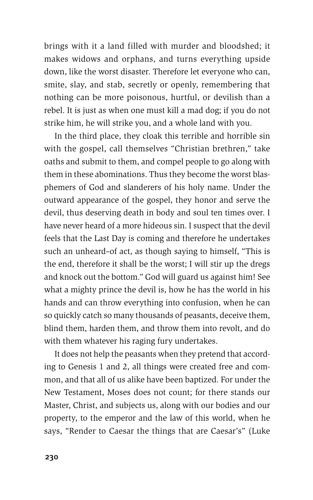brings with it a land filled with murder and bloodshed; it makes widows and orphans, and turns everything upside down, like the worst disaster. Therefore let everyone who can, smite, slay, and stab, secretly or openly, remembering that nothing can be more poisonous, hurtful, or devilish than a rebel. It is just as when one must kill a mad dog; if you do not strike him, he will strike you, and a whole land with you.

In the third place, they cloak this terrible and horrible sin with the gospel, call themselves "Christian brethren," take oaths and submit to them, and compel people to go along with them in these abominations. Thus they become the worst blasphemers of God and slanderers of his holy name. Under the outward appearance of the gospel, they honor and serve the devil, thus deserving death in body and soul ten times over. I have never heard of a more hideous sin. I suspect that the devil feels that the Last Day is coming and therefore he undertakes such an unheard–of act, as though saying to himself, "This is the end, therefore it shall be the worst; I will stir up the dregs and knock out the bottom." God will guard us against him! See what a mighty prince the devil is, how he has the world in his hands and can throw everything into confusion, when he can so quickly catch so many thousands of peasants, deceive them, blind them, harden them, and throw them into revolt, and do with them whatever his raging fury undertakes.

It does not help the peasants when they pretend that according to Genesis 1 and 2, all things were created free and common, and that all of us alike have been baptized. For under the New Testament, Moses does not count; for there stands our Master, Christ, and subjects us, along with our bodies and our property, to the emperor and the law of this world, when he says, "Render to Caesar the things that are Caesar's" (Luke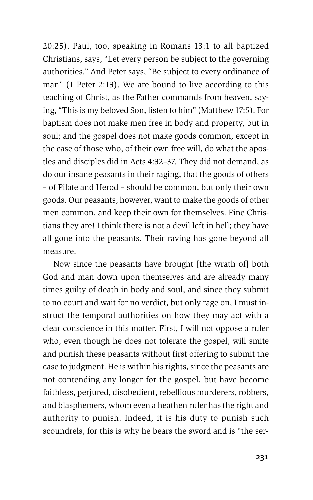20:25). Paul, too, speaking in Romans 13:1 to all baptized Christians, says, "Let every person be subject to the governing authorities." And Peter says, "Be subject to every ordinance of man" (1 Peter 2:13). We are bound to live according to this teaching of Christ, as the Father commands from heaven, saying, "This is my beloved Son, listen to him" (Matthew 17:5). For baptism does not make men free in body and property, but in soul; and the gospel does not make goods common, except in the case of those who, of their own free will, do what the apostles and disciples did in Acts 4:32–37. They did not demand, as do our insane peasants in their raging, that the goods of others – of Pilate and Herod – should be common, but only their own goods. Our peasants, however, want to make the goods of other men common, and keep their own for themselves. Fine Christians they are! I think there is not a devil left in hell; they have all gone into the peasants. Their raving has gone beyond all measure.

Now since the peasants have brought [the wrath of] both God and man down upon themselves and are already many times guilty of death in body and soul, and since they submit to no court and wait for no verdict, but only rage on, I must instruct the temporal authorities on how they may act with a clear conscience in this matter. First, I will not oppose a ruler who, even though he does not tolerate the gospel, will smite and punish these peasants without first offering to submit the case to judgment. He is within his rights, since the peasants are not contending any longer for the gospel, but have become faithless, perjured, disobedient, rebellious murderers, robbers, and blasphemers, whom even a heathen ruler has the right and authority to punish. Indeed, it is his duty to punish such scoundrels, for this is why he bears the sword and is "the ser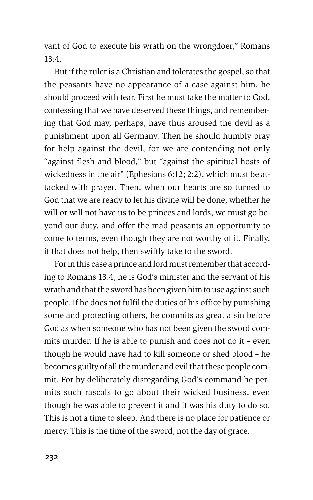vant of God to execute his wrath on the wrongdoer," Romans  $13.4$ 

But if the ruler is a Christian and tolerates the gospel, so that the peasants have no appearance of a case against him, he should proceed with fear. First he must take the matter to God, confessing that we have deserved these things, and remembering that God may, perhaps, have thus aroused the devil as a punishment upon all Germany. Then he should humbly pray for help against the devil, for we are contending not only "against flesh and blood," but "against the spiritual hosts of wickedness in the air" (Ephesians 6:12; 2:2), which must be attacked with prayer. Then, when our hearts are so turned to God that we are ready to let his divine will be done, whether he will or will not have us to be princes and lords, we must go beyond our duty, and offer the mad peasants an opportunity to come to terms, even though they are not worthy of it. Finally, if that does not help, then swiftly take to the sword.

For in this case a prince and lord must remember that according to Romans 13:4, he is God's minister and the servant of his wrath and that the sword has been given him to use against such people. If he does not fulfil the duties of his office by punishing some and protecting others, he commits as great a sin before God as when someone who has not been given the sword commits murder. If he is able to punish and does not do it – even though he would have had to kill someone or shed blood – he becomes guilty of all the murder and evil that these people commit. For by deliberately disregarding God's command he permits such rascals to go about their wicked business, even though he was able to prevent it and it was his duty to do so. This is not a time to sleep. And there is no place for patience or mercy. This is the time of the sword, not the day of grace.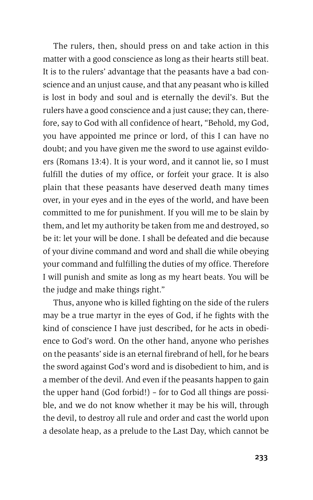The rulers, then, should press on and take action in this matter with a good conscience as long as their hearts still beat. It is to the rulers' advantage that the peasants have a bad conscience and an unjust cause, and that any peasant who is killed is lost in body and soul and is eternally the devil's. But the rulers have a good conscience and a just cause; they can, therefore, say to God with all confidence of heart, "Behold, my God, you have appointed me prince or lord, of this I can have no doubt; and you have given me the sword to use against evildoers (Romans 13:4). It is your word, and it cannot lie, so I must fulfill the duties of my office, or forfeit your grace. It is also plain that these peasants have deserved death many times over, in your eyes and in the eyes of the world, and have been committed to me for punishment. If you will me to be slain by them, and let my authority be taken from me and destroyed, so be it: let your will be done. I shall be defeated and die because of your divine command and word and shall die while obeying your command and fulfilling the duties of my office. Therefore I will punish and smite as long as my heart beats. You will be the judge and make things right."

Thus, anyone who is killed fighting on the side of the rulers may be a true martyr in the eyes of God, if he fights with the kind of conscience I have just described, for he acts in obedience to God's word. On the other hand, anyone who perishes on the peasants' side is an eternal firebrand of hell, for he bears the sword against God's word and is disobedient to him, and is a member of the devil. And even if the peasants happen to gain the upper hand (God forbid!) – for to God all things are possible, and we do not know whether it may be his will, through the devil, to destroy all rule and order and cast the world upon a desolate heap, as a prelude to the Last Day, which cannot be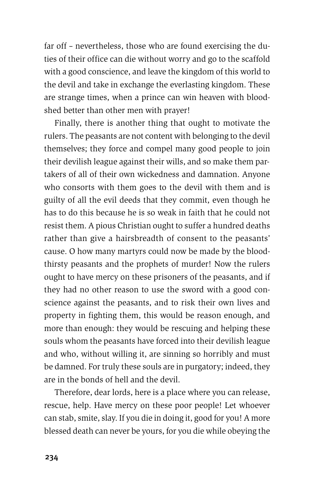far off – nevertheless, those who are found exercising the duties of their office can die without worry and go to the scaffold with a good conscience, and leave the kingdom of this world to the devil and take in exchange the everlasting kingdom. These are strange times, when a prince can win heaven with bloodshed better than other men with prayer!

Finally, there is another thing that ought to motivate the rulers. The peasants are not content with belonging to the devil themselves; they force and compel many good people to join their devilish league against their wills, and so make them partakers of all of their own wickedness and damnation. Anyone who consorts with them goes to the devil with them and is guilty of all the evil deeds that they commit, even though he has to do this because he is so weak in faith that he could not resist them. A pious Christian ought to suffer a hundred deaths rather than give a hairsbreadth of consent to the peasants' cause. O how many martyrs could now be made by the bloodthirsty peasants and the prophets of murder! Now the rulers ought to have mercy on these prisoners of the peasants, and if they had no other reason to use the sword with a good conscience against the peasants, and to risk their own lives and property in fighting them, this would be reason enough, and more than enough: they would be rescuing and helping these souls whom the peasants have forced into their devilish league and who, without willing it, are sinning so horribly and must be damned. For truly these souls are in purgatory; indeed, they are in the bonds of hell and the devil.

Therefore, dear lords, here is a place where you can release, rescue, help. Have mercy on these poor people! Let whoever can stab, smite, slay. If you die in doing it, good for you! A more blessed death can never be yours, for you die while obeying the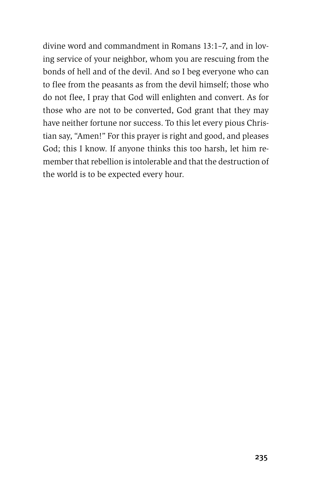divine word and commandment in Romans 13:1–7, and in loving service of your neighbor, whom you are rescuing from the bonds of hell and of the devil. And so I beg everyone who can to flee from the peasants as from the devil himself; those who do not flee, I pray that God will enlighten and convert. As for those who are not to be converted, God grant that they may have neither fortune nor success. To this let every pious Christian say, "Amen!" For this prayer is right and good, and pleases God; this I know. If anyone thinks this too harsh, let him remember that rebellion is intolerable and that the destruction of the world is to be expected every hour.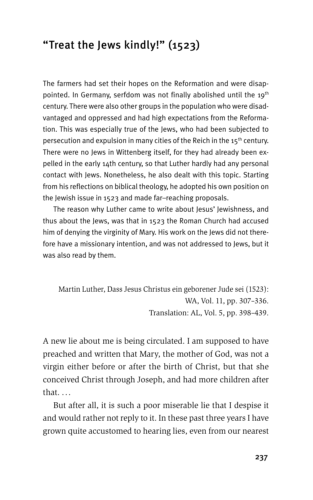### "Treat the Jews kindly!" (1523)

The farmers had set their hopes on the Reformation and were disappointed. In Germany, serfdom was not finally abolished until the 19<sup>th</sup> century. There were also other groups in the population who were disadvantaged and oppressed and had high expectations from the Reformation. This was especially true of the Jews, who had been subjected to persecution and expulsion in many cities of the Reich in the  $15<sup>th</sup>$  century. There were no Jews in Wittenberg itself, for they had already been expelled in the early 14th century, so that Luther hardly had any personal contact with Jews. Nonetheless, he also dealt with this topic. Starting from his reflections on biblical theology, he adopted his own position on the Jewish issue in 1523 and made far–reaching proposals.

The reason why Luther came to write about Jesus' Jewishness, and thus about the Jews, was that in 1523 the Roman Church had accused him of denying the virginity of Mary. His work on the Jews did not therefore have a missionary intention, and was not addressed to Jews, but it was also read by them.

Martin Luther, Dass Jesus Christus ein geborener Jude sei (1523): WA, Vol. 11, pp. 307–336. Translation: AL, Vol. 5, pp. 398–439.

A new lie about me is being circulated. I am supposed to have preached and written that Mary, the mother of God, was not a virgin either before or after the birth of Christ, but that she conceived Christ through Joseph, and had more children after that. ...

But after all, it is such a poor miserable lie that I despise it and would rather not reply to it. In these past three years I have grown quite accustomed to hearing lies, even from our nearest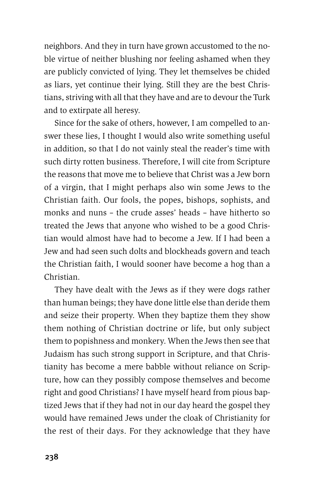neighbors. And they in turn have grown accustomed to the noble virtue of neither blushing nor feeling ashamed when they are publicly convicted of lying. They let themselves be chided as liars, yet continue their lying. Still they are the best Christians, striving with all that they have and are to devour the Turk and to extirpate all heresy.

Since for the sake of others, however, I am compelled to answer these lies, I thought I would also write something useful in addition, so that I do not vainly steal the reader's time with such dirty rotten business. Therefore, I will cite from Scripture the reasons that move me to believe that Christ was a Jew born of a virgin, that I might perhaps also win some Jews to the Christian faith. Our fools, the popes, bishops, sophists, and monks and nuns – the crude asses' heads – have hitherto so treated the Jews that anyone who wished to be a good Christian would almost have had to become a Jew. If I had been a Jew and had seen such dolts and blockheads govern and teach the Christian faith, I would sooner have become a hog than a Christian.

They have dealt with the Jews as if they were dogs rather than human beings; they have done little else than deride them and seize their property. When they baptize them they show them nothing of Christian doctrine or life, but only subject them to popishness and monkery. When the Jews then see that Judaism has such strong support in Scripture, and that Christianity has become a mere babble without reliance on Scripture, how can they possibly compose themselves and become right and good Christians? I have myself heard from pious baptized Jews that if they had not in our day heard the gospel they would have remained Jews under the cloak of Christianity for the rest of their days. For they acknowledge that they have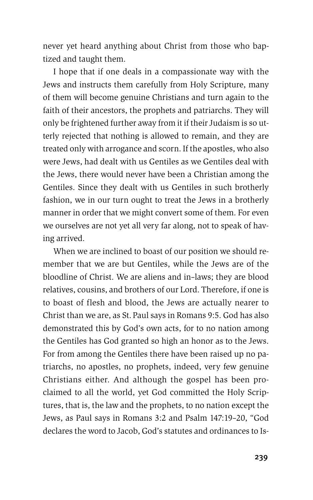never yet heard anything about Christ from those who baptized and taught them.

I hope that if one deals in a compassionate way with the Jews and instructs them carefully from Holy Scripture, many of them will become genuine Christians and turn again to the faith of their ancestors, the prophets and patriarchs. They will only be frightened further away from it if their Judaism is so utterly rejected that nothing is allowed to remain, and they are treated only with arrogance and scorn. If the apostles, who also were Jews, had dealt with us Gentiles as we Gentiles deal with the Jews, there would never have been a Christian among the Gentiles. Since they dealt with us Gentiles in such brotherly fashion, we in our turn ought to treat the Jews in a brotherly manner in order that we might convert some of them. For even we ourselves are not yet all very far along, not to speak of having arrived.

When we are inclined to boast of our position we should remember that we are but Gentiles, while the Jews are of the bloodline of Christ. We are aliens and in–laws; they are blood relatives, cousins, and brothers of our Lord. Therefore, if one is to boast of flesh and blood, the Jews are actually nearer to Christ than we are, as St. Paul says in Romans 9:5. God has also demonstrated this by God's own acts, for to no nation among the Gentiles has God granted so high an honor as to the Jews. For from among the Gentiles there have been raised up no patriarchs, no apostles, no prophets, indeed, very few genuine Christians either. And although the gospel has been proclaimed to all the world, yet God committed the Holy Scriptures, that is, the law and the prophets, to no nation except the Jews, as Paul says in Romans 3:2 and Psalm 147:19–20, "God declares the word to Jacob, God's statutes and ordinances to Is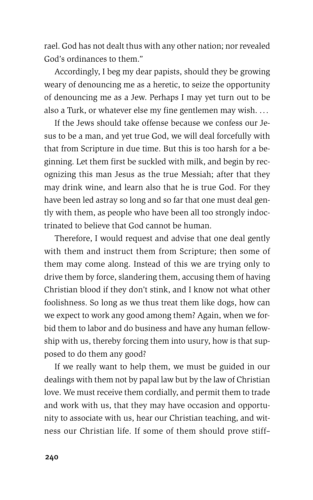rael. God has not dealt thus with any other nation; nor revealed God's ordinances to them."

Accordingly, I beg my dear papists, should they be growing weary of denouncing me as a heretic, to seize the opportunity of denouncing me as a Jew. Perhaps I may yet turn out to be also a Turk, or whatever else my fine gentlemen may wish. ...

If the Jews should take offense because we confess our Jesus to be a man, and yet true God, we will deal forcefully with that from Scripture in due time. But this is too harsh for a beginning. Let them first be suckled with milk, and begin by recognizing this man Jesus as the true Messiah; after that they may drink wine, and learn also that he is true God. For they have been led astray so long and so far that one must deal gently with them, as people who have been all too strongly indoctrinated to believe that God cannot be human.

Therefore, I would request and advise that one deal gently with them and instruct them from Scripture; then some of them may come along. Instead of this we are trying only to drive them by force, slandering them, accusing them of having Christian blood if they don't stink, and I know not what other foolishness. So long as we thus treat them like dogs, how can we expect to work any good among them? Again, when we forbid them to labor and do business and have any human fellowship with us, thereby forcing them into usury, how is that supposed to do them any good?

If we really want to help them, we must be guided in our dealings with them not by papal law but by the law of Christian love. We must receive them cordially, and permit them to trade and work with us, that they may have occasion and opportunity to associate with us, hear our Christian teaching, and witness our Christian life. If some of them should prove stiff–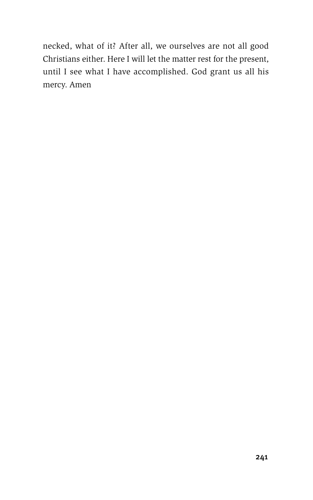necked, what of it? After all, we ourselves are not all good Christians either. Here I will let the matter rest for the present, until I see what I have accomplished. God grant us all his mercy. Amen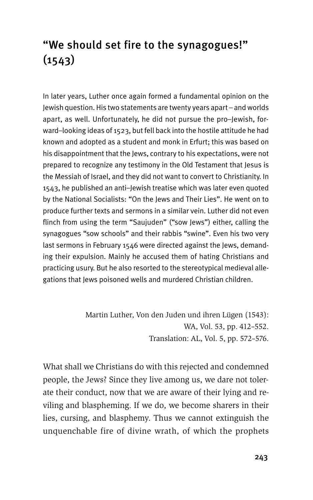# "We should set fire to the synagogues!"  $(1543)$

In later years, Luther once again formed a fundamental opinion on the Jewish question. His two statements are twenty years apart – and worlds apart, as well. Unfortunately, he did not pursue the pro–Jewish, forward–looking ideas of 1523, but fell back into the hostile attitude he had known and adopted as a student and monk in Erfurt; this was based on his disappointment that the Jews, contrary to his expectations, were not prepared to recognize any testimony in the Old Testament that Jesus is the Messiah of Israel, and they did not want to convert to Christianity. In 1543, he published an anti–Jewish treatise which was later even quoted by the National Socialists: "On the Jews and Their Lies". He went on to produce further texts and sermons in a similar vein. Luther did not even flinch from using the term "Saujuden" ("sow Jews") either, calling the synagogues "sow schools" and their rabbis "swine". Even his two very last sermons in February 1546 were directed against the Jews, demanding their expulsion. Mainly he accused them of hating Christians and practicing usury. But he also resorted to the stereotypical medieval allegations that Jews poisoned wells and murdered Christian children.

> Martin Luther, Von den Juden und ihren Lügen (1543): WA, Vol. 53, pp. 412–552. Translation: AL, Vol. 5, pp. 572–576.

What shall we Christians do with this rejected and condemned people, the Jews? Since they live among us, we dare not tolerate their conduct, now that we are aware of their lying and reviling and blaspheming. If we do, we become sharers in their lies, cursing, and blasphemy. Thus we cannot extinguish the unquenchable fire of divine wrath, of which the prophets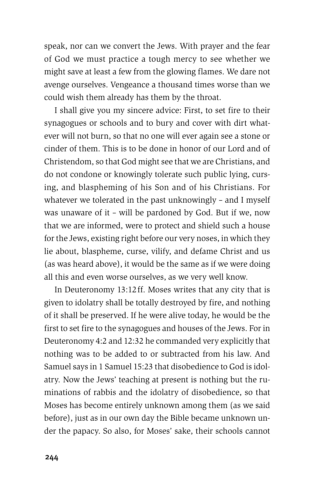speak, nor can we convert the Jews. With prayer and the fear of God we must practice a tough mercy to see whether we might save at least a few from the glowing flames. We dare not avenge ourselves. Vengeance a thousand times worse than we could wish them already has them by the throat.

I shall give you my sincere advice: First, to set fire to their synagogues or schools and to bury and cover with dirt whatever will not burn, so that no one will ever again see a stone or cinder of them. This is to be done in honor of our Lord and of Christendom, so that God might see that we are Christians, and do not condone or knowingly tolerate such public lying, cursing, and blaspheming of his Son and of his Christians. For whatever we tolerated in the past unknowingly – and I myself was unaware of it – will be pardoned by God. But if we, now that we are informed, were to protect and shield such a house for the Jews, existing right before our very noses, in which they lie about, blaspheme, curse, vilify, and defame Christ and us (as was heard above), it would be the same as if we were doing all this and even worse ourselves, as we very well know.

In Deuteronomy 13:12ff. Moses writes that any city that is given to idolatry shall be totally destroyed by fire, and nothing of it shall be preserved. If he were alive today, he would be the first to set fire to the synagogues and houses of the Jews. For in Deuteronomy 4:2 and 12:32 he commanded very explicitly that nothing was to be added to or subtracted from his law. And Samuel says in 1 Samuel 15:23 that disobedience to God is idolatry. Now the Jews' teaching at present is nothing but the ruminations of rabbis and the idolatry of disobedience, so that Moses has become entirely unknown among them (as we said before), just as in our own day the Bible became unknown under the papacy. So also, for Moses' sake, their schools cannot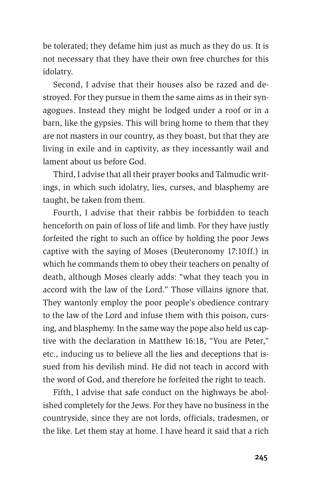be tolerated; they defame him just as much as they do us. It is not necessary that they have their own free churches for this idolatry.

Second, I advise that their houses also be razed and destroyed. For they pursue in them the same aims as in their synagogues. Instead they might be lodged under a roof or in a barn, like the gypsies. This will bring home to them that they are not masters in our country, as they boast, but that they are living in exile and in captivity, as they incessantly wail and lament about us before God.

Third, I advise that all their prayer books and Talmudic writings, in which such idolatry, lies, curses, and blasphemy are taught, be taken from them.

Fourth, I advise that their rabbis be forbidden to teach henceforth on pain of loss of life and limb. For they have justly forfeited the right to such an office by holding the poor Jews captive with the saying of Moses (Deuteronomy 17:10ff.) in which he commands them to obey their teachers on penalty of death, although Moses clearly adds: "what they teach you in accord with the law of the Lord." Those villains ignore that. They wantonly employ the poor people's obedience contrary to the law of the Lord and infuse them with this poison, cursing, and blasphemy. In the same way the pope also held us captive with the declaration in Matthew 16:18, "You are Peter," etc., inducing us to believe all the lies and deceptions that issued from his devilish mind. He did not teach in accord with the word of God, and therefore he forfeited the right to teach.

Fifth, I advise that safe conduct on the highways be abolished completely for the Jews. For they have no business in the countryside, since they are not lords, officials, tradesmen, or the like. Let them stay at home. I have heard it said that a rich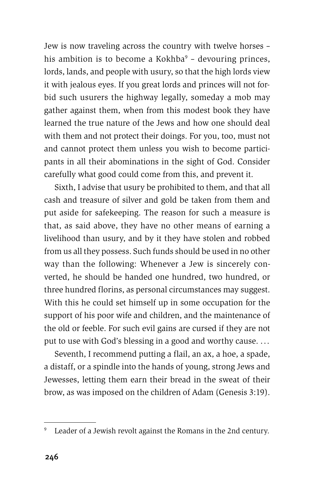Jew is now traveling across the country with twelve horses – his ambition is to become a Kokhba<sup>9</sup> - devouring princes, lords, lands, and people with usury, so that the high lords view it with jealous eyes. If you great lords and princes will not forbid such usurers the highway legally, someday a mob may gather against them, when from this modest book they have learned the true nature of the Jews and how one should deal with them and not protect their doings. For you, too, must not and cannot protect them unless you wish to become participants in all their abominations in the sight of God. Consider carefully what good could come from this, and prevent it.

Sixth, I advise that usury be prohibited to them, and that all cash and treasure of silver and gold be taken from them and put aside for safekeeping. The reason for such a measure is that, as said above, they have no other means of earning a livelihood than usury, and by it they have stolen and robbed from us all they possess. Such funds should be used in no other way than the following: Whenever a Jew is sincerely converted, he should be handed one hundred, two hundred, or three hundred florins, as personal circumstances may suggest. With this he could set himself up in some occupation for the support of his poor wife and children, and the maintenance of the old or feeble. For such evil gains are cursed if they are not put to use with God's blessing in a good and worthy cause. ...

Seventh, I recommend putting a flail, an ax, a hoe, a spade, a distaff, or a spindle into the hands of young, strong Jews and Jewesses, letting them earn their bread in the sweat of their brow, as was imposed on the children of Adam (Genesis 3:19).

Leader of a Jewish revolt against the Romans in the 2nd century.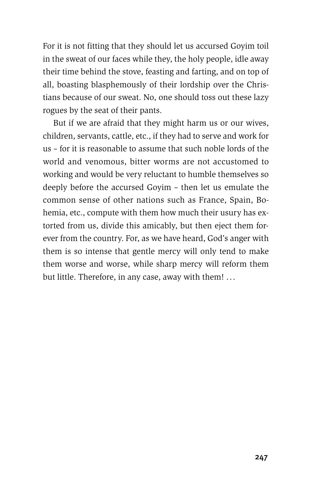For it is not fitting that they should let us accursed Goyim toil in the sweat of our faces while they, the holy people, idle away their time behind the stove, feasting and farting, and on top of all, boasting blasphemously of their lordship over the Christians because of our sweat. No, one should toss out these lazy rogues by the seat of their pants.

But if we are afraid that they might harm us or our wives, children, servants, cattle, etc., if they had to serve and work for us – for it is reasonable to assume that such noble lords of the world and venomous, bitter worms are not accustomed to working and would be very reluctant to humble themselves so deeply before the accursed Goyim – then let us emulate the common sense of other nations such as France, Spain, Bohemia, etc., compute with them how much their usury has extorted from us, divide this amicably, but then eject them forever from the country. For, as we have heard, God's anger with them is so intense that gentle mercy will only tend to make them worse and worse, while sharp mercy will reform them but little. Therefore, in any case, away with them! ...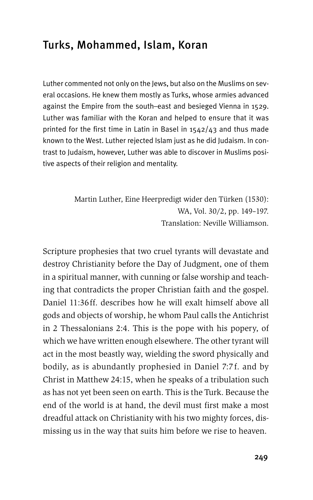#### Turks, Mohammed, Islam, Koran

Luther commented not only on the Jews, but also on the Muslims on several occasions. He knew them mostly as Turks, whose armies advanced against the Empire from the south–east and besieged Vienna in 1529. Luther was familiar with the Koran and helped to ensure that it was printed for the first time in Latin in Basel in  $1542/43$  and thus made known to the West. Luther rejected Islam just as he did Judaism. In contrast to Judaism, however, Luther was able to discover in Muslims positive aspects of their religion and mentality.

> Martin Luther, Eine Heerpredigt wider den Türken (1530): WA, Vol. 30/2, pp. 149–197. Translation: Neville Williamson.

Scripture prophesies that two cruel tyrants will devastate and destroy Christianity before the Day of Judgment, one of them in a spiritual manner, with cunning or false worship and teaching that contradicts the proper Christian faith and the gospel. Daniel 11:36ff. describes how he will exalt himself above all gods and objects of worship, he whom Paul calls the Antichrist in 2 Thessalonians 2:4. This is the pope with his popery, of which we have written enough elsewhere. The other tyrant will act in the most beastly way, wielding the sword physically and bodily, as is abundantly prophesied in Daniel 7:7f. and by Christ in Matthew 24:15, when he speaks of a tribulation such as has not yet been seen on earth. This is the Turk. Because the end of the world is at hand, the devil must first make a most dreadful attack on Christianity with his two mighty forces, dismissing us in the way that suits him before we rise to heaven.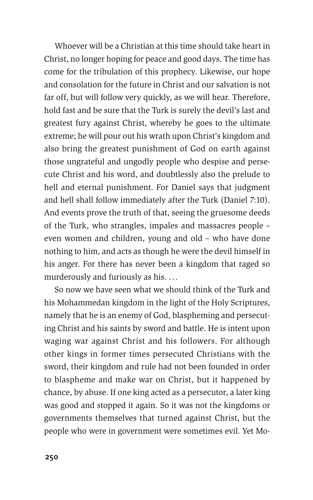Whoever will be a Christian at this time should take heart in Christ, no longer hoping for peace and good days. The time has come for the tribulation of this prophecy. Likewise, our hope and consolation for the future in Christ and our salvation is not far off, but will follow very quickly, as we will hear. Therefore, hold fast and be sure that the Turk is surely the devil's last and greatest fury against Christ, whereby he goes to the ultimate extreme; he will pour out his wrath upon Christ's kingdom and also bring the greatest punishment of God on earth against those ungrateful and ungodly people who despise and persecute Christ and his word, and doubtlessly also the prelude to hell and eternal punishment. For Daniel says that judgment and hell shall follow immediately after the Turk (Daniel 7:10). And events prove the truth of that, seeing the gruesome deeds of the Turk, who strangles, impales and massacres people – even women and children, young and old – who have done nothing to him, and acts as though he were the devil himself in his anger. For there has never been a kingdom that raged so murderously and furiously as his. ...

So now we have seen what we should think of the Turk and his Mohammedan kingdom in the light of the Holy Scriptures, namely that he is an enemy of God, blaspheming and persecuting Christ and his saints by sword and battle. He is intent upon waging war against Christ and his followers. For although other kings in former times persecuted Christians with the sword, their kingdom and rule had not been founded in order to blaspheme and make war on Christ, but it happened by chance, by abuse. If one king acted as a persecutor, a later king was good and stopped it again. So it was not the kingdoms or governments themselves that turned against Christ, but the people who were in government were sometimes evil. Yet Mo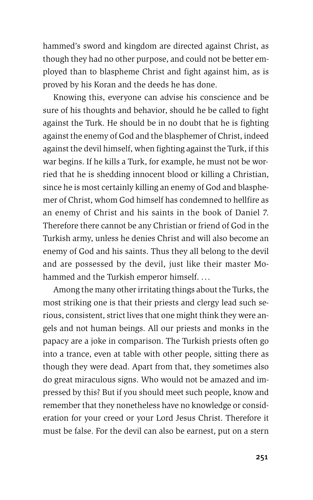hammed's sword and kingdom are directed against Christ, as though they had no other purpose, and could not be better employed than to blaspheme Christ and fight against him, as is proved by his Koran and the deeds he has done.

Knowing this, everyone can advise his conscience and be sure of his thoughts and behavior, should he be called to fight against the Turk. He should be in no doubt that he is fighting against the enemy of God and the blasphemer of Christ, indeed against the devil himself, when fighting against the Turk, if this war begins. If he kills a Turk, for example, he must not be worried that he is shedding innocent blood or killing a Christian, since he is most certainly killing an enemy of God and blasphemer of Christ, whom God himself has condemned to hellfire as an enemy of Christ and his saints in the book of Daniel 7. Therefore there cannot be any Christian or friend of God in the Turkish army, unless he denies Christ and will also become an enemy of God and his saints. Thus they all belong to the devil and are possessed by the devil, just like their master Mohammed and the Turkish emperor himself. ...

Among the many other irritating things about the Turks, the most striking one is that their priests and clergy lead such serious, consistent, strict lives that one might think they were angels and not human beings. All our priests and monks in the papacy are a joke in comparison. The Turkish priests often go into a trance, even at table with other people, sitting there as though they were dead. Apart from that, they sometimes also do great miraculous signs. Who would not be amazed and impressed by this? But if you should meet such people, know and remember that they nonetheless have no knowledge or consideration for your creed or your Lord Jesus Christ. Therefore it must be false. For the devil can also be earnest, put on a stern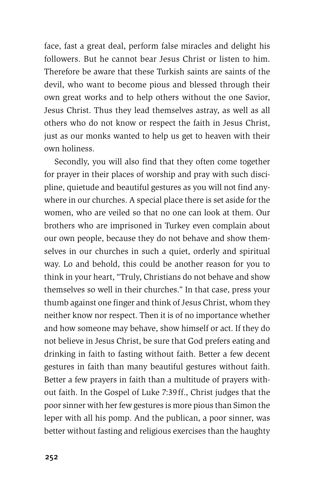face, fast a great deal, perform false miracles and delight his followers. But he cannot bear Jesus Christ or listen to him. Therefore be aware that these Turkish saints are saints of the devil, who want to become pious and blessed through their own great works and to help others without the one Savior, Jesus Christ. Thus they lead themselves astray, as well as all others who do not know or respect the faith in Jesus Christ, just as our monks wanted to help us get to heaven with their own holiness.

Secondly, you will also find that they often come together for prayer in their places of worship and pray with such discipline, quietude and beautiful gestures as you will not find anywhere in our churches. A special place there is set aside for the women, who are veiled so that no one can look at them. Our brothers who are imprisoned in Turkey even complain about our own people, because they do not behave and show themselves in our churches in such a quiet, orderly and spiritual way. Lo and behold, this could be another reason for you to think in your heart, "Truly, Christians do not behave and show themselves so well in their churches." In that case, press your thumb against one finger and think of Jesus Christ, whom they neither know nor respect. Then it is of no importance whether and how someone may behave, show himself or act. If they do not believe in Jesus Christ, be sure that God prefers eating and drinking in faith to fasting without faith. Better a few decent gestures in faith than many beautiful gestures without faith. Better a few prayers in faith than a multitude of prayers without faith. In the Gospel of Luke 7:39ff., Christ judges that the poor sinner with her few gestures is more pious than Simon the leper with all his pomp. And the publican, a poor sinner, was better without fasting and religious exercises than the haughty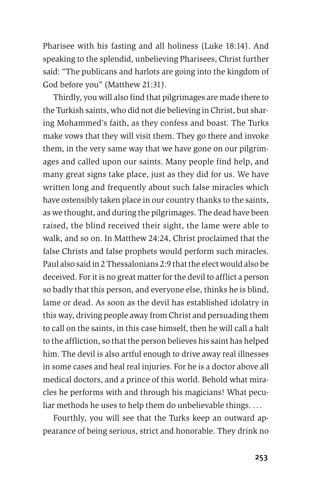Pharisee with his fasting and all holiness (Luke 18:14). And speaking to the splendid, unbelieving Pharisees, Christ further said: "The publicans and harlots are going into the kingdom of God before you" (Matthew 21:31).

Thirdly, you will also find that pilgrimages are made there to the Turkish saints, who did not die believing in Christ, but sharing Mohammed's faith, as they confess and boast. The Turks make vows that they will visit them. They go there and invoke them, in the very same way that we have gone on our pilgrimages and called upon our saints. Many people find help, and many great signs take place, just as they did for us. We have written long and frequently about such false miracles which have ostensibly taken place in our country thanks to the saints, as we thought, and during the pilgrimages. The dead have been raised, the blind received their sight, the lame were able to walk, and so on. In Matthew 24:24, Christ proclaimed that the false Christs and false prophets would perform such miracles. Paul also said in 2 Thessalonians 2:9 that the elect would also be deceived. For it is no great matter for the devil to afflict a person so badly that this person, and everyone else, thinks he is blind, lame or dead. As soon as the devil has established idolatry in this way, driving people away from Christ and persuading them to call on the saints, in this case himself, then he will call a halt to the affliction, so that the person believes his saint has helped him. The devil is also artful enough to drive away real illnesses in some cases and heal real injuries. For he is a doctor above all medical doctors, and a prince of this world. Behold what miracles he performs with and through his magicians! What peculiar methods he uses to help them do unbelievable things. ...

Fourthly, you will see that the Turks keep an outward appearance of being serious, strict and honorable. They drink no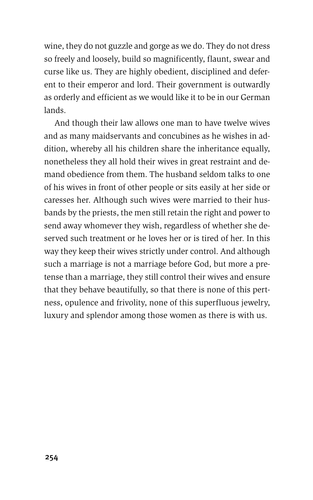wine, they do not guzzle and gorge as we do. They do not dress so freely and loosely, build so magnificently, flaunt, swear and curse like us. They are highly obedient, disciplined and deferent to their emperor and lord. Their government is outwardly as orderly and efficient as we would like it to be in our German lands.

And though their law allows one man to have twelve wives and as many maidservants and concubines as he wishes in addition, whereby all his children share the inheritance equally, nonetheless they all hold their wives in great restraint and demand obedience from them. The husband seldom talks to one of his wives in front of other people or sits easily at her side or caresses her. Although such wives were married to their husbands by the priests, the men still retain the right and power to send away whomever they wish, regardless of whether she deserved such treatment or he loves her or is tired of her. In this way they keep their wives strictly under control. And although such a marriage is not a marriage before God, but more a pretense than a marriage, they still control their wives and ensure that they behave beautifully, so that there is none of this pertness, opulence and frivolity, none of this superfluous jewelry, luxury and splendor among those women as there is with us.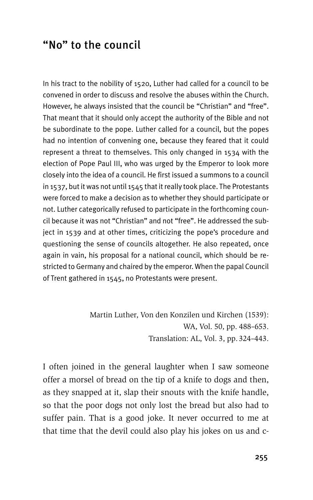## "No" to the council

In his tract to the nobility of 1520, Luther had called for a council to be convened in order to discuss and resolve the abuses within the Church. However, he always insisted that the council be "Christian" and "free". That meant that it should only accept the authority of the Bible and not be subordinate to the pope. Luther called for a council, but the popes had no intention of convening one, because they feared that it could represent a threat to themselves. This only changed in 1534 with the election of Pope Paul III, who was urged by the Emperor to look more closely into the idea of a council. He first issued a summons to a council in 1537, but it was not until 1545 that it really took place. The Protestants were forced to make a decision as to whether they should participate or not. Luther categorically refused to participate in the forthcoming council because it was not "Christian" and not "free". He addressed the subject in 1539 and at other times, criticizing the pope's procedure and questioning the sense of councils altogether. He also repeated, once again in vain, his proposal for a national council, which should be restricted to Germany and chaired by the emperor. When the papal Council of Trent gathered in 1545, no Protestants were present.

> Martin Luther, Von den Konzilen und Kirchen (1539): WA, Vol. 50, pp. 488–653. Translation: AL, Vol. 3, pp. 324–443.

I often joined in the general laughter when I saw someone offer a morsel of bread on the tip of a knife to dogs and then, as they snapped at it, slap their snouts with the knife handle, so that the poor dogs not only lost the bread but also had to suffer pain. That is a good joke. It never occurred to me at that time that the devil could also play his jokes on us and c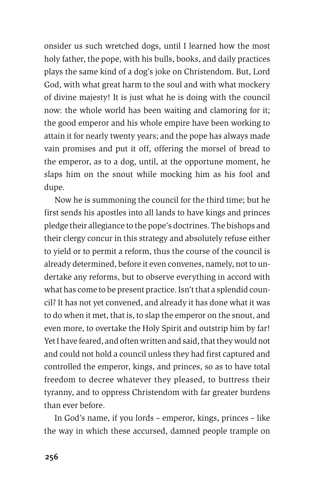onsider us such wretched dogs, until I learned how the most holy father, the pope, with his bulls, books, and daily practices plays the same kind of a dog's joke on Christendom. But, Lord God, with what great harm to the soul and with what mockery of divine majesty! It is just what he is doing with the council now: the whole world has been waiting and clamoring for it; the good emperor and his whole empire have been working to attain it for nearly twenty years; and the pope has always made vain promises and put it off, offering the morsel of bread to the emperor, as to a dog, until, at the opportune moment, he slaps him on the snout while mocking him as his fool and dupe.

Now he is summoning the council for the third time; but he first sends his apostles into all lands to have kings and princes pledge their allegiance to the pope's doctrines. The bishops and their clergy concur in this strategy and absolutely refuse either to yield or to permit a reform, thus the course of the council is already determined, before it even convenes, namely, not to undertake any reforms, but to observe everything in accord with what has come to be present practice. Isn't that a splendid council? It has not yet convened, and already it has done what it was to do when it met, that is, to slap the emperor on the snout, and even more, to overtake the Holy Spirit and outstrip him by far! Yet I have feared, and often written and said, that they would not and could not hold a council unless they had first captured and controlled the emperor, kings, and princes, so as to have total freedom to decree whatever they pleased, to buttress their tyranny, and to oppress Christendom with far greater burdens than ever before.

In God's name, if you lords – emperor, kings, princes – like the way in which these accursed, damned people trample on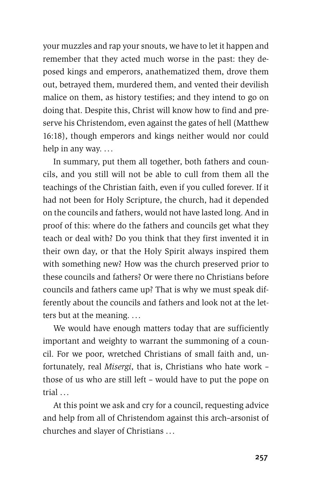your muzzles and rap your snouts, we have to let it happen and remember that they acted much worse in the past: they deposed kings and emperors, anathematized them, drove them out, betrayed them, murdered them, and vented their devilish malice on them, as history testifies; and they intend to go on doing that. Despite this, Christ will know how to find and preserve his Christendom, even against the gates of hell (Matthew 16:18), though emperors and kings neither would nor could help in any way. ...

In summary, put them all together, both fathers and councils, and you still will not be able to cull from them all the teachings of the Christian faith, even if you culled forever. If it had not been for Holy Scripture, the church, had it depended on the councils and fathers, would not have lasted long. And in proof of this: where do the fathers and councils get what they teach or deal with? Do you think that they first invented it in their own day, or that the Holy Spirit always inspired them with something new? How was the church preserved prior to these councils and fathers? Or were there no Christians before councils and fathers came up? That is why we must speak differently about the councils and fathers and look not at the letters but at the meaning. ...

We would have enough matters today that are sufficiently important and weighty to warrant the summoning of a council. For we poor, wretched Christians of small faith and, unfortunately, real *Misergi*, that is, Christians who hate work – those of us who are still left – would have to put the pope on trial ...

At this point we ask and cry for a council, requesting advice and help from all of Christendom against this arch–arsonist of churches and slayer of Christians ...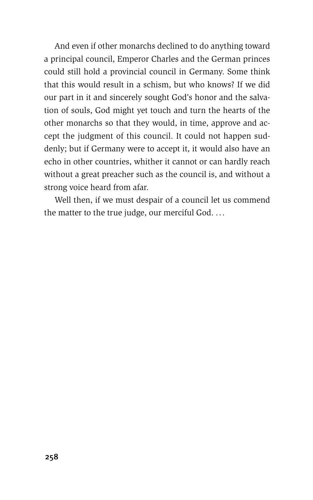And even if other monarchs declined to do anything toward a principal council, Emperor Charles and the German princes could still hold a provincial council in Germany. Some think that this would result in a schism, but who knows? If we did our part in it and sincerely sought God's honor and the salvation of souls, God might yet touch and turn the hearts of the other monarchs so that they would, in time, approve and accept the judgment of this council. It could not happen suddenly; but if Germany were to accept it, it would also have an echo in other countries, whither it cannot or can hardly reach without a great preacher such as the council is, and without a strong voice heard from afar.

Well then, if we must despair of a council let us commend the matter to the true judge, our merciful God. ...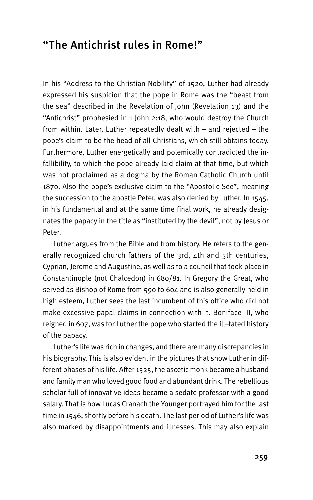## "The Antichrist rules in Rome!"

In his "Address to the Christian Nobility" of 1520, Luther had already expressed his suspicion that the pope in Rome was the "beast from the sea" described in the Revelation of John (Revelation 13) and the "Antichrist" prophesied in 1 John 2:18, who would destroy the Church from within. Later, Luther repeatedly dealt with – and rejected – the pope's claim to be the head of all Christians, which still obtains today. Furthermore, Luther energetically and polemically contradicted the infallibility, to which the pope already laid claim at that time, but which was not proclaimed as a dogma by the Roman Catholic Church until 1870. Also the pope's exclusive claim to the "Apostolic See", meaning the succession to the apostle Peter, was also denied by Luther. In 1545, in his fundamental and at the same time final work, he already designates the papacy in the title as "instituted by the devil", not by Jesus or Peter.

Luther argues from the Bible and from history. He refers to the generally recognized church fathers of the 3rd, 4th and 5th centuries, Cyprian, Jerome and Augustine, as well as to a council that took place in Constantinople (not Chalcedon) in 680/81. In Gregory the Great, who served as Bishop of Rome from 590 to 604 and is also generally held in high esteem, Luther sees the last incumbent of this office who did not make excessive papal claims in connection with it. Boniface III, who reigned in 607, was for Luther the pope who started the ill–fated history of the papacy.

Luther's life was rich in changes, and there are many discrepancies in his biography. This is also evident in the pictures that show Luther in different phases of his life. After 1525, the ascetic monk became a husband and family man who loved good food and abundant drink. The rebellious scholar full of innovative ideas became a sedate professor with a good salary. That is how Lucas Cranach the Younger portrayed him for the last time in 1546, shortly before his death. The last period of Luther's life was also marked by disappointments and illnesses. This may also explain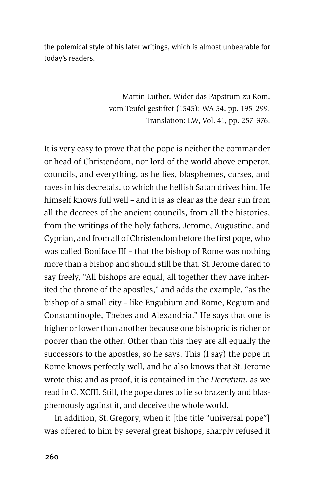the polemical style of his later writings, which is almost unbearable for today's readers.

> Martin Luther, Wider das Papsttum zu Rom, vom Teufel gestiftet (1545): WA 54, pp. 195–299. Translation: LW, Vol. 41, pp. 257–376.

It is very easy to prove that the pope is neither the commander or head of Christendom, nor lord of the world above emperor, councils, and everything, as he lies, blasphemes, curses, and raves in his decretals, to which the hellish Satan drives him. He himself knows full well – and it is as clear as the dear sun from all the decrees of the ancient councils, from all the histories, from the writings of the holy fathers, Jerome, Augustine, and Cyprian, and from all of Christendom before the first pope, who was called Boniface III – that the bishop of Rome was nothing more than a bishop and should still be that. St. Jerome dared to say freely, "All bishops are equal, all together they have inherited the throne of the apostles," and adds the example, "as the bishop of a small city – like Engubium and Rome, Regium and Constantinople, Thebes and Alexandria." He says that one is higher or lower than another because one bishopric is richer or poorer than the other. Other than this they are all equally the successors to the apostles, so he says. This (I say) the pope in Rome knows perfectly well, and he also knows that St. Jerome wrote this; and as proof, it is contained in the *Decretum*, as we read in C. XCIII. Still, the pope dares to lie so brazenly and blasphemously against it, and deceive the whole world.

In addition, St.Gregory, when it [the title "universal pope"] was offered to him by several great bishops, sharply refused it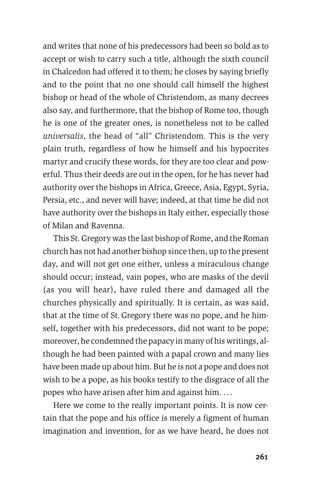and writes that none of his predecessors had been so bold as to accept or wish to carry such a title, although the sixth council in Chalcedon had offered it to them; he closes by saying briefly and to the point that no one should call himself the highest bishop or head of the whole of Christendom, as many decrees also say, and furthermore, that the bishop of Rome too, though he is one of the greater ones, is nonetheless not to be called *universalis*, the head of "all" Christendom. This is the very plain truth, regardless of how he himself and his hypocrites martyr and crucify these words, for they are too clear and powerful. Thus their deeds are out in the open, for he has never had authority over the bishops in Africa, Greece, Asia, Egypt, Syria, Persia, etc., and never will have; indeed, at that time he did not have authority over the bishops in Italy either, especially those of Milan and Ravenna.

This St. Gregory was the last bishop of Rome, and the Roman church has not had another bishop since then, up to the present day, and will not get one either, unless a miraculous change should occur; instead, vain popes, who are masks of the devil (as you will hear), have ruled there and damaged all the churches physically and spiritually. It is certain, as was said, that at the time of St. Gregory there was no pope, and he himself, together with his predecessors, did not want to be pope; moreover, he condemned the papacy in many of his writings, although he had been painted with a papal crown and many lies have been made up about him. But he is not a pope and does not wish to be a pope, as his books testify to the disgrace of all the popes who have arisen after him and against him. ...

Here we come to the really important points. It is now certain that the pope and his office is merely a figment of human imagination and invention, for as we have heard, he does not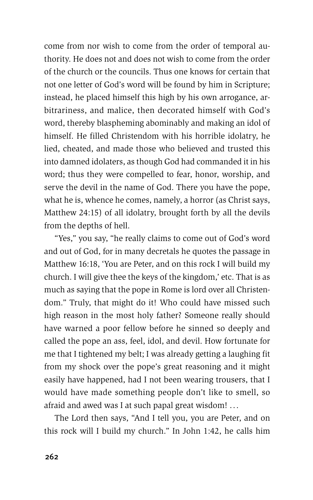come from nor wish to come from the order of temporal authority. He does not and does not wish to come from the order of the church or the councils. Thus one knows for certain that not one letter of God's word will be found by him in Scripture; instead, he placed himself this high by his own arrogance, arbitrariness, and malice, then decorated himself with God's word, thereby blaspheming abominably and making an idol of himself. He filled Christendom with his horrible idolatry, he lied, cheated, and made those who believed and trusted this into damned idolaters, as though God had commanded it in his word; thus they were compelled to fear, honor, worship, and serve the devil in the name of God. There you have the pope, what he is, whence he comes, namely, a horror (as Christ says, Matthew 24:15) of all idolatry, brought forth by all the devils from the depths of hell.

"Yes," you say, "he really claims to come out of God's word and out of God, for in many decretals he quotes the passage in Matthew 16:18, 'You are Peter, and on this rock I will build my church. I will give thee the keys of the kingdom,' etc. That is as much as saying that the pope in Rome is lord over all Christendom." Truly, that might do it! Who could have missed such high reason in the most holy father? Someone really should have warned a poor fellow before he sinned so deeply and called the pope an ass, feel, idol, and devil. How fortunate for me that I tightened my belt; I was already getting a laughing fit from my shock over the pope's great reasoning and it might easily have happened, had I not been wearing trousers, that I would have made something people don't like to smell, so afraid and awed was I at such papal great wisdom! ...

The Lord then says, "And I tell you, you are Peter, and on this rock will I build my church." In John 1:42, he calls him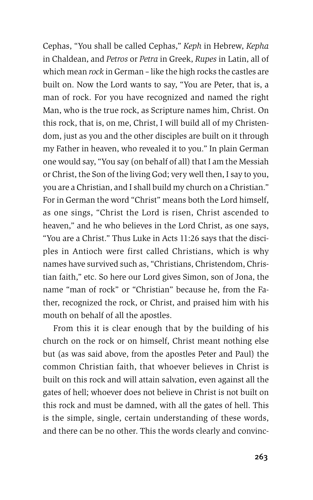Cephas, "You shall be called Cephas," *Keph* in Hebrew, *Kepha* in Chaldean, and *Petros* or *Petra* in Greek, *Rupes* in Latin, all of which mean *rock* in German – like the high rocks the castles are built on. Now the Lord wants to say, "You are Peter, that is, a man of rock. For you have recognized and named the right Man, who is the true rock, as Scripture names him, Christ. On this rock, that is, on me, Christ, I will build all of my Christendom, just as you and the other disciples are built on it through my Father in heaven, who revealed it to you." In plain German one would say, "You say (on behalf of all) that I am the Messiah or Christ, the Son of the living God; very well then, I say to you, you are a Christian, and I shall build my church on a Christian." For in German the word "Christ" means both the Lord himself, as one sings, "Christ the Lord is risen, Christ ascended to heaven," and he who believes in the Lord Christ, as one says, "You are a Christ." Thus Luke in Acts 11:26 says that the disciples in Antioch were first called Christians, which is why names have survived such as, "Christians, Christendom, Christian faith," etc. So here our Lord gives Simon, son of Jona, the name "man of rock" or "Christian" because he, from the Father, recognized the rock, or Christ, and praised him with his mouth on behalf of all the apostles.

From this it is clear enough that by the building of his church on the rock or on himself, Christ meant nothing else but (as was said above, from the apostles Peter and Paul) the common Christian faith, that whoever believes in Christ is built on this rock and will attain salvation, even against all the gates of hell; whoever does not believe in Christ is not built on this rock and must be damned, with all the gates of hell. This is the simple, single, certain understanding of these words, and there can be no other. This the words clearly and convinc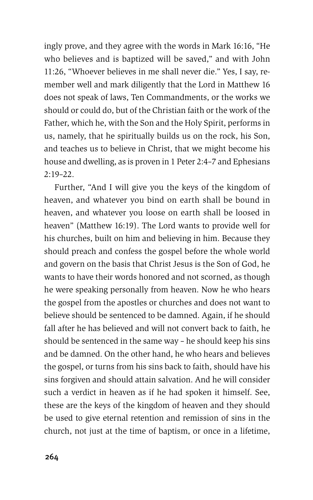ingly prove, and they agree with the words in Mark 16:16, "He who believes and is baptized will be saved," and with John 11:26, "Whoever believes in me shall never die." Yes, I say, remember well and mark diligently that the Lord in Matthew 16 does not speak of laws, Ten Commandments, or the works we should or could do, but of the Christian faith or the work of the Father, which he, with the Son and the Holy Spirit, performs in us, namely, that he spiritually builds us on the rock, his Son, and teaches us to believe in Christ, that we might become his house and dwelling, as is proven in 1 Peter 2:4–7 and Ephesians  $2.19 - 22.$ 

Further, "And I will give you the keys of the kingdom of heaven, and whatever you bind on earth shall be bound in heaven, and whatever you loose on earth shall be loosed in heaven" (Matthew 16:19). The Lord wants to provide well for his churches, built on him and believing in him. Because they should preach and confess the gospel before the whole world and govern on the basis that Christ Jesus is the Son of God, he wants to have their words honored and not scorned, as though he were speaking personally from heaven. Now he who hears the gospel from the apostles or churches and does not want to believe should be sentenced to be damned. Again, if he should fall after he has believed and will not convert back to faith, he should be sentenced in the same way – he should keep his sins and be damned. On the other hand, he who hears and believes the gospel, or turns from his sins back to faith, should have his sins forgiven and should attain salvation. And he will consider such a verdict in heaven as if he had spoken it himself. See, these are the keys of the kingdom of heaven and they should be used to give eternal retention and remission of sins in the church, not just at the time of baptism, or once in a lifetime,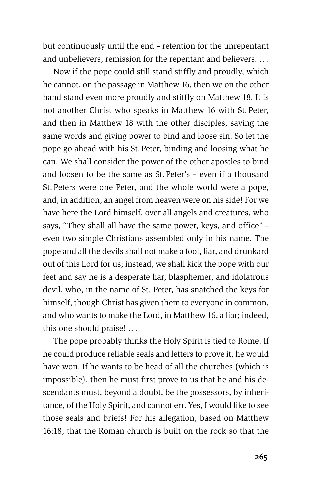but continuously until the end – retention for the unrepentant and unbelievers, remission for the repentant and believers. ...

Now if the pope could still stand stiffly and proudly, which he cannot, on the passage in Matthew 16, then we on the other hand stand even more proudly and stiffly on Matthew 18. It is not another Christ who speaks in Matthew 16 with St. Peter, and then in Matthew 18 with the other disciples, saying the same words and giving power to bind and loose sin. So let the pope go ahead with his St. Peter, binding and loosing what he can. We shall consider the power of the other apostles to bind and loosen to be the same as St. Peter's – even if a thousand St. Peters were one Peter, and the whole world were a pope, and, in addition, an angel from heaven were on his side! For we have here the Lord himself, over all angels and creatures, who says, "They shall all have the same power, keys, and office" – even two simple Christians assembled only in his name. The pope and all the devils shall not make a fool, liar, and drunkard out of this Lord for us; instead, we shall kick the pope with our feet and say he is a desperate liar, blasphemer, and idolatrous devil, who, in the name of St. Peter, has snatched the keys for himself, though Christ has given them to everyone in common, and who wants to make the Lord, in Matthew 16, a liar; indeed, this one should praise! ...

The pope probably thinks the Holy Spirit is tied to Rome. If he could produce reliable seals and letters to prove it, he would have won. If he wants to be head of all the churches (which is impossible), then he must first prove to us that he and his descendants must, beyond a doubt, be the possessors, by inheritance, of the Holy Spirit, and cannot err. Yes, I would like to see those seals and briefs! For his allegation, based on Matthew 16:18, that the Roman church is built on the rock so that the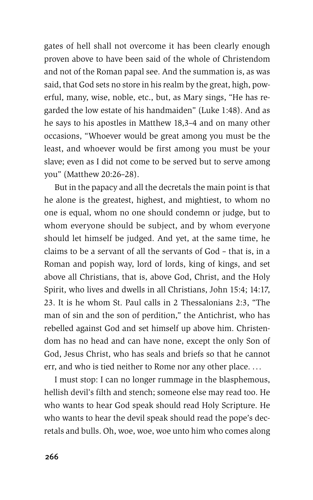gates of hell shall not overcome it has been clearly enough proven above to have been said of the whole of Christendom and not of the Roman papal see. And the summation is, as was said, that God sets no store in his realm by the great, high, powerful, many, wise, noble, etc., but, as Mary sings, "He has regarded the low estate of his handmaiden" (Luke 1:48). And as he says to his apostles in Matthew 18,3–4 and on many other occasions, "Whoever would be great among you must be the least, and whoever would be first among you must be your slave; even as I did not come to be served but to serve among you" (Matthew 20:26–28).

But in the papacy and all the decretals the main point is that he alone is the greatest, highest, and mightiest, to whom no one is equal, whom no one should condemn or judge, but to whom everyone should be subject, and by whom everyone should let himself be judged. And yet, at the same time, he claims to be a servant of all the servants of God – that is, in a Roman and popish way, lord of lords, king of kings, and set above all Christians, that is, above God, Christ, and the Holy Spirit, who lives and dwells in all Christians, John 15:4; 14:17, 23. It is he whom St. Paul calls in 2 Thessalonians 2:3, "The man of sin and the son of perdition," the Antichrist, who has rebelled against God and set himself up above him. Christendom has no head and can have none, except the only Son of God, Jesus Christ, who has seals and briefs so that he cannot err, and who is tied neither to Rome nor any other place. ...

I must stop: I can no longer rummage in the blasphemous, hellish devil's filth and stench; someone else may read too. He who wants to hear God speak should read Holy Scripture. He who wants to hear the devil speak should read the pope's decretals and bulls. Oh, woe, woe, woe unto him who comes along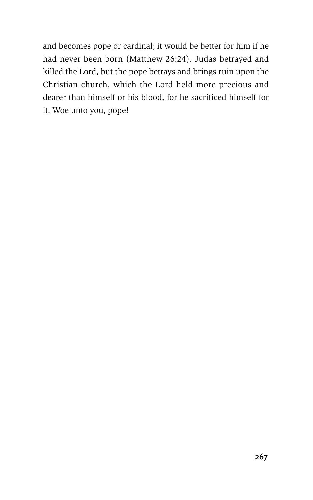and becomes pope or cardinal; it would be better for him if he had never been born (Matthew 26:24). Judas betrayed and killed the Lord, but the pope betrays and brings ruin upon the Christian church, which the Lord held more precious and dearer than himself or his blood, for he sacrificed himself for it. Woe unto you, pope!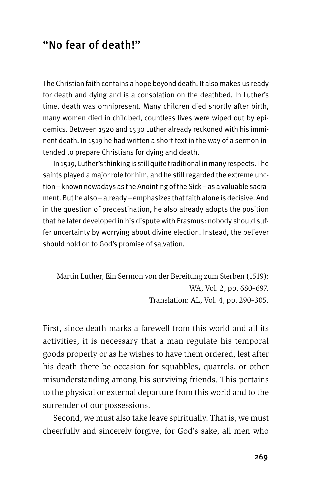## "No fear of death!"

The Christian faith contains a hope beyond death. It also makes us ready for death and dying and is a consolation on the deathbed. In Luther's time, death was omnipresent. Many children died shortly after birth, many women died in childbed, countless lives were wiped out by epidemics. Between 1520 and 1530 Luther already reckoned with his imminent death. In 1519 he had written a short text in the way of a sermon intended to prepare Christians for dying and death.

In 1519, Luther's thinking is still quite traditional in many respects. The saints played a major role for him, and he still regarded the extreme unction – known nowadays as the Anointing of the Sick – as a valuable sacrament. But he also – already – emphasizes that faith alone is decisive. And in the question of predestination, he also already adopts the position that he later developed in his dispute with Erasmus: nobody should suffer uncertainty by worrying about divine election. Instead, the believer should hold on to God's promise of salvation.

Martin Luther, Ein Sermon von der Bereitung zum Sterben (1519): WA, Vol. 2, pp. 680–697. Translation: AL, Vol. 4, pp. 290–305.

First, since death marks a farewell from this world and all its activities, it is necessary that a man regulate his temporal goods properly or as he wishes to have them ordered, lest after his death there be occasion for squabbles, quarrels, or other misunderstanding among his surviving friends. This pertains to the physical or external departure from this world and to the surrender of our possessions.

Second, we must also take leave spiritually. That is, we must cheerfully and sincerely forgive, for God's sake, all men who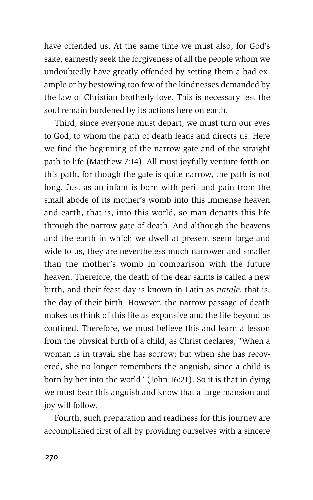have offended us. At the same time we must also, for God's sake, earnestly seek the forgiveness of all the people whom we undoubtedly have greatly offended by setting them a bad example or by bestowing too few of the kindnesses demanded by the law of Christian brotherly love. This is necessary lest the soul remain burdened by its actions here on earth.

Third, since everyone must depart, we must turn our eyes to God, to whom the path of death leads and directs us. Here we find the beginning of the narrow gate and of the straight path to life (Matthew 7:14). All must joyfully venture forth on this path, for though the gate is quite narrow, the path is not long. Just as an infant is born with peril and pain from the small abode of its mother's womb into this immense heaven and earth, that is, into this world, so man departs this life through the narrow gate of death. And although the heavens and the earth in which we dwell at present seem large and wide to us, they are nevertheless much narrower and smaller than the mother's womb in comparison with the future heaven. Therefore, the death of the dear saints is called a new birth, and their feast day is known in Latin as *natale*, that is, the day of their birth. However, the narrow passage of death makes us think of this life as expansive and the life beyond as confined. Therefore, we must believe this and learn a lesson from the physical birth of a child, as Christ declares, "When a woman is in travail she has sorrow; but when she has recovered, she no longer remembers the anguish, since a child is born by her into the world" (John 16:21). So it is that in dying we must bear this anguish and know that a large mansion and joy will follow.

Fourth, such preparation and readiness for this journey are accomplished first of all by providing ourselves with a sincere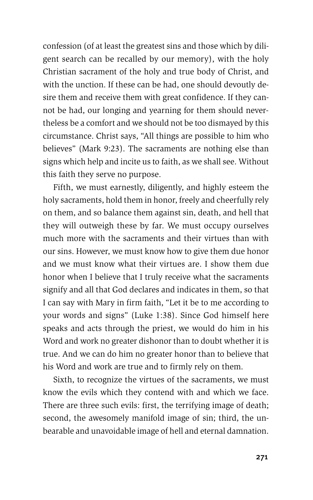confession (of at least the greatest sins and those which by diligent search can be recalled by our memory), with the holy Christian sacrament of the holy and true body of Christ, and with the unction. If these can be had, one should devoutly desire them and receive them with great confidence. If they cannot be had, our longing and yearning for them should nevertheless be a comfort and we should not be too dismayed by this circumstance. Christ says, "All things are possible to him who believes" (Mark 9:23). The sacraments are nothing else than signs which help and incite us to faith, as we shall see. Without this faith they serve no purpose.

Fifth, we must earnestly, diligently, and highly esteem the holy sacraments, hold them in honor, freely and cheerfully rely on them, and so balance them against sin, death, and hell that they will outweigh these by far. We must occupy ourselves much more with the sacraments and their virtues than with our sins. However, we must know how to give them due honor and we must know what their virtues are. I show them due honor when I believe that I truly receive what the sacraments signify and all that God declares and indicates in them, so that I can say with Mary in firm faith, "Let it be to me according to your words and signs" (Luke 1:38). Since God himself here speaks and acts through the priest, we would do him in his Word and work no greater dishonor than to doubt whether it is true. And we can do him no greater honor than to believe that his Word and work are true and to firmly rely on them.

Sixth, to recognize the virtues of the sacraments, we must know the evils which they contend with and which we face. There are three such evils: first, the terrifying image of death; second, the awesomely manifold image of sin; third, the unbearable and unavoidable image of hell and eternal damnation.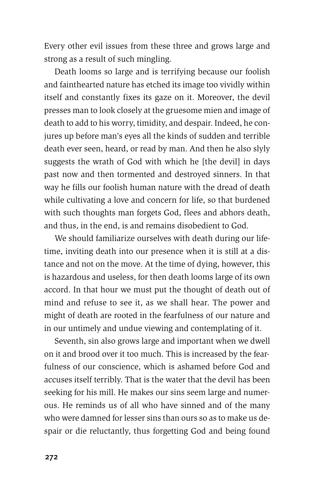Every other evil issues from these three and grows large and strong as a result of such mingling.

Death looms so large and is terrifying because our foolish and fainthearted nature has etched its image too vividly within itself and constantly fixes its gaze on it. Moreover, the devil presses man to look closely at the gruesome mien and image of death to add to his worry, timidity, and despair. Indeed, he conjures up before man's eyes all the kinds of sudden and terrible death ever seen, heard, or read by man. And then he also slyly suggests the wrath of God with which he [the devil] in days past now and then tormented and destroyed sinners. In that way he fills our foolish human nature with the dread of death while cultivating a love and concern for life, so that burdened with such thoughts man forgets God, flees and abhors death, and thus, in the end, is and remains disobedient to God.

We should familiarize ourselves with death during our lifetime, inviting death into our presence when it is still at a distance and not on the move. At the time of dying, however, this is hazardous and useless, for then death looms large of its own accord. In that hour we must put the thought of death out of mind and refuse to see it, as we shall hear. The power and might of death are rooted in the fearfulness of our nature and in our untimely and undue viewing and contemplating of it.

Seventh, sin also grows large and important when we dwell on it and brood over it too much. This is increased by the fearfulness of our conscience, which is ashamed before God and accuses itself terribly. That is the water that the devil has been seeking for his mill. He makes our sins seem large and numerous. He reminds us of all who have sinned and of the many who were damned for lesser sins than ours so as to make us despair or die reluctantly, thus forgetting God and being found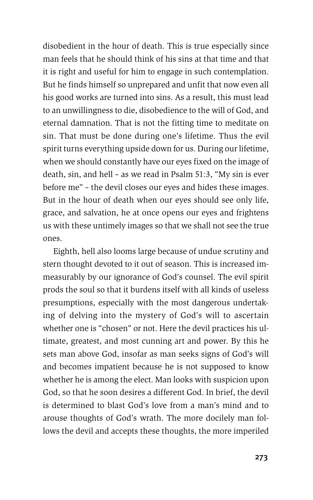disobedient in the hour of death. This is true especially since man feels that he should think of his sins at that time and that it is right and useful for him to engage in such contemplation. But he finds himself so unprepared and unfit that now even all his good works are turned into sins. As a result, this must lead to an unwillingness to die, disobedience to the will of God, and eternal damnation. That is not the fitting time to meditate on sin. That must be done during one's lifetime. Thus the evil spirit turns everything upside down for us. During our lifetime, when we should constantly have our eyes fixed on the image of death, sin, and hell – as we read in Psalm 51:3, "My sin is ever before me" – the devil closes our eyes and hides these images. But in the hour of death when our eyes should see only life, grace, and salvation, he at once opens our eyes and frightens us with these untimely images so that we shall not see the true ones.

Eighth, hell also looms large because of undue scrutiny and stern thought devoted to it out of season. This is increased immeasurably by our ignorance of God's counsel. The evil spirit prods the soul so that it burdens itself with all kinds of useless presumptions, especially with the most dangerous undertaking of delving into the mystery of God's will to ascertain whether one is "chosen" or not. Here the devil practices his ultimate, greatest, and most cunning art and power. By this he sets man above God, insofar as man seeks signs of God's will and becomes impatient because he is not supposed to know whether he is among the elect. Man looks with suspicion upon God, so that he soon desires a different God. In brief, the devil is determined to blast God's love from a man's mind and to arouse thoughts of God's wrath. The more docilely man follows the devil and accepts these thoughts, the more imperiled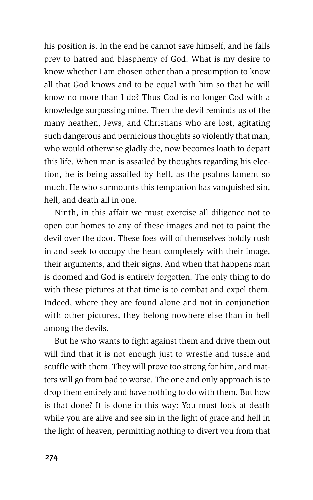his position is. In the end he cannot save himself, and he falls prey to hatred and blasphemy of God. What is my desire to know whether I am chosen other than a presumption to know all that God knows and to be equal with him so that he will know no more than I do? Thus God is no longer God with a knowledge surpassing mine. Then the devil reminds us of the many heathen, Jews, and Christians who are lost, agitating such dangerous and pernicious thoughts so violently that man, who would otherwise gladly die, now becomes loath to depart this life. When man is assailed by thoughts regarding his election, he is being assailed by hell, as the psalms lament so much. He who surmounts this temptation has vanquished sin, hell, and death all in one.

Ninth, in this affair we must exercise all diligence not to open our homes to any of these images and not to paint the devil over the door. These foes will of themselves boldly rush in and seek to occupy the heart completely with their image, their arguments, and their signs. And when that happens man is doomed and God is entirely forgotten. The only thing to do with these pictures at that time is to combat and expel them. Indeed, where they are found alone and not in conjunction with other pictures, they belong nowhere else than in hell among the devils.

But he who wants to fight against them and drive them out will find that it is not enough just to wrestle and tussle and scuffle with them. They will prove too strong for him, and matters will go from bad to worse. The one and only approach is to drop them entirely and have nothing to do with them. But how is that done? It is done in this way: You must look at death while you are alive and see sin in the light of grace and hell in the light of heaven, permitting nothing to divert you from that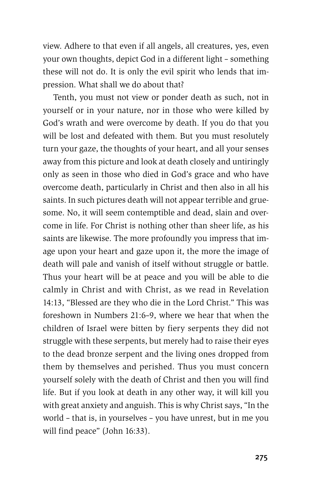view. Adhere to that even if all angels, all creatures, yes, even your own thoughts, depict God in a different light – something these will not do. It is only the evil spirit who lends that impression. What shall we do about that?

Tenth, you must not view or ponder death as such, not in yourself or in your nature, nor in those who were killed by God's wrath and were overcome by death. If you do that you will be lost and defeated with them. But you must resolutely turn your gaze, the thoughts of your heart, and all your senses away from this picture and look at death closely and untiringly only as seen in those who died in God's grace and who have overcome death, particularly in Christ and then also in all his saints. In such pictures death will not appear terrible and gruesome. No, it will seem contemptible and dead, slain and overcome in life. For Christ is nothing other than sheer life, as his saints are likewise. The more profoundly you impress that image upon your heart and gaze upon it, the more the image of death will pale and vanish of itself without struggle or battle. Thus your heart will be at peace and you will be able to die calmly in Christ and with Christ, as we read in Revelation 14:13, "Blessed are they who die in the Lord Christ." This was foreshown in Numbers 21:6–9, where we hear that when the children of Israel were bitten by fiery serpents they did not struggle with these serpents, but merely had to raise their eyes to the dead bronze serpent and the living ones dropped from them by themselves and perished. Thus you must concern yourself solely with the death of Christ and then you will find life. But if you look at death in any other way, it will kill you with great anxiety and anguish. This is why Christ says, "In the world – that is, in yourselves – you have unrest, but in me you will find peace" (John 16:33).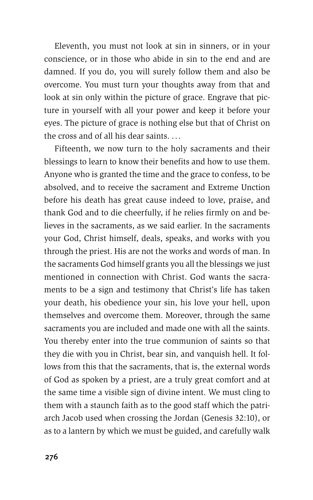Eleventh, you must not look at sin in sinners, or in your conscience, or in those who abide in sin to the end and are damned. If you do, you will surely follow them and also be overcome. You must turn your thoughts away from that and look at sin only within the picture of grace. Engrave that picture in yourself with all your power and keep it before your eyes. The picture of grace is nothing else but that of Christ on the cross and of all his dear saints.

Fifteenth, we now turn to the holy sacraments and their blessings to learn to know their benefits and how to use them. Anyone who is granted the time and the grace to confess, to be absolved, and to receive the sacrament and Extreme Unction before his death has great cause indeed to love, praise, and thank God and to die cheerfully, if he relies firmly on and believes in the sacraments, as we said earlier. In the sacraments your God, Christ himself, deals, speaks, and works with you through the priest. His are not the works and words of man. In the sacraments God himself grants you all the blessings we just mentioned in connection with Christ. God wants the sacraments to be a sign and testimony that Christ's life has taken your death, his obedience your sin, his love your hell, upon themselves and overcome them. Moreover, through the same sacraments you are included and made one with all the saints. You thereby enter into the true communion of saints so that they die with you in Christ, bear sin, and vanquish hell. It follows from this that the sacraments, that is, the external words of God as spoken by a priest, are a truly great comfort and at the same time a visible sign of divine intent. We must cling to them with a staunch faith as to the good staff which the patriarch Jacob used when crossing the Jordan (Genesis 32:10), or as to a lantern by which we must be guided, and carefully walk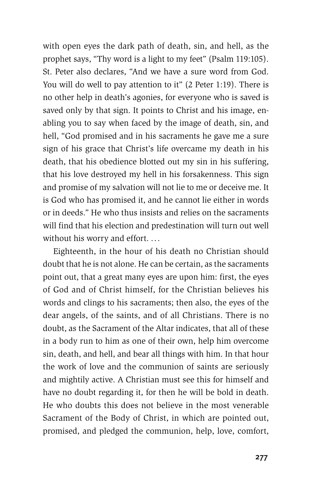with open eyes the dark path of death, sin, and hell, as the prophet says, "Thy word is a light to my feet" (Psalm 119:105). St. Peter also declares, "And we have a sure word from God. You will do well to pay attention to it" (2 Peter 1:19). There is no other help in death's agonies, for everyone who is saved is saved only by that sign. It points to Christ and his image, enabling you to say when faced by the image of death, sin, and hell, "God promised and in his sacraments he gave me a sure sign of his grace that Christ's life overcame my death in his death, that his obedience blotted out my sin in his suffering, that his love destroyed my hell in his forsakenness. This sign and promise of my salvation will not lie to me or deceive me. It is God who has promised it, and he cannot lie either in words or in deeds." He who thus insists and relies on the sacraments will find that his election and predestination will turn out well without his worry and effort. ...

Eighteenth, in the hour of his death no Christian should doubt that he is not alone. He can be certain, as the sacraments point out, that a great many eyes are upon him: first, the eyes of God and of Christ himself, for the Christian believes his words and clings to his sacraments; then also, the eyes of the dear angels, of the saints, and of all Christians. There is no doubt, as the Sacrament of the Altar indicates, that all of these in a body run to him as one of their own, help him overcome sin, death, and hell, and bear all things with him. In that hour the work of love and the communion of saints are seriously and mightily active. A Christian must see this for himself and have no doubt regarding it, for then he will be bold in death. He who doubts this does not believe in the most venerable Sacrament of the Body of Christ, in which are pointed out, promised, and pledged the communion, help, love, comfort,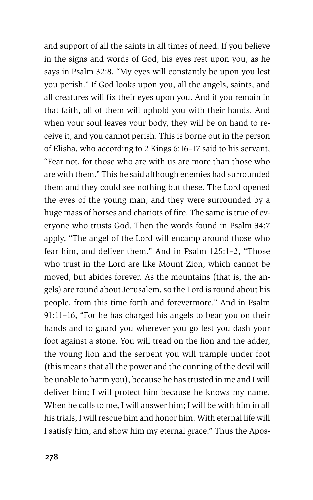and support of all the saints in all times of need. If you believe in the signs and words of God, his eyes rest upon you, as he says in Psalm 32:8, "My eyes will constantly be upon you lest you perish." If God looks upon you, all the angels, saints, and all creatures will fix their eyes upon you. And if you remain in that faith, all of them will uphold you with their hands. And when your soul leaves your body, they will be on hand to receive it, and you cannot perish. This is borne out in the person of Elisha, who according to 2 Kings 6:16–17 said to his servant, "Fear not, for those who are with us are more than those who are with them." This he said although enemies had surrounded them and they could see nothing but these. The Lord opened the eyes of the young man, and they were surrounded by a huge mass of horses and chariots of fire. The same is true of everyone who trusts God. Then the words found in Psalm 34:7 apply, "The angel of the Lord will encamp around those who fear him, and deliver them." And in Psalm 125:1–2, "Those who trust in the Lord are like Mount Zion, which cannot be moved, but abides forever. As the mountains (that is, the angels) are round about Jerusalem, so the Lord is round about his people, from this time forth and forevermore." And in Psalm 91:11–16, "For he has charged his angels to bear you on their hands and to guard you wherever you go lest you dash your foot against a stone. You will tread on the lion and the adder, the young lion and the serpent you will trample under foot (this means that all the power and the cunning of the devil will be unable to harm you), because he has trusted in me and I will deliver him; I will protect him because he knows my name. When he calls to me, I will answer him; I will be with him in all his trials, I will rescue him and honor him. With eternal life will I satisfy him, and show him my eternal grace." Thus the Apos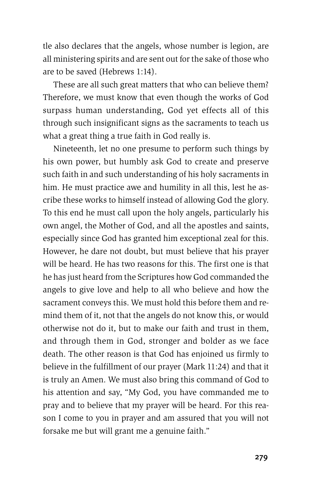tle also declares that the angels, whose number is legion, are all ministering spirits and are sent out for the sake of those who are to be saved (Hebrews 1:14).

These are all such great matters that who can believe them? Therefore, we must know that even though the works of God surpass human understanding, God yet effects all of this through such insignificant signs as the sacraments to teach us what a great thing a true faith in God really is.

Nineteenth, let no one presume to perform such things by his own power, but humbly ask God to create and preserve such faith in and such understanding of his holy sacraments in him. He must practice awe and humility in all this, lest he ascribe these works to himself instead of allowing God the glory. To this end he must call upon the holy angels, particularly his own angel, the Mother of God, and all the apostles and saints, especially since God has granted him exceptional zeal for this. However, he dare not doubt, but must believe that his prayer will be heard. He has two reasons for this. The first one is that he has just heard from the Scriptures how God commanded the angels to give love and help to all who believe and how the sacrament conveys this. We must hold this before them and remind them of it, not that the angels do not know this, or would otherwise not do it, but to make our faith and trust in them, and through them in God, stronger and bolder as we face death. The other reason is that God has enjoined us firmly to believe in the fulfillment of our prayer (Mark 11:24) and that it is truly an Amen. We must also bring this command of God to his attention and say, "My God, you have commanded me to pray and to believe that my prayer will be heard. For this reason I come to you in prayer and am assured that you will not forsake me but will grant me a genuine faith."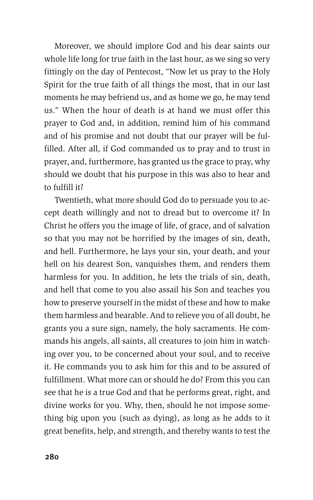Moreover, we should implore God and his dear saints our whole life long for true faith in the last hour, as we sing so very fittingly on the day of Pentecost, "Now let us pray to the Holy Spirit for the true faith of all things the most, that in our last moments he may befriend us, and as home we go, he may tend us." When the hour of death is at hand we must offer this prayer to God and, in addition, remind him of his command and of his promise and not doubt that our prayer will be fulfilled. After all, if God commanded us to pray and to trust in prayer, and, furthermore, has granted us the grace to pray, why should we doubt that his purpose in this was also to hear and to fulfill it?

Twentieth, what more should God do to persuade you to accept death willingly and not to dread but to overcome it? In Christ he offers you the image of life, of grace, and of salvation so that you may not be horrified by the images of sin, death, and hell. Furthermore, he lays your sin, your death, and your hell on his dearest Son, vanquishes them, and renders them harmless for you. In addition, he lets the trials of sin, death, and hell that come to you also assail his Son and teaches you how to preserve yourself in the midst of these and how to make them harmless and bearable. And to relieve you of all doubt, he grants you a sure sign, namely, the holy sacraments. He commands his angels, all saints, all creatures to join him in watching over you, to be concerned about your soul, and to receive it. He commands you to ask him for this and to be assured of fulfillment. What more can or should he do? From this you can see that he is a true God and that he performs great, right, and divine works for you. Why, then, should he not impose something big upon you (such as dying), as long as he adds to it great benefits, help, and strength, and thereby wants to test the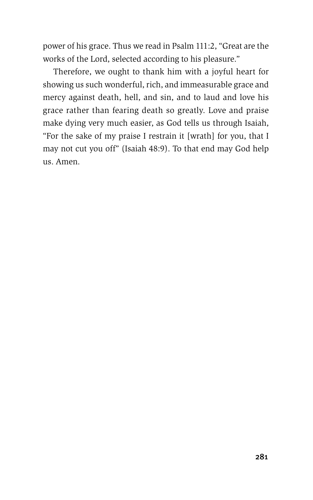power of his grace. Thus we read in Psalm 111:2, "Great are the works of the Lord, selected according to his pleasure."

Therefore, we ought to thank him with a joyful heart for showing us such wonderful, rich, and immeasurable grace and mercy against death, hell, and sin, and to laud and love his grace rather than fearing death so greatly. Love and praise make dying very much easier, as God tells us through Isaiah, "For the sake of my praise I restrain it [wrath] for you, that I may not cut you off" (Isaiah 48:9). To that end may God help us. Amen.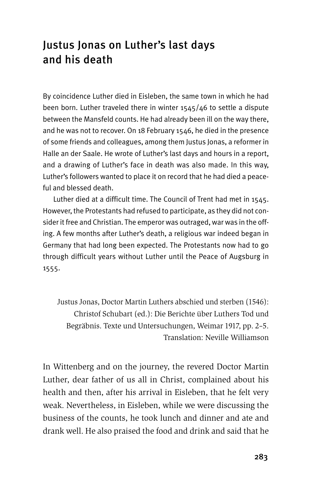## Justus Jonas on Luther's last days and his death

By coincidence Luther died in Eisleben, the same town in which he had been born. Luther traveled there in winter 1545/46 to settle a dispute between the Mansfeld counts. He had already been ill on the way there, and he was not to recover. On 18 February 1546, he died in the presence of some friends and colleagues, among them Justus Jonas, a reformer in Halle an der Saale. He wrote of Luther's last days and hours in a report, and a drawing of Luther's face in death was also made. In this way, Luther's followers wanted to place it on record that he had died a peaceful and blessed death.

Luther died at a difficult time. The Council of Trent had met in 1545. However, the Protestants had refused to participate, as they did not consider it free and Christian. The emperor was outraged, war was in the offing. A few months after Luther's death, a religious war indeed began in Germany that had long been expected. The Protestants now had to go through difficult years without Luther until the Peace of Augsburg in 1555.

Justus Jonas, Doctor Martin Luthers abschied und sterben (1546): Christof Schubart (ed.): Die Berichte über Luthers Tod und Begräbnis. Texte und Untersuchungen, Weimar 1917, pp. 2–5. Translation: Neville Williamson

In Wittenberg and on the journey, the revered Doctor Martin Luther, dear father of us all in Christ, complained about his health and then, after his arrival in Eisleben, that he felt very weak. Nevertheless, in Eisleben, while we were discussing the business of the counts, he took lunch and dinner and ate and drank well. He also praised the food and drink and said that he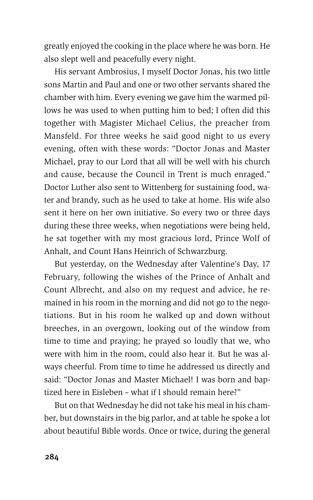greatly enjoyed the cooking in the place where he was born. He also slept well and peacefully every night.

His servant Ambrosius, I myself Doctor Jonas, his two little sons Martin and Paul and one or two other servants shared the chamber with him. Every evening we gave him the warmed pillows he was used to when putting him to bed; I often did this together with Magister Michael Celius, the preacher from Mansfeld. For three weeks he said good night to us every evening, often with these words: "Doctor Jonas and Master Michael, pray to our Lord that all will be well with his church and cause, because the Council in Trent is much enraged." Doctor Luther also sent to Wittenberg for sustaining food, water and brandy, such as he used to take at home. His wife also sent it here on her own initiative. So every two or three days during these three weeks, when negotiations were being held, he sat together with my most gracious lord, Prince Wolf of Anhalt, and Count Hans Heinrich of Schwarzburg.

But yesterday, on the Wednesday after Valentine's Day, 17 February, following the wishes of the Prince of Anhalt and Count Albrecht, and also on my request and advice, he remained in his room in the morning and did not go to the negotiations. But in his room he walked up and down without breeches, in an overgown, looking out of the window from time to time and praying; he prayed so loudly that we, who were with him in the room, could also hear it. But he was always cheerful. From time to time he addressed us directly and said: "Doctor Jonas and Master Michael! I was born and baptized here in Eisleben – what if I should remain here?"

But on that Wednesday he did not take his meal in his chamber, but downstairs in the big parlor, and at table he spoke a lot about beautiful Bible words. Once or twice, during the general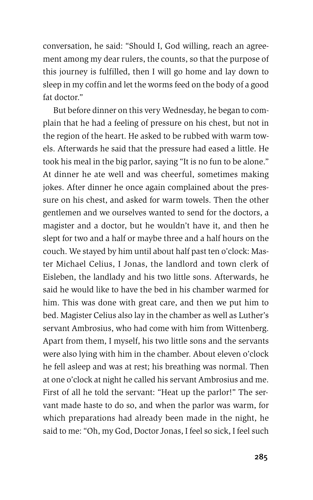conversation, he said: "Should I, God willing, reach an agreement among my dear rulers, the counts, so that the purpose of this journey is fulfilled, then I will go home and lay down to sleep in my coffin and let the worms feed on the body of a good fat doctor"

But before dinner on this very Wednesday, he began to complain that he had a feeling of pressure on his chest, but not in the region of the heart. He asked to be rubbed with warm towels. Afterwards he said that the pressure had eased a little. He took his meal in the big parlor, saying "It is no fun to be alone." At dinner he ate well and was cheerful, sometimes making jokes. After dinner he once again complained about the pressure on his chest, and asked for warm towels. Then the other gentlemen and we ourselves wanted to send for the doctors, a magister and a doctor, but he wouldn't have it, and then he slept for two and a half or maybe three and a half hours on the couch. We stayed by him until about half past ten o'clock: Master Michael Celius, I Jonas, the landlord and town clerk of Eisleben, the landlady and his two little sons. Afterwards, he said he would like to have the bed in his chamber warmed for him. This was done with great care, and then we put him to bed. Magister Celius also lay in the chamber as well as Luther's servant Ambrosius, who had come with him from Wittenberg. Apart from them, I myself, his two little sons and the servants were also lying with him in the chamber. About eleven o'clock he fell asleep and was at rest; his breathing was normal. Then at one o'clock at night he called his servant Ambrosius and me. First of all he told the servant: "Heat up the parlor!" The servant made haste to do so, and when the parlor was warm, for which preparations had already been made in the night, he said to me: "Oh, my God, Doctor Jonas, I feel so sick, I feel such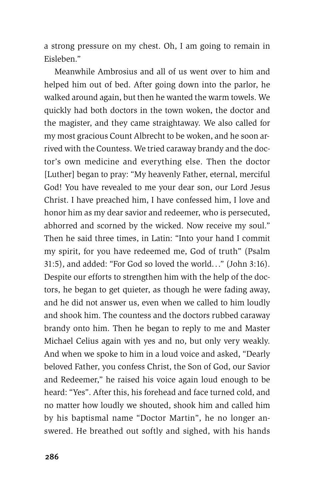a strong pressure on my chest. Oh, I am going to remain in Eisleben."

Meanwhile Ambrosius and all of us went over to him and helped him out of bed. After going down into the parlor, he walked around again, but then he wanted the warm towels. We quickly had both doctors in the town woken, the doctor and the magister, and they came straightaway. We also called for my most gracious Count Albrecht to be woken, and he soon arrived with the Countess. We tried caraway brandy and the doctor's own medicine and everything else. Then the doctor [Luther] began to pray: "My heavenly Father, eternal, merciful God! You have revealed to me your dear son, our Lord Jesus Christ. I have preached him, I have confessed him, I love and honor him as my dear savior and redeemer, who is persecuted, abhorred and scorned by the wicked. Now receive my soul." Then he said three times, in Latin: "Into your hand I commit my spirit, for you have redeemed me, God of truth" (Psalm 31:5), and added: "For God so loved the world..." (John 3:16). Despite our efforts to strengthen him with the help of the doctors, he began to get quieter, as though he were fading away, and he did not answer us, even when we called to him loudly and shook him. The countess and the doctors rubbed caraway brandy onto him. Then he began to reply to me and Master Michael Celius again with yes and no, but only very weakly. And when we spoke to him in a loud voice and asked, "Dearly beloved Father, you confess Christ, the Son of God, our Savior and Redeemer," he raised his voice again loud enough to be heard: "Yes". After this, his forehead and face turned cold, and no matter how loudly we shouted, shook him and called him by his baptismal name "Doctor Martin", he no longer answered. He breathed out softly and sighed, with his hands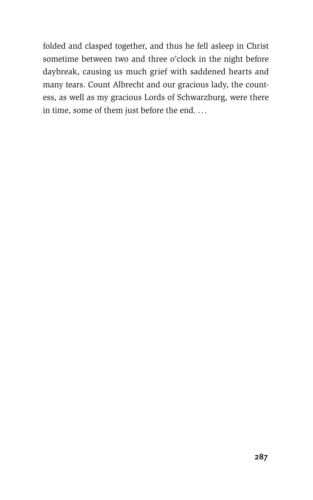folded and clasped together, and thus he fell asleep in Christ sometime between two and three o'clock in the night before daybreak, causing us much grief with saddened hearts and many tears. Count Albrecht and our gracious lady, the countess, as well as my gracious Lords of Schwarzburg, were there in time, some of them just before the end. ...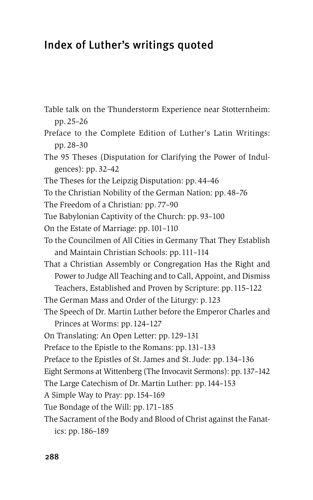# Index of Luther's writings quoted

- Table talk on the Thunderstorm Experience near Stotternheim: pp. 25–26
- Preface to the Complete Edition of Luther's Latin Writings: pp. 28–30
- The 95 Theses (Disputation for Clarifying the Power of Indulgences): pp. 32–42
- The Theses for the Leipzig Disputation: pp. 44–46
- To the Christian Nobility of the German Nation: pp. 48–76
- The Freedom of a Christian: pp. 77–90
- Tue Babylonian Captivity of the Church: pp. 93–100
- On the Estate of Marriage: pp.101–110
- To the Councilmen of All Cities in Germany That They Establish and Maintain Christian Schools: pp.111–114

That a Christian Assembly or Congregation Has the Right and Power to Judge All Teaching and to Call, Appoint, and Dismiss

Teachers, Established and Proven by Scripture: pp.115–122

- The German Mass and Order of the Liturgy: p.123
- The Speech of Dr. Martin Luther before the Emperor Charles and Princes at Worms: pp.124–127
- On Translating: An Open Letter: pp.129–131
- Preface to the Epistle to the Romans: pp.131–133
- Preface to the Epistles of St. James and St. Jude: pp.134–136
- Eight Sermons at Wittenberg (The Invocavit Sermons): pp.137–142
- The Large Catechism of Dr. Martin Luther: pp.144–153
- A Simple Way to Pray: pp.154–169
- Tue Bondage of the Will: pp.171–185
- The Sacrament of the Body and Blood of Christ against the Fanatics: pp.186–189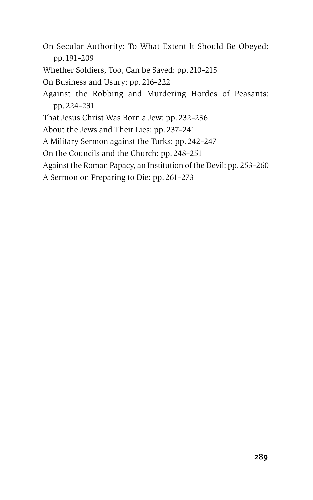- On Secular Authority: To What Extent lt Should Be Obeyed: pp.191–209
- Whether Soldiers, Too, Can be Saved: pp. 210–215
- On Business and Usury: pp. 216–222
- Against the Robbing and Murdering Hordes of Peasants: pp. 224–231
- That Jesus Christ Was Born a Jew: pp. 232–236
- About the Jews and Their Lies: pp. 237–241
- A Military Sermon against the Turks: pp. 242–247
- On the Councils and the Church: pp. 248–251
- Against the Roman Papacy, an Institution of the Devil: pp. 253–260
- A Sermon on Preparing to Die: pp. 261–273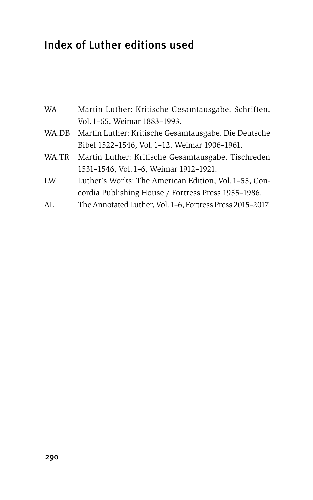# Index of Luther editions used

| <b>WA</b> | Martin Luther: Kritische Gesamtausgabe. Schriften,        |
|-----------|-----------------------------------------------------------|
|           | Vol. 1-65, Weimar 1883-1993.                              |
| WA.DB     | Martin Luther: Kritische Gesamtausgabe. Die Deutsche      |
|           | Bibel 1522-1546, Vol. 1-12. Weimar 1906-1961.             |
| WA.TR     | Martin Luther: Kritische Gesamtausgabe. Tischreden        |
|           | 1531-1546, Vol. 1-6, Weimar 1912-1921.                    |
| LW        | Luther's Works: The American Edition, Vol. 1-55, Con-     |
|           | cordia Publishing House / Fortress Press 1955-1986.       |
| AL.       | The Annotated Luther, Vol. 1-6, Fortress Press 2015-2017. |
|           |                                                           |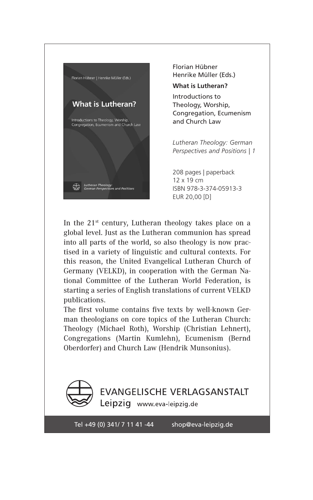

Florian Hübner Henrike Müller (Eds.)

**What is Lutheran?**

Introductions to Theology, Worship, Congregation, Ecumenism and Church Law

*Lutheran Theology: German Perspectives and Positions | 1*

208 pages | paperback 12 x 19 cm ISBN 978-3-374-05913-3 EUR 20,00 [D]

In the 21st century, Lutheran theology takes place on a global level. Just as the Lutheran communion has spread into all parts of the world, so also theology is now practised in a variety of linguistic and cultural contexts. For this reason, the United Evangelical Lutheran Church of Germany (VELKD), in cooperation with the German National Committee of the Lutheran World Federation, is starting a series of English translations of current VELKD publications.

The first volume contains five texts by well-known German theologians on core topics of the Lutheran Church: Theology (Michael Roth), Worship (Christian Lehnert), Congregations (Martin Kumlehn), Ecumenism (Bernd Oberdorfer) and Church Law (Hendrik Munsonius).

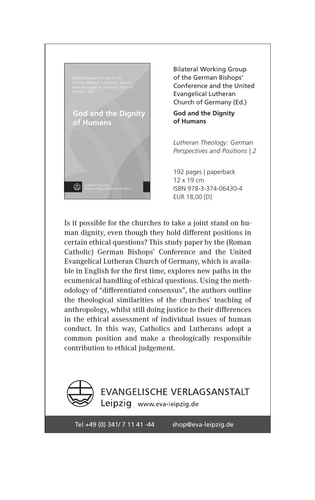

Bilateral Working Group of the German Bishops' Conference and the United Evangelical Lutheran Church of Germany (Ed.)

**God and the Dignity of Humans**

*Lutheran Theology: German Perspectives and Positions | 2*

192 pages | paperback 12 x 19 cm ISBN 978-3-374-06430-4 EUR 18,00 [D]

Is it possible for the churches to take a joint stand on human dignity, even though they hold different positions in certain ethical questions? This study paper by the (Roman Catholic) German Bishops' Conference and the United Evangelical Lutheran Church of Germany, which is available in English for the first time, explores new paths in the ecumenical handling of ethical questions. Using the methodology of "differentiated consensus", the authors outline the theological similarities of the churches' teaching of anthropology, whilst still doing justice to their differences in the ethical assessment of individual issues of human conduct. In this way, Catholics and Lutherans adopt a common position and make a theologically responsible contribution to ethical judgement.

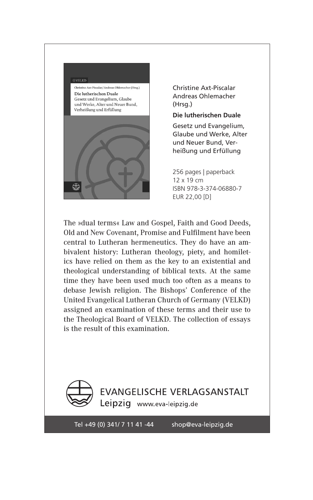

Christine Axt-Piscalar Andreas Ohlemacher (Hrsg.)

**Die lutherischen Duale** 

Gesetz und Evangelium, Glaube und Werke, Alter und Neuer Bund, Verheißung und Erfüllung

256 pages | paperback 12 x 19 cm ISBN 978-3-374-06880-7 EUR 22,00 [D]

The »dual terms« Law and Gospel, Faith and Good Deeds, Old and New Covenant, Promise and Fulfilment have been central to Lutheran hermeneutics. They do have an ambivalent history: Lutheran theology, piety, and homiletics have relied on them as the key to an existential and theological understanding of biblical texts. At the same time they have been used much too often as a means to debase Jewish religion. The Bishops' Conference of the United Evangelical Lutheran Church of Germany (VELKD) assigned an examination of these terms and their use to the Theological Board of VELKD. The collection of essays is the result of this examination.



**EVANGELISCHE VERLAGSANSTALT** Leipzig www.eva-leipzig.de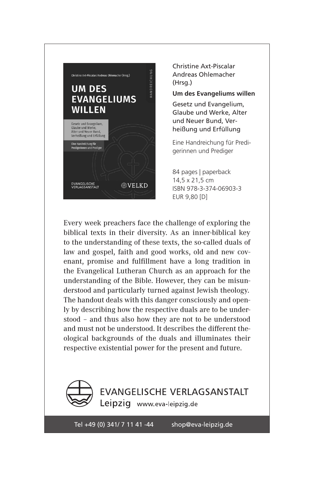

Every week preachers face the challenge of exploring the biblical texts in their diversity. As an inner-biblical key to the understanding of these texts, the so-called duals of law and gospel, faith and good works, old and new covenant, promise and fulfillment have a long tradition in the Evangelical Lutheran Church as an approach for the understanding of the Bible. However, they can be misunderstood and particularly turned against Jewish theology. The handout deals with this danger consciously and openly by describing how the respective duals are to be understood – and thus also how they are not to be understood and must not be understood. It describes the different theological backgrounds of the duals and illuminates their respective existential power for the present and future.



**EVANGELISCHE VERLAGSANSTALT** Leipzig www.eva-leipzig.de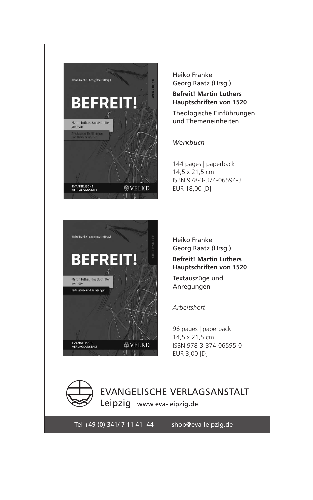

# Heiko Franke

Georg Raatz (Hrsg.) **Befreit! Martin Luthers Hauptschriften von 1520**

Theologische Einführungen und Themeneinheiten

#### *Werkbuch*

144 pages | paperback 14,5 x 21,5 cm ISBN 978-3-374-06594-3 EUR 18,00 [D]



Heiko Franke Georg Raatz (Hrsg.)

### **Befreit! Martin Luthers Hauptschriften von 1520**

Textauszüge und Anregungen

# *Arbeitsheft*

96 pages | paperback 14,5 x 21,5 cm ISBN 978-3-374-06595-0 EUR 3,00 [D]



EVANGELISCHE VERLAGSANSTALT Leipzig www.eva-leipzig.de